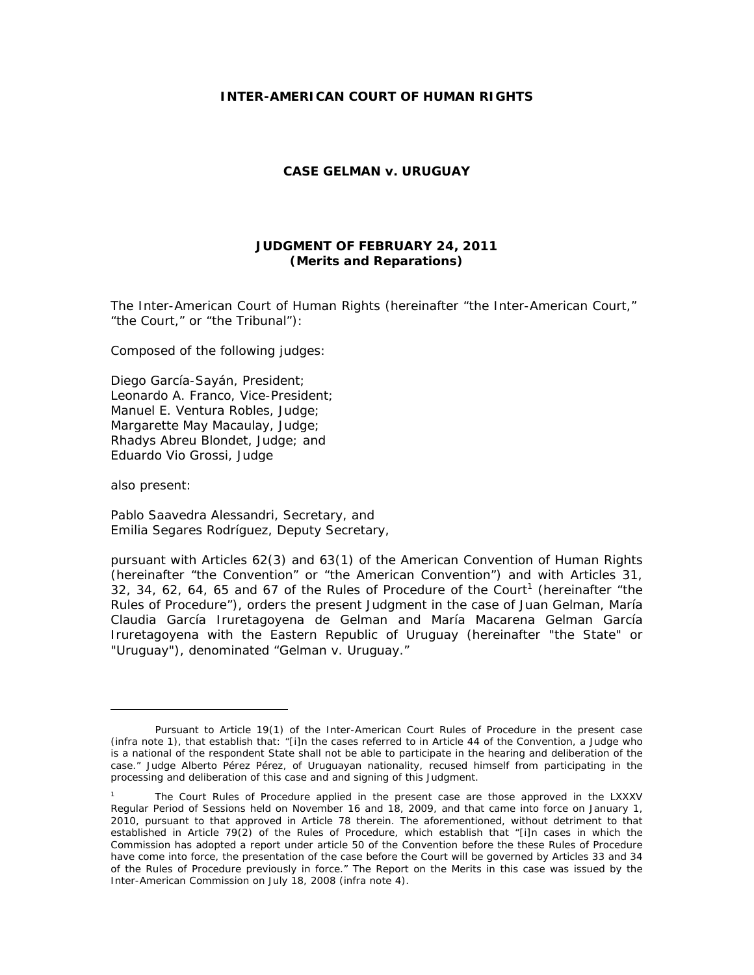### **INTER-AMERICAN COURT OF HUMAN RIGHTS**

### **CASE GELMAN v. URUGUAY**

# **JUDGMENT OF FEBRUARY 24, 2011 (Merits and Reparations)**

The Inter-American Court of Human Rights (hereinafter "the Inter-American Court," "the Court," or "the Tribunal"):

Composed of the following judges:

Diego García-Sayán, President; Leonardo A. Franco, Vice-President; Manuel E. Ventura Robles, Judge; Margarette May Macaulay, Judge; Rhadys Abreu Blondet, Judge; and Eduardo Vio Grossi, Judge

also present:

Pablo Saavedra Alessandri, Secretary, and Emilia Segares Rodríguez, Deputy Secretary,

pursuant with Articles 62(3) and 63(1) of the American Convention of Human Rights (hereinafter "the Convention" or "the American Convention") and with Articles 31, 32, 34, 62, 64, 65 and 67 of the Rules of Procedure of the Court<sup>1</sup> (hereinafter "the Rules of Procedure"), orders the present Judgment in the case of Juan Gelman, María Claudia García Iruretagoyena de Gelman and María Macarena Gelman García Iruretagoyena with the Eastern Republic of Uruguay (hereinafter "the State" or "Uruguay"), denominated "Gelman v. Uruguay."

Pursuant to Article 19(1) of the Inter-American Court Rules of Procedure in the present case (*infra* note 1), that establish that: "[i]n the cases referred to in Article 44 of the Convention, a Judge who is a national of the respondent State shall not be able to participate in the hearing and deliberation of the case." Judge Alberto Pérez Pérez, of Uruguayan nationality, recused himself from participating in the processing and deliberation of this case and and signing of this Judgment.

<sup>1</sup> The Court Rules of Procedure applied in the present case are those approved in the LXXXV Regular Period of Sessions held on November 16 and 18, 2009, and that came into force on January 1, 2010, pursuant to that approved in Article 78 therein. The aforementioned, without detriment to that established in Article 79(2) of the Rules of Procedure, which establish that "[i]n cases in which the Commission has adopted a report under article 50 of the Convention before the these Rules of Procedure have come into force, the presentation of the case before the Court will be governed by Articles 33 and 34 of the Rules of Procedure previously in force." The Report on the Merits in this case was issued by the Inter-American Commission on July 18, 2008 (*infra* note 4).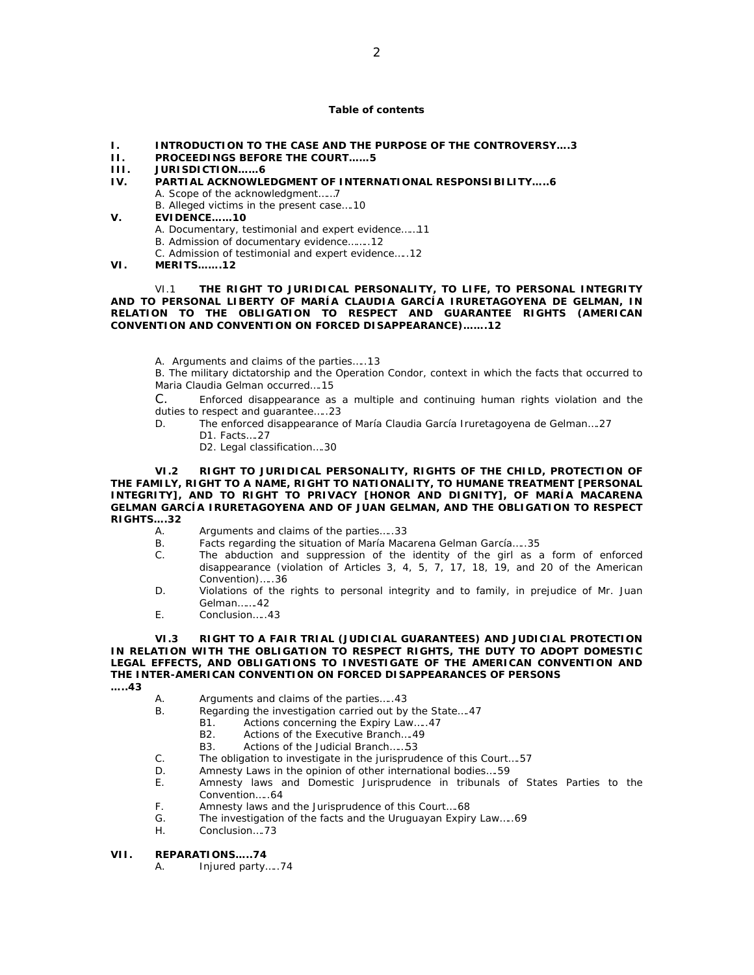#### **Table of contents**

- **I. INTRODUCTION TO THE CASE AND THE PURPOSE OF THE CONTROVERSY….3**
- **II. PROCEEDINGS BEFORE THE COURT……5**
- **III. JURISDICTION……6**
- **IV. PARTIAL ACKNOWLEDGMENT OF INTERNATIONAL RESPONSIBILITY…..6** 
	- A. Scope of the acknowledgment……7
		- B. Alleged victims in the present case….10
- **V. EVIDENCE……10** 
	- A. Documentary, testimonial and expert evidence……11
	- B. Admission of documentary evidence……..12

C. Admission of testimonial and expert evidence…..12

**VI. MERITS…….12** 

 VI.1 **THE RIGHT TO JURIDICAL PERSONALITY, TO LIFE, TO PERSONAL INTEGRITY AND TO PERSONAL LIBERTY OF MARÍA CLAUDIA GARCÍA IRURETAGOYENA DE GELMAN, IN RELATION TO THE OBLIGATION TO RESPECT AND GUARANTEE RIGHTS (AMERICAN CONVENTION AND CONVENTION ON FORCED DISAPPEARANCE)…….12** 

A. Arguments and claims of the parties…..13

B. The military dictatorship and the Operation Condor, context in which the facts that occurred to Maria Claudia Gelman occurred….15

C. Enforced disappearance as a multiple and continuing human rights violation and the duties to respect and guarantee…..23

- D. The enforced disappearance of María Claudia García Iruretagoyena de Gelman….27 D1. Facts….27
	-
	- D2. Legal classification….30

 **VI.2 RIGHT TO JURIDICAL PERSONALITY, RIGHTS OF THE CHILD, PROTECTION OF THE FAMILY, RIGHT TO A NAME, RIGHT TO NATIONALITY, TO HUMANE TREATMENT [PERSONAL INTEGRITY], AND TO RIGHT TO PRIVACY [HONOR AND DIGNITY], OF MARÍA MACARENA GELMAN GARCÍA IRURETAGOYENA AND OF JUAN GELMAN, AND THE OBLIGATION TO RESPECT RIGHTS….32** 

- A. Arguments and claims of the parties.....33<br>B. Facts regarding the situation of María Maca
- Facts regarding the situation of María Macarena Gelman García.....35
- C. The abduction and suppression of the identity of the girl as a form of enforced disappearance (violation of Articles 3, 4, 5, 7, 17, 18, 19, and 20 of the American Convention)…..36
- D. Violations of the rights to personal integrity and to family, in prejudice of Mr. Juan Gelman…….42
- E. Conclusion…..43

 **VI.3 RIGHT TO A FAIR TRIAL (JUDICIAL GUARANTEES) AND JUDICIAL PROTECTION IN RELATION WITH THE OBLIGATION TO RESPECT RIGHTS, THE DUTY TO ADOPT DOMESTIC LEGAL EFFECTS, AND OBLIGATIONS TO INVESTIGATE OF THE AMERICAN CONVENTION AND THE INTER-AMERICAN CONVENTION ON FORCED DISAPPEARANCES OF PERSONS** 

**…..43** 

- A. Arguments and claims of the parties…..43
- B. Regarding the investigation carried out by the State….47
	- B1. Actions concerning the Expiry Law…..47
	- B2. Actions of the Executive Branch….49
	- B3. Actions of the Judicial Branch……53
- C. The obligation to investigate in the jurisprudence of this Court….57
- D. Amnesty Laws in the opinion of other international bodies….59
- E. Amnesty laws and Domestic Jurisprudence in tribunals of States Parties to the Convention…..64
- F. Amnesty laws and the Jurisprudence of this Court….68
- G. The investigation of the facts and the Uruguayan Expiry Law…..69
- H. Conclusion….73

#### **VII. REPARATIONS…..74**

A. Injured party…..74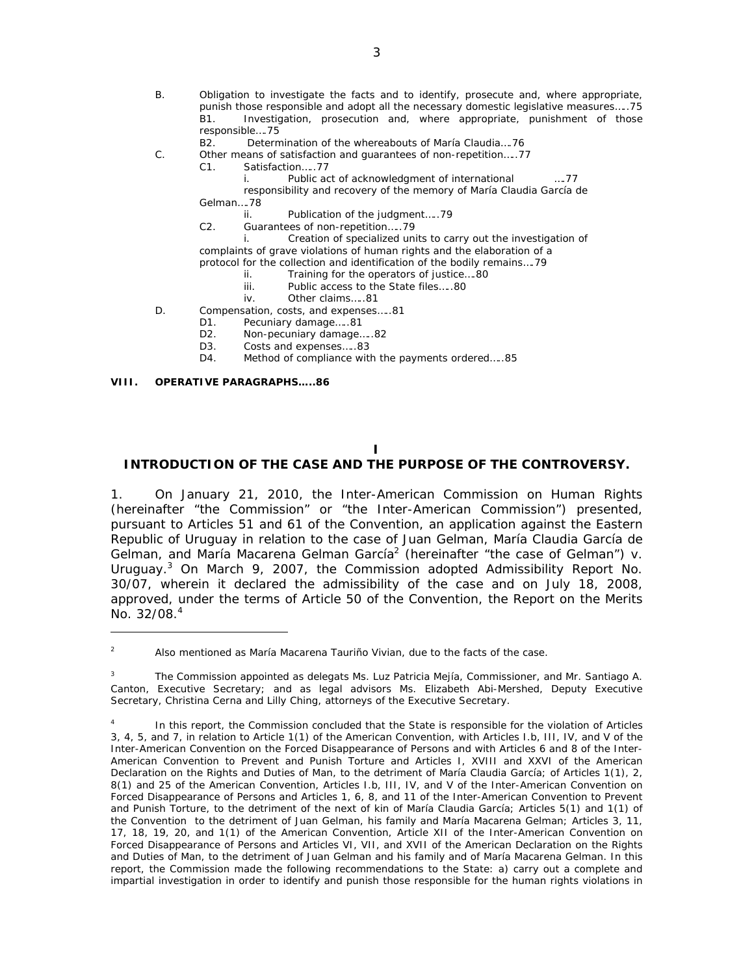- B. Obligation to investigate the facts and to identify, prosecute and, where appropriate, punish those responsible and adopt all the necessary domestic legislative measures…..75 B1. Investigation, prosecution and, where appropriate, punishment of those responsible….75
	- B2. Determination of the whereabouts of María Claudia….76
- C. Other means of satisfaction and guarantees of non-repetition…..77
	- C1. Satisfaction…..77
		- i. Public act of acknowledgment of international ….77
		- responsibility and recovery of the memory of María Claudia García de
	- Gelman….78
		- ii. Publication of the judgment…..79
	- C2. Guarantees of non-repetition…..79
	- i. Creation of specialized units to carry out the investigation of complaints of grave violations of human rights and the elaboration of a
	- protocol for the collection and identification of the bodily remains….79
		- ii. Training for the operators of justice....80<br>iii. Public access to the State files.....80
			- Public access to the State files.....80
		- iv. Other claims…..81
- D. Compensation, costs, and expenses…..81
	- D1. Pecuniary damage.....81
	- D2. Non-pecuniary damage.....82
	- D3. Costs and expenses.....83
	- D4. Method of compliance with the payments ordered…..85

#### **VIII. OPERATIVE PARAGRAPHS…..86**

# **I**

# **INTRODUCTION OF THE CASE AND THE PURPOSE OF THE CONTROVERSY.**

1. On January 21, 2010, the Inter-American Commission on Human Rights (hereinafter "the Commission" or "the Inter-American Commission") presented, pursuant to Articles 51 and 61 of the Convention, an application against the Eastern Republic of Uruguay in relation to the case of Juan Gelman, María Claudia García de Gelman, and María Macarena Gelman García<sup>2</sup> (hereinafter "the case of Gelman") v. Uruguay.<sup>3</sup> On March 9, 2007, the Commission adopted Admissibility Report No. 30/07, wherein it declared the admissibility of the case and on July 18, 2008, approved, under the terms of Article 50 of the Convention, the Report on the Merits No.  $32/08.<sup>4</sup>$ 

<sup>2</sup> Also mentioned as María Macarena Tauriño Vivian, due to the facts of the case.

<sup>3</sup> The Commission appointed as delegats Ms. Luz Patricia Mejía, Commissioner, and Mr. Santiago A. Canton, Executive Secretary; and as legal advisors Ms. Elizabeth Abi-Mershed, Deputy Executive Secretary, Christina Cerna and Lilly Ching, attorneys of the Executive Secretary.

<sup>4</sup> In this report, the Commission concluded that the State is responsible for the violation of Articles 3, 4, 5, and 7, in relation to Article 1(1) of the American Convention, with Articles I.b, III, IV, and V of the Inter-American Convention on the Forced Disappearance of Persons and with Articles 6 and 8 of the Inter-American Convention to Prevent and Punish Torture and Articles I, XVIII and XXVI of the American Declaration on the Rights and Duties of Man, to the detriment of María Claudia García; of Articles 1(1), 2, 8(1) and 25 of the American Convention, Articles I.b, III, IV, and V of the Inter-American Convention on Forced Disappearance of Persons and Articles 1, 6, 8, and 11 of the Inter-American Convention to Prevent and Punish Torture, to the detriment of the next of kin of María Claudia García; Articles 5(1) and 1(1) of the Convention to the detriment of Juan Gelman, his family and María Macarena Gelman; Articles 3, 11, 17, 18, 19, 20, and 1(1) of the American Convention, Article XII of the Inter-American Convention on Forced Disappearance of Persons and Articles VI, VII, and XVII of the American Declaration on the Rights and Duties of Man, to the detriment of Juan Gelman and his family and of María Macarena Gelman. In this report, the Commission made the following recommendations to the State: a) carry out a complete and impartial investigation in order to identify and punish those responsible for the human rights violations in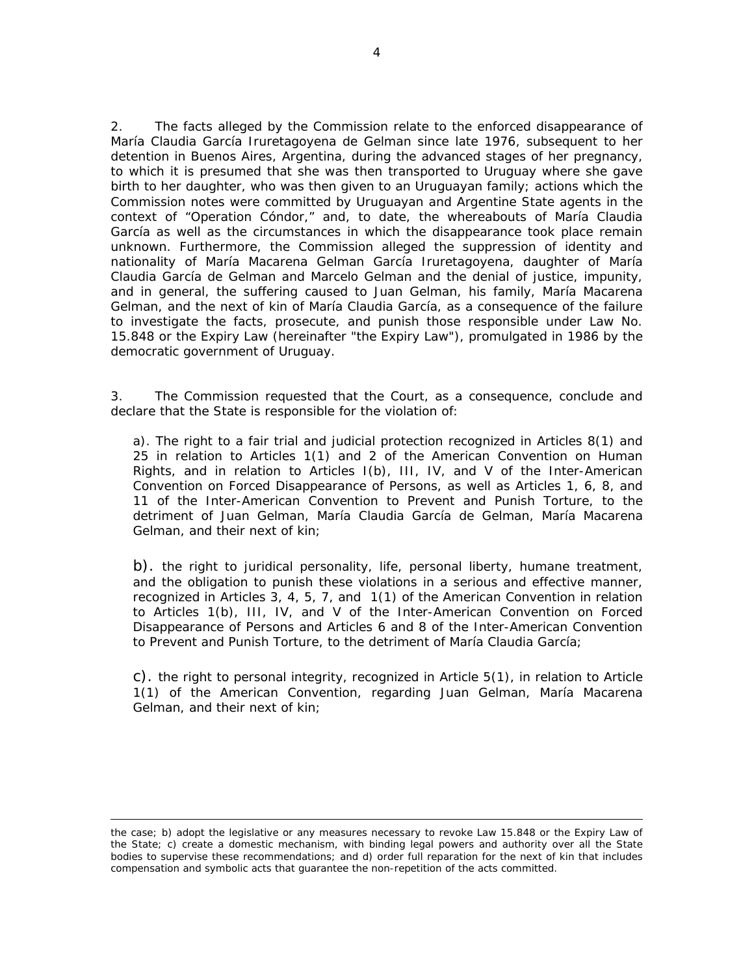2. The facts alleged by the Commission relate to the enforced disappearance of María Claudia García Iruretagoyena de Gelman since late 1976, subsequent to her detention in Buenos Aires, Argentina, during the advanced stages of her pregnancy, to which it is presumed that she was then transported to Uruguay where she gave birth to her daughter, who was then given to an Uruguayan family; actions which the Commission notes were committed by Uruguayan and Argentine State agents in the context of "Operation Cóndor," and, to date, the whereabouts of María Claudia García as well as the circumstances in which the disappearance took place remain unknown. Furthermore, the Commission alleged the suppression of identity and nationality of María Macarena Gelman García Iruretagoyena, daughter of María Claudia García de Gelman and Marcelo Gelman and the denial of justice, impunity, and in general, the suffering caused to Juan Gelman, his family, María Macarena Gelman, and the next of kin of María Claudia García, as a consequence of the failure to investigate the facts, prosecute, and punish those responsible under Law No. 15.848 or the Expiry Law (hereinafter "the Expiry Law"), promulgated in 1986 by the democratic government of Uruguay.

3. The Commission requested that the Court, as a consequence, conclude and declare that the State is responsible for the violation of:

a). The right to a fair trial and judicial protection recognized in Articles 8(1) and 25 in relation to Articles 1(1) and 2 of the American Convention on Human Rights, and in relation to Articles I(b), III, IV, and V of the Inter-American Convention on Forced Disappearance of Persons, as well as Articles 1, 6, 8, and 11 of the Inter-American Convention to Prevent and Punish Torture, to the detriment of Juan Gelman, María Claudia García de Gelman, María Macarena Gelman, and their next of kin;

b). the right to juridical personality, life, personal liberty, humane treatment, and the obligation to punish these violations in a serious and effective manner, recognized in Articles 3, 4, 5, 7, and 1(1) of the American Convention in relation to Articles 1(b), III, IV, and V of the Inter-American Convention on Forced Disappearance of Persons and Articles 6 and 8 of the Inter-American Convention to Prevent and Punish Torture, to the detriment of María Claudia García;

c). the right to personal integrity, recognized in Article 5(1), in relation to Article 1(1) of the American Convention, regarding Juan Gelman, María Macarena Gelman, and their next of kin;

<u> 1989 - Andrea San Andrew Maria (h. 1989).</u><br>1900 - Andrew Maria (h. 1980).

the case; b) adopt the legislative or any measures necessary to revoke Law 15.848 or the Expiry Law of the State; c) create a domestic mechanism, with binding legal powers and authority over all the State bodies to supervise these recommendations; and d) order full reparation for the next of kin that includes compensation and symbolic acts that guarantee the non-repetition of the acts committed.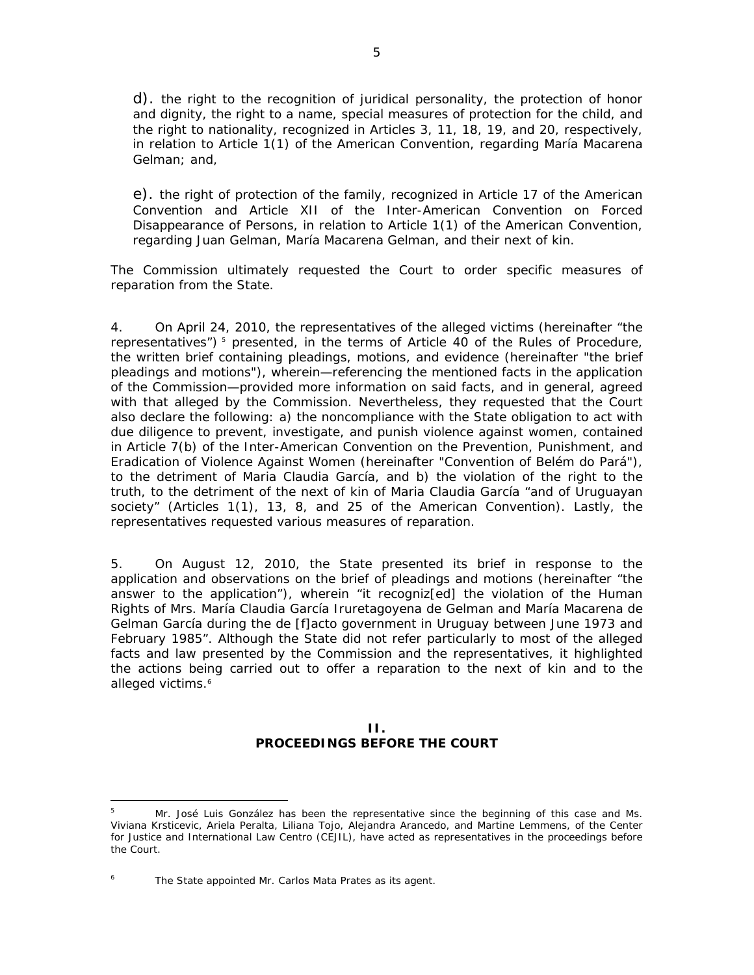d). the right to the recognition of juridical personality, the protection of honor and dignity, the right to a name, special measures of protection for the child, and the right to nationality, recognized in Articles 3, 11, 18, 19, and 20, respectively, in relation to Article 1(1) of the American Convention, regarding María Macarena Gelman; and,

e). the right of protection of the family, recognized in Article 17 of the American Convention and Article XII of the Inter-American Convention on Forced Disappearance of Persons, in relation to Article 1(1) of the American Convention, regarding Juan Gelman, María Macarena Gelman, and their next of kin.

The Commission ultimately requested the Court to order specific measures of reparation from the State.

4. On April 24, 2010, the representatives of the alleged victims (hereinafter "the representatives")<sup>5</sup> presented, in the terms of Article 40 of the Rules of Procedure, the written brief containing pleadings, motions, and evidence (hereinafter "the brief pleadings and motions"), wherein—referencing the mentioned facts in the application of the Commission—provided more information on said facts, and in general, agreed with that alleged by the Commission. Nevertheless, they requested that the Court also declare the following: a) the noncompliance with the State obligation to act with due diligence to prevent, investigate, and punish violence against women, contained in Article 7(b) of the Inter-American Convention on the Prevention, Punishment, and Eradication of Violence Against Women (hereinafter "Convention of Belém do Pará"), to the detriment of Maria Claudia García, and b) the violation of the right to the truth, to the detriment of the next of kin of Maria Claudia García "and of Uruguayan society" (Articles 1(1), 13, 8, and 25 of the American Convention). Lastly, the representatives requested various measures of reparation.

5. On August 12, 2010, the State presented its brief in response to the application and observations on the brief of pleadings and motions (hereinafter "the answer to the application"), wherein "it recogniz[ed] the violation of the Human Rights of Mrs. María Claudia García Iruretagoyena de Gelman and María Macarena de Gelman García during the de [f]acto government in Uruguay between June 1973 and February 1985". Although the State did not refer particularly to most of the alleged facts and law presented by the Commission and the representatives, it highlighted the actions being carried out to offer a reparation to the next of kin and to the alleged victims.<sup>6</sup>

### **II. PROCEEDINGS BEFORE THE COURT**

<sup>5</sup> Mr. José Luis González has been the representative since the beginning of this case and Ms. Viviana Krsticevic, Ariela Peralta, Liliana Tojo, Alejandra Arancedo, and Martine Lemmens, of the Center for Justice and International Law Centro (CEJIL), have acted as representatives in the proceedings before the Court.

<sup>6</sup> The State appointed Mr. Carlos Mata Prates as its agent.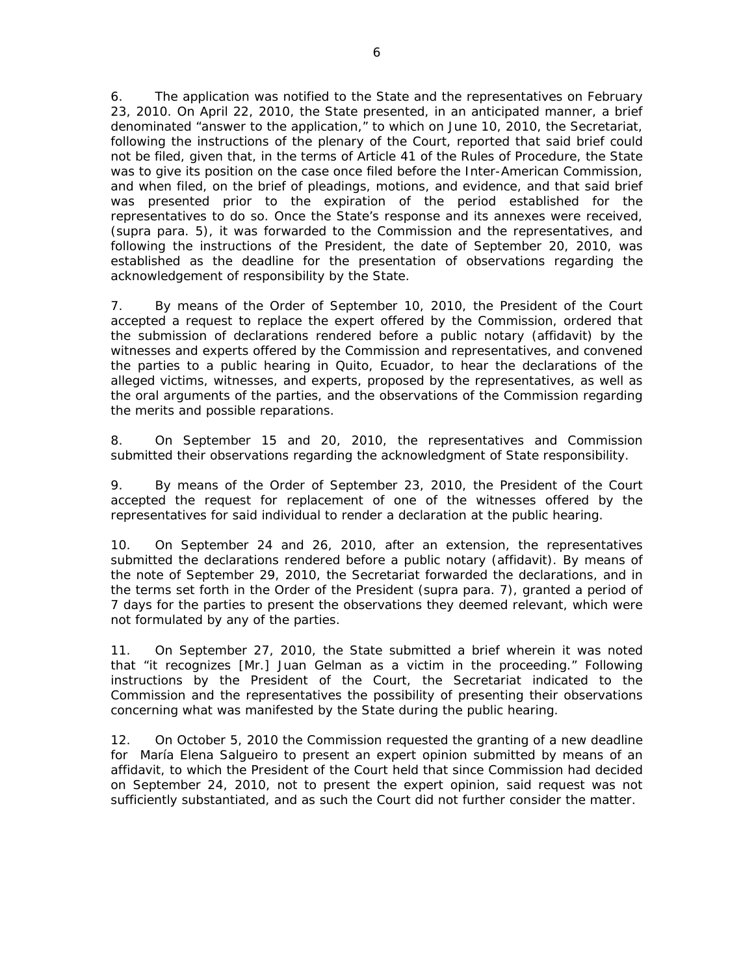6. The application was notified to the State and the representatives on February 23, 2010. On April 22, 2010, the State presented, in an anticipated manner, a brief denominated "answer to the application," to which on June 10, 2010, the Secretariat, following the instructions of the plenary of the Court, reported that said brief could not be filed, given that, in the terms of Article 41 of the Rules of Procedure, the State was to give its position on the case once filed before the Inter-American Commission, and when filed, on the brief of pleadings, motions, and evidence, and that said brief was presented prior to the expiration of the period established for the representatives to do so. Once the State's response and its annexes were received, (*supra* para. 5), it was forwarded to the Commission and the representatives, and following the instructions of the President, the date of September 20, 2010, was established as the deadline for the presentation of observations regarding the acknowledgement of responsibility by the State.

7. By means of the Order of September 10, 2010, the President of the Court accepted a request to replace the expert offered by the Commission, ordered that the submission of declarations rendered before a public notary (*affidavit)* by the witnesses and experts offered by the Commission and representatives, and convened the parties to a public hearing in Quito, Ecuador, to hear the declarations of the alleged victims, witnesses, and experts, proposed by the representatives, as well as the oral arguments of the parties, and the observations of the Commission regarding the merits and possible reparations.

8. On September 15 and 20, 2010, the representatives and Commission submitted their observations regarding the acknowledgment of State responsibility.

9. By means of the Order of September 23, 2010, the President of the Court accepted the request for replacement of one of the witnesses offered by the representatives for said individual to render a declaration at the public hearing.

10. On September 24 and 26, 2010, after an extension, the representatives submitted the declarations rendered before a public notary (*affidavit*). By means of the note of September 29, 2010, the Secretariat forwarded the declarations, and in the terms set forth in the Order of the President (*supra* para*. 7*), granted a period of 7 days for the parties to present the observations they deemed relevant, which were not formulated by any of the parties.

11. On September 27, 2010, the State submitted a brief wherein it was noted that "it recognizes [Mr.] Juan Gelman as a victim in the proceeding." Following instructions by the President of the Court, the Secretariat indicated to the Commission and the representatives the possibility of presenting their observations concerning what was manifested by the State during the public hearing.

12. On October 5, 2010 the Commission requested the granting of a new deadline for María Elena Salgueiro to present an expert opinion submitted by means of an *affidavit*, to which the President of the Court held that since Commission had decided on September 24, 2010, not to present the expert opinion, said request was not sufficiently substantiated, and as such the Court did not further consider the matter.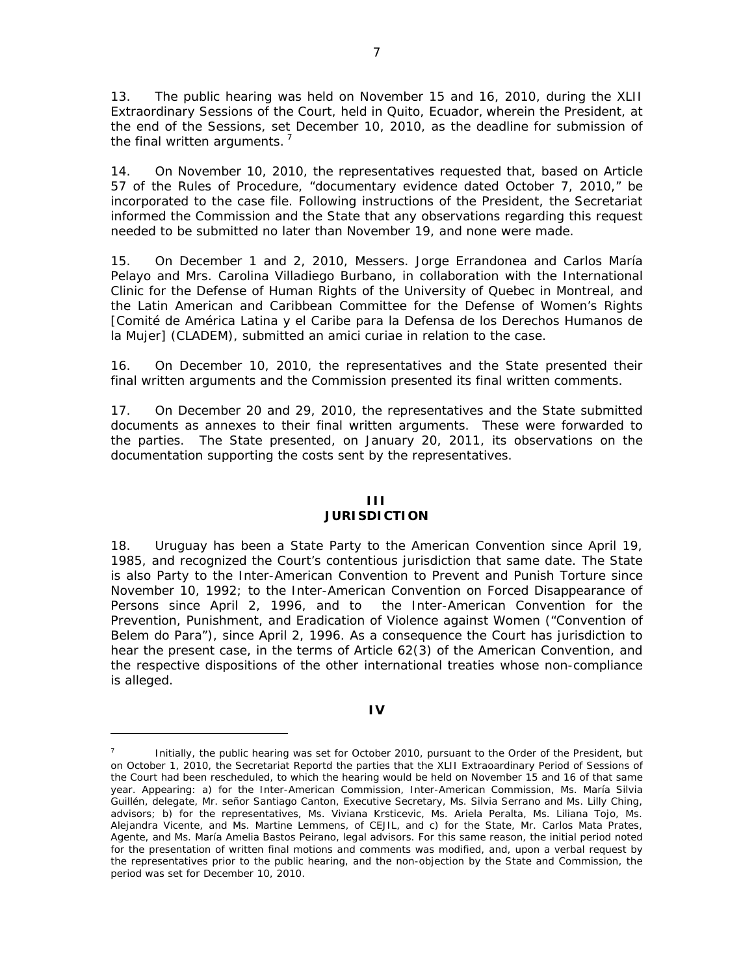13. The public hearing was held on November 15 and 16, 2010, during the XLII Extraordinary Sessions of the Court, held in Quito, Ecuador, wherein the President, at the end of the Sessions, set December 10, 2010, as the deadline for submission of the final written arguments. $<sup>7</sup>$ </sup>

14. On November 10, 2010, the representatives requested that, based on Article 57 of the Rules of Procedure, "documentary evidence dated October 7, 2010," be incorporated to the case file. Following instructions of the President, the Secretariat informed the Commission and the State that any observations regarding this request needed to be submitted no later than November 19, and none were made.

15. On December 1 and 2, 2010, Messers. Jorge Errandonea and Carlos María Pelayo and Mrs. Carolina Villadiego Burbano, in collaboration with the International Clinic for the Defense of Human Rights of the University of Quebec in Montreal, and the *Latin American and Caribbean Committee for the Defense of Women's Rights* [Comité de América Latina y el Caribe para la Defensa de los Derechos Humanos de la Mujer] (CLADEM), submitted an *amici curiae* in relation to the case.

16. On December 10, 2010, the representatives and the State presented their final written arguments and the Commission presented its final written comments.

17. On December 20 and 29, 2010, the representatives and the State submitted documents as annexes to their final written arguments. These were forwarded to the parties. The State presented, on January 20, 2011, its observations on the documentation supporting the costs sent by the representatives.

# **III**

# **JURISDICTION**

18. Uruguay has been a State Party to the American Convention since April 19, 1985, and recognized the Court's contentious jurisdiction that same date. The State is also Party to the Inter-American Convention to Prevent and Punish Torture since November 10, 1992; to the Inter-American Convention on Forced Disappearance of Persons since April 2, 1996, and to the Inter-American Convention for the Prevention, Punishment, and Eradication of Violence against Women ("Convention of Belem do Para"), since April 2, 1996. As a consequence the Court has jurisdiction to hear the present case, in the terms of Article 62(3) of the American Convention, and the respective dispositions of the other international treaties whose non-compliance is alleged.

### **IV**

Initially, the public hearing was set for October 2010, pursuant to the Order of the President, but on October 1, 2010, the Secretariat Reportd the parties that the XLII Extraoardinary Period of Sessions of the Court had been rescheduled, to which the hearing would be held on November 15 and 16 of that same year. Appearing: a) for the Inter-American Commission, Inter-American Commission, Ms. María Silvia Guillén, delegate, Mr. señor Santiago Canton, Executive Secretary, Ms. Silvia Serrano and Ms. Lilly Ching, advisors; b) for the representatives, Ms. Viviana Krsticevic, Ms. Ariela Peralta, Ms. Liliana Tojo, Ms. Alejandra Vicente, and Ms. Martine Lemmens, of CEJIL, and c) for the State, Mr. Carlos Mata Prates, Agente, and Ms. María Amelia Bastos Peirano, legal advisors. For this same reason, the initial period noted for the presentation of written final motions and comments was modified, and, upon a verbal request by the representatives prior to the public hearing, and the non-objection by the State and Commission, the period was set for December 10, 2010.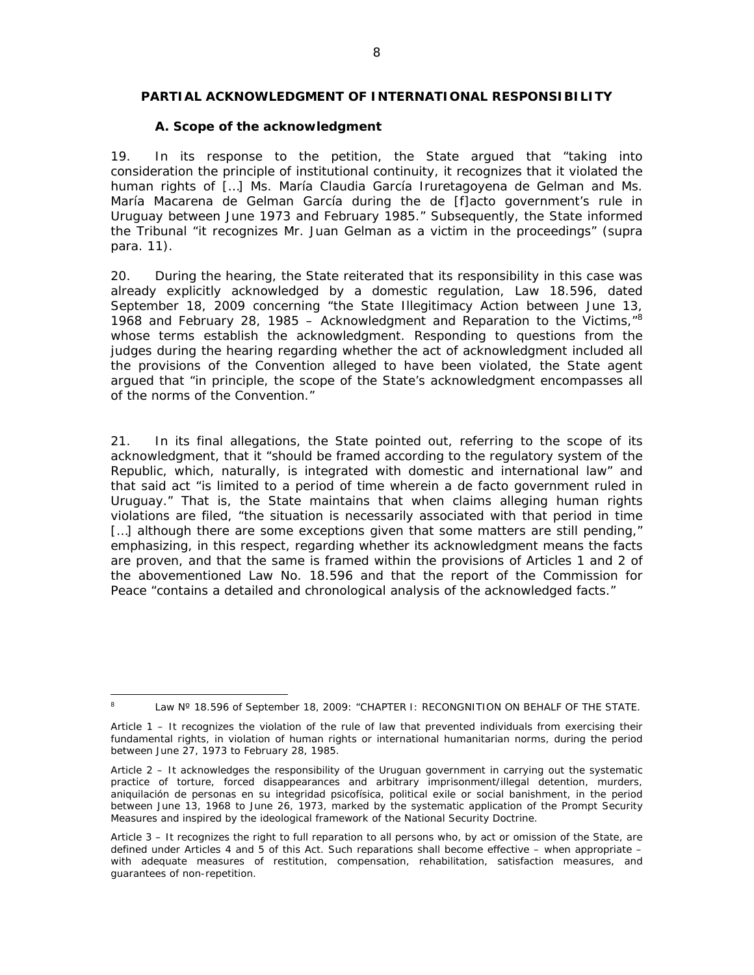### **PARTIAL ACKNOWLEDGMENT OF INTERNATIONAL RESPONSIBILITY**

### *A. Scope of the acknowledgment*

19. In its response to the petition, the State argued that "taking into consideration the principle of institutional continuity, it recognizes that it violated the human rights of […] Ms. María Claudia García Iruretagoyena de Gelman and Ms. María Macarena de Gelman García during the de [f]acto government's rule in Uruguay between June 1973 and February 1985." Subsequently, the State informed the Tribunal "it recognizes Mr. Juan Gelman as a victim in the proceedings" (*supra* para. 11).

20. During the hearing, the State reiterated that its responsibility in this case was already explicitly acknowledged by a domestic regulation, Law 18.596, dated September 18, 2009 concerning "the State Illegitimacy Action between June 13, 1968 and February 28, 1985 – Acknowledgment and Reparation to the Victims, $^{8}$ whose terms establish the acknowledgment. Responding to questions from the judges during the hearing regarding whether the act of acknowledgment included all the provisions of the Convention alleged to have been violated, the State agent argued that "in principle, the scope of the State's acknowledgment encompasses all of the norms of the Convention."

21. In its final allegations, the State pointed out, referring to the scope of its acknowledgment, that it "should be framed according to the regulatory system of the Republic, which, naturally, is integrated with domestic and international law" and that said act "is limited to a period of time wherein a de facto government ruled in Uruguay." That is, the State maintains that when claims alleging human rights violations are filed, "the situation is necessarily associated with that period in time [...] although there are some exceptions given that some matters are still pending," emphasizing, in this respect, regarding whether its acknowledgment means the facts are proven, and that the same is framed within the provisions of Articles 1 and 2 of the abovementioned Law No. 18.596 and that the report of the Commission for Peace "contains a detailed and chronological analysis of the acknowledged facts."

 8 Law Nº 18.596 of September 18, 2009: "CHAPTER I: RECONGNITION ON BEHALF OF THE STATE.

Article 1 – It recognizes the violation of the rule of law that prevented individuals from exercising their fundamental rights, in violation of human rights or international humanitarian norms, during the period between June 27, 1973 to February 28, 1985.

Article 2 – It acknowledges the responsibility of the Uruguan government in carrying out the systematic practice of torture, forced disappearances and arbitrary imprisonment/illegal detention, murders, aniquilación de personas en su integridad psicofísica, political exile or social banishment, in the period between June 13, 1968 to June 26, 1973, marked by the systematic application of the Prompt Security Measures and inspired by the ideological framework of the National Security Doctrine.

Article 3 – It recognizes the right to full reparation to all persons who, by act or omission of the State, are defined under Articles 4 and 5 of this Act. Such reparations shall become effective – when appropriate – with adequate measures of restitution, compensation, rehabilitation, satisfaction measures, and guarantees of non-repetition.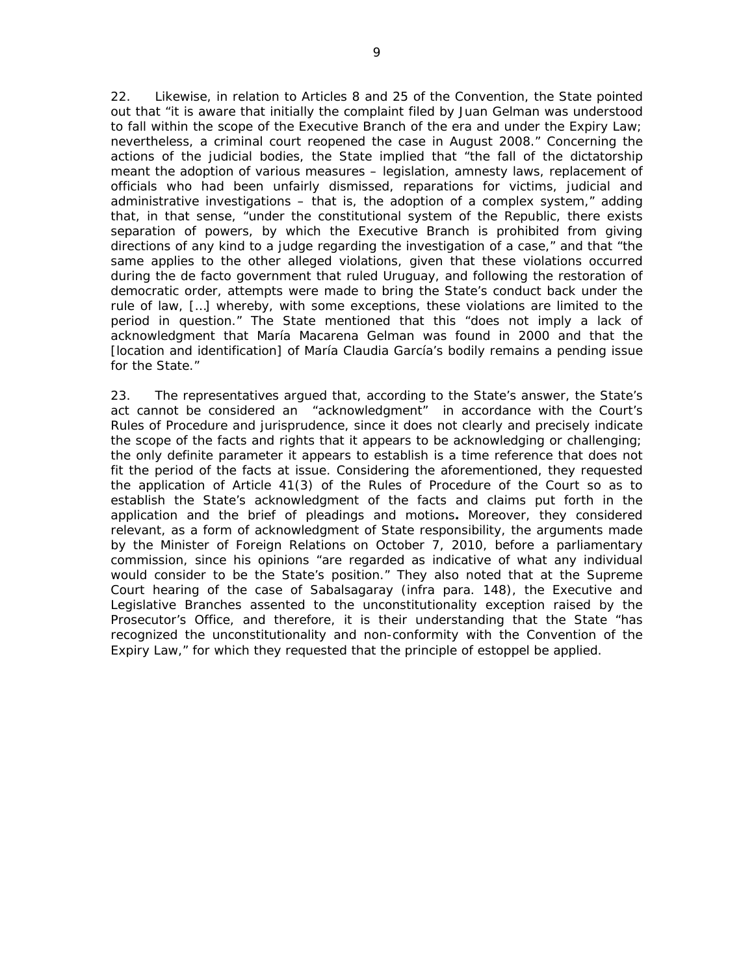22. Likewise, in relation to Articles 8 and 25 of the Convention, the State pointed out that "it is aware that initially the complaint filed by Juan Gelman was understood to fall within the scope of the Executive Branch of the era and under the Expiry Law; nevertheless, a criminal court reopened the case in August 2008." Concerning the actions of the judicial bodies, the State implied that "the fall of the dictatorship meant the adoption of various measures – legislation, amnesty laws, replacement of officials who had been unfairly dismissed, reparations for victims, judicial and administrative investigations – that is, the adoption of a complex system," adding that, in that sense, "under the constitutional system of the Republic, there exists separation of powers, by which the Executive Branch is prohibited from giving directions of any kind to a judge regarding the investigation of a case," and that "the same applies to the other alleged violations, given that these violations occurred during the de facto government that ruled Uruguay, and following the restoration of democratic order, attempts were made to bring the State's conduct back under the rule of law, […] whereby, with some exceptions, these violations are limited to the period in question." The State mentioned that this "does not imply a lack of acknowledgment that María Macarena Gelman was found in 2000 and that the [location and identification] of María Claudia García's bodily remains a pending issue for the State."

23. The representatives argued that, according to the State's answer, the State's act cannot be considered an "acknowledgment" in accordance with the Court's Rules of Procedure and jurisprudence, since it does not clearly and precisely indicate the scope of the facts and rights that it appears to be acknowledging or challenging; the only definite parameter it appears to establish is a time reference that does not fit the period of the facts at issue. Considering the aforementioned, they requested the application of Article 41(3) of the Rules of Procedure of the Court so as to establish the State's acknowledgment of the facts and claims put forth in the application and the brief of pleadings and motions**.** Moreover, they considered relevant, as a form of acknowledgment of State responsibility, the arguments made by the Minister of Foreign Relations on October 7, 2010, before a parliamentary commission, since his opinions "are regarded as indicative of what any individual would consider to be the State's position." They also noted that at the Supreme Court hearing of the case of *Sabalsagaray* (*infra* para. 148), the Executive and Legislative Branches assented to the unconstitutionality exception raised by the Prosecutor's Office, and therefore, it is their understanding that the State "has recognized the unconstitutionality and non-conformity with the Convention of the Expiry Law," for which they requested that the principle of estoppel be applied.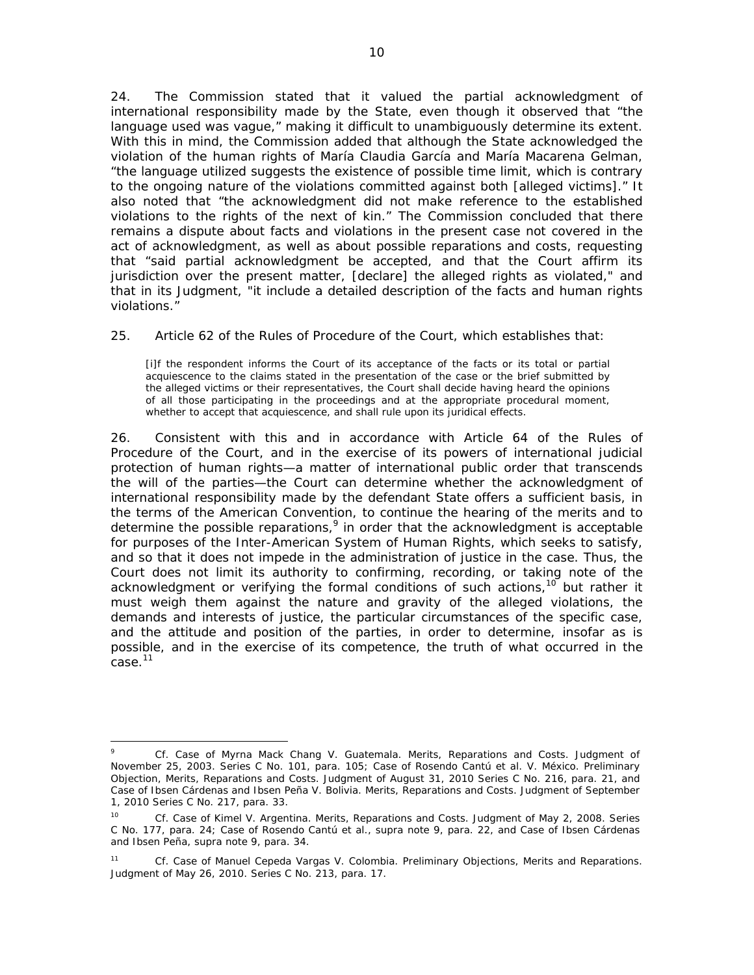24. The Commission stated that it valued the partial acknowledgment of international responsibility made by the State, even though it observed that "the language used was vague," making it difficult to unambiguously determine its extent. With this in mind, the Commission added that although the State acknowledged the violation of the human rights of María Claudia García and María Macarena Gelman, "the language utilized suggests the existence of possible time limit, which is contrary to the ongoing nature of the violations committed against both [alleged victims]." It also noted that "the acknowledgment did not make reference to the established violations to the rights of the next of kin." The Commission concluded that there remains a dispute about facts and violations in the present case not covered in the act of acknowledgment, as well as about possible reparations and costs, requesting that "said partial acknowledgment be accepted, and that the Court affirm its jurisdiction over the present matter, [declare] the alleged rights as violated," and that in its Judgment, "it include a detailed description of the facts and human rights violations."

25. Article 62 of the Rules of Procedure of the Court, which establishes that:

[i]f the respondent informs the Court of its acceptance of the facts or its total or partial acquiescence to the claims stated in the presentation of the case or the brief submitted by the alleged victims or their representatives, the Court shall decide having heard the opinions of all those participating in the proceedings and at the appropriate procedural moment, whether to accept that acquiescence, and shall rule upon its juridical effects.

26. Consistent with this and in accordance with Article 64 of the Rules of Procedure of the Court, and in the exercise of its powers of international judicial protection of human rights—a matter of international public order that transcends the will of the parties—the Court can determine whether the acknowledgment of international responsibility made by the defendant State offers a sufficient basis, in the terms of the American Convention, to continue the hearing of the merits and to determine the possible reparations,  $9$  in order that the acknowledgment is acceptable for purposes of the Inter-American System of Human Rights, which seeks to satisfy, and so that it does not impede in the administration of justice in the case. Thus, the Court does not limit its authority to confirming, recording, or taking note of the acknowledgment or verifying the formal conditions of such actions,<sup>10</sup> but rather it must weigh them against the nature and gravity of the alleged violations, the demands and interests of justice, the particular circumstances of the specific case, and the attitude and position of the parties, in order to determine, insofar as is possible, and in the exercise of its competence, the truth of what occurred in the case.11

 <sup>9</sup> *Cf. Case of Myrna Mack Chang V. Guatemala. Merits, Reparations and Costs.* Judgment of November 25, 2003. Series C No. 101, para. 105; *Case of Rosendo Cantú et al. V. México*. *Preliminary Objection, Merits, Reparations and Costs*. Judgment of August 31, 2010 Series C No. 216, para. 21, and *Case of Ibsen Cárdenas and Ibsen Peña V. Bolivia*. *Merits, Reparations and Costs*. Judgment of September 1, 2010 Series C No. 217, para. 33.

<sup>10</sup> *Cf. Case of Kimel V. Argentina. Merits, Reparations and Costs.* Judgment of May 2, 2008. Series C No. 177, para. 24; *Case of Rosendo Cantú et al.*, *supra* note 9, para. 22, and *Case of Ibsen Cárdenas and Ibsen Peña*, *supra* note 9, para. 34.

<sup>11</sup> *Cf*. *Case of Manuel Cepeda Vargas V. Colombia. Preliminary Objections, Merits and Reparations.* Judgment of May 26, 2010. Series C No. 213, para. 17.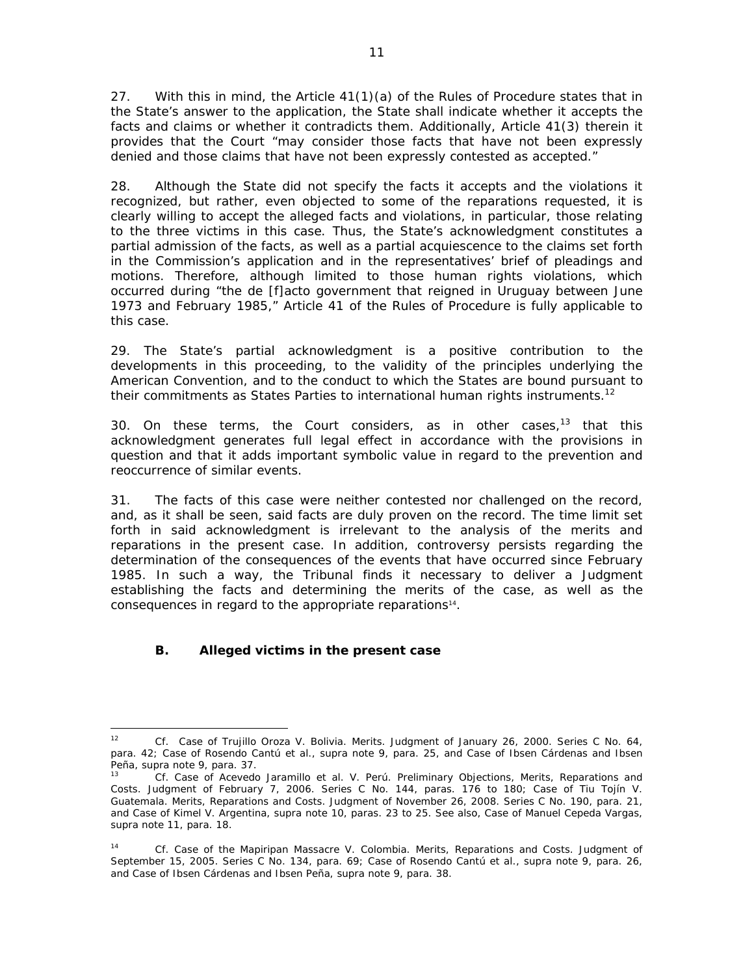27. With this in mind, the Article 41(1)(a) of the Rules of Procedure states that in the State's answer to the application, the State shall indicate whether it accepts the facts and claims or whether it contradicts them. Additionally, Article 41(3) therein it provides that the Court "may consider those facts that have not been expressly denied and those claims that have not been expressly contested as accepted."

28. Although the State did not specify the facts it accepts and the violations it recognized, but rather, even objected to some of the reparations requested, it is clearly willing to accept the alleged facts and violations, in particular, those relating to the three victims in this case. Thus, the State's acknowledgment constitutes a partial admission of the facts, as well as a partial acquiescence to the claims set forth in the Commission's application and in the representatives' brief of pleadings and motions. Therefore, although limited to those human rights violations, which occurred during "the de [f]acto government that reigned in Uruguay between June 1973 and February 1985," Article 41 of the Rules of Procedure is fully applicable to this case.

29. The State's partial acknowledgment is a positive contribution to the developments in this proceeding, to the validity of the principles underlying the American Convention, and to the conduct to which the States are bound pursuant to their commitments as States Parties to international human rights instruments.<sup>12</sup>

30. On these terms, the Court considers, as in other cases, $^{13}$  that this acknowledgment generates full legal effect in accordance with the provisions in question and that it adds important symbolic value in regard to the prevention and reoccurrence of similar events.

31. The facts of this case were neither contested nor challenged on the record, and, as it shall be seen, said facts are duly proven on the record. The time limit set forth in said acknowledgment is irrelevant to the analysis of the merits and reparations in the present case. In addition, controversy persists regarding the determination of the consequences of the events that have occurred since February 1985. In such a way, the Tribunal finds it necessary to deliver a Judgment establishing the facts and determining the merits of the case, as well as the consequences in regard to the appropriate reparations<sup>14</sup>.

# *B. Alleged victims in the present case*

<sup>12</sup> *Cf. Case of Trujillo Oroza V. Bolivia. Merits.* Judgment of January 26, 2000. Series C No. 64, para. 42; *Case of Rosendo Cantú et al.*, *supra* note 9, para. 25, and *Case of Ibsen Cárdenas and Ibsen Peña*, *supra* note 9, para. 37.<br><sup>13</sup> *Cf. Case of Acevedo Jaramillo et al. V. Perú. Preliminary Objections, Merits, Reparations and* 

*Costs*. Judgment of February 7, 2006. Series C No. 144, paras. 176 to 180; *Case of Tiu Tojín V. Guatemala. Merits, Reparations and Costs.* Judgment of November 26, 2008. Series C No. 190, para. 21, and *Case of Kimel V. Argentina*, *supra* note 10, paras. 23 to 25. See also, *Case of Manuel Cepeda Vargas*, *supra* note 11, para. 18.

<sup>14</sup> *Cf. Case of the Mapiripan Massacre V. Colombia*. *Merits, Reparations and Costs*. Judgment of September 15, 2005. Series C No. 134, para. 69; *Case of Rosendo Cantú et al.*, *supra* note 9, para. 26, and *Case of Ibsen Cárdenas and Ibsen Peña*, *supra* note 9, para. 38.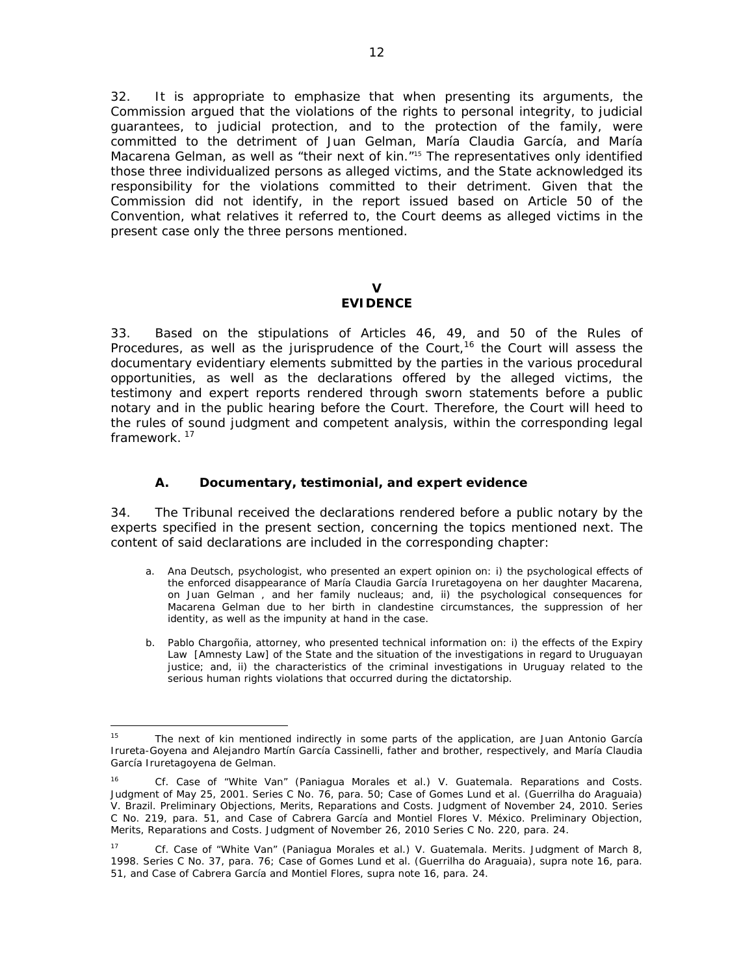32. It is appropriate to emphasize that when presenting its arguments, the Commission argued that the violations of the rights to personal integrity, to judicial guarantees, to judicial protection, and to the protection of the family, were committed to the detriment of Juan Gelman, María Claudia García, and María Macarena Gelman, as well as "their next of kin."15 The representatives only identified those three individualized persons as alleged victims, and the State acknowledged its responsibility for the violations committed to their detriment. Given that the Commission did not identify, in the report issued based on Article 50 of the Convention, what relatives it referred to, the Court deems as alleged victims in the present case only the three persons mentioned.

# **V**

# **EVIDENCE**

33. Based on the stipulations of Articles 46, 49, and 50 of the Rules of Procedures, as well as the jurisprudence of the Court,<sup>16</sup> the Court will assess the documentary evidentiary elements submitted by the parties in the various procedural opportunities, as well as the declarations offered by the alleged victims, the testimony and expert reports rendered through sworn statements before a public notary and in the public hearing before the Court. Therefore, the Court will heed to the rules of sound judgment and competent analysis, within the corresponding legal framework.<sup>17</sup>

# *A. Documentary, testimonial, and expert evidence*

34. The Tribunal received the declarations rendered before a public notary by the experts specified in the present section, concerning the topics mentioned next. The content of said declarations are included in the corresponding chapter:

- a. *Ana Deutsch*, psychologist, who presented an expert opinion on: i) the psychological effects of the enforced disappearance of María Claudia García Iruretagoyena on her daughter Macarena, on Juan Gelman , and her family nucleaus; and, ii) the psychological consequences for Macarena Gelman due to her birth in clandestine circumstances, the suppression of her identity, as well as the impunity at hand in the case.
- b. *Pablo Chargoñia*, attorney, who presented technical information on: i) the effects of the Expiry Law [Amnesty Law] of the State and the situation of the investigations in regard to Uruguayan justice; and, ii) the characteristics of the criminal investigations in Uruguay related to the serious human rights violations that occurred during the dictatorship.

 <sup>15</sup> The next of kin mentioned indirectly in some parts of the application, are Juan Antonio García Irureta-Goyena and Alejandro Martín García Cassinelli, father and brother, respectively, and María Claudia García Iruretagoyena de Gelman.

<sup>16</sup> *Cf. Case of "White Van" (Paniagua Morales et al.) V. Guatemala. Reparations and Costs.*  Judgment of May 25, 2001. Series C No. 76, para. 50; *Case of Gomes Lund et al. (Guerrilha do Araguaia) V. Brazil*. *Preliminary Objections, Merits, Reparations and Costs*. Judgment of November 24, 2010. Series C No. 219, para. 51, and *Case of Cabrera García and Montiel Flores V. México*. *Preliminary Objection, Merits, Reparations and Costs*. Judgment of November 26, 2010 Series C No. 220, para. 24.

<sup>17</sup> *Cf*. *Case of "White Van" (Paniagua Morales et al.) V. Guatemala. Merits.* Judgment of March 8, 1998. Series C No. 37, para. 76; *Case of Gomes Lund et al. (Guerrilha do Araguaia)*, *supra* note 16, para. 51, and *Case of Cabrera García and Montiel Flores*, *supra* note 16, para. 24.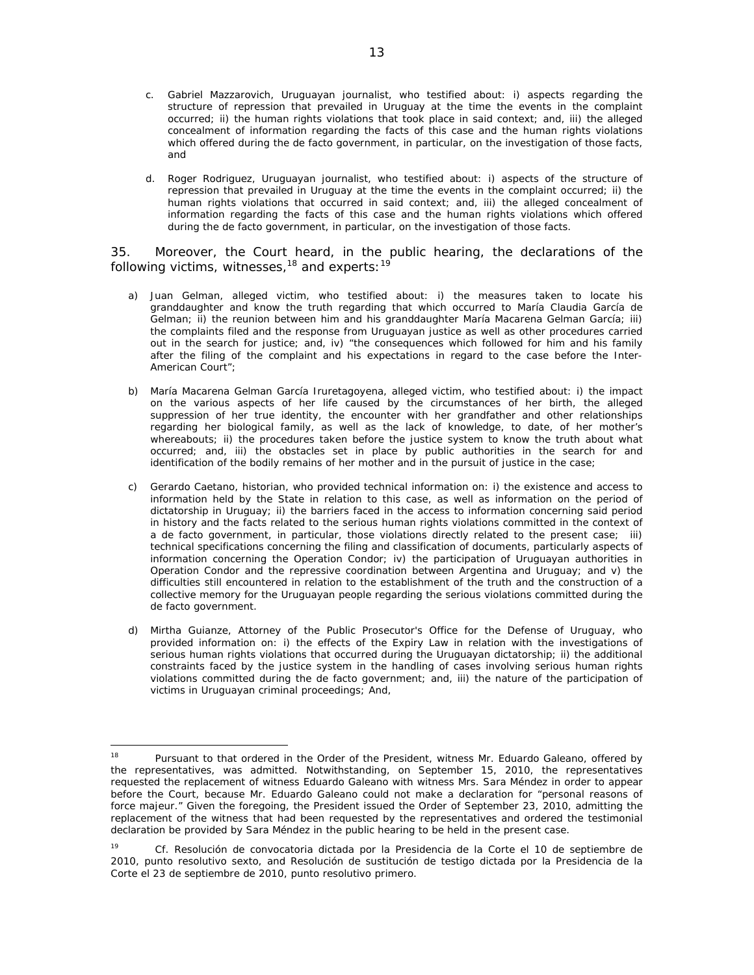- c. *Gabriel Mazzarovich*, Uruguayan journalist, who testified about: i) aspects regarding the structure of repression that prevailed in Uruguay at the time the events in the complaint occurred; ii) the human rights violations that took place in said context; and, iii) the alleged concealment of information regarding the facts of this case and the human rights violations which offered during the de facto government, in particular, on the investigation of those facts, and
- d. *Roger Rodriguez*, Uruguayan journalist, who testified about: i) aspects of the structure of repression that prevailed in Uruguay at the time the events in the complaint occurred; ii) the human rights violations that occurred in said context; and, iii) the alleged concealment of information regarding the facts of this case and the human rights violations which offered during the de facto government, in particular, on the investigation of those facts.

35. Moreover, the Court heard, in the public hearing, the declarations of the following victims, witnesses,  $18$  and experts:  $19$ 

- a) *Juan Gelman*, alleged victim, who testified about: i) the measures taken to locate his granddaughter and know the truth regarding that which occurred to María Claudia García de Gelman; ii) the reunion between him and his granddaughter María Macarena Gelman García; iii) the complaints filed and the response from Uruguayan justice as well as other procedures carried out in the search for justice; and, iv) "the consequences which followed for him and his family after the filing of the complaint and his expectations in regard to the case before the Inter-American Court";
- b) *María Macarena Gelman García Iruretagoyena*, alleged victim, who testified about: i) the impact on the various aspects of her life caused by the circumstances of her birth, the alleged suppression of her true identity, the encounter with her grandfather and other relationships regarding her biological family, as well as the lack of knowledge, to date, of her mother's whereabouts; ii) the procedures taken before the justice system to know the truth about what occurred; and, iii) the obstacles set in place by public authorities in the search for and identification of the bodily remains of her mother and in the pursuit of justice in the case;
- c) *Gerardo Caetano*, historian, who provided technical information on: i) the existence and access to information held by the State in relation to this case, as well as information on the period of dictatorship in Uruguay; ii) the barriers faced in the access to information concerning said period in history and the facts related to the serious human rights violations committed in the context of a de facto government, in particular, those violations directly related to the present case; iii) technical specifications concerning the filing and classification of documents, particularly aspects of information concerning the Operation Condor; iv) the participation of Uruguayan authorities in Operation Condor and the repressive coordination between Argentina and Uruguay; and v) the difficulties still encountered in relation to the establishment of the truth and the construction of a collective memory for the Uruguayan people regarding the serious violations committed during the de facto government.
- d) *Mirtha Guianze*, Attorney of the Public Prosecutor's Office for the Defense of Uruguay, who provided information on: i) the effects of the Expiry Law in relation with the investigations of serious human rights violations that occurred during the Uruguayan dictatorship; ii) the additional constraints faced by the justice system in the handling of cases involving serious human rights violations committed during the de facto government; and, iii) the nature of the participation of victims in Uruguayan criminal proceedings; And,

<sup>&</sup>lt;sup>18</sup> Pursuant to that ordered in the Order of the President, witness Mr. Eduardo Galeano, offered by the representatives, was admitted. Notwithstanding, on September 15, 2010, the representatives requested the replacement of witness Eduardo Galeano with witness Mrs. Sara Méndez in order to appear before the Court, because Mr. Eduardo Galeano could not make a declaration for "personal reasons of *force majeur."* Given the foregoing, the President issued the Order of September 23, 2010, admitting the replacement of the witness that had been requested by the representatives and ordered the testimonial declaration be provided by Sara Méndez in the public hearing to be held in the present case.

<sup>19</sup> *Cf.* Resolución de convocatoria dictada por la Presidencia de la Corte el 10 de septiembre de 2010, punto resolutivo sexto, and Resolución de sustitución de testigo dictada por la Presidencia de la Corte el 23 de septiembre de 2010, punto resolutivo primero.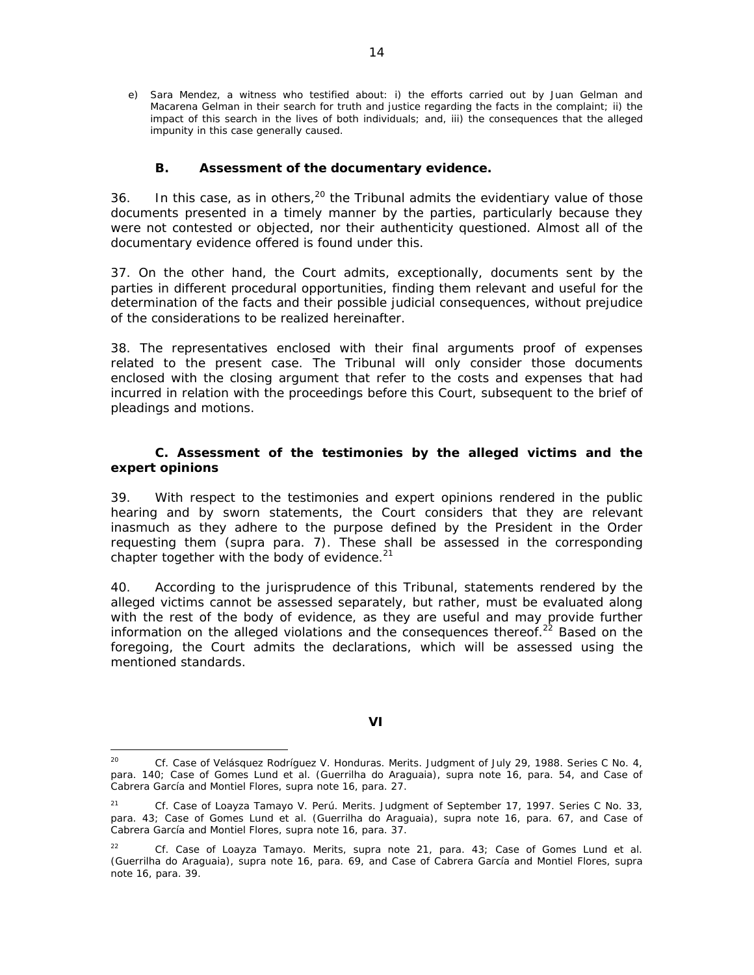e) *Sara Mendez*, a witness who testified about: i) the efforts carried out by Juan Gelman and Macarena Gelman in their search for truth and justice regarding the facts in the complaint; ii) the impact of this search in the lives of both individuals; and, iii) the consequences that the alleged impunity in this case generally caused.

# *B. Assessment of the documentary evidence.*

36. In this case, as in others,  $20$  the Tribunal admits the evidentiary value of those documents presented in a timely manner by the parties, particularly because they were not contested or objected, nor their authenticity questioned. Almost all of the documentary evidence offered is found under this.

37. On the other hand, the Court admits, exceptionally, documents sent by the parties in different procedural opportunities, finding them relevant and useful for the determination of the facts and their possible judicial consequences, without prejudice of the considerations to be realized hereinafter.

38. The representatives enclosed with their final arguments proof of expenses related to the present case. The Tribunal will only consider those documents enclosed with the closing argument that refer to the costs and expenses that had incurred in relation with the proceedings before this Court, subsequent to the brief of pleadings and motions.

# *C. Assessment of the testimonies by the alleged victims and the expert opinions*

39. With respect to the testimonies and expert opinions rendered in the public hearing and by sworn statements, the Court considers that they are relevant inasmuch as they adhere to the purpose defined by the President in the Order requesting them (*supra* para. 7). These shall be assessed in the corresponding chapter together with the body of evidence. $21$ 

40. According to the jurisprudence of this Tribunal, statements rendered by the alleged victims cannot be assessed separately, but rather, must be evaluated along with the rest of the body of evidence, as they are useful and may provide further information on the alleged violations and the consequences thereof.<sup>22</sup> Based on the foregoing, the Court admits the declarations, which will be assessed using the mentioned standards.

### **VI**

<sup>20</sup> *Cf. Case of Velásquez Rodríguez V. Honduras. Merits*. Judgment of July 29, 1988. Series C No. 4, para. 140; *Case of Gomes Lund et al. (Guerrilha do Araguaia)*, *supra* note 16, para. 54, and *Case of Cabrera García and Montiel Flores*, *supra* note 16, para. 27.

<sup>21</sup> *Cf*. *Case of Loayza Tamayo V. Perú*. *Merits*. Judgment of September 17, 1997. Series C No. 33, para. 43; *Case of Gomes Lund et al. (Guerrilha do Araguaia)*, *supra* note 16, para. 67, and *Case of Cabrera García and Montiel Flores*, *supra* note 16, para. 37.

<sup>22</sup> *Cf*. *Case of Loayza Tamayo*. *Merits*, *supra* note 21, para. 43; *Case of Gomes Lund et al. (Guerrilha do Araguaia)*, *supra* note 16, para. 69, and *Case of Cabrera García and Montiel Flores*, *supra* note 16, para. 39.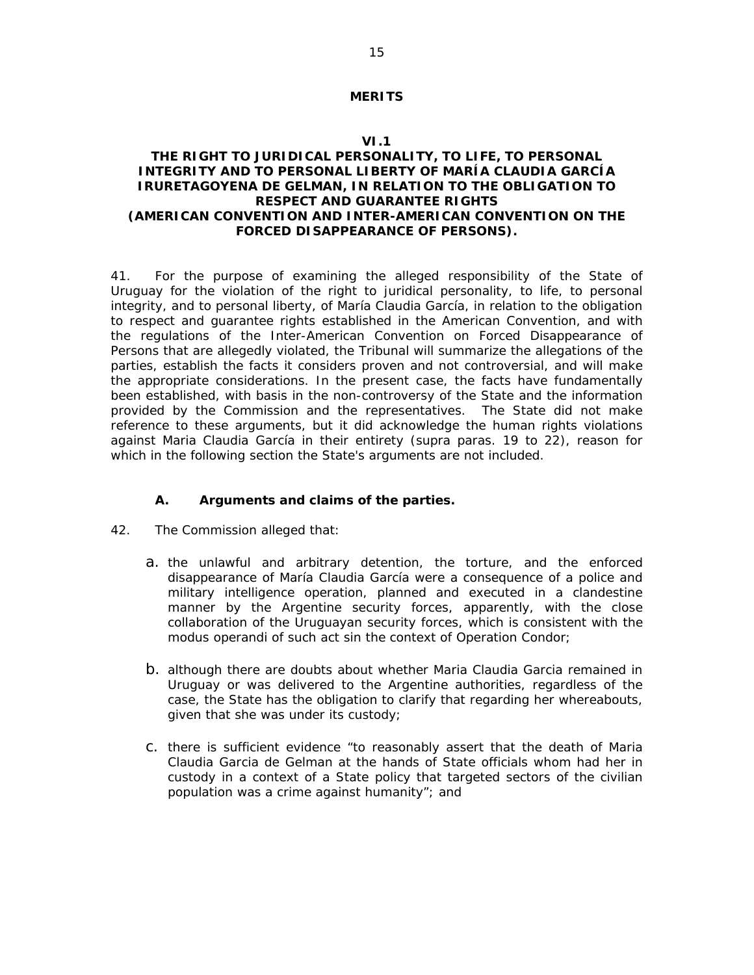## **MERITS**

### **VI.1**

## **THE RIGHT TO JURIDICAL PERSONALITY, TO LIFE, TO PERSONAL INTEGRITY AND TO PERSONAL LIBERTY OF MARÍA CLAUDIA GARCÍA IRURETAGOYENA DE GELMAN, IN RELATION TO THE OBLIGATION TO RESPECT AND GUARANTEE RIGHTS (AMERICAN CONVENTION AND INTER-AMERICAN CONVENTION ON THE FORCED DISAPPEARANCE OF PERSONS).**

41. For the purpose of examining the alleged responsibility of the State of Uruguay for the violation of the right to juridical personality, to life, to personal integrity, and to personal liberty, of María Claudia García, in relation to the obligation to respect and guarantee rights established in the American Convention, and with the regulations of the Inter-American Convention on Forced Disappearance of Persons that are allegedly violated, the Tribunal will summarize the allegations of the parties, establish the facts it considers proven and not controversial, and will make the appropriate considerations. In the present case, the facts have fundamentally been established, with basis in the non-controversy of the State and the information provided by the Commission and the representatives. The State did not make reference to these arguments, but it did acknowledge the human rights violations against Maria Claudia García in their entirety (*supra* paras. 19 to 22), reason for which in the following section the State's arguments are not included.

### **A. Arguments and claims of the parties.**

- 42. The Commission alleged that:
	- a. the unlawful and arbitrary detention, the torture, and the enforced disappearance of María Claudia García were a consequence of a police and military intelligence operation, planned and executed in a clandestine manner by the Argentine security forces, apparently, with the close collaboration of the Uruguayan security forces, which is consistent with the *modus operandi* of such act sin the context of Operation Condor;
	- b. although there are doubts about whether Maria Claudia Garcia remained in Uruguay or was delivered to the Argentine authorities, regardless of the case, the State has the obligation to clarify that regarding her whereabouts, given that she was under its custody;
	- c. there is sufficient evidence "to reasonably assert that the death of Maria Claudia Garcia de Gelman at the hands of State officials whom had her in custody in a context of a State policy that targeted sectors of the civilian population was a crime against humanity"; and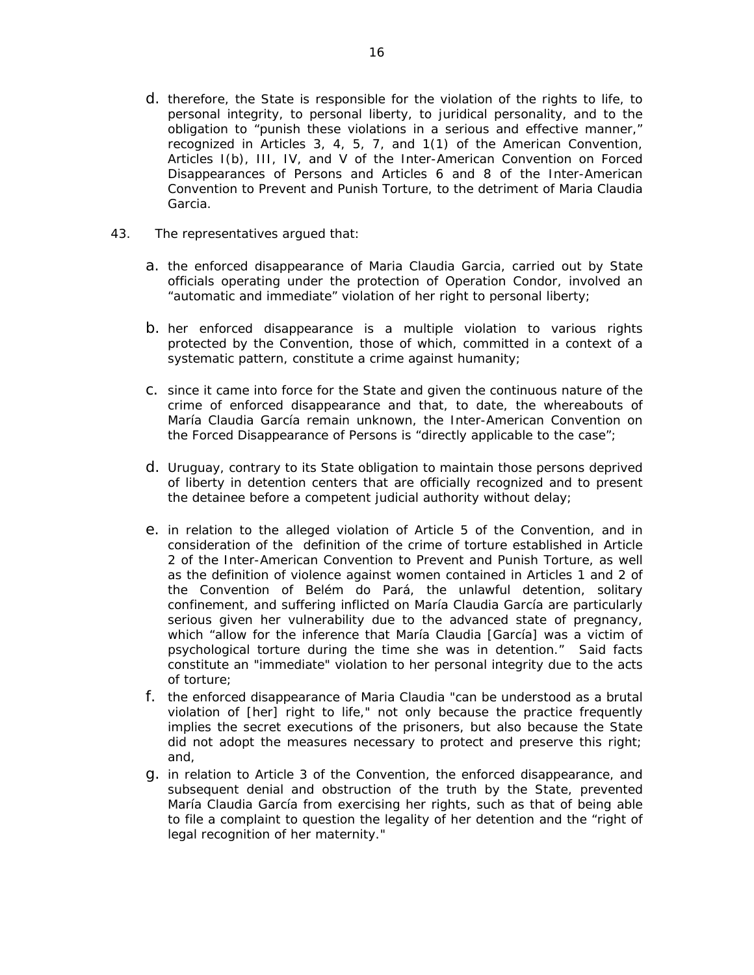- d. therefore, the State is responsible for the violation of the rights to life, to personal integrity, to personal liberty, to juridical personality, and to the obligation to "punish these violations in a serious and effective manner," recognized in Articles 3, 4, 5, 7, and 1(1) of the American Convention, Articles I(b), III, IV, and V of the Inter-American Convention on Forced Disappearances of Persons and Articles 6 and 8 of the Inter-American Convention to Prevent and Punish Torture, to the detriment of Maria Claudia Garcia.
- 43. The representatives argued that:
	- a. the enforced disappearance of Maria Claudia Garcia, carried out by State officials operating under the protection of Operation Condor, involved an "automatic and immediate" violation of her right to personal liberty;
	- b. her enforced disappearance is a multiple violation to various rights protected by the Convention, those of which, committed in a context of a systematic pattern, constitute a crime against humanity;
	- c. since it came into force for the State and given the continuous nature of the crime of enforced disappearance and that, to date, the whereabouts of María Claudia García remain unknown, the Inter-American Convention on the Forced Disappearance of Persons is "directly applicable to the case";
	- d. Uruguay, contrary to its State obligation to maintain those persons deprived of liberty in detention centers that are officially recognized and to present the detainee before a competent judicial authority without delay;
	- e. in relation to the alleged violation of Article 5 of the Convention, and in consideration of the definition of the crime of torture established in Article 2 of the Inter-American Convention to Prevent and Punish Torture, as well as the definition of violence against women contained in Articles 1 and 2 of the Convention of Belém do Pará, the unlawful detention, solitary confinement, and suffering inflicted on María Claudia García are particularly serious given her vulnerability due to the advanced state of pregnancy, which "allow for the inference that María Claudia [García] was a victim of psychological torture during the time she was in detention." Said facts constitute an "immediate" violation to her personal integrity due to the acts of torture;
	- f. the enforced disappearance of Maria Claudia "can be understood as a brutal violation of [her] right to life," not only because the practice frequently implies the secret executions of the prisoners, but also because the State did not adopt the measures necessary to protect and preserve this right; and,
	- g. in relation to Article 3 of the Convention, the enforced disappearance, and subsequent denial and obstruction of the truth by the State, prevented María Claudia García from exercising her rights, such as that of being able to file a complaint to question the legality of her detention and the "right of legal recognition of her maternity."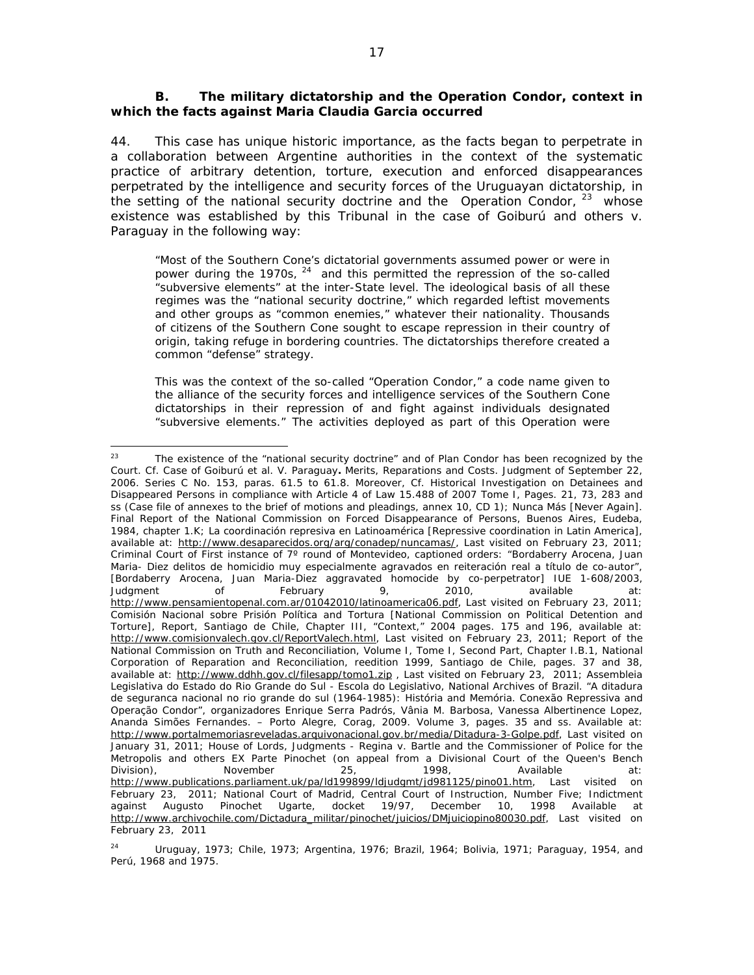# *B. The military dictatorship and the Operation Condor, context in which the facts against Maria Claudia Garcia occurred*

44. This case has unique historic importance, as the facts began to perpetrate in a collaboration between Argentine authorities in the context of the systematic practice of arbitrary detention, torture, execution and enforced disappearances perpetrated by the intelligence and security forces of the Uruguayan dictatorship, in the setting of the national security doctrine and the Operation Condor,  $23$  whose existence was established by this Tribunal in the case of *Goiburú and others v. Paraguay* in the following way:

"Most of the Southern Cone's dictatorial governments assumed power or were in power during the 1970s, <sup>24</sup> and this permitted the repression of the so-called "subversive elements" at the inter-State level. The ideological basis of all these regimes was the "national security doctrine," which regarded leftist movements and other groups as "common enemies," whatever their nationality. Thousands of citizens of the Southern Cone sought to escape repression in their country of origin, taking refuge in bordering countries. The dictatorships therefore created a common "defense" strategy.

This was the context of the so-called "Operation Condor," a code name given to the alliance of the security forces and intelligence services of the Southern Cone dictatorships in their repression of and fight against individuals designated "subversive elements." The activities deployed as part of this Operation were

<sup>&</sup>lt;sup>23</sup> The existence of the "national security doctrine" and of Plan Condor has been recognized by the Court. *Cf. Case of Goiburú et al. V. Paraguay***.** *Merits, Reparations and Costs*. Judgment of September 22, 2006. Series C No. 153, paras. 61.5 to 61.8. Moreover, *Cf*. Historical Investigation on Detainees and Disappeared Persons in compliance with Article 4 of Law 15.488 of 2007 Tome I, Pages. 21, 73, 283 and ss (Case file of annexes to the brief of motions and pleadings, annex 10, CD 1); *Nunca Más [Never Again].* Final Report of the National Commission on Forced Disappearance of Persons, Buenos Aires, Eudeba, 1984, chapter 1.K; *La coordinación represiva en Latinoamérica [Repressive coordination in Latin America]*, available at: http://www.desaparecidos.org/arg/conadep/nuncamas/, Last visited on February 23, 2011; Criminal Court of First instance of 7º round of Montevideo, captioned orders: "Bordaberry Arocena, Juan Maria- Diez delitos de homicidio muy especialmente agravados en reiteración real a título de co-autor", [Bordaberry Arocena, Juan Maria-Diez aggravated homocide by co-perpetrator] IUE 1-608/2003, Judgment of February 9, 2010, available at: http://www.pensamientopenal.com.ar/01042010/latinoamerica06.pdf, Last visited on February 23, 2011; Comisión Nacional sobre Prisión Política and Tortura [National Commission on Political Detention and Torture], Report, Santiago de Chile, Chapter III, "Context," 2004 pages. 175 and 196, available at: http://www.comisionvalech.gov.cl/ReportValech.html, Last visited on February 23, 2011; Report of the National Commission on Truth and Reconciliation, Volume I, Tome I, Second Part, Chapter I.B.1, National Corporation of Reparation and Reconciliation, reedition 1999, Santiago de Chile, pages. 37 and 38, available at: http://www.ddhh.gov.cl/filesapp/tomo1.zip , Last visited on February 23, 2011; *Assembleia Legislativa do Estado do Rio Grande do Sul - Escola do Legislativo*, National Archives of Brazil. "*A ditadura de seguranca nacional no rio grande do sul (1964-1985): História and Memória. Conexão Repressiva and Operação Condor*", organizadores Enrique Serra Padrós, Vânia M. Barbosa, Vanessa Albertinence Lopez, Ananda Simões Fernandes. – Porto Alegre, Corag, 2009. Volume 3, pages. 35 and ss. Available at: http://www.portalmemoriasreveladas.arquivonacional.gov.br/media/Ditadura-3-Golpe.pdf, Last visited on January 31, 2011; *House of Lords, Judgments - Regina v. Bartle and the Commissioner of Police for the Metropolis and others EX Parte Pinochet (on appeal from a Divisional Court of the Queen's Bench Division),* November 25, 1998, Available at: http://www.publications.parliament.uk/pa/ld199899/ldjudgmt/jd981125/pino01.htm, Last visited on February 23, 2011; National Court of Madrid, Central Court of Instruction, Number Five; Indictment against Augusto Pinochet Ugarte, docket 19/97, December 10, 1998 Available at http://www.archivochile.com/Dictadura\_militar/pinochet/juicios/DMjuiciopino80030.pdf, Last visited on February 23, 2011

<sup>&</sup>lt;sup>24</sup> Uruguay, 1973; Chile, 1973; Argentina, 1976; Brazil, 1964; Bolivia, 1971; Paraguay, 1954, and Perú, 1968 and 1975.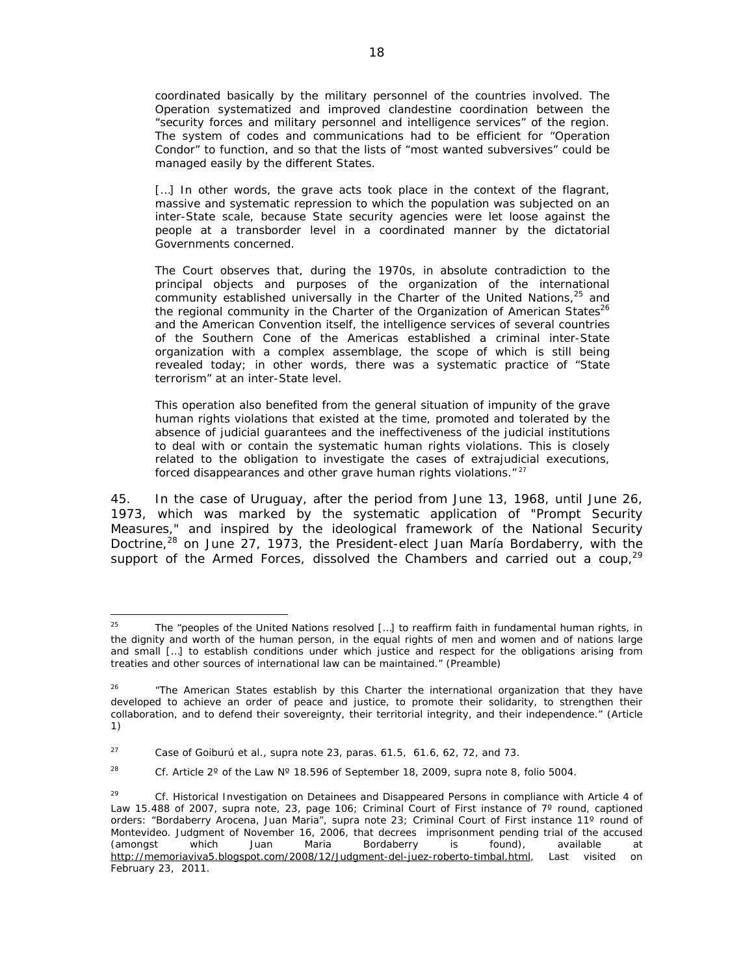coordinated basically by the military personnel of the countries involved. The Operation systematized and improved clandestine coordination between the "security forces and military personnel and intelligence services" of the region. The system of codes and communications had to be efficient for "Operation Condor" to function, and so that the lists of "most wanted subversives" could be managed easily by the different States.

[...] In other words, the grave acts took place in the context of the flagrant, massive and systematic repression to which the population was subjected on an inter-State scale, because State security agencies were let loose against the people at a transborder level in a coordinated manner by the dictatorial Governments concerned.

The Court observes that, during the 1970s, in absolute contradiction to the principal objects and purposes of the organization of the international community established universally in the Charter of the United Nations,<sup>25</sup> and the regional community in the Charter of the Organization of American States<sup>26</sup> and the American Convention itself, the intelligence services of several countries of the Southern Cone of the Americas established a criminal inter-State organization with a complex assemblage, the scope of which is still being revealed today; in other words, there was a systematic practice of "State terrorism" at an inter-State level.

This operation also benefited from the general situation of impunity of the grave human rights violations that existed at the time, promoted and tolerated by the absence of judicial guarantees and the ineffectiveness of the judicial institutions to deal with or contain the systematic human rights violations. This is closely related to the obligation to investigate the cases of extrajudicial executions, forced disappearances and other grave human rights violations."<sup>27</sup>

45. In the case of Uruguay, after the period from June 13, 1968, until June 26, 1973, which was marked by the systematic application of "Prompt Security Measures," and inspired by the ideological framework of the National Security Doctrine, $28$  on June 27, 1973, the President-elect Juan María Bordaberry, with the support of the Armed Forces, dissolved the Chambers and carried out a coup,  $2^9$ 

<sup>&</sup>lt;sup>25</sup> The "peoples of the United Nations resolved [...] to reaffirm faith in fundamental human rights, in the dignity and worth of the human person, in the equal rights of men and women and of nations large and small […] to establish conditions under which justice and respect for the obligations arising from treaties and other sources of international law can be maintained." (Preamble)

<sup>&</sup>lt;sup>26</sup> "The American States establish by this Charter the international organization that they have developed to achieve an order of peace and justice, to promote their solidarity, to strengthen their collaboration, and to defend their sovereignty, their territorial integrity, and their independence." (Article 1)

<sup>27</sup> *Case of Goiburú et al., supra* note 23, paras. 61.5, 61.6, 62, 72, and 73.

<sup>28</sup> *Cf*. Article 2º of the Law Nº 18.596 of September 18, 2009, *supra* note 8, folio 5004.

<sup>29</sup> *Cf*. Historical Investigation on Detainees and Disappeared Persons in compliance with Article 4 of Law 15.488 of 2007, *supra* note, 23, page 106; Criminal Court of First instance of 7º round, captioned orders: "Bordaberry Arocena, Juan Maria", *supra* note 23; Criminal Court of First instance 11º round of Montevideo. Judgment of November 16, 2006, that decrees imprisonment pending trial of the accused (amongst which Juan Maria Bordaberry is found), available at http://memoriaviva5.blogspot.com/2008/12/Judgment-del-juez-roberto-timbal.html, Last visited on February 23, 2011.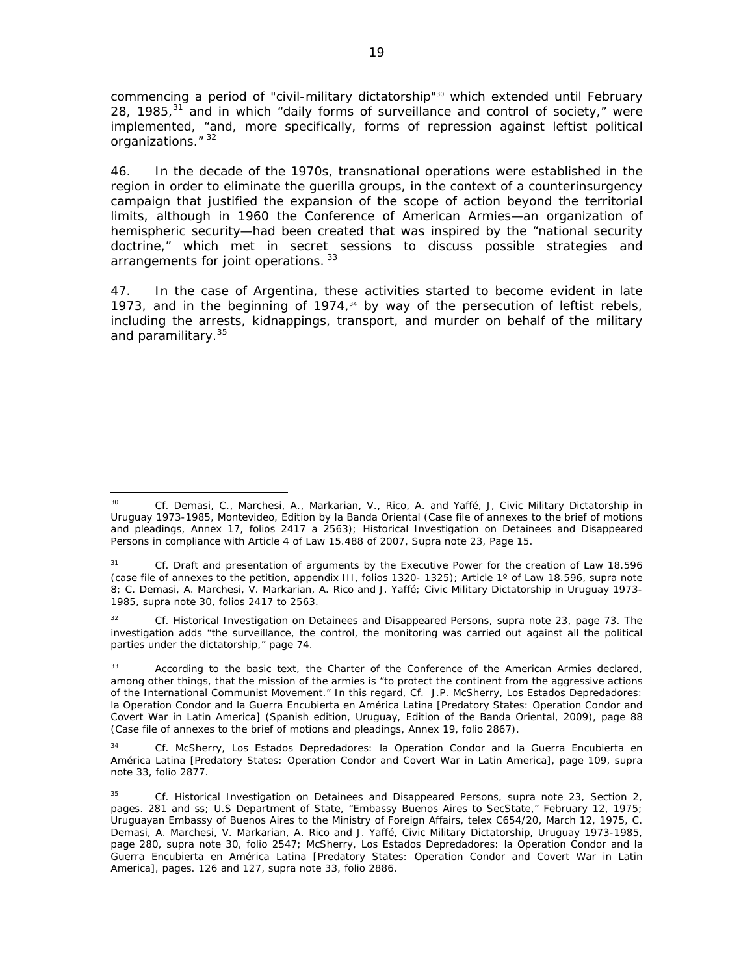commencing a period of "civil-military dictatorship"<sup>30</sup> which extended until February 28, 1985, $31$  and in which "daily forms of surveillance and control of society," were implemented, "and, more specifically, forms of repression against leftist political organizations." 32

46. In the decade of the 1970s, transnational operations were established in the region in order to eliminate the guerilla groups, in the context of a counterinsurgency campaign that justified the expansion of the scope of action beyond the territorial limits, although in 1960 the Conference of American Armies—an organization of hemispheric security—had been created that was inspired by the "national security doctrine," which met in secret sessions to discuss possible strategies and arrangements for joint operations. 33

47. In the case of Argentina, these activities started to become evident in late 1973, and in the beginning of 1974, $34$  by way of the persecution of leftist rebels, including the arrests, kidnappings, transport, and murder on behalf of the military and paramilitary.<sup>35</sup>

32 *Cf*. Historical Investigation on Detainees and Disappeared Persons, *supra* note 23, page 73. The investigation adds "the surveillance, the control, the monitoring was carried out against all the political parties under the dictatorship," page 74.

 30 *Cf*. Demasi, C., Marchesi, A., Markarian, V., Rico, A. and Yaffé, J, Civic Military Dictatorship in Uruguay 1973-1985, Montevideo, Edition by la Banda Oriental (Case file of annexes to the brief of motions and pleadings, Annex 17, folios 2417 a 2563); Historical Investigation on Detainees and Disappeared Persons in compliance with Article 4 of Law 15.488 of 2007, *Supra* note 23, Page 15.

<sup>31</sup> *Cf*. Draft and presentation of arguments by the Executive Power for the creation of Law 18.596 (case file of annexes to the petition, appendix III, folios 1320- 1325); Article 1º of Law 18.596, *supra* note 8; C. Demasi, A. Marchesi, V. Markarian, A. Rico and J. Yaffé; Civic Military Dictatorship in Uruguay 1973- 1985, *supra* note 30, folios 2417 to 2563.

<sup>33</sup> According to the basic text, the Charter of the Conference of the American Armies declared, among other things, that the mission of the armies is "to protect the continent from the aggressive actions of the International Communist Movement." In this regard, *Cf*. J.P. McSherry, Los Estados Depredadores: la Operation Condor and la Guerra Encubierta en América Latina [Predatory States: Operation Condor and Covert War in Latin America] (Spanish edition, Uruguay, Edition of the Banda Oriental, 2009), page 88 (Case file of annexes to the brief of motions and pleadings, Annex 19, folio 2867).

<sup>34</sup> *Cf*. McSherry, Los Estados Depredadores: la Operation Condor and la Guerra Encubierta en América Latina [Predatory States: Operation Condor and Covert War in Latin America], page 109, *supra* note 33, folio 2877.

<sup>35</sup> *Cf*. Historical Investigation on Detainees and Disappeared Persons, *supra* note 23, Section 2, pages. 281 and ss; U.S Department of State, "Embassy Buenos Aires to SecState," February 12, 1975; Uruguayan Embassy of Buenos Aires to the Ministry of Foreign Affairs, telex C654/20, March 12, 1975, C. Demasi, A. Marchesi, V. Markarian, A. Rico and J. Yaffé, *Civic Military Dictatorship, Uruguay 1973-1985*, page 280, *supra* note 30, folio 2547; McSherry, Los Estados Depredadores: la Operation Condor and la Guerra Encubierta en América Latina [Predatory States: Operation Condor and Covert War in Latin America], pages. 126 and 127, *supra* note 33, folio 2886.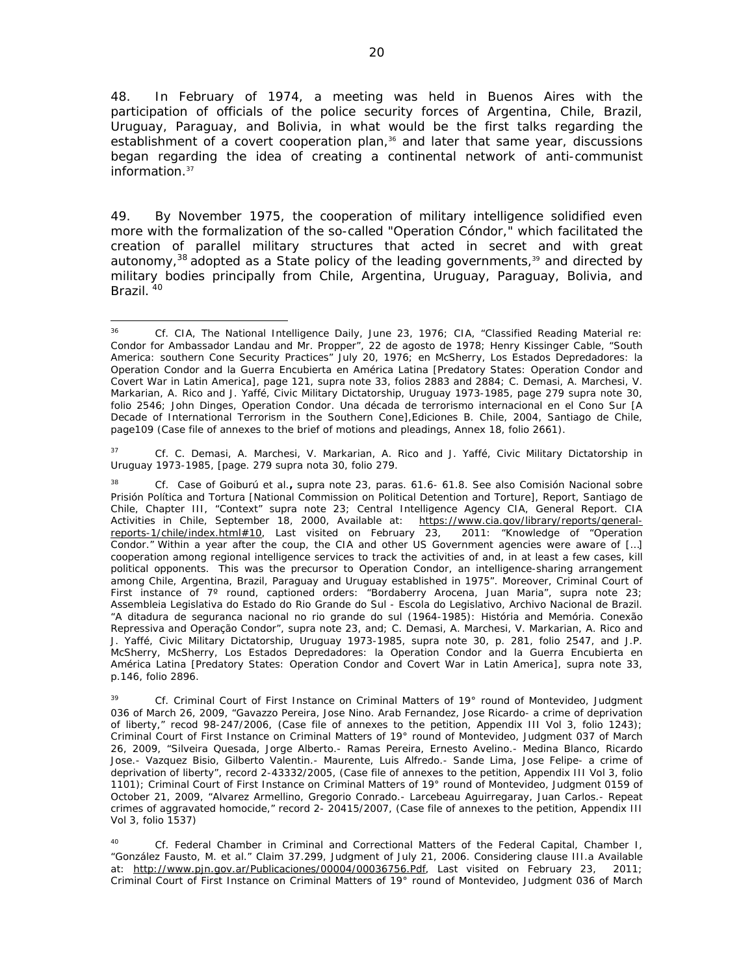48. In February of 1974, a meeting was held in Buenos Aires with the participation of officials of the police security forces of Argentina, Chile, Brazil, Uruguay, Paraguay, and Bolivia, in what would be the first talks regarding the establishment of a covert cooperation plan,<sup>36</sup> and later that same year, discussions began regarding the idea of creating a continental network of anti-communist information.37

49. By November 1975, the cooperation of military intelligence solidified even more with the formalization of the so-called "Operation Cóndor," which facilitated the creation of parallel military structures that acted in secret and with great autonomy,  $38$  adopted as a State policy of the leading governments,  $39$  and directed by military bodies principally from Chile, Argentina, Uruguay, Paraguay, Bolivia, and Brazil.<sup>40</sup>

37 *Cf*. C. Demasi, A. Marchesi, V. Markarian, A. Rico and J. Yaffé, Civic Military Dictatorship in Uruguay *1973-1985*, [page. 279 *supra* nota 30, folio 279.

39 *Cf.* Criminal Court of First Instance on Criminal Matters of 19° round of Montevideo, Judgment 036 of March 26, 2009, "Gavazzo Pereira, Jose Nino. Arab Fernandez, Jose Ricardo- a crime of deprivation of liberty," recod 98-247/2006, (Case file of annexes to the petition, Appendix III Vol 3, folio 1243); Criminal Court of First Instance on Criminal Matters of 19° round of Montevideo, Judgment 037 of March 26, 2009, "Silveira Quesada, Jorge Alberto.- Ramas Pereira, Ernesto Avelino.- Medina Blanco, Ricardo Jose.- Vazquez Bisio, Gilberto Valentin.- Maurente, Luis Alfredo.- Sande Lima, Jose Felipe- a crime of deprivation of liberty", record 2-43332/2005, (Case file of annexes to the petition, Appendix III Vol 3, folio 1101); Criminal Court of First Instance on Criminal Matters of 19° round of Montevideo, Judgment 0159 of October 21, 2009, "Alvarez Armellino, Gregorio Conrado.- Larcebeau Aguirregaray, Juan Carlos.- Repeat crimes of aggravated homocide," record 2- 20415/2007, (Case file of annexes to the petition, Appendix III Vol 3, folio 1537)

40 *Cf.* Federal Chamber in Criminal and Correctional Matters of the Federal Capital, Chamber I, "González Fausto, M. et al." Claim 37.299, Judgment of July 21, 2006. Considering clause III.a Available at: http://www.pjn.gov.ar/Publicaciones/00004/00036756.Pdf, Last visited on February 23, 2011; Criminal Court of First Instance on Criminal Matters of 19° round of Montevideo, Judgment 036 of March

 36 *Cf.* CIA, *The National Intelligence Daily,* June 23, 1976; CIA, "Classified Reading Material re: Condor for Ambassador Landau and Mr. Propper", 22 de agosto de 1978; Henry Kissinger Cable, "South America: southern Cone Security Practices" July 20, 1976; en McSherry, Los Estados Depredadores: la Operation Condor and la Guerra Encubierta en América Latina [Predatory States: Operation Condor and Covert War in Latin America], page 121, *supra* note 33, folios 2883 and 2884; C. Demasi, A. Marchesi, V. Markarian, A. Rico and J. Yaffé, *Civic Military Dictatorship, Uruguay 1973-1985*, page 279 *supra* note 30, folio 2546; John Dinges, *Operation Condor. Una década de terrorismo internacional en el Cono Sur [A Decade of International Terrorism in the Southern Cone],*Ediciones B. Chile, 2004, Santiago de Chile*,*  page109 (Case file of annexes to the brief of motions and pleadings, Annex 18, folio 2661).

<sup>38</sup> *Cf*. *Case of Goiburú et al.***,** *supra* note 23, paras. 61.6- 61.8. See also Comisión Nacional sobre Prisión Política and Tortura [National Commission on Political Detention and Torture], Report, Santiago de Chile, Chapter III, "Context" *supra* note 23; Central Intelligence Agency CIA, General Report. CIA Activities in Chile, September 18, 2000, Available at: https://www.cia.gov/library/reports/generalreports-1/chile/index.html#10, Last visited on February 23, 2011: "Knowledge of "Operation Condor." *Within a year after the coup, the CIA and other US Government agencies were aware of […]*  cooperation among regional intelligence services to track the activities of and, in at least a few cases, kill *political opponents. This was the precursor to Operation Condor, an intelligence-sharing arrangement among Chile, Argentina, Brazil, Paraguay and Uruguay established in 1975*". Moreover, Criminal Court of First instance of 7º round, captioned orders: "Bordaberry Arocena, Juan Maria", *supra* note 23; Assembleia Legislativa do Estado do Rio Grande do Sul - Escola do Legislativo, Archivo Nacional de Brazil. "A ditadura de seguranca nacional no rio grande do sul (1964-1985): História and Memória. Conexão Repressiva and Operação Condor", *supra* note 23, and; C. Demasi, A. Marchesi, V. Markarian, A. Rico and J. Yaffé, *Civic Military Dictatorship, Uruguay 1973-1985*, *supra* note 30, p. 281, folio 2547, and J.P. McSherry, McSherry, Los Estados Depredadores: la Operation Condor and la Guerra Encubierta en América Latina [Predatory States: Operation Condor and Covert War in Latin America], *supra* note 33, p.146, folio 2896.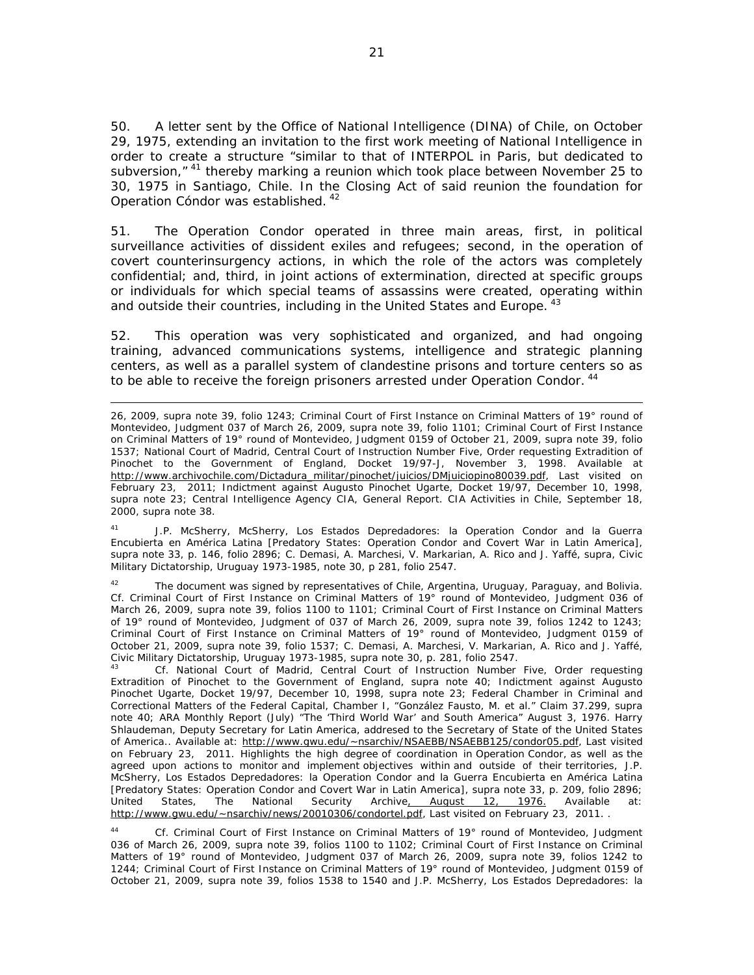50. A letter sent by the Office of National Intelligence (DINA) of Chile, on October 29, 1975, extending an invitation to the first work meeting of National Intelligence in order to create a structure "similar to that of INTERPOL in Paris, but dedicated to subversion," <sup>41</sup> thereby marking a reunion which took place between November 25 to 30, 1975 in Santiago, Chile. In the Closing Act of said reunion the foundation for Operation Cóndor was established. 42

51. The Operation Condor operated in three main areas, first, in political surveillance activities of dissident exiles and refugees; second, in the operation of covert counterinsurgency actions, in which the role of the actors was completely confidential; and, third, in joint actions of extermination, directed at specific groups or individuals for which special teams of assassins were created, operating within and outside their countries, including in the United States and Europe. <sup>43</sup>

52. This operation was very sophisticated and organized, and had ongoing training, advanced communications systems, intelligence and strategic planning centers, as well as a parallel system of clandestine prisons and torture centers so as to be able to receive the foreign prisoners arrested under Operation Condor.<sup>44</sup>

<u> 1989 - Andrea San Andrew Maria (h. 1989).</u><br>1900 - Andrew Maria (h. 1980).

41 J.P. McSherry, McSherry, Los Estados Depredadores: la Operation Condor and la Guerra Encubierta en América Latina [Predatory States: Operation Condor and Covert War in Latin America], *supra* note 33, p. 146, folio 2896; C. Demasi, A. Marchesi, V. Markarian, A. Rico and J. Yaffé, *supra*, *Civic Military Dictatorship, Uruguay 1973-1985*, note 30, p 281, folio 2547.

<sup>42</sup> The document was signed by representatives of Chile, Argentina, Uruguay, Paraguay, and Bolivia. *Cf*. Criminal Court of First Instance on Criminal Matters of 19° round of Montevideo, Judgment 036 of March 26, 2009, *supra* note 39, folios 1100 to 1101; Criminal Court of First Instance on Criminal Matters of 19° round of Montevideo, Judgment of 037 of March 26, 2009, *supra* note 39, folios 1242 to 1243; Criminal Court of First Instance on Criminal Matters of 19° round of Montevideo, Judgment 0159 of October 21, 2009, *supra* note 39, folio 1537; C. Demasi, A. Marchesi, V. Markarian, A. Rico and J. Yaffé, Civic Military Dictatorship, Uruguay 1973-1985, supra note 30, p. 281, folio 2547.

*Cf.* National Court of Madrid, Central Court of Instruction Number Five, Order requesting Extradition of Pinochet to the Government of England, *supra* note 40; Indictment against Augusto Pinochet Ugarte, Docket 19/97, December 10, 1998, *supra* note 23; Federal Chamber in Criminal and Correctional Matters of the Federal Capital, Chamber I, "González Fausto, M. et al." Claim 37.299, *supra* note 40; ARA Monthly Report (July) "The 'Third World War' and South America" August 3, 1976. Harry Shlaudeman, Deputy Secretary for Latin America, addresed to the Secretary of State of the United States of America.. Available at: http://www.gwu.edu/~nsarchiv/NSAEBB/NSAEBB125/condor05.pdf, Last visited on February 23, 2011. Highlights the high degree of coordination in Operation Condor, as well as the agreed upon actions to monitor and implement objectives within and outside of their territories, J.P. McSherry, Los Estados Depredadores: la Operation Condor and la Guerra Encubierta en América Latina [Predatory States: Operation Condor and Covert War in Latin America], *supra* note 33, p. 209, folio 2896; United States, The National Security Archive, August 12, 1976. Available at: http://www.gwu.edu/~nsarchiv/news/20010306/condortel.pdf, Last visited on February 23, 2011. .

44 *Cf*. Criminal Court of First Instance on Criminal Matters of 19° round of Montevideo, Judgment 036 of March 26, 2009, *supra* note 39, folios 1100 to 1102; Criminal Court of First Instance on Criminal Matters of 19° round of Montevideo, Judgment 037 of March 26, 2009, *supra* note 39, folios 1242 to 1244; Criminal Court of First Instance on Criminal Matters of 19° round of Montevideo, Judgment 0159 of October 21, 2009, *supra* note 39, folios 1538 to 1540 and J.P. McSherry, Los Estados Depredadores: la

<sup>26, 2009,</sup> *supra* note 39, folio 1243; Criminal Court of First Instance on Criminal Matters of 19° round of Montevideo, Judgment 037 of March 26, 2009, *supra* note 39, folio 1101; Criminal Court of First Instance on Criminal Matters of 19° round of Montevideo, Judgment 0159 of October 21, 2009, *supra* note 39, folio 1537; National Court of Madrid, Central Court of Instruction Number Five, Order requesting Extradition of Pinochet to the Government of England, Docket 19/97-J, November 3, 1998. Available at http://www.archivochile.com/Dictadura\_militar/pinochet/juicios/DMjuiciopino80039.pdf, Last visited on February 23, 2011; Indictment against Augusto Pinochet Ugarte, Docket 19/97, December 10, 1998, *supra* note 23; Central Intelligence Agency CIA, General Report. CIA Activities in Chile, September 18, 2000, *supra* note 38.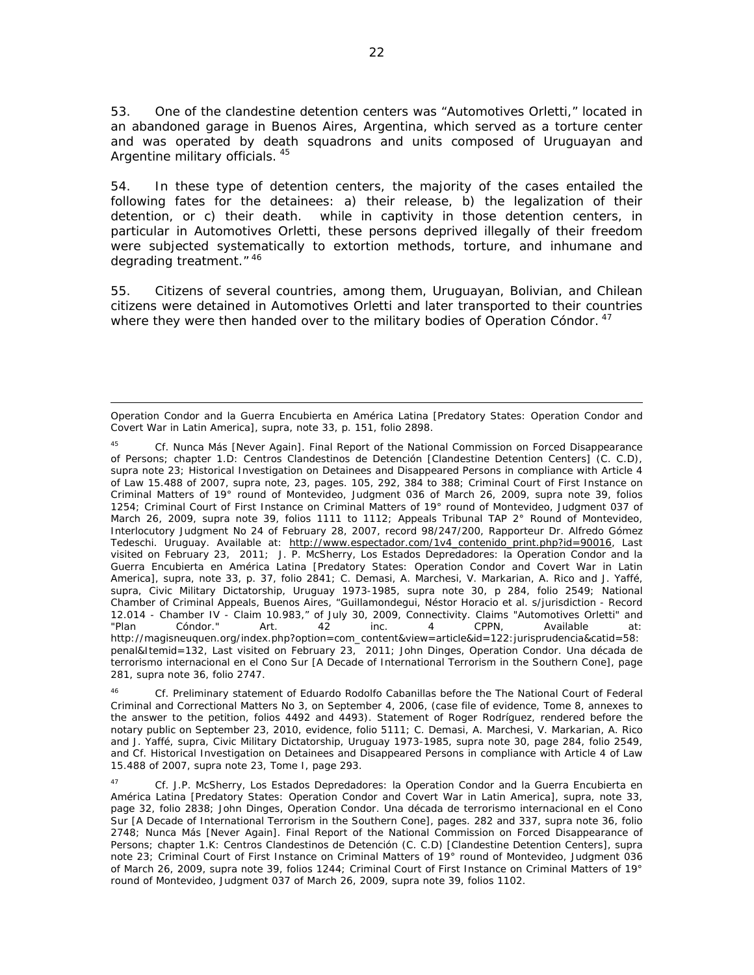53. One of the clandestine detention centers was "Automotives Orletti," located in an abandoned garage in Buenos Aires, Argentina, which served as a torture center and was operated by death squadrons and units composed of Uruguayan and Argentine military officials. 45

54. In these type of detention centers, the majority of the cases entailed the following fates for the detainees: a) their release, b) the legalization of their detention, or c) their death. while in captivity in those detention centers, in particular in Automotives Orletti, these persons deprived illegally of their freedom were subjected systematically to extortion methods, torture, and inhumane and degrading treatment." 46

55. Citizens of several countries, among them, Uruguayan, Bolivian, and Chilean citizens were detained in Automotives Orletti and later transported to their countries where they were then handed over to the military bodies of Operation Cóndor.  $47$ 

<sup>&</sup>lt;u> 1989 - Andrea San Andrew Maria (h. 1989).</u><br>1900 - Andrew Maria (h. 1980). Operation Condor and la Guerra Encubierta en América Latina [Predatory States: Operation Condor and Covert War in Latin America]*, supra*, note 33, p. 151, folio 2898.

<sup>45</sup> *Cf*. Nunca Más [Never Again]. Final Report of the National Commission on Forced Disappearance of Persons; chapter 1.D: *Centros Clandestinos de Detención* [Clandestine Detention Centers] *(C. C.D)*, *supra* note 23; Historical Investigation on Detainees and Disappeared Persons in compliance with Article 4 of Law 15.488 of 2007, *supra* note, 23, pages. 105, 292, 384 to 388; Criminal Court of First Instance on Criminal Matters of 19° round of Montevideo, Judgment 036 of March 26, 2009, *supra* note 39, folios 1254; Criminal Court of First Instance on Criminal Matters of 19° round of Montevideo, Judgment 037 of March 26, 2009, *supra* note 39, folios 1111 to 1112; Appeals Tribunal TAP 2° Round of Montevideo, Interlocutory Judgment No 24 of February 28, 2007, record 98/247/200, Rapporteur Dr. Alfredo Gómez Tedeschi. Uruguay. Available at: http://www.espectador.com/1v4 contenido\_print.php?id=90016, Last visited on February 23, 2011; J. P. McSherry, Los Estados Depredadores: la Operation Condor and la Guerra Encubierta en América Latina [Predatory States: Operation Condor and Covert War in Latin America], *supra*, note 33, p. 37, folio 2841; C. Demasi, A. Marchesi, V. Markarian, A. Rico and J. Yaffé, *supra*, *Civic Military Dictatorship, Uruguay 1973-1985*, *supra* note 30, p 284, folio 2549; National Chamber of Criminal Appeals, Buenos Aires, "Guillamondegui, Néstor Horacio et al. s/jurisdiction - Record 12.014 - Chamber IV - Claim 10.983," of July 30, 2009, Connectivity. Claims "Automotives Orletti" and "Plan Cóndor." Art. 42 inc. 4 CPPN, Available at: http://magisneuquen.org/index.php?option=com\_content&view=article&id=122:jurisprudencia&catid=58: penal&Itemid=132, Last visited on February 23, 2011; John Dinges, *Operation Condor. Una década de terrorismo internacional en el Cono Sur [A Decade of International Terrorism in the Southern Cone],* page 281, *supra* note 36, folio 2747.

<sup>46</sup> *Cf.* Preliminary statement of Eduardo Rodolfo Cabanillas before the The National Court of Federal Criminal and Correctional Matters No 3, on September 4, 2006, (case file of evidence, Tome 8, annexes to the answer to the petition, folios 4492 and 4493). Statement of Roger Rodríguez, rendered before the notary public on September 23, 2010, evidence, folio 5111; C. Demasi, A. Marchesi, V. Markarian, A. Rico and J. Yaffé, *supra*, *Civic Military Dictatorship, Uruguay 1973-1985*, *supra* note 30, page 284, folio 2549, and *Cf.* Historical Investigation on Detainees and Disappeared Persons in compliance with Article 4 of Law 15.488 of 2007, *supra* note 23, Tome I, page 293.

<sup>47</sup> *Cf.* J.P. McSherry, Los Estados Depredadores: la Operation Condor and la Guerra Encubierta en América Latina [Predatory States: Operation Condor and Covert War in Latin America]*, supra*, note 33, page 32, folio 2838; John Dinges, *Operation Condor. Una década de terrorismo internacional en el Cono Sur [A Decade of International Terrorism in the Southern Cone],* pages. 282 and 337, *supra* note 36, folio 2748; Nunca Más [Never Again]. Final Report of the National Commission on Forced Disappearance of Persons; chapter 1.K: *Centros Clandestinos de Detención (C. C.D) [Clandestine Detention Centers], supra* note 23; Criminal Court of First Instance on Criminal Matters of 19° round of Montevideo, Judgment 036 of March 26, 2009, *supra* note 39, folios 1244; Criminal Court of First Instance on Criminal Matters of 19° round of Montevideo, Judgment 037 of March 26, 2009, *supra* note 39, folios 1102.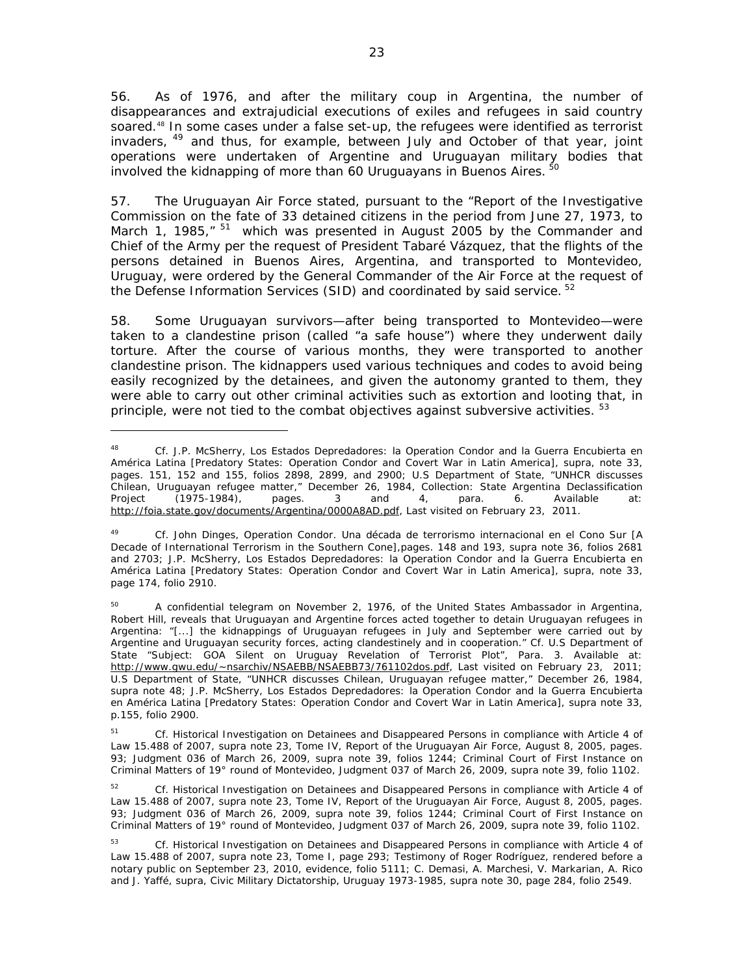56. As of 1976, and after the military coup in Argentina, the number of disappearances and extrajudicial executions of exiles and refugees in said country soared.<sup>48</sup> In some cases under a false set-up, the refugees were identified as terrorist invaders, <sup>49</sup> and thus, for example, between July and October of that year, joint operations were undertaken of Argentine and Uruguayan military bodies that involved the kidnapping of more than 60 Uruguayans in Buenos Aires.<sup>5</sup>

57. The Uruguayan Air Force stated, pursuant to the "Report of the Investigative Commission on the fate of 33 detained citizens in the period from June 27, 1973, to March 1, 1985,"  $51$  which was presented in August 2005 by the Commander and Chief of the Army per the request of President Tabaré Vázquez, that the flights of the persons detained in Buenos Aires, Argentina, and transported to Montevideo, Uruguay, were ordered by the General Commander of the Air Force at the request of the Defense Information Services (SID) and coordinated by said service. <sup>52</sup>

58. Some Uruguayan survivors—after being transported to Montevideo—were taken to a clandestine prison (called "a safe house") where they underwent daily torture. After the course of various months, they were transported to another clandestine prison. The kidnappers used various techniques and codes to avoid being easily recognized by the detainees, and given the autonomy granted to them, they were able to carry out other criminal activities such as extortion and looting that, in principle, were not tied to the combat objectives against subversive activities. <sup>53</sup>

51 *Cf.* Historical Investigation on Detainees and Disappeared Persons in compliance with Article 4 of Law 15.488 of 2007, *supra* note 23, Tome IV, Report of the Uruguayan Air Force, August 8, 2005, pages. 93; Judgment 036 of March 26, 2009, *supra* note 39, folios 1244; Criminal Court of First Instance on Criminal Matters of 19° round of Montevideo, Judgment 037 of March 26, 2009, *supra* note 39, folio 1102.

52 *Cf.* Historical Investigation on Detainees and Disappeared Persons in compliance with Article 4 of Law 15.488 of 2007, *supra* note 23, Tome IV, Report of the Uruguayan Air Force, August 8, 2005, pages. 93; Judgment 036 of March 26, 2009, *supra* note 39, folios 1244; Criminal Court of First Instance on Criminal Matters of 19° round of Montevideo, Judgment 037 of March 26, 2009, *supra* note 39, folio 1102.

<sup>48</sup> *Cf.* J.P. McSherry, Los Estados Depredadores: la Operation Condor and la Guerra Encubierta en América Latina [Predatory States: Operation Condor and Covert War in Latin America]*, supra*, note 33, pages. 151, 152 and 155, folios 2898, 2899, and 2900; U.S Department of State, "UNHCR discusses Chilean, Uruguayan refugee matter," December 26, 1984, Collection: State Argentina Declassification Project (1975-1984), pages. 3 and 4, para. 6. Available at: http://foia.state.gov/documents/Argentina/0000A8AD.pdf, Last visited on February 23, 2011.

<sup>49</sup> *Cf.* John Dinges, *Operation Condor. Una década de terrorismo internacional en el Cono Sur [A Decade of International Terrorism in the Southern Cone],*pages. 148 and 193, *supra* note 36, folios 2681 and 2703; J.P. McSherry, Los Estados Depredadores: la Operation Condor and la Guerra Encubierta en América Latina [Predatory States: Operation Condor and Covert War in Latin America]*, supra*, note 33, page 174, folio 2910.

 $50$  A confidential telegram on November 2, 1976, of the United States Ambassador in Argentina, Robert Hill, reveals that Uruguayan and Argentine forces acted together to detain Uruguayan refugees in Argentina: "[...] the kidnappings of Uruguayan refugees in July and September were carried out by Argentine and Uruguayan security forces, acting clandestinely and in cooperation." *Cf*. U.S Department of State "Subject: GOA Silent on Uruguay Revelation of Terrorist Plot", Para. 3. Available at: http://www.gwu.edu/~nsarchiv/NSAEBB/NSAEBB73/761102dos.pdf, Last visited on February 23, 2011; U.S Department of State, "UNHCR discusses Chilean, Uruguayan refugee matter," December 26, 1984, *supra* note 48; J.P. McSherry, Los Estados Depredadores: la Operation Condor and la Guerra Encubierta en América Latina [Predatory States: Operation Condor and Covert War in Latin America]*, supra* note 33, p.155, folio 2900.

<sup>53</sup> *Cf.* Historical Investigation on Detainees and Disappeared Persons in compliance with Article 4 of Law 15.488 of 2007, *supra* note 23, Tome I, page 293; Testimony of Roger Rodríguez, rendered before a notary public on September 23, 2010, evidence, folio 5111; C. Demasi, A. Marchesi, V. Markarian, A. Rico and J. Yaffé, *supra*, *Civic Military Dictatorship, Uruguay 1973-1985*, *supra* note 30, page 284, folio 2549.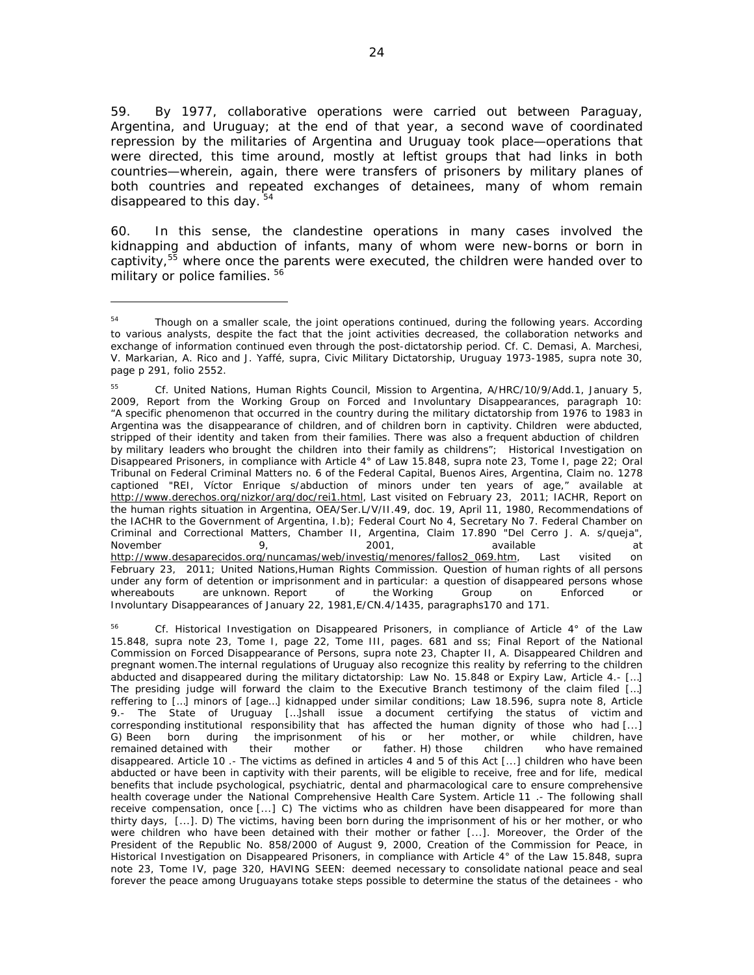59. By 1977, collaborative operations were carried out between Paraguay, Argentina, and Uruguay; at the end of that year, a second wave of coordinated repression by the militaries of Argentina and Uruguay took place—operations that were directed, this time around, mostly at leftist groups that had links in both countries—wherein, again, there were transfers of prisoners by military planes of both countries and repeated exchanges of detainees, many of whom remain disappeared to this day. 54

60. In this sense, the clandestine operations in many cases involved the kidnapping and abduction of infants, many of whom were new-borns or born in captivity, $55$  where once the parents were executed, the children were handed over to military or police families.<sup>56</sup>

<sup>&</sup>lt;sup>54</sup> Though on a smaller scale, the joint operations continued, during the following years. According to various analysts, despite the fact that the joint activities decreased, the collaboration networks and exchange of information continued even through the post-dictatorship period. *Cf.* C. Demasi, A. Marchesi, V. Markarian, A. Rico and J. Yaffé, *supra*, *Civic Military Dictatorship, Uruguay 1973-1985*, *supra* note 30, page p 291, folio 2552.

<sup>55</sup> *Cf*. United Nations, Human Rights Council, Mission to Argentina, A/HRC/10/9/Add.1, January 5, 2009, Report from the Working Group on Forced and Involuntary Disappearances, paragraph 10: "A specific phenomenon that occurred in the country during the military dictatorship from 1976 to 1983 in Argentina was the disappearance of children, and of children born in captivity. Children were abducted, stripped of their identity and taken from their families. There was also a frequent abduction of children by military leaders who brought the children into their family as childrens*";* Historical Investigation on Disappeared Prisoners, in compliance with Article 4° of Law 15.848, *supra* note 23, Tome I, page *22*; Oral Tribunal on Federal Criminal Matters no. 6 of the Federal Capital, Buenos Aires, Argentina, Claim no. 1278 captioned "REI, Víctor Enrique s/abduction of minors under ten years of age," available at http://www.derechos.org/nizkor/arg/doc/rei1.html, Last visited on February 23, 2011*;* IACHR, Report on the human rights situation in Argentina, OEA/Ser.L/V/II.49, doc. 19, April 11, 1980, Recommendations of the IACHR to the Government of Argentina, I.b); Federal Court No 4, Secretary No 7. Federal Chamber on Criminal and Correctional Matters, Chamber II, Argentina, Claim 17.890 "Del Cerro J. A. s/queja", November 9, 2001, available at http://www.desaparecidos.org/nuncamas/web/investig/menores/fallos2\_069.htm, Last visited on February 23, 2011; United Nations,Human Rights Commission. Question of human rights of all persons under any form of detention or imprisonment and in particular: a question of disappeared persons whose<br>whereabouts are unknown. Report of the Working Group on Enforced or whereabouts are unknown. Report of the Working Group on Enforced or Involuntary Disappearances of January 22, 1981,E/CN.4/1435, paragraphs170 and 171.

<sup>56</sup> *Cf.* Historical Investigation on Disappeared Prisoners, in compliance of Article 4° of the Law 15.848, *supra* note 23, Tome I, page 22, Tome III, pages. 681 and ss; Final Report of the National Commission on Forced Disappearance of Persons, *supra* note 23, Chapter II, A. Disappeared Children and pregnant women.The internal regulations of Uruguay also recognize this reality by referring to the children abducted and disappeared during the military dictatorship: Law No. 15.848 or Expiry Law, Article 4.- *[…] The presiding judge will forward the claim to the Executive Branch testimony of the claim filed […] reffering to […] minors of [age…] kidnapped under similar conditions;* Law 18.596, *supra* note 8, Article 9.- *The State of Uruguay […]shall* issue a document certifying the status of victim and corresponding institutional responsibility that has affected the human dignity of those who had [...]<br>G) Been born during the imprisonment of his or her mother, or while children, have G) Been born during the imprisonment of his or her remained detained with their mother or father. H) those children who have remained disappeared. Article 10 .- The victims as defined in articles 4 and 5 of this Act [...] children who have been abducted or have been in captivity with their parents, will be eligible to receive, free and for life, medical benefits that include psychological, psychiatric, dental and pharmacological care to ensure comprehensive health coverage under the National Comprehensive Health Care System. Article 11 .- The following shall receive compensation, once [...] C) The victims who as children have been disappeared for more than thirty days, [...]. D) The victims, having been born during the imprisonment of his or her mother, or who were children who have been detained with their mother or father [...]. Moreover, the Order of the President of the Republic No. 858/2000 of August 9, 2000, Creation of the Commission for Peace, in Historical Investigation on Disappeared Prisoners, in compliance with Article 4° of the Law 15.848, *supra* note 23, Tome IV, page 320, *HAVING SEEN: deemed necessary to consolidate national peace and seal forever the peace among Uruguayans totake steps possible to determine the status of the detainees - who*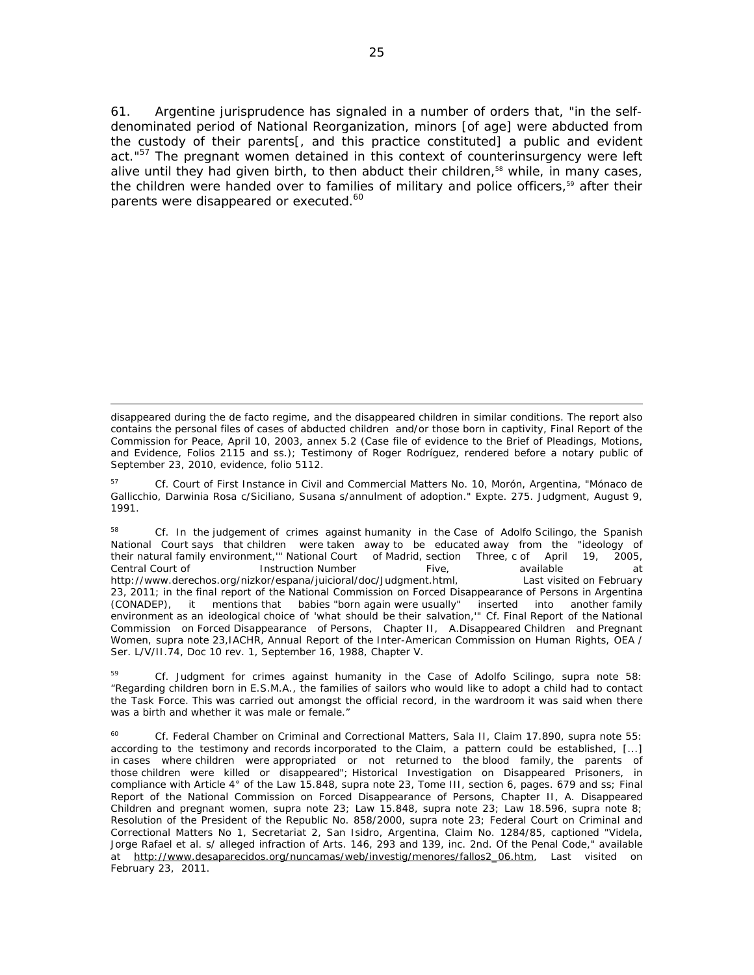61. Argentine jurisprudence has signaled in a number of orders that, "in the selfdenominated period of National Reorganization, minors [of age] were abducted from the custody of their parents[, and this practice constituted] a public and evident act."<sup>57</sup> The pregnant women detained in this context of counterinsurgency were left alive until they had given birth, to then abduct their children,<sup>58</sup> while, in many cases, the children were handed over to families of military and police officers,<sup>59</sup> after their parents were disappeared or executed.<sup>60</sup>

<u> 1989 - Andrea Santa Andrea Andrea Andrea Andrea Andrea Andrea Andrea Andrea Andrea Andrea Andrea Andrea Andr</u>

disappeared during the de facto regime, and the disappeared children in similar conditions. The report also contains the personal files of cases of abducted children and/or those born in captivity, Final Report of the Commission for Peace, April 10, 2003, annex 5.2 (Case file of evidence to the Brief of Pleadings, Motions, and Evidence, Folios 2115 and ss.); Testimony of Roger Rodríguez, rendered before a notary public of September 23, 2010, evidence, folio 5112.

<sup>57</sup> *Cf*. Court of First Instance in Civil and Commercial Matters No. 10, Morón, Argentina, "Mónaco de Gallicchio, Darwinia Rosa c/Siciliano, Susana s/annulment of adoption." Expte. 275. Judgment, August 9, 1991.

<sup>58</sup> *Cf*. In the judgement of crimes against humanity in the Case of Adolfo Scilingo, the Spanish National Court says that children were taken away to be educated away from the "ideology of their natural family environment,'" National Court of Madrid, section Three, c of April 19, 2005, Central Court of Instruction Number Five, available at at http://www.derechos.org/nizkor/espana/juicioral/doc/Judgment.html, Last visited on February 23, 2011; in the final report of the National Commission on Forced Disappearance of Persons in Argentina (CONADEP), it mentions that babies "born again were usually" inserted into another family environment as an ideological choice of 'what should be their salvation,'" *Cf.* Final Report of the National Commission on Forced Disappearance of Persons, Chapter II, A.Disappeared Children and Pregnant Women, supra note 23,IACHR, Annual Report of the Inter-American Commission on Human Rights, OEA / Ser. L/V/II.74, Doc 10 rev. 1, September 16, 1988, Chapter V.

<sup>59</sup> *Cf*. Judgment for crimes against humanity in the Case of Adolfo Scilingo, *supra* note 58: "Regarding children born in E.S.M.A., the families of sailors who would like to adopt a child had to contact the Task Force. This was carried out amongst the official record, in the wardroom it was said when there was a birth and whether it was male or female."

<sup>60</sup> *Cf.* Federal Chamber on Criminal and Correctional Matters, Sala II, Claim 17.890, *supra* note 55: according to the testimony and records incorporated to the Claim, a pattern could be established, [...] in cases where children were appropriated or not returned to the blood family, the parents of those children were killed or disappeared"; Historical Investigation on Disappeared Prisoners, in compliance with Article 4° of the Law 15.848, *supra* note 23, Tome III, section 6, pages. 679 and ss; Final Report of the National Commission on Forced Disappearance of Persons, Chapter II, A. Disappeared Children and pregnant women, *supra* note 23; Law 15.848, *supra* note 23; Law 18.596, *supra* note 8; Resolution of the President of the Republic No. 858/2000, *supra* note 23; Federal Court on Criminal and Correctional Matters No 1, Secretariat 2, San Isidro, Argentina, Claim No. 1284/85, captioned "Videla, Jorge Rafael et al. s/ alleged infraction of Arts. 146, 293 and 139, inc. 2nd. Of the Penal Code," available at http://www.desaparecidos.org/nuncamas/web/investig/menores/fallos2\_06.htm, Last visited on February 23, 2011.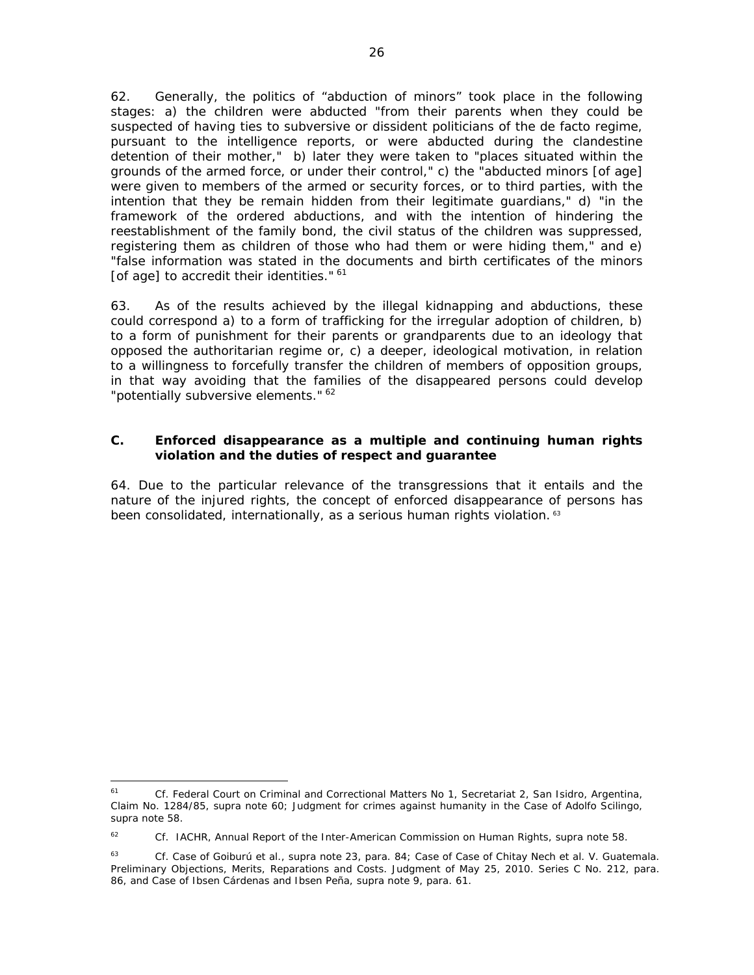62. Generally, the politics of "abduction of minors" took place in the following stages: a) the children were abducted "from their parents when they could be suspected of having ties to subversive or dissident politicians of the de facto regime, pursuant to the intelligence reports, or were abducted during the clandestine detention of their mother," b) later they were taken to "places situated within the grounds of the armed force, or under their control," c) the "abducted minors [of age] were given to members of the armed or security forces, or to third parties, with the intention that they be remain hidden from their legitimate guardians," d) "in the framework of the ordered abductions, and with the intention of hindering the reestablishment of the family bond, the civil status of the children was suppressed, registering them as children of those who had them or were hiding them," and e) "false information was stated in the documents and birth certificates of the minors [of age] to accredit their identities." 61

63. As of the results achieved by the illegal kidnapping and abductions, these could correspond a) to a form of trafficking for the irregular adoption of children, b) to a form of punishment for their parents or grandparents due to an ideology that opposed the authoritarian regime or, c) a deeper, ideological motivation, in relation to a willingness to forcefully transfer the children of members of opposition groups, in that way avoiding that the families of the disappeared persons could develop "potentially subversive elements." <sup>62</sup>

# **C.** *Enforced disappearance as a multiple and continuing human rights violation and the duties of respect and guarantee*

64. Due to the particular relevance of the transgressions that it entails and the nature of the injured rights, the concept of enforced disappearance of persons has been consolidated, internationally, as a serious human rights violation.<sup>63</sup>

<sup>61</sup> *Cf*. Federal Court on Criminal and Correctional Matters No 1, Secretariat 2, San Isidro, Argentina, Claim No. 1284/85, *supra* note 60; Judgment for crimes against humanity in the Case of Adolfo Scilingo, *supra* note 58.

<sup>62</sup> *Cf*. IACHR, Annual Report of the Inter-American Commission on Human Rights, *supra* note 58.

<sup>63</sup> *Cf. Case of Goiburú et al., supra* note 23, para. 84; *Case of Case of Chitay Nech et al. V. Guatemala*. *Preliminary Objections, Merits, Reparations and Costs*. Judgment of May 25, 2010. Series C No. 212, para. 86, and *Case of Ibsen Cárdenas and Ibsen Peña, supra* note 9, para. 61.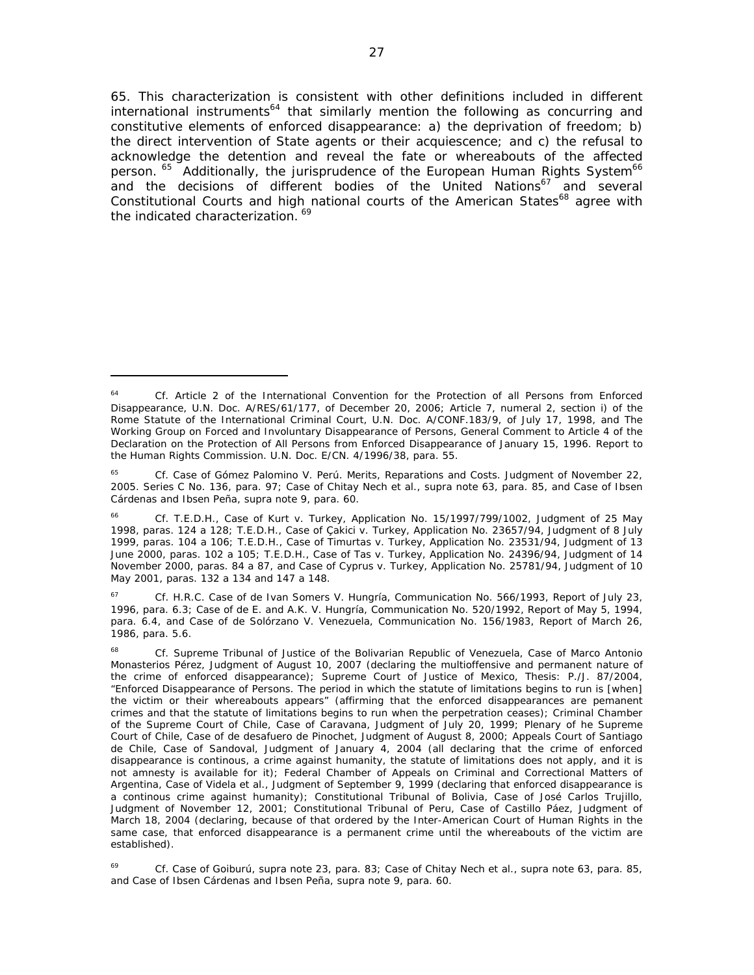65. This characterization is consistent with other definitions included in different international instruments<sup>64</sup> that similarly mention the following as concurring and constitutive elements of enforced disappearance: a) the deprivation of freedom; b) the direct intervention of State agents or their acquiescence; and c) the refusal to acknowledge the detention and reveal the fate or whereabouts of the affected person. <sup>65</sup> Additionally, the jurisprudence of the European Human Rights System<sup>66</sup> and the decisions of different bodies of the United Nations<sup>67</sup> and several Constitutional Courts and high national courts of the American States<sup>68</sup> agree with the indicated characterization.<sup>69</sup>

<sup>64</sup> *Cf.* Article 2 of the International Convention for the Protection of all Persons from Enforced Disappearance, U.N. Doc. A/RES/61/177, of December 20, 2006; Article 7, numeral 2, section i) of the Rome Statute of the International Criminal Court, U.N. Doc. A/CONF.183/9, of July 17, 1998, and The Working Group on Forced and Involuntary Disappearance of Persons, General Comment to Article 4 of the Declaration on the Protection of All Persons from Enforced Disappearance of January 15, 1996. Report to the Human Rights Commission. U.N. Doc. E/CN. 4/1996/38, para. 55.

<sup>65</sup> *Cf. Case of Gómez Palomino V. Perú. Merits, Reparations and Costs.* Judgment of November 22, 2005. Series C No. 136, para. 97; *Case of Chitay Nech et al., supra* note 63, para. 85, and *Case of Ibsen Cárdenas and Ibsen Peña, supra* note 9, para. 60.

<sup>66</sup> *Cf.* T.E.D.H., *Case of Kurt v. Turkey*, Application No. 15/1997/799/1002, Judgment of 25 May 1998, paras. 124 a 128; T.E.D.H., *Case of Çakici v. Turkey*, Application No. 23657/94, Judgment of 8 July 1999, paras. 104 a 106; T.E.D.H., *Case of Timurtas v. Turkey*, Application No. 23531/94, Judgment of 13 June 2000, paras. 102 a 105; T.E.D.H., *Case of Tas v. Turkey*, Application No. 24396/94, Judgment of 14 November 2000, paras. 84 a 87, and *Case of Cyprus v. Turkey,* Application No. 25781/94, Judgment of 10 May 2001, paras. 132 a 134 and 147 a 148.

<sup>67</sup> *Cf.* H.R.C. *Case of de Ivan Somers V. Hungría*, Communication No. 566/1993, Report of July 23, 1996, para. 6.3; *Case of de E. and A.K. V. Hungría*, Communication No. 520/1992, Report of May 5, 1994, para. 6.4, and *Case of de Solórzano V. Venezuela*, Communication No. 156/1983, Report of March 26, 1986, para. 5.6.

<sup>68</sup> *Cf.* Supreme Tribunal of Justice of the Bolivarian Republic of Venezuela, *Case of Marco Antonio Monasterios Pérez*, Judgment of August 10, 2007 (declaring the multioffensive and permanent nature of the crime of enforced disappearance); Supreme Court of Justice of Mexico, Thesis: P./J. 87/2004, "Enforced Disappearance of Persons. The period in which the statute of limitations begins to run is [when] the victim or their whereabouts appears" (affirming that the enforced disappearances are pemanent crimes and that the statute of limitations begins to run when the perpetration ceases); Criminal Chamber of the Supreme Court of Chile, *Case of Caravana*, Judgment of July 20, 1999; Plenary of he Supreme Court of Chile, *Case of de desafuero de Pinochet*, Judgment of August 8, 2000; Appeals Court of Santiago de Chile, *Case of Sandoval*, Judgment of January 4, 2004 (all declaring that the crime of enforced disappearance is continous, a crime against humanity, the statute of limitations does not apply, and it is not amnesty is available for it); Federal Chamber of Appeals on Criminal and Correctional Matters of Argentina, *Case of Videla et al.*, Judgment of September 9, 1999 (declaring that enforced disappearance is a continous crime against humanity); Constitutional Tribunal of Bolivia, *Case of José Carlos Trujillo*, Judgment of November 12, 2001; Constitutional Tribunal of Peru, *Case of Castillo Páez*, Judgment of March 18, 2004 (declaring, because of that ordered by the Inter-American Court of Human Rights in the same case, that enforced disappearance is a permanent crime until the whereabouts of the victim are established).

<sup>69</sup> *Cf. Case of Goiburú, supra* note 23, para. 83; *Case of Chitay Nech et al., supra* note 63, para. 85, and *Case of Ibsen Cárdenas and Ibsen Peña, supra* note 9, para. 60.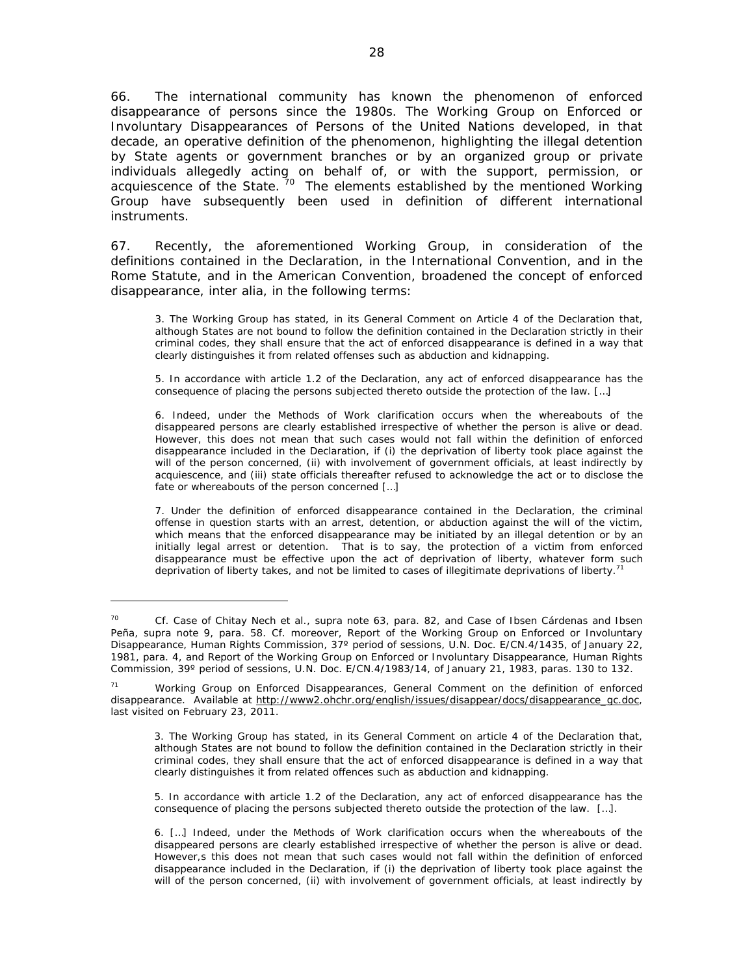66. The international community has known the phenomenon of enforced disappearance of persons since the 1980s. The Working Group on Enforced or Involuntary Disappearances of Persons of the United Nations developed, in that decade, an operative definition of the phenomenon, highlighting the illegal detention by State agents or government branches or by an organized group or private individuals allegedly acting on behalf of, or with the support, permission, or acquiescence of the State. <sup>70</sup> The elements established by the mentioned Working Group have subsequently been used in definition of different international instruments.

67. Recently, the aforementioned Working Group, in consideration of the definitions contained in the Declaration, in the International Convention, and in the Rome Statute, and in the American Convention, broadened the concept of enforced disappearance, *inter alia*, in the following terms:

3. The Working Group has stated, in its General Comment on Article 4 of the Declaration that, although States are not bound to follow the definition contained in the Declaration strictly in their criminal codes, they shall ensure that the act of enforced disappearance is defined in a way that clearly distinguishes it from related offenses such as abduction and kidnapping.

5. In accordance with article 1.2 of the Declaration, any act of enforced disappearance has the consequence of placing the persons subjected thereto outside the protection of the law. […]

6. Indeed, under the Methods of Work clarification occurs when the whereabouts of the disappeared persons are clearly established irrespective of whether the person is alive or dead. However, this does not mean that such cases would not fall within the definition of enforced disappearance included in the Declaration, if (i) the deprivation of liberty took place against the will of the person concerned, (ii) with involvement of government officials, at least indirectly by acquiescence, and (iii) state officials thereafter refused to acknowledge the act or to disclose the fate or whereabouts of the person concerned […]

7. Under the definition of enforced disappearance contained in the Declaration, the criminal offense in question starts with an arrest, detention, or abduction against the will of the victim, which means that the enforced disappearance may be initiated by an illegal detention or by an initially legal arrest or detention. That is to say, the protection of a victim from enforced disappearance must be effective upon the act of deprivation of liberty, whatever form such deprivation of liberty takes, and not be limited to cases of illegitimate deprivations of liberty.<sup>71</sup>

<sup>70</sup> *Cf. Case of Chitay Nech et al., supra* note 63, para. 82, and *Case of Ibsen Cárdenas and Ibsen Peña, supra* note 9, para. 58. *Cf.* moreover, Report of the Working Group on Enforced or Involuntary Disappearance, Human Rights Commission, 37º period of sessions, U.N. Doc. E/CN.4/1435, of January 22, 1981, para. 4, and Report of the Working Group on Enforced or Involuntary Disappearance, Human Rights Commission, 39º period of sessions, U.N. Doc. E/CN.4/1983/14, of January 21, 1983, paras. 130 to 132.

<sup>71</sup> Working Group on Enforced Disappearances, *General Comment on the definition of enforced disappearance.* Available at http://www2.ohchr.org/english/issues/disappear/docs/disappearance\_gc.doc, last visited on February 23, 2011.

<sup>3.</sup> The Working Group has stated, in its General Comment on article 4 of the Declaration that, although States are not bound to follow the definition contained in the Declaration strictly in their criminal codes, they shall ensure that the act of enforced disappearance is defined in a way that clearly distinguishes it from related offences such as abduction and kidnapping.

<sup>5.</sup> In accordance with article 1.2 of the Declaration, any act of enforced disappearance has the consequence of placing the persons subjected thereto outside the protection of the law. […].

<sup>6. […]</sup> Indeed, under the Methods of Work clarification occurs when the whereabouts of the disappeared persons are clearly established irrespective of whether the person is alive or dead. However,s this does not mean that such cases would not fall within the definition of enforced disappearance included in the Declaration, if (i) the deprivation of liberty took place against the will of the person concerned, (ii) with involvement of government officials, at least indirectly by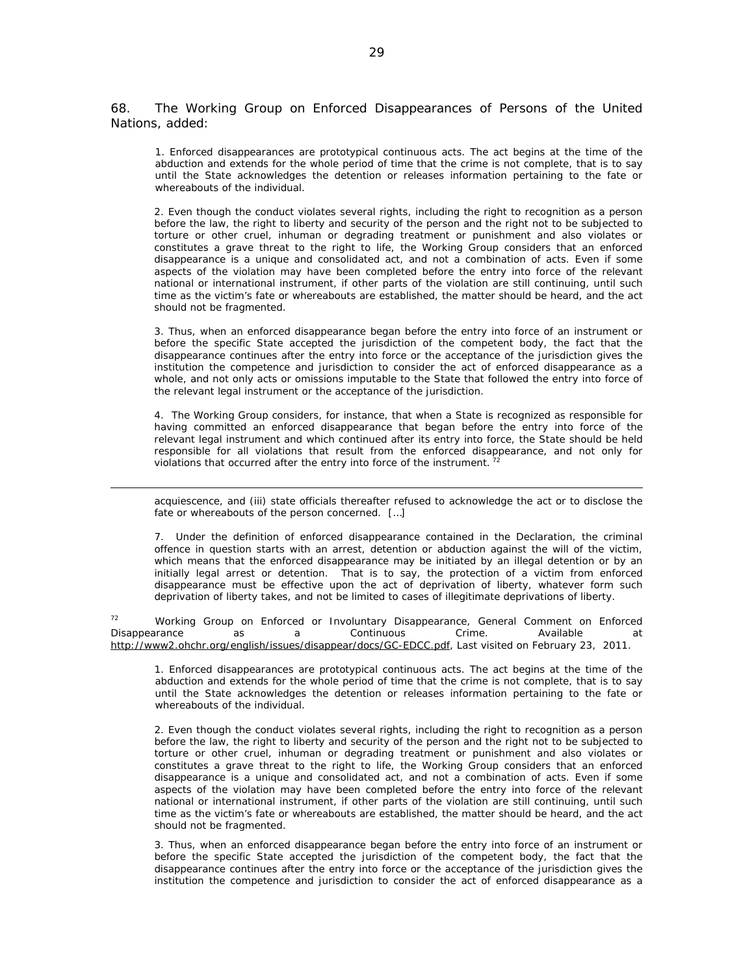68. The Working Group on Enforced Disappearances of Persons of the United Nations, added:

1. Enforced disappearances are prototypical continuous acts. The act begins at the time of the abduction and extends for the whole period of time that the crime is not complete, that is to say until the State acknowledges the detention or releases information pertaining to the fate or whereabouts of the individual.

2. Even though the conduct violates several rights, including the right to recognition as a person before the law, the right to liberty and security of the person and the right not to be subjected to torture or other cruel, inhuman or degrading treatment or punishment and also violates or constitutes a grave threat to the right to life, the Working Group considers that an enforced disappearance is a unique and consolidated act, and not a combination of acts. Even if some aspects of the violation may have been completed before the entry into force of the relevant national or international instrument, if other parts of the violation are still continuing, until such time as the victim's fate or whereabouts are established, the matter should be heard, and the act should not be fragmented.

3. Thus, when an enforced disappearance began before the entry into force of an instrument or before the specific State accepted the jurisdiction of the competent body, the fact that the disappearance continues after the entry into force or the acceptance of the jurisdiction gives the institution the competence and jurisdiction to consider the act of enforced disappearance as a whole, and not only acts or omissions imputable to the State that followed the entry into force of the relevant legal instrument or the acceptance of the jurisdiction.

4. The Working Group considers, for instance, that when a State is recognized as responsible for having committed an enforced disappearance that began before the entry into force of the relevant legal instrument and which continued after its entry into force, the State should be held responsible for all violations that result from the enforced disappearance, and not only for violations that occurred after the entry into force of the instrument.<sup>72</sup>

acquiescence, and (iii) state officials thereafter refused to acknowledge the act or to disclose the fate or whereabouts of the person concerned. […]

<u> 1989 - Andrea San Andrew Maria (h. 1989).</u><br>1900 - Andrew Maria (h. 1980).

7. Under the definition of enforced disappearance contained in the Declaration, the criminal offence in question starts with an arrest, detention or abduction against the will of the victim, which means that the enforced disappearance may be initiated by an illegal detention or by an initially legal arrest or detention. That is to say, the protection of a victim from enforced disappearance must be effective upon the act of deprivation of liberty, whatever form such deprivation of liberty takes, and not be limited to cases of illegitimate deprivations of liberty.

<sup>72</sup> Working Group on Enforced or Involuntary Disappearance, General Comment on Enforced Disappearance as a Continuous Crime. Available at http://www2.ohchr.org/english/issues/disappear/docs/GC-EDCC.pdf, Last visited on February 23, 2011.

1. Enforced disappearances are prototypical continuous acts. The act begins at the time of the abduction and extends for the whole period of time that the crime is not complete, that is to say until the State acknowledges the detention or releases information pertaining to the fate or whereabouts of the individual.

2. Even though the conduct violates several rights, including the right to recognition as a person before the law, the right to liberty and security of the person and the right not to be subjected to torture or other cruel, inhuman or degrading treatment or punishment and also violates or constitutes a grave threat to the right to life, the Working Group considers that an enforced disappearance is a unique and consolidated act, and not a combination of acts. Even if some aspects of the violation may have been completed before the entry into force of the relevant national or international instrument, if other parts of the violation are still continuing, until such time as the victim's fate or whereabouts are established, the matter should be heard, and the act should not be fragmented.

3. Thus, when an enforced disappearance began before the entry into force of an instrument or before the specific State accepted the jurisdiction of the competent body, the fact that the disappearance continues after the entry into force or the acceptance of the jurisdiction gives the institution the competence and jurisdiction to consider the act of enforced disappearance as a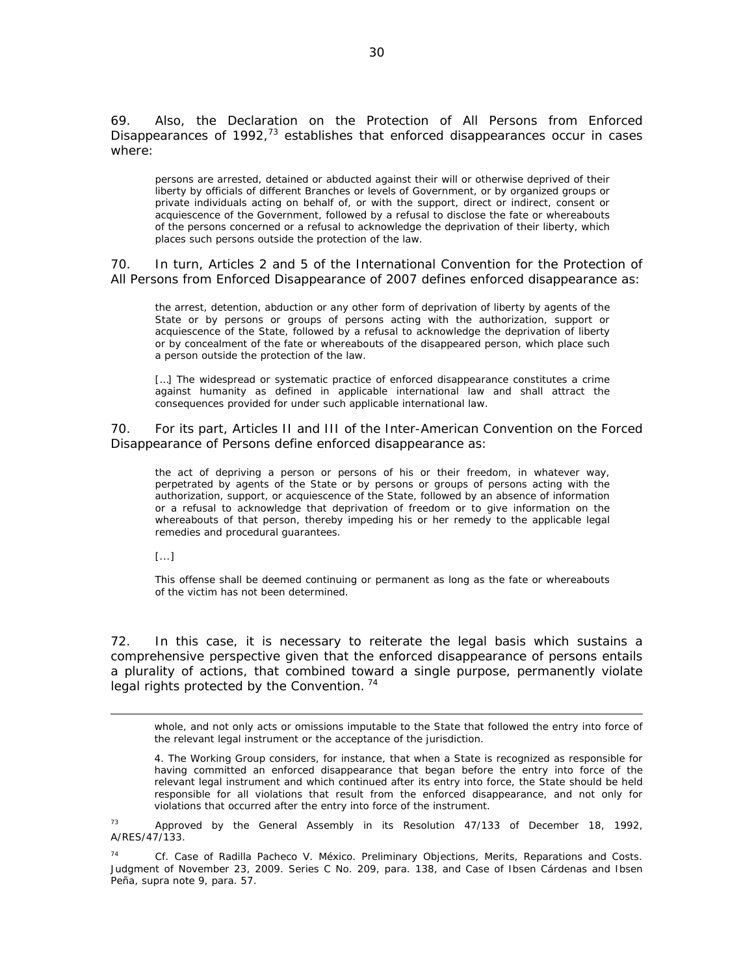69. Also, the Declaration on the Protection of All Persons from Enforced Disappearances of  $1992<sub>1</sub><sup>73</sup>$  establishes that enforced disappearances occur in cases where:

*persons are arrested, detained or abducted against their will or otherwise deprived of their liberty by officials of different Branches or levels of Government, or by organized groups or private individuals acting on behalf of, or with the support, direct or indirect, consent or acquiescence of the Government, followed by a refusal to disclose the fate or whereabouts of the persons concerned or a refusal to acknowledge the deprivation of their liberty, which places such persons outside the protection of the law.* 

70. In turn, Articles 2 and 5 of the International Convention for the Protection of All Persons from Enforced Disappearance of 2007 defines enforced disappearance as:

the arrest, detention, abduction or any other form of deprivation of liberty by agents of the State or by persons or groups of persons acting with the authorization, support or acquiescence of the State, followed by a refusal to acknowledge the deprivation of liberty or by concealment of the fate or whereabouts of the disappeared person, which place such a person outside the protection of the law.

[...] The widespread or systematic practice of enforced disappearance constitutes a crime against humanity as defined in applicable international law and shall attract the consequences provided for under such applicable international law.

70. For its part, Articles II and III of the Inter-American Convention on the Forced Disappearance of Persons define enforced disappearance as:

the act of depriving a person or persons of his or their freedom, in whatever way, perpetrated by agents of the State or by persons or groups of persons acting with the authorization, support, or acquiescence of the State, followed by an absence of information or a refusal to acknowledge that deprivation of freedom or to give information on the whereabouts of that person, thereby impeding his or her remedy to the applicable legal remedies and procedural guarantees.

[...]

This offense shall be deemed continuing or permanent as long as the fate or whereabouts of the victim has not been determined.

72. In this case, it is necessary to reiterate the legal basis which sustains a comprehensive perspective given that the enforced disappearance of persons entails a plurality of actions, that combined toward a single purpose, permanently violate legal rights protected by the Convention.<sup>74</sup>

<u> 1989 - Andrea Santa Andrea Andrea Andrea Andrea Andrea Andrea Andrea Andrea Andrea Andrea Andrea Andrea Andr</u>

whole, and not only acts or omissions imputable to the State that followed the entry into force of the relevant legal instrument or the acceptance of the jurisdiction.

4. The Working Group considers, for instance, that when a State is recognized as responsible for having committed an enforced disappearance that began before the entry into force of the relevant legal instrument and which continued after its entry into force, the State should be held responsible for all violations that result from the enforced disappearance, and not only for violations that occurred after the entry into force of the instrument.

 $73$  Approved by the General Assembly in its Resolution 47/133 of December 18, 1992, A/RES/47/133.

74 *Cf. Case of Radilla Pacheco V. México. Preliminary Objections, Merits, Reparations and Costs*. Judgment of November 23, 2009. Series C No. 209, para. 138, and *Case of Ibsen Cárdenas and Ibsen Peña, supra* note 9, para. 57.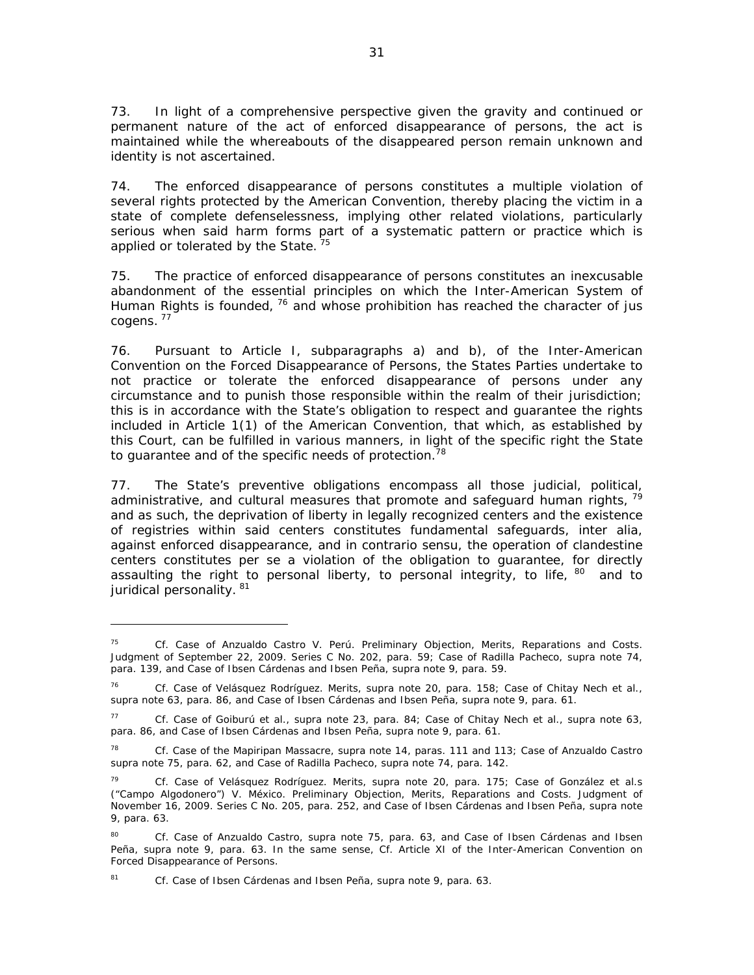73. In light of a comprehensive perspective given the gravity and continued or permanent nature of the act of enforced disappearance of persons, the act is maintained while the whereabouts of the disappeared person remain unknown and identity is not ascertained.

74. The enforced disappearance of persons constitutes a multiple violation of several rights protected by the American Convention, thereby placing the victim in a state of complete defenselessness, implying other related violations, particularly serious when said harm forms part of a systematic pattern or practice which is applied or tolerated by the State.<sup>75</sup>

75. The practice of enforced disappearance of persons constitutes an inexcusable abandonment of the essential principles on which the Inter-American System of Human Rights is founded, 76 and whose prohibition has reached the character of *jus cogens.*<sup>77</sup>

76. Pursuant to Article I, subparagraphs a) and b), of the Inter-American Convention on the Forced Disappearance of Persons, the States Parties undertake to not practice or tolerate the enforced disappearance of persons under any circumstance and to punish those responsible within the realm of their jurisdiction; this is in accordance with the State's obligation to respect and guarantee the rights included in Article 1(1) of the American Convention, that which, as established by this Court, can be fulfilled in various manners, in light of the specific right the State to guarantee and of the specific needs of protection.<sup>78</sup>

77. The State's preventive obligations encompass all those judicial, political, administrative, and cultural measures that promote and safeguard human rights, 79 and as such, the deprivation of liberty in legally recognized centers and the existence of registries within said centers constitutes fundamental safeguards, *inter alia,*  against enforced disappearance, and in *contrario sensu,* the operation of clandestine centers constitutes *per se* a violation of the obligation to guarantee, for directly assaulting the right to personal liberty, to personal integrity, to life, 80 and to juridical personality. 81

<sup>75</sup> *Cf. Case of Anzualdo Castro V. Perú. Preliminary Objection, Merits, Reparations and Costs.* Judgment of September 22, 2009. Series C No. 202, para. 59; *Case of Radilla Pacheco, supra* note 74, para. 139, and *Case of Ibsen Cárdenas and Ibsen Peña, supra* note 9, para. 59.

<sup>76</sup>*Cf. Case of Velásquez Rodríguez. Merits, supra* note 20, para. 158; *Case of Chitay Nech et al., supra* note 63, para. 86, and *Case of Ibsen Cárdenas and Ibsen Peña, supra* note 9, para. 61.

<sup>77</sup> *Cf. Case of Goiburú et al., supra* note 23, para. 84; *Case of Chitay Nech et al., supra* note 63, para. 86, and *Case of Ibsen Cárdenas and Ibsen Peña, supra* note 9, para. 61.

<sup>78</sup> *Cf. Case of the Mapiripan Massacre, supra* note 14, *paras. 111 and 113; Case of Anzualdo Castro supra* note 75, para. 62, and *Case of Radilla Pacheco, supra* note 74, para. 142.

<sup>79</sup> *Cf. Case of Velásquez Rodríguez. Merits, supra* note 20, para. 175; *Case of González et al.s ("Campo Algodonero") V. México*. *Preliminary Objection, Merits, Reparations and Costs*. Judgment of November 16, 2009. Series C No. 205, para. 252, and *Case of Ibsen Cárdenas and Ibsen Peña, supra* note 9, para. 63.

<sup>80</sup> *Cf. Case of Anzualdo Castro, supra* note 75, para. 63, and *Case of Ibsen Cárdenas and Ibsen Peña, supra* note 9, para. 63. In the same sense, *Cf.* Article XI of the Inter-American Convention on Forced Disappearance of Persons.

<sup>81</sup> *Cf. Case of Ibsen Cárdenas and Ibsen Peña, supra* note 9, para. 63.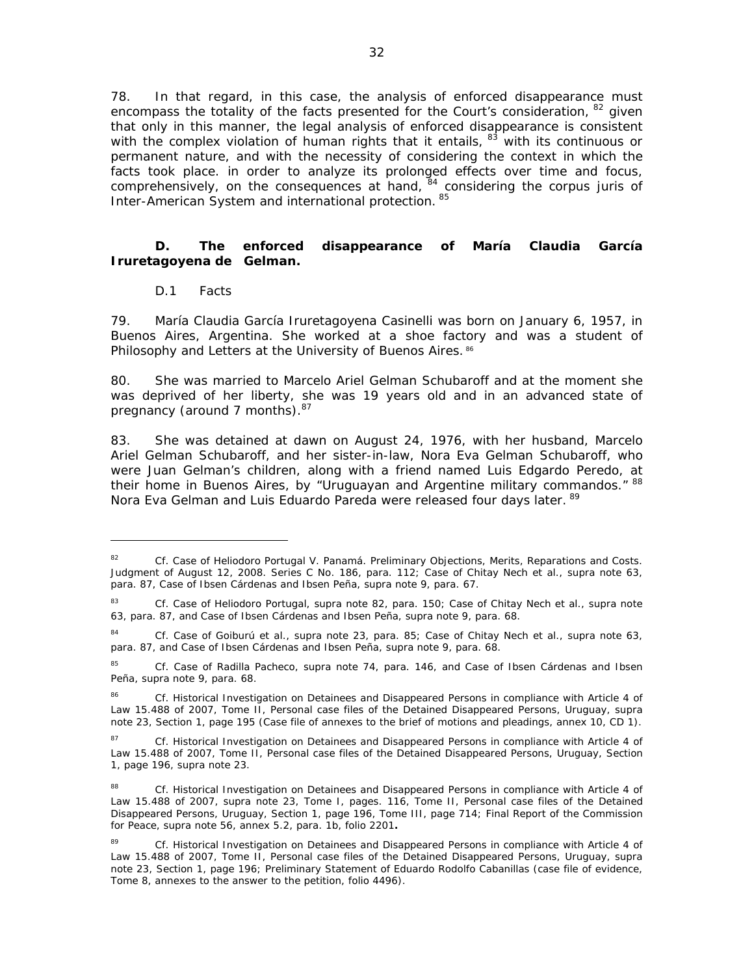78. In that regard, in this case, the analysis of enforced disappearance must encompass the totality of the facts presented for the Court's consideration,  $82$  given that only in this manner, the legal analysis of enforced disappearance is consistent with the complex violation of human rights that it entails,  $83$  with its continuous or permanent nature, and with the necessity of considering the context in which the facts took place. in order to analyze its prolonged effects over time and focus, comprehensively, on the consequences at hand, <sup>84</sup> considering the *corpus juris* of Inter-American System and international protection. 85

# *D. The enforced disappearance of María Claudia García Iruretagoyena de Gelman.*

### *D.1 Facts*

79. María Claudia García Iruretagoyena Casinelli was born on January 6, 1957, in Buenos Aires, Argentina. She worked at a shoe factory and was a student of Philosophy and Letters at the University of Buenos Aires. 86

80. She was married to Marcelo Ariel Gelman Schubaroff and at the moment she was deprived of her liberty, she was 19 years old and in an advanced state of pregnancy (around 7 months). $87$ 

83. She was detained at dawn on August 24, 1976, with her husband, Marcelo Ariel Gelman Schubaroff, and her sister-in-law, Nora Eva Gelman Schubaroff, who were Juan Gelman's children, along with a friend named Luis Edgardo Peredo, at their home in Buenos Aires, by "Uruguayan and Argentine military commandos." 88 Nora Eva Gelman and Luis Eduardo Pareda were released four days later. <sup>89</sup>

<sup>82</sup> *Cf. Case of Heliodoro Portugal V. Panamá. Preliminary Objections, Merits, Reparations and Costs*. Judgment of August 12, 2008. Series C No. 186, para. 112*; Case of Chitay Nech et al., supra* note 63, para. 87, *Case of Ibsen Cárdenas and Ibsen Peña, supra* note 9, para. 67.

<sup>83</sup> *Cf. Case of Heliodoro Portugal, supra* note 82, para. 150; *Case of Chitay Nech et al., supra* note 63, para. 87, and *Case of Ibsen Cárdenas and Ibsen Peña, supra* note 9, para. 68.

<sup>84</sup> *Cf. Case of Goiburú et al., supra* note 23, para. 85; *Case of Chitay Nech et al., supra* note 63, para. 87, and *Case of Ibsen Cárdenas and Ibsen Peña, supra* note 9, para. 68.

<sup>85</sup> *Cf. Case of Radilla Pacheco, supra* note 74, para. 146, and *Case of Ibsen Cárdenas and Ibsen Peña, supra* note 9, para. 68.

<sup>86</sup> *Cf.* Historical Investigation on Detainees and Disappeared Persons in compliance with Article 4 of Law 15.488 of 2007, Tome II, Personal case files of the Detained Disappeared Persons, Uruguay, *supra*  note 23, Section 1, page 195 (Case file of annexes to the brief of motions and pleadings, annex 10, CD 1).

<sup>87</sup> *Cf.* Historical Investigation on Detainees and Disappeared Persons in compliance with Article 4 of Law 15.488 of 2007, Tome II, Personal case files of the Detained Disappeared Persons, Uruguay, Section 1, page 196, *supra* note 23.

<sup>88</sup> *Cf.* Historical Investigation on Detainees and Disappeared Persons in compliance with Article 4 of Law 15.488 of 2007, *supra* note 23, Tome I, pages. 116, Tome II, Personal case files of the Detained Disappeared Persons, Uruguay, Section 1, page 196, Tome III, page 714; Final Report of the Commission for Peace, *supra* note 56, annex 5.2, para. 1b, folio 2201**.**

<sup>89</sup> *Cf.* Historical Investigation on Detainees and Disappeared Persons in compliance with Article 4 of Law 15.488 of 2007, Tome II, Personal case files of the Detained Disappeared Persons, Uruguay, *supra* note 23, Section 1, page 196; Preliminary Statement of Eduardo Rodolfo Cabanillas (case file of evidence, Tome 8, annexes to the answer to the petition, folio 4496).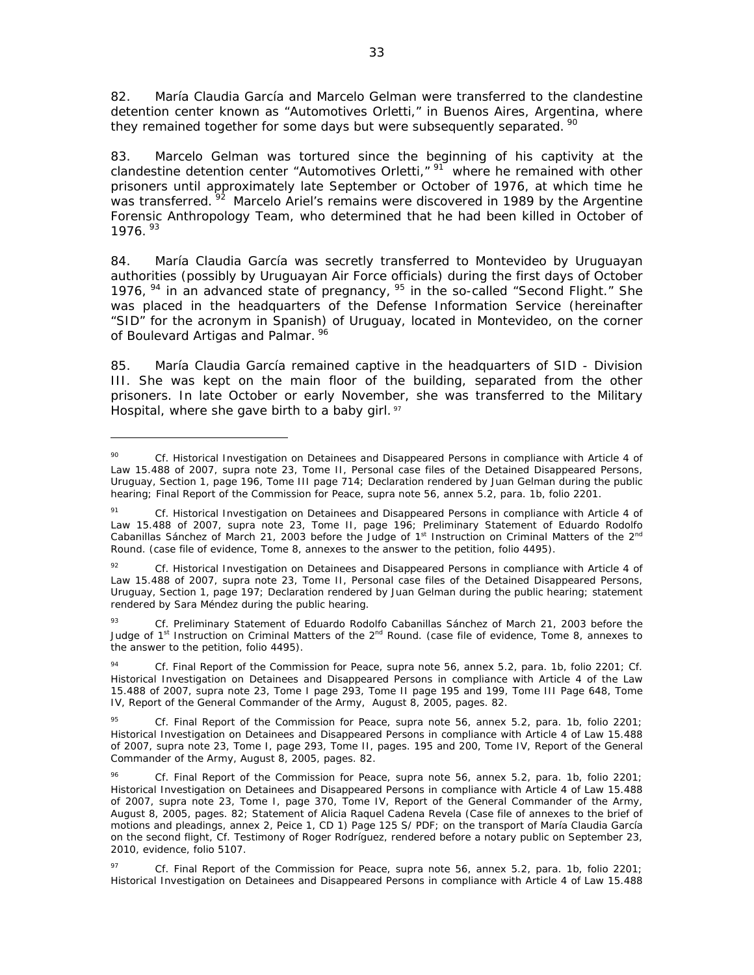82. María Claudia García and Marcelo Gelman were transferred to the clandestine detention center known as "Automotives Orletti," in Buenos Aires, Argentina, where they remained together for some days but were subsequently separated.  $\frac{90}{2}$ 

83. Marcelo Gelman was tortured since the beginning of his captivity at the clandestine detention center "Automotives Orletti," <sup>91</sup> where he remained with other prisoners until approximately late September or October of 1976, at which time he was transferred. <sup>92</sup> Marcelo Ariel's remains were discovered in 1989 by the Argentine Forensic Anthropology Team, who determined that he had been killed in October of 1976.<sup>93</sup>

84. María Claudia García was secretly transferred to Montevideo by Uruguayan authorities (possibly by Uruguayan Air Force officials) during the first days of October 1976, <sup>94</sup> in an advanced state of pregnancy, <sup>95</sup> in the so-called "Second Flight." She was placed in the headquarters of the Defense Information Service (hereinafter "SID" for the acronym in Spanish) of Uruguay, located in Montevideo, on the corner of Boulevard Artigas and Palmar. <sup>96</sup>

85. María Claudia García remained captive in the headquarters of SID - Division III. She was kept on the main floor of the building, separated from the other prisoners. In late October or early November, she was transferred to the Military Hospital, where she gave birth to a baby girl.  $\frac{97}{2}$ 

<sup>90</sup> *Cf.* Historical Investigation on Detainees and Disappeared Persons in compliance with Article 4 of Law 15.488 of 2007, *supra* note 23, Tome II, Personal case files of the Detained Disappeared Persons, Uruguay, Section 1, page 196, Tome III page 714; Declaration rendered by Juan Gelman during the public hearing; Final Report of the Commission for Peace, *supra* note 56, annex 5.2, para. 1b, folio 2201.

<sup>91</sup> *Cf.* Historical Investigation on Detainees and Disappeared Persons in compliance with Article 4 of Law 15.488 of 2007, *supra* note 23, Tome II, page 196; Preliminary Statement of Eduardo Rodolfo Cabanillas Sánchez of March 21, 2003 before the Judge of 1<sup>st</sup> Instruction on Criminal Matters of the 2<sup>nd</sup> Round. (case file of evidence, Tome 8, annexes to the answer to the petition, folio 4495).

<sup>92</sup> *Cf.* Historical Investigation on Detainees and Disappeared Persons in compliance with Article 4 of Law 15.488 of 2007, *supra* note 23, Tome II, Personal case files of the Detained Disappeared Persons, Uruguay, Section 1, page 197; Declaration rendered by Juan Gelman during the public hearing; statement rendered by Sara Méndez during the public hearing.

<sup>93</sup> *Cf.* Preliminary Statement of Eduardo Rodolfo Cabanillas Sánchez of March 21, 2003 before the Judge of 1<sup>st</sup> Instruction on Criminal Matters of the 2<sup>nd</sup> Round. (case file of evidence, Tome 8, annexes to the answer to the petition, folio 4495).

<sup>94</sup> *Cf.* Final Report of the Commission for Peace, *supra* note 56, annex 5.2, para. 1b, folio 2201; *Cf*. Historical Investigation on Detainees and Disappeared Persons in compliance with Article 4 of the Law 15.488 of 2007, *supra* note 23, Tome I page 293, Tome II page 195 and 199, Tome III Page 648, Tome IV, Report of the General Commander of the Army, August 8, 2005, pages. 82.

<sup>95</sup> *Cf*. Final Report of the Commission for Peace, *supra* note 56, annex 5.2, para. 1b, folio 2201; Historical Investigation on Detainees and Disappeared Persons in compliance with Article 4 of Law 15.488 of 2007, *supra* note 23, Tome I, page 293, Tome II, pages. 195 and 200, Tome IV, Report of the General Commander of the Army, August 8, 2005, pages. 82.

<sup>96</sup> *Cf*. Final Report of the Commission for Peace, *supra* note 56, annex 5.2, para. 1b, folio 2201; Historical Investigation on Detainees and Disappeared Persons in compliance with Article 4 of Law 15.488 of 2007, *supra* note 23, Tome I, page 370, Tome IV, Report of the General Commander of the Army, August 8, 2005, pages. 82; Statement of Alicia Raquel Cadena Revela (Case file of annexes to the brief of motions and pleadings, annex 2, Peice 1, CD 1) Page 125 S/ PDF; on the transport of María Claudia García on the second flight, *Cf*. Testimony of Roger Rodríguez, rendered before a notary public on September 23, 2010, evidence, folio 5107.

<sup>97</sup> *Cf.* Final Report of the Commission for Peace, *supra* note 56, annex 5.2, para. 1b, folio 2201; Historical Investigation on Detainees and Disappeared Persons in compliance with Article 4 of Law 15.488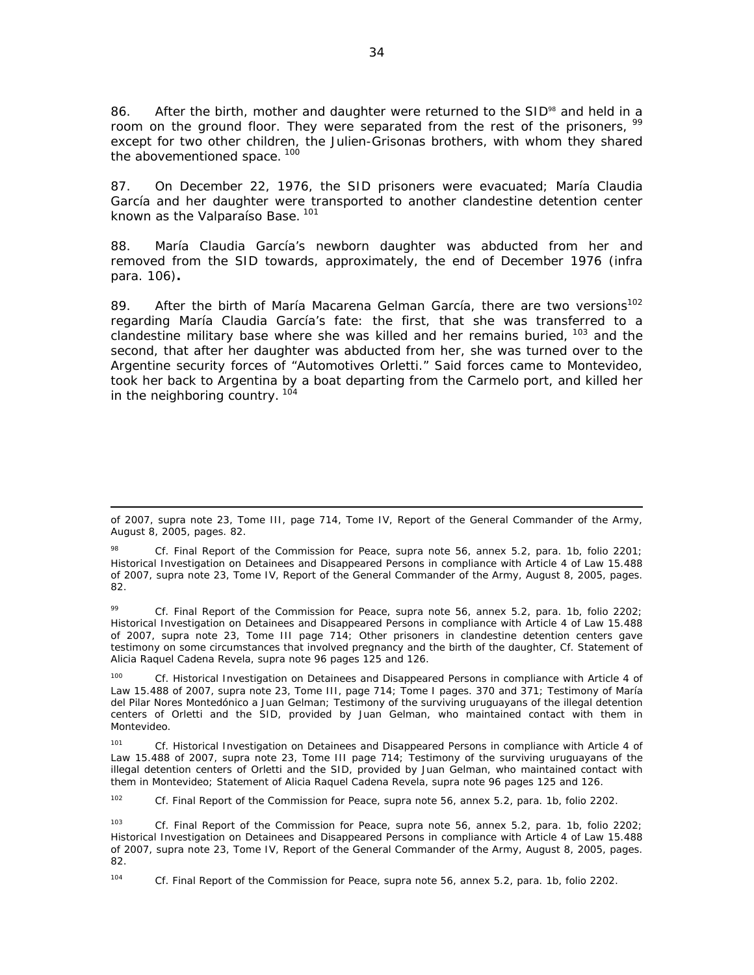86. After the birth, mother and daughter were returned to the SID $\frac{98}{9}$  and held in a room on the ground floor. They were separated from the rest of the prisoners, <sup>99</sup> except for two other children, the Julien-Grisonas brothers, with whom they shared the abovementioned space.<sup>100</sup>

87. On December 22, 1976, the SID prisoners were evacuated; María Claudia García and her daughter were transported to another clandestine detention center known as the Valparaíso Base.<sup>101</sup>

88. María Claudia García's newborn daughter was abducted from her and removed from the SID towards, approximately, the end of December 1976 (*infra* para. 106)**.**

89. After the birth of María Macarena Gelman García, there are two versions<sup>102</sup> regarding María Claudia García's fate: the first, that she was transferred to a clandestine military base where she was killed and her remains buried, <sup>103</sup> and the second, that after her daughter was abducted from her, she was turned over to the Argentine security forces of "Automotives Orletti." Said forces came to Montevideo, took her back to Argentina by a boat departing from the Carmelo port, and killed her in the neighboring country.  $104$ 

99 *Cf.* Final Report of the Commission for Peace, *supra* note 56, annex 5.2, para. 1b, folio 2202; Historical Investigation on Detainees and Disappeared Persons in compliance with Article 4 of Law 15.488 of 2007, *supra* note 23, Tome III page 714; Other prisoners in clandestine detention centers gave testimony on some circumstances that involved pregnancy and the birth of the daughter, *Cf.* Statement of Alicia Raquel Cadena Revela, *supra* note 96 pages 125 and 126.

Cf. Historical Investigation on Detainees and Disappeared Persons in compliance with Article 4 of Law 15.488 of 2007, *supra* note 23, Tome III, page 714; Tome I pages. 370 and 371; Testimony of María del Pilar Nores Montedónico a Juan Gelman; Testimony of the surviving uruguayans of the illegal detention centers of Orletti and the SID, provided by Juan Gelman, who maintained contact with them in Montevideo.

101 *Cf.* Historical Investigation on Detainees and Disappeared Persons in compliance with Article 4 of Law 15.488 of 2007, *supra* note 23, Tome III page 714; Testimony of the surviving uruguayans of the illegal detention centers of Orletti and the SID, provided by Juan Gelman, who maintained contact with them in Montevideo; Statement of Alicia Raquel Cadena Revela, *supra* note 96 pages 125 and 126.

102 *Cf*. Final Report of the Commission for Peace, *supra* note 56, annex 5.2, para. 1b, folio 2202.

103 *Cf*. Final Report of the Commission for Peace, *supra* note 56, annex 5.2, para. 1b, folio 2202; Historical Investigation on Detainees and Disappeared Persons in compliance with Article 4 of Law 15.488 of 2007, *supra* note 23, Tome IV, Report of the General Commander of the Army, August 8, 2005, pages. 82.

<sup>&</sup>lt;u> 1989 - Andrea San Andrew Maria (h. 1989).</u><br>1900 - Andrew Maria (h. 1980). of 2007, *supra* note 23, Tome III, page 714, Tome IV, Report of the General Commander of the Army, August 8, 2005, pages. 82.

<sup>98</sup> *Cf.* Final Report of the Commission for Peace, *supra* note 56, annex 5.2, para. 1b, folio 2201; Historical Investigation on Detainees and Disappeared Persons in compliance with Article 4 of Law 15.488 of 2007, *supra* note 23, Tome IV, Report of the General Commander of the Army, August 8, 2005, pages. 82.

<sup>104</sup> *Cf*. Final Report of the Commission for Peace, *supra* note 56, annex 5.2, para. 1b, folio 2202.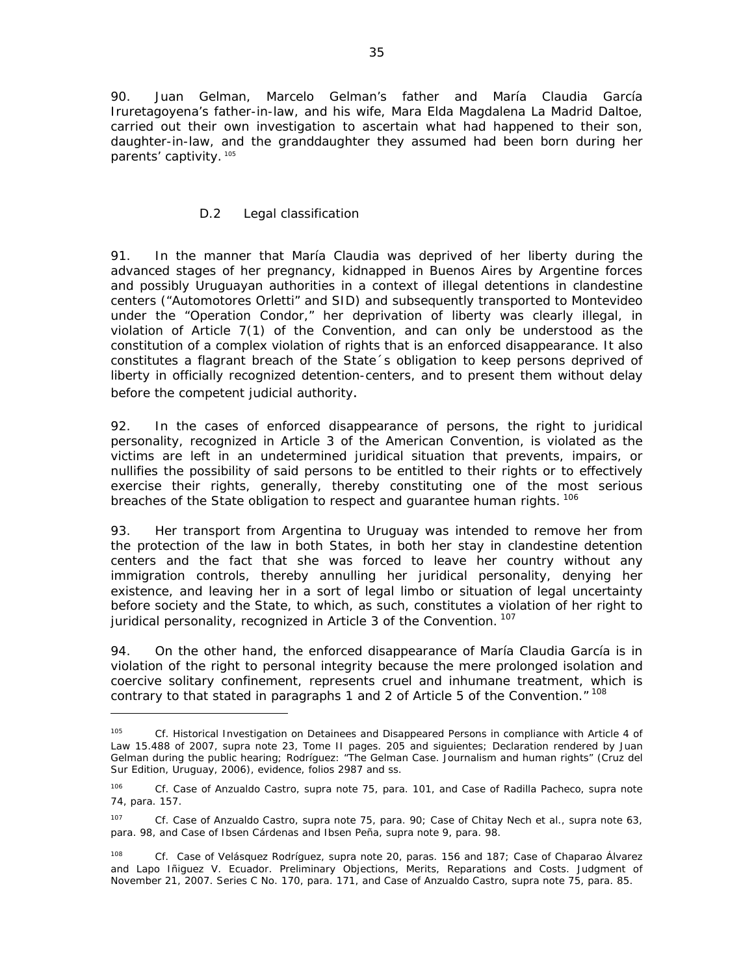90. Juan Gelman, Marcelo Gelman's father and María Claudia García Iruretagoyena's father-in-law, and his wife, Mara Elda Magdalena La Madrid Daltoe, carried out their own investigation to ascertain what had happened to their son, daughter-in-law, and the granddaughter they assumed had been born during her parents' captivity. 105

# *D.2 Legal classification*

91. In the manner that María Claudia was deprived of her liberty during the advanced stages of her pregnancy, kidnapped in Buenos Aires by Argentine forces and possibly Uruguayan authorities in a context of illegal detentions in clandestine centers ("Automotores Orletti" and SID) and subsequently transported to Montevideo under the "Operation Condor," her deprivation of liberty was clearly illegal, in violation of Article 7(1) of the Convention, and can only be understood as the constitution of a complex violation of rights that is an enforced disappearance. It also constitutes a flagrant breach of the State´s obligation to keep persons deprived of liberty in officially recognized detention-centers, and to present them without delay before the competent judicial authority.

92. In the cases of enforced disappearance of persons, the right to juridical personality, recognized in Article 3 of the American Convention, is violated as the victims are left in an undetermined juridical situation that prevents, impairs, or nullifies the possibility of said persons to be entitled to their rights or to effectively exercise their rights, generally, thereby constituting one of the most serious breaches of the State obligation to respect and guarantee human rights. <sup>106</sup>

93. Her transport from Argentina to Uruguay was intended to remove her from the protection of the law in both States, in both her stay in clandestine detention centers and the fact that she was forced to leave her country without any immigration controls, thereby annulling her juridical personality, denying her existence, and leaving her in a sort of legal limbo or situation of legal uncertainty before society and the State, to which, as such, constitutes a violation of her right to juridical personality, recognized in Article 3 of the Convention.<sup>107</sup>

94. On the other hand, the enforced disappearance of María Claudia García is in violation of the right to personal integrity because the mere prolonged isolation and coercive solitary confinement, represents cruel and inhumane treatment, which is contrary to that stated in paragraphs 1 and 2 of Article 5 of the Convention."<sup>108</sup>

<sup>105</sup> *Cf*. Historical Investigation on Detainees and Disappeared Persons in compliance with Article 4 of Law 15.488 of 2007, *supra* note 23, Tome II pages. 205 and siguientes; Declaration rendered by Juan Gelman during the public hearing; Rodríguez: "The Gelman Case. Journalism and human rights" (Cruz del Sur Edition, Uruguay, 2006), evidence, folios 2987 and ss.

<sup>106</sup> *Cf. Case of Anzualdo Castro, supra* note 75, para. 101, and *Case of Radilla Pacheco, supra* note 74, para. 157.

<sup>107</sup> *Cf. Case of Anzualdo Castro, supra* note 75, para. 90; *Case of Chitay Nech et al., supra* note 63, para. 98, and *Case of Ibsen Cárdenas and Ibsen Peña, supra* note 9, para. 98.

<sup>108</sup> *Cf. Case of Velásquez Rodríguez*, *supra* note 20, paras. 156 and 187; *Case of Chaparao Álvarez and Lapo Iñiguez V. Ecuador*. Preliminary Objections, Merits, Reparations and Costs. Judgment of November 21, 2007. Series C No. 170, para. 171, and *Case of Anzualdo Castro*, *supra* note 75, para. 85.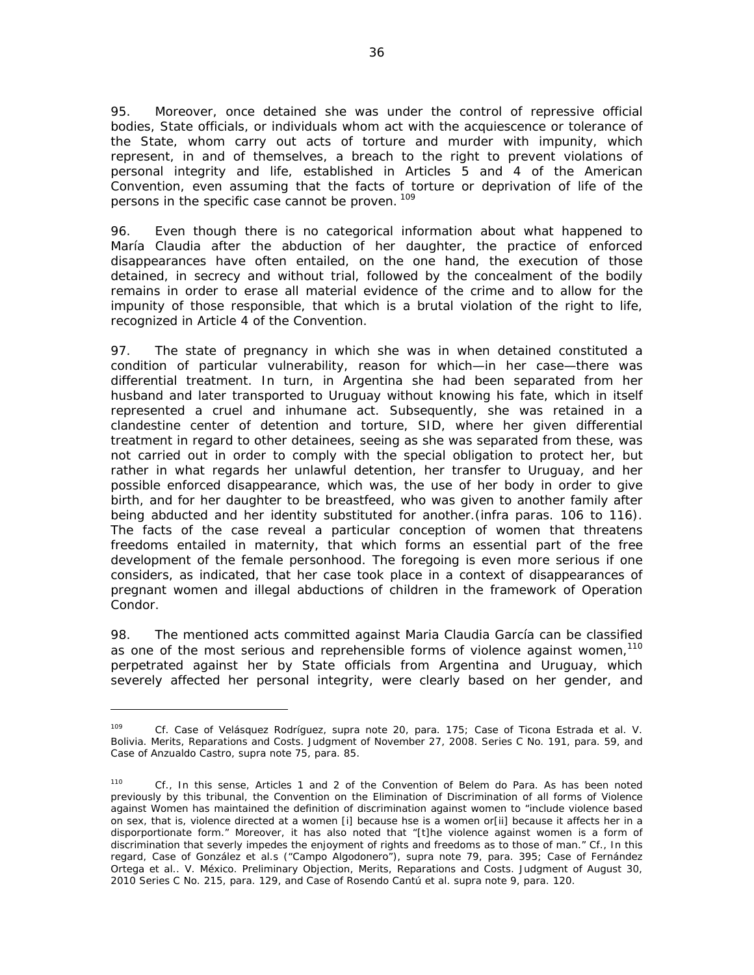95. Moreover, once detained she was under the control of repressive official bodies, State officials, or individuals whom act with the acquiescence or tolerance of the State, whom carry out acts of torture and murder with impunity, which represent, in and of themselves, a breach to the right to prevent violations of personal integrity and life, established in Articles 5 and 4 of the American Convention, even assuming that the facts of torture or deprivation of life of the persons in the specific case cannot be proven. 109

96. Even though there is no categorical information about what happened to María Claudia after the abduction of her daughter, the practice of enforced disappearances have often entailed, on the one hand, the execution of those detained, in secrecy and without trial, followed by the concealment of the bodily remains in order to erase all material evidence of the crime and to allow for the impunity of those responsible, that which is a brutal violation of the right to life, recognized in Article 4 of the Convention.

97. The state of pregnancy in which she was in when detained constituted a condition of particular vulnerability, reason for which—in her case—there was differential treatment. In turn, in Argentina she had been separated from her husband and later transported to Uruguay without knowing his fate, which in itself represented a cruel and inhumane act. Subsequently, she was retained in a clandestine center of detention and torture, SID, where her given differential treatment in regard to other detainees, seeing as she was separated from these, was not carried out in order to comply with the special obligation to protect her, but rather in what regards her unlawful detention, her transfer to Uruguay, and her possible enforced disappearance, which was, the use of her body in order to give birth, and for her daughter to be breastfeed, who was given to another family after being abducted and her identity substituted for another.(*infra* paras. 106 to 116). The facts of the case reveal a particular conception of women that threatens freedoms entailed in maternity, that which forms an essential part of the free development of the female personhood. The foregoing is even more serious if one considers, as indicated, that her case took place in a context of disappearances of pregnant women and illegal abductions of children in the framework of Operation Condor.

98. The mentioned acts committed against Maria Claudia García can be classified as one of the most serious and reprehensible forms of violence against women,<sup>110</sup> perpetrated against her by State officials from Argentina and Uruguay, which severely affected her personal integrity, were clearly based on her gender, and

<sup>109</sup> *Cf. Case of Velásquez Rodríguez*, *supra* note 20, para. 175; *Case of Ticona Estrada et al. V. Bolivia. Merits, Reparations and Costs.* Judgment of November 27, 2008. Series C No. 191, para. 59, and *Case of Anzualdo Castro, supra* note 75, para. 85.

<sup>110</sup> *Cf*., In this sense, Articles 1 and 2 of the Convention of Belem do Para. As has been noted previously by this tribunal, the Convention on the Elimination of Discrimination of all forms of Violence against Women has maintained the definition of discrimination against women to "include violence based on sex, that is, violence directed at a women [i] because hse is a women or[ii] because it affects her in a disporportionate form." Moreover, it has also noted that "[t]he violence against women is a form of discrimination that severly impedes the enjoyment of rights and freedoms as to those of man." *Cf., In this regard, Case of González et al.s ("Campo Algodonero"), supra* note 79, para. 395; *Case of Fernández Ortega et al.. V. México*. *Preliminary Objection, Merits, Reparations and Costs*. Judgment of August 30, 2010 Series C No. 215, para. 129, and *Case of Rosendo Cantú et al. supra* note 9, para. 120.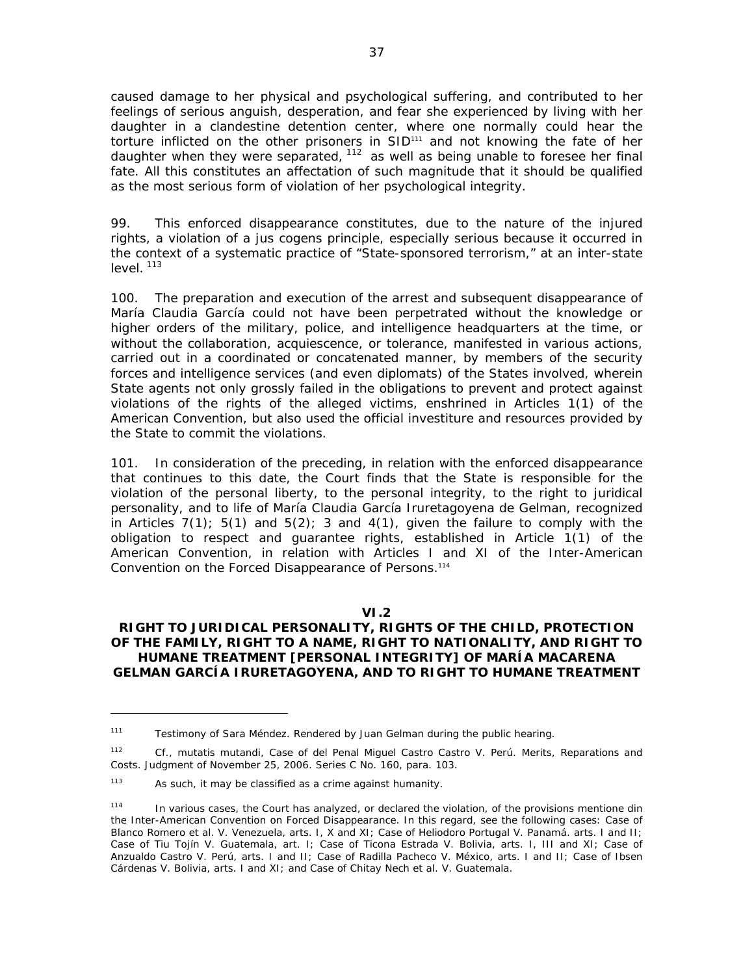caused damage to her physical and psychological suffering, and contributed to her feelings of serious anguish, desperation, and fear she experienced by living with her daughter in a clandestine detention center, where one normally could hear the torture inflicted on the other prisoners in SID<sup>111</sup> and not knowing the fate of her daughter when they were separated, <sup>112</sup> as well as being unable to foresee her final fate. All this constitutes an affectation of such magnitude that it should be qualified as the most serious form of violation of her psychological integrity.

99. This enforced disappearance constitutes, due to the nature of the injured rights, a violation of a *jus cogens* principle, especially serious because it occurred in the context of a systematic practice of "State-sponsored terrorism," at an inter-state  $level.$ <sup>113</sup>

100. The preparation and execution of the arrest and subsequent disappearance of María Claudia García could not have been perpetrated without the knowledge or higher orders of the military, police, and intelligence headquarters at the time, or without the collaboration, acquiescence, or tolerance, manifested in various actions, carried out in a coordinated or concatenated manner, by members of the security forces and intelligence services (and even diplomats) of the States involved, wherein State agents not only grossly failed in the obligations to prevent and protect against violations of the rights of the alleged victims, enshrined in Articles 1(1) of the American Convention, but also used the official investiture and resources provided by the State to commit the violations.

101. In consideration of the preceding, in relation with the enforced disappearance that continues to this date, the Court finds that the State is responsible for the violation of the personal liberty, to the personal integrity, to the right to juridical personality, and to life of María Claudia García Iruretagoyena de Gelman, recognized in Articles  $7(1)$ ;  $5(1)$  and  $5(2)$ ; 3 and  $4(1)$ , given the failure to comply with the obligation to respect and guarantee rights, established in Article 1(1) of the American Convention, in relation with Articles I and XI of the Inter-American Convention on the Forced Disappearance of Persons.114

#### **VI.2**

#### **RIGHT TO JURIDICAL PERSONALITY, RIGHTS OF THE CHILD, PROTECTION OF THE FAMILY, RIGHT TO A NAME, RIGHT TO NATIONALITY, AND RIGHT TO HUMANE TREATMENT [PERSONAL INTEGRITY] OF MARÍA MACARENA GELMAN GARCÍA IRURETAGOYENA, AND TO RIGHT TO HUMANE TREATMENT**

<sup>&</sup>lt;sup>111</sup> Testimony of Sara Méndez. Rendered by Juan Gelman during the public hearing.

<sup>112</sup> *Cf*., *mutatis mutandi*, *Case of del Penal Miguel Castro Castro V. Perú. Merits, Reparations and Costs*. Judgment of November 25, 2006. Series C No. 160, para. 103.

<sup>113</sup> As such, it may be classified as a crime against humanity.

<sup>114</sup> In various cases, the Court has analyzed, or declared the violation, of the provisions mentione din the Inter-American Convention on Forced Disappearance. In this regard, see the following cases: Case of Blanco Romero et al. V. Venezuela, arts. I, X and XI; Case of Heliodoro Portugal V. Panamá. arts. I and II; Case of Tiu Tojín V. Guatemala, art. I; Case of Ticona Estrada V. Bolivia, arts. I, III and XI; Case of Anzualdo Castro V. Perú, arts. I and II; Case of Radilla Pacheco V. México, arts. I and II; Case of Ibsen Cárdenas V. Bolivia, arts. I and XI; and Case of Chitay Nech et al. V. Guatemala.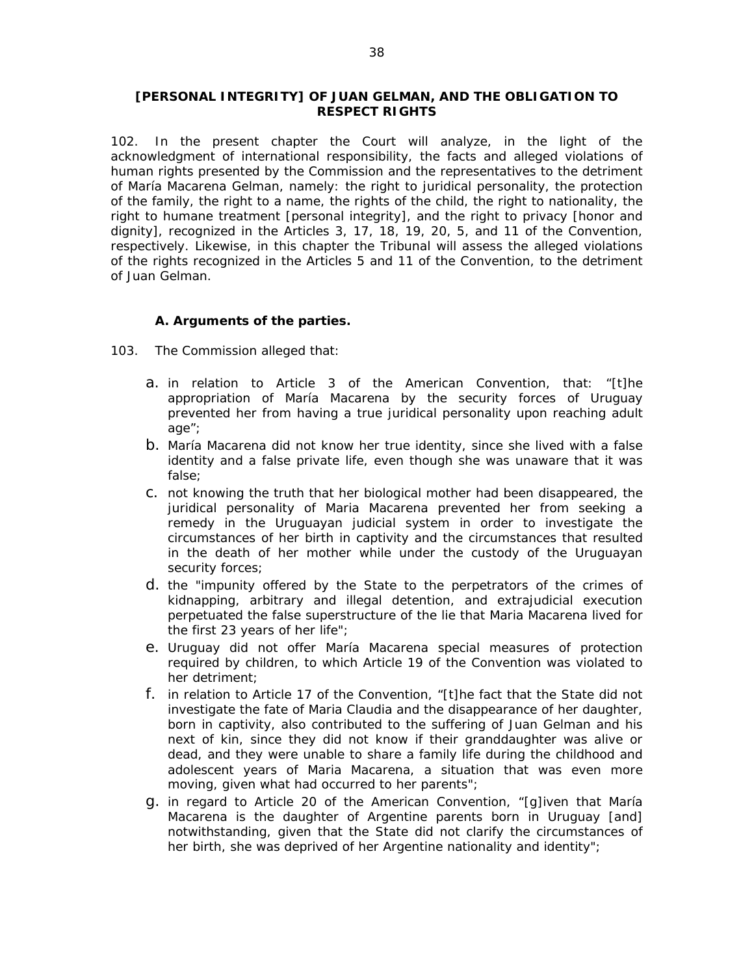#### **[PERSONAL INTEGRITY] OF JUAN GELMAN, AND THE OBLIGATION TO RESPECT RIGHTS**

102. In the present chapter the Court will analyze, in the light of the acknowledgment of international responsibility, the facts and alleged violations of human rights presented by the Commission and the representatives to the detriment of María Macarena Gelman, namely: the right to juridical personality, the protection of the family, the right to a name, the rights of the child, the right to nationality, the right to humane treatment [personal integrity], and the right to privacy [honor and dignity], recognized in the Articles 3, 17, 18, 19, 20, 5, and 11 of the Convention, respectively. Likewise, in this chapter the Tribunal will assess the alleged violations of the rights recognized in the Articles 5 and 11 of the Convention, to the detriment of Juan Gelman.

# *A. Arguments of the parties.*

- 103. The Commission alleged that:
	- a. in relation to Article 3 of the American Convention, that: "[t]he appropriation of María Macarena by the security forces of Uruguay prevented her from having a true juridical personality upon reaching adult age";
	- b. María Macarena did not know her true identity, since she lived with a false identity and a false private life, even though she was unaware that it was false;
	- c. not knowing the truth that her biological mother had been disappeared, the juridical personality of Maria Macarena prevented her from seeking a remedy in the Uruguayan judicial system in order to investigate the circumstances of her birth in captivity and the circumstances that resulted in the death of her mother while under the custody of the Uruguayan security forces;
	- d. the "impunity offered by the State to the perpetrators of the crimes of kidnapping, arbitrary and illegal detention, and extrajudicial execution perpetuated the false superstructure of the lie that Maria Macarena lived for the first 23 years of her life";
	- e. Uruguay did not offer María Macarena special measures of protection required by children, to which Article 19 of the Convention was violated to her detriment;
	- f. in relation to Article 17 of the Convention, "[t]he fact that the State did not investigate the fate of Maria Claudia and the disappearance of her daughter, born in captivity, also contributed to the suffering of Juan Gelman and his next of kin, since they did not know if their granddaughter was alive or dead, and they were unable to share a family life during the childhood and adolescent years of Maria Macarena, a situation that was even more moving, given what had occurred to her parents";
	- g. in regard to Article 20 of the American Convention, "[g]iven that María Macarena is the daughter of Argentine parents born in Uruguay [and] notwithstanding, given that the State did not clarify the circumstances of her birth, she was deprived of her Argentine nationality and identity";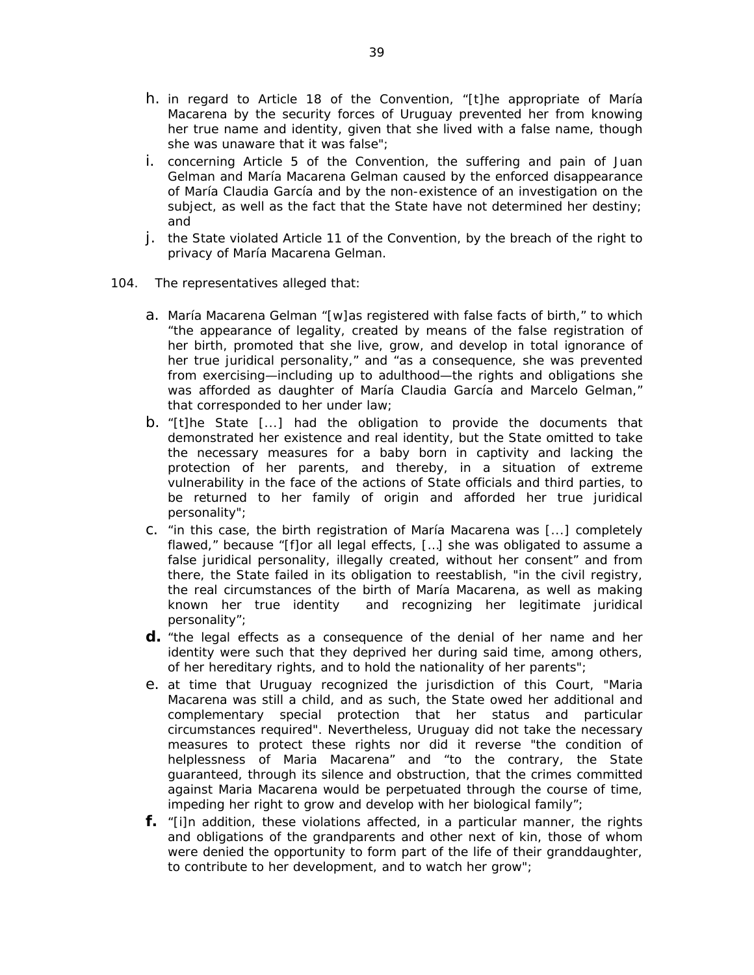- h. in regard to Article 18 of the Convention, "[t]he appropriate of María Macarena by the security forces of Uruguay prevented her from knowing her true name and identity, given that she lived with a false name, though she was unaware that it was false";
- i. concerning Article 5 of the Convention, the suffering and pain of Juan Gelman and María Macarena Gelman caused by the enforced disappearance of María Claudia García and by the non-existence of an investigation on the subject, as well as the fact that the State have not determined her destiny; and
- j. the State violated Article 11 of the Convention, by the breach of the right to privacy of María Macarena Gelman.
- 104. The representatives alleged that:
	- a. María Macarena Gelman "[w]as registered with false facts of birth," to which "the appearance of legality, created by means of the false registration of her birth, promoted that she live, grow, and develop in total ignorance of her true juridical personality," and "as a consequence, she was prevented from exercising—including up to adulthood—the rights and obligations she was afforded as daughter of María Claudia García and Marcelo Gelman," that corresponded to her under law;
	- b. "[t]he State [...] had the obligation to provide the documents that demonstrated her existence and real identity, but the State omitted to take the necessary measures for a baby born in captivity and lacking the protection of her parents, and thereby, in a situation of extreme vulnerability in the face of the actions of State officials and third parties, to be returned to her family of origin and afforded her true juridical personality";
	- c. "in this case, the birth registration of María Macarena was [...] completely flawed," because "[f]or all legal effects, [...] she was obligated to assume a false juridical personality, illegally created, without her consent" and from there, the State failed in its obligation to reestablish, "in the civil registry, the real circumstances of the birth of María Macarena, as well as making known her true identity and recognizing her legitimate juridical personality";
	- **d.** "the legal effects as a consequence of the denial of her name and her identity were such that they deprived her during said time, among others, of her hereditary rights, and to hold the nationality of her parents";
	- e. at time that Uruguay recognized the jurisdiction of this Court, "Maria Macarena was still a child, and as such, the State owed her additional and complementary special protection that her status and particular circumstances required". Nevertheless, Uruguay did not take the necessary measures to protect these rights nor did it reverse "the condition of helplessness of Maria Macarena" and "to the contrary, the State guaranteed, through its silence and obstruction, that the crimes committed against Maria Macarena would be perpetuated through the course of time, impeding her right to grow and develop with her biological family";
	- **f.** "[i]n addition, these violations affected, in a particular manner, the rights and obligations of the grandparents and other next of kin, those of whom were denied the opportunity to form part of the life of their granddaughter, to contribute to her development, and to watch her grow";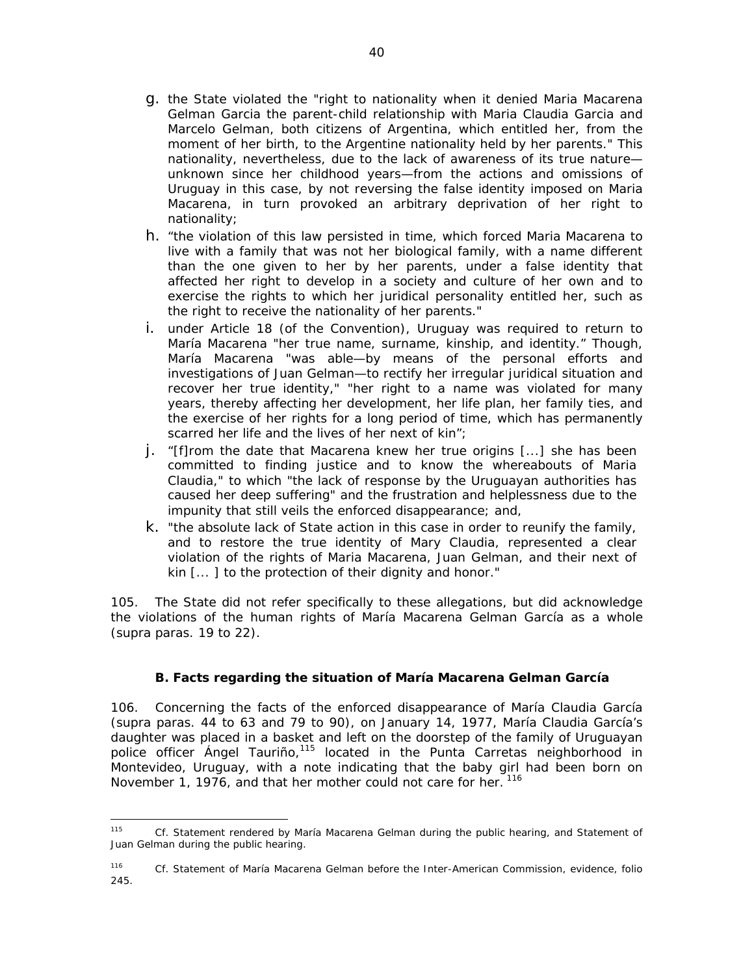- g. the State violated the "right to nationality when it denied Maria Macarena Gelman Garcia the parent-child relationship with Maria Claudia Garcia and Marcelo Gelman, both citizens of Argentina, which entitled her, from the moment of her birth, to the Argentine nationality held by her parents." This nationality, nevertheless, due to the lack of awareness of its true nature unknown since her childhood years—from the actions and omissions of Uruguay in this case, by not reversing the false identity imposed on Maria Macarena, in turn provoked an arbitrary deprivation of her right to nationality;
- h. "the violation of this law persisted in time, which forced Maria Macarena to live with a family that was not her biological family, with a name different than the one given to her by her parents, under a false identity that affected her right to develop in a society and culture of her own and to exercise the rights to which her juridical personality entitled her, such as the right to receive the nationality of her parents."
- i. under Article 18 (of the Convention), Uruguay was required to return to María Macarena "her true name, surname, kinship, and identity." Though, María Macarena "was able—by means of the personal efforts and investigations of Juan Gelman—to rectify her irregular juridical situation and recover her true identity," "her right to a name was violated for many years, thereby affecting her development, her life plan, her family ties, and the exercise of her rights for a long period of time, which has permanently scarred her life and the lives of her next of kin";
- j. "[f]rom the date that Macarena knew her true origins [...] she has been committed to finding justice and to know the whereabouts of Maria Claudia," to which "the lack of response by the Uruguayan authorities has caused her deep suffering" and the frustration and helplessness due to the impunity that still veils the enforced disappearance; and,
- k. "the absolute lack of State action in this case in order to reunify the family, and to restore the true identity of Mary Claudia, represented a clear violation of the rights of Maria Macarena, Juan Gelman, and their next of kin [... ] to the protection of their dignity and honor."

105. The State did not refer specifically to these allegations, but did acknowledge the violations of the human rights of María Macarena Gelman García as a whole (*supra* paras. 19 to 22).

# *B. Facts regarding the situation of María Macarena Gelman García*

106. Concerning the facts of the enforced disappearance of María Claudia García (supra paras. 44 to 63 and 79 to 90), on January 14, 1977, María Claudia García's daughter was placed in a basket and left on the doorstep of the family of Uruguayan police officer Angel Tauriño,<sup>115</sup> located in the Punta Carretas neighborhood in Montevideo, Uruguay, with a note indicating that the baby girl had been born on November 1, 1976, and that her mother could not care for her. <sup>116</sup>

 115 *Cf*. Statement rendered by María Macarena Gelman during the public hearing, and Statement of Juan Gelman during the public hearing.

<sup>116</sup> *Cf.* Statement of María Macarena Gelman before the Inter-American Commission, evidence, folio 245.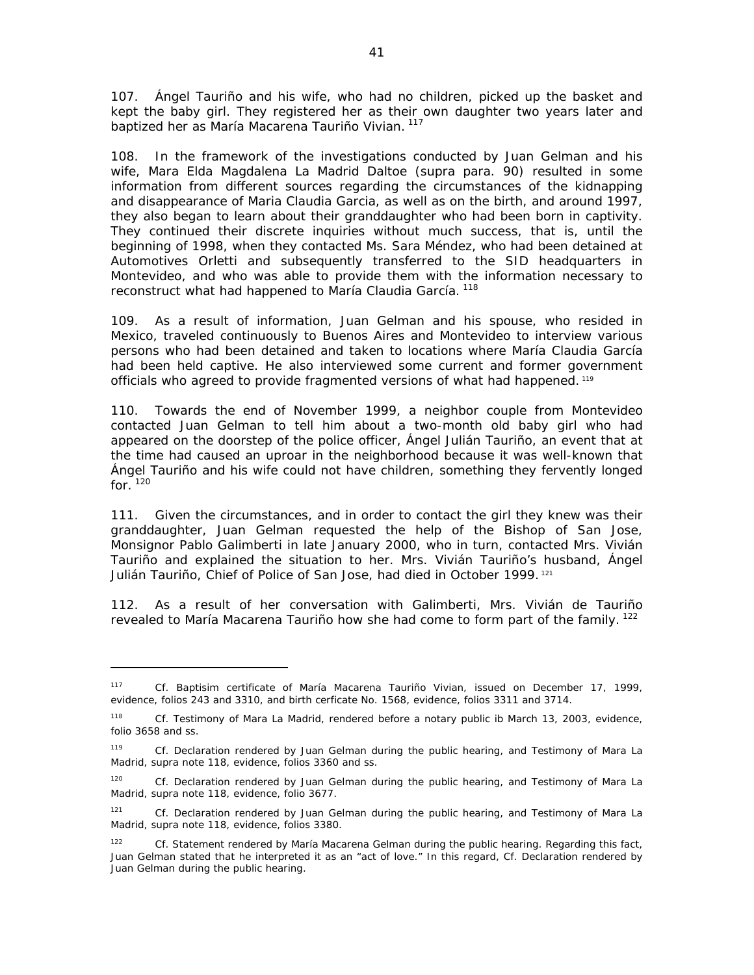107. Ángel Tauriño and his wife, who had no children, picked up the basket and kept the baby girl. They registered her as their own daughter two years later and baptized her as María Macarena Tauriño Vivian. 117

108. In the framework of the investigations conducted by Juan Gelman and his wife, Mara Elda Magdalena La Madrid Daltoe (*supra* para. 90) resulted in some information from different sources regarding the circumstances of the kidnapping and disappearance of Maria Claudia Garcia, as well as on the birth, and around 1997, they also began to learn about their granddaughter who had been born in captivity. They continued their discrete inquiries without much success, that is, until the beginning of 1998, when they contacted Ms. Sara Méndez, who had been detained at Automotives Orletti and subsequently transferred to the SID headquarters in Montevideo, and who was able to provide them with the information necessary to reconstruct what had happened to María Claudia García.<sup>118</sup>

109. As a result of information, Juan Gelman and his spouse, who resided in Mexico, traveled continuously to Buenos Aires and Montevideo to interview various persons who had been detained and taken to locations where María Claudia García had been held captive. He also interviewed some current and former government officials who agreed to provide fragmented versions of what had happened. 119

110. Towards the end of November 1999, a neighbor couple from Montevideo contacted Juan Gelman to tell him about a two-month old baby girl who had appeared on the doorstep of the police officer, Ángel Julián Tauriño, an event that at the time had caused an uproar in the neighborhood because it was well-known that Ángel Tauriño and his wife could not have children, something they fervently longed for. $120$ 

111. Given the circumstances, and in order to contact the girl they knew was their granddaughter, Juan Gelman requested the help of the Bishop of San Jose, Monsignor Pablo Galimberti in late January 2000, who in turn, contacted Mrs. Vivián Tauriño and explained the situation to her. Mrs. Vivián Tauriño's husband, Ángel Julián Tauriño, Chief of Police of San Jose, had died in October 1999.<sup>121</sup>

112. As a result of her conversation with Galimberti, Mrs. Vivián de Tauriño revealed to María Macarena Tauriño how she had come to form part of the family. <sup>122</sup>

<sup>117</sup> *Cf.* Baptisim certificate of María Macarena Tauriño Vivian, issued on December 17, 1999, evidence, folios 243 and 3310, and birth cerficate No. 1568, evidence, folios 3311 and 3714.

<sup>118</sup> *Cf*. Testimony of Mara La Madrid, rendered before a notary public ib March 13, 2003, evidence, folio 3658 and ss.

<sup>119</sup> *Cf*. Declaration rendered by Juan Gelman during the public hearing, and Testimony of Mara La Madrid, *supra* note 118, evidence, folios 3360 and ss.

<sup>&</sup>lt;sup>120</sup> *Cf.* Declaration rendered by Juan Gelman during the public hearing, and Testimony of Mara La Madrid, *supra* note 118, evidence, folio 3677.

<sup>121</sup> *Cf.* Declaration rendered by Juan Gelman during the public hearing, and Testimony of Mara La Madrid, *supra* note 118, evidence, folios 3380.

<sup>122</sup> *Cf*. Statement rendered by María Macarena Gelman during the public hearing. Regarding this fact, Juan Gelman stated that he interpreted it as an "act of love." In this regard, *Cf*. Declaration rendered by Juan Gelman during the public hearing.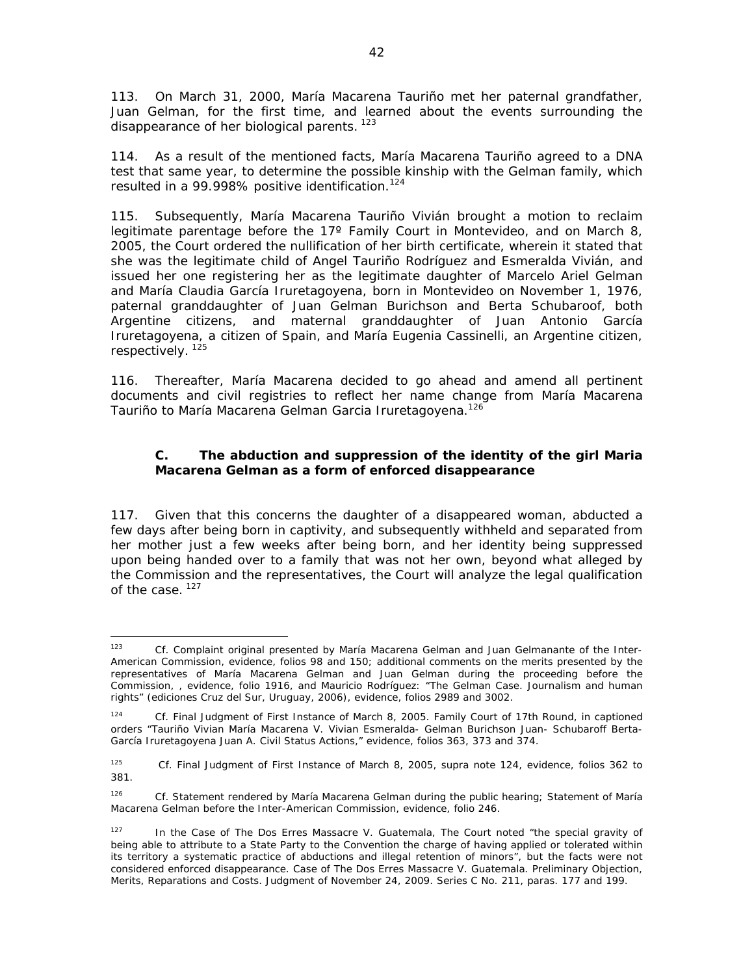113. On March 31, 2000, María Macarena Tauriño met her paternal grandfather, Juan Gelman, for the first time, and learned about the events surrounding the disappearance of her biological parents.<sup>123</sup>

114. As a result of the mentioned facts, María Macarena Tauriño agreed to a DNA test that same year, to determine the possible kinship with the Gelman family, which resulted in a 99.998% positive identification.<sup>124</sup>

115. Subsequently, María Macarena Tauriño Vivián brought a motion to reclaim legitimate parentage before the 17º Family Court in Montevideo, and on March 8, 2005, the Court ordered the nullification of her birth certificate, wherein it stated that she was the legitimate child of Angel Tauriño Rodríguez and Esmeralda Vivián, and issued her one registering her as the legitimate daughter of Marcelo Ariel Gelman and María Claudia García Iruretagoyena, born in Montevideo on November 1, 1976, paternal granddaughter of Juan Gelman Burichson and Berta Schubaroof, both Argentine citizens, and maternal granddaughter of Juan Antonio García Iruretagoyena, a citizen of Spain, and María Eugenia Cassinelli, an Argentine citizen, respectively. 125

116. Thereafter, María Macarena decided to go ahead and amend all pertinent documents and civil registries to reflect her name change from María Macarena Tauriño to María Macarena Gelman Garcia Iruretagoyena.<sup>126</sup>

# *C. The abduction and suppression of the identity of the girl Maria Macarena Gelman as a form of enforced disappearance*

117. Given that this concerns the daughter of a disappeared woman, abducted a few days after being born in captivity, and subsequently withheld and separated from her mother just a few weeks after being born, and her identity being suppressed upon being handed over to a family that was not her own, beyond what alleged by the Commission and the representatives, the Court will analyze the legal qualification of the case.<sup>127</sup>

 123 *Cf.* Complaint original presented by María Macarena Gelman and Juan Gelmanante of the Inter-American Commission, evidence, folios 98 and 150; additional comments on the merits presented by the representatives of María Macarena Gelman and Juan Gelman during the proceeding before the Commission, , evidence, folio 1916, and Mauricio Rodríguez: "The Gelman Case. Journalism and human rights" (ediciones Cruz del Sur, Uruguay, 2006), evidence, folios 2989 and 3002.

<sup>124</sup> *Cf.* Final Judgment of First Instance of March 8, 2005. Family Court of 17th Round, in captioned orders "Tauriño Vivian María Macarena V. Vivian Esmeralda- Gelman Burichson Juan- Schubaroff Berta-García Iruretagoyena Juan A. Civil Status Actions," evidence, folios 363, 373 and 374.

<sup>125</sup> *Cf*. Final Judgment of First Instance of March 8, 2005, *supra* note 124, evidence, folios 362 to 381.

<sup>126</sup> *Cf.* Statement rendered by María Macarena Gelman during the public hearing; Statement of María Macarena Gelman before the Inter-American Commission, evidence, folio 246.

<sup>127</sup> In the *Case of The Dos Erres Massacre V. Guatemala*, The Court noted "the special gravity of being able to attribute to a State Party to the Convention the charge of having applied or tolerated within its territory a systematic practice of abductions and illegal retention of minors", but the facts were not considered enforced disappearance. *Case of The Dos Erres Massacre V. Guatemala*. *Preliminary Objection, Merits, Reparations and Costs*. Judgment of November 24, 2009. Series C No. 211, paras. 177 and 199.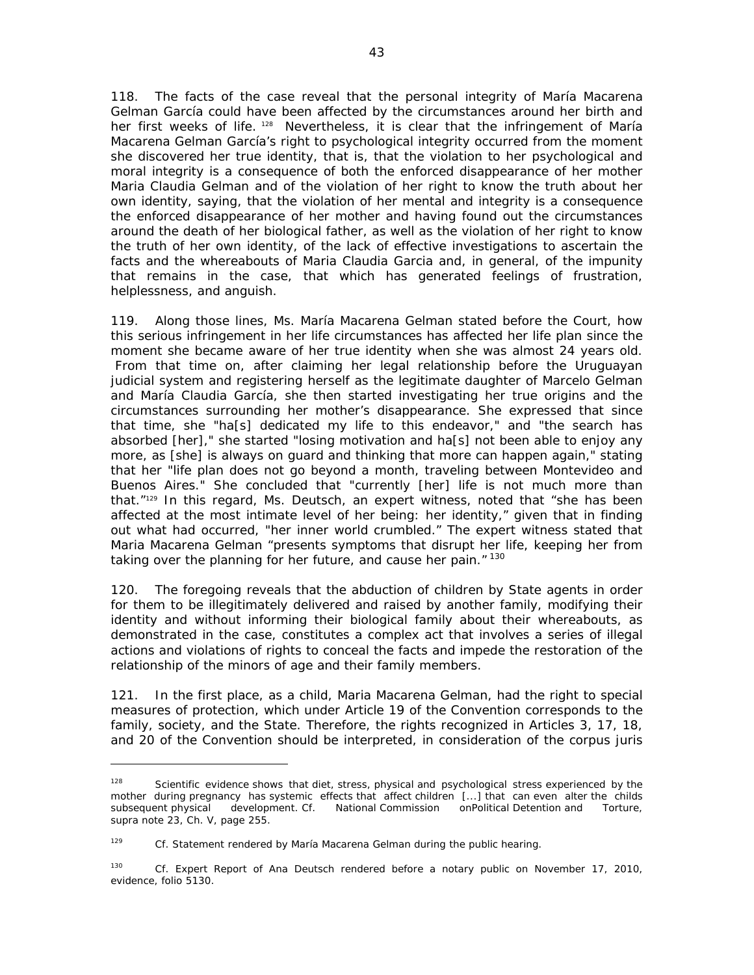118. The facts of the case reveal that the personal integrity of María Macarena Gelman García could have been affected by the circumstances around her birth and her first weeks of life, <sup>128</sup> Nevertheless, it is clear that the infringement of María Macarena Gelman García's right to psychological integrity occurred from the moment she discovered her true identity, that is, that the violation to her psychological and moral integrity is a consequence of both the enforced disappearance of her mother Maria Claudia Gelman and of the violation of her right to know the truth about her own identity, saying, that the violation of her mental and integrity is a consequence the enforced disappearance of her mother and having found out the circumstances around the death of her biological father, as well as the violation of her right to know the truth of her own identity, of the lack of effective investigations to ascertain the facts and the whereabouts of Maria Claudia Garcia and, in general, of the impunity that remains in the case, that which has generated feelings of frustration, helplessness, and anguish.

119. Along those lines, Ms. María Macarena Gelman stated before the Court, how this serious infringement in her life circumstances has affected her life plan since the moment she became aware of her true identity when she was almost 24 years old. From that time on, after claiming her legal relationship before the Uruguayan judicial system and registering herself as the legitimate daughter of Marcelo Gelman and María Claudia García, she then started investigating her true origins and the circumstances surrounding her mother's disappearance. She expressed that since that time, she "ha[s] dedicated my life to this endeavor," and "the search has absorbed [her]," she started "losing motivation and ha[s] not been able to enjoy any more, as [she] is always on guard and thinking that more can happen again," stating that her "life plan does not go beyond a month, traveling between Montevideo and Buenos Aires." She concluded that "currently [her] life is not much more than that."129 In this regard, Ms. Deutsch, an expert witness, noted that "she has been affected at the most intimate level of her being: her identity," given that in finding out what had occurred, "her inner world crumbled." The expert witness stated that Maria Macarena Gelman "presents symptoms that disrupt her life, keeping her from taking over the planning for her future, and cause her pain."<sup>130</sup>

120. The foregoing reveals that the abduction of children by State agents in order for them to be illegitimately delivered and raised by another family, modifying their identity and without informing their biological family about their whereabouts, as demonstrated in the case, constitutes a complex act that involves a series of illegal actions and violations of rights to conceal the facts and impede the restoration of the relationship of the minors of age and their family members.

121. In the first place, as a child, Maria Macarena Gelman, had the right to special measures of protection, which under Article 19 of the Convention corresponds to the family, society, and the State. Therefore, the rights recognized in Articles 3, 17, 18, and 20 of the Convention should be interpreted, in consideration of the *corpus juris*

 $128$  Scientific evidence shows that diet, stress, physical and psychological stress experienced by the mother during pregnancy has systemic effects that affect children [...] that can even alter the childs subsequent physical development. *Cf.* National Commission onPolitical Detention and Torture, *supra* note 23, Ch. V, page 255.

<sup>&</sup>lt;sup>129</sup> *Cf.* Statement rendered by María Macarena Gelman during the public hearing.

<sup>130</sup> *Cf*. Expert Report of Ana Deutsch rendered before a notary public on November 17, 2010, evidence, folio 5130.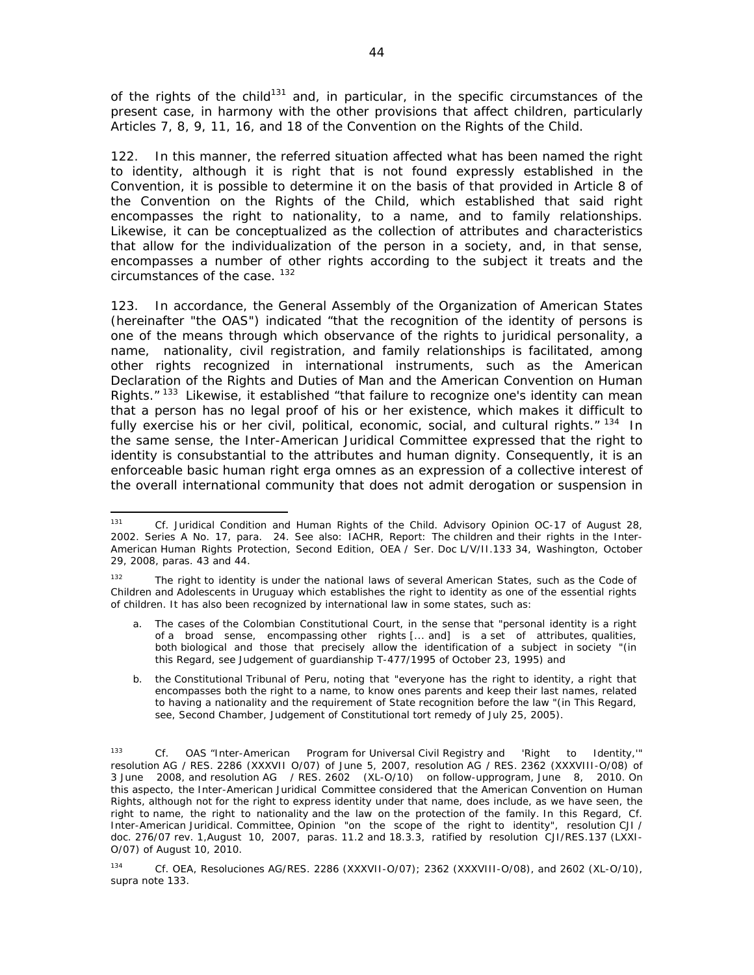of the rights of the child<sup>131</sup> and, in particular, in the specific circumstances of the present case, in harmony with the other provisions that affect children, particularly Articles 7, 8, 9, 11, 16, and 18 of the Convention on the Rights of the Child.

122. In this manner, the referred situation affected what has been named the right to identity, although it is right that is not found expressly established in the Convention, it is possible to determine it on the basis of that provided in Article 8 of the Convention on the Rights of the Child, which established that said right encompasses the right to nationality, to a name, and to family relationships. Likewise, it can be conceptualized as the collection of attributes and characteristics that allow for the individualization of the person in a society, and, in that sense, encompasses a number of other rights according to the subject it treats and the circumstances of the case. <sup>132</sup>

123. In accordance, the General Assembly of the Organization of American States (hereinafter "the OAS") indicated "that the recognition of the identity of persons is one of the means through which observance of the rights to juridical personality, a name, nationality, civil registration, and family relationships is facilitated, among other rights recognized in international instruments, such as the American Declaration of the Rights and Duties of Man and the American Convention on Human Rights."<sup>133</sup> Likewise, it established "that failure to recognize one's identity can mean that a person has no legal proof of his or her existence, which makes it difficult to fully exercise his or her civil, political, economic, social, and cultural rights."<sup>134</sup> In the same sense, the Inter-American Juridical Committee expressed that the right to identity is consubstantial to the attributes and human dignity. Consequently, it is an enforceable basic human right *erga omnes* as an expression of a collective interest of the overall international community that does not admit derogation or suspension in

<sup>131</sup> *Cf*. Juridical Condition and Human Rights of the Child. Advisory Opinion OC-17 of August 28, 2002. Series A No. 17, para. 24. See also: IACHR, Report: The children and their rights in the Inter-American Human Rights Protection, Second Edition, OEA / Ser. Doc L/V/II.133 34, Washington, October 29, 2008, paras. 43 and 44.

<sup>&</sup>lt;sup>132</sup> The right to identity is under the national laws of several American States, such as the Code of Children and Adolescents in Uruguay which establishes the right to identity as one of the essential rights of children. It has also been recognized by international law in some states, such as:

The cases of the Colombian Constitutional Court, in the sense that "personal identity is a right of a broad sense, encompassing other rights [... and] is a set of attributes, qualities, both biological and those that precisely allow the identification of a subject in society "(in this Regard, see Judgement of guardianship T-477/1995 of October 23, 1995) and

b. the Constitutional Tribunal of Peru, noting that "everyone has the right to identity, a right that encompasses both the right to a name, to know ones parents and keep their last names, related to having a nationality and the requirement of State recognition before the law "(in This Regard, see, Second Chamber, Judgement of Constitutional tort remedy of July 25, 2005).

<sup>133</sup> *Cf.* OAS "Inter-American Program for Universal Civil Registry and 'Right to Identity,'" resolution AG / RES. 2286 (XXXVII O/07) of June 5, 2007, resolution AG / RES. 2362 (XXXVIII-O/08) of 3 June 2008, and resolution AG / RES. 2602 (XL-O/10) on follow-upprogram, June 8, 2010. On this aspecto, the Inter-American Juridical Committee considered that the American Convention on Human Rights, although not for the right to express identity under that name, does include, as we have seen, the right to name, the right to nationality and the law on the protection of the family. In this Regard, *Cf.*  Inter-American Juridical. Committee, Opinion "on the scope of the right to identity", resolution CJI / doc. 276/07 rev. 1,August 10, 2007, paras. 11.2 and 18.3.3, ratified by resolution CJI/RES.137 (LXXI-O/07) of August 10, 2010.

<sup>134</sup> *Cf*. OEA, Resoluciones AG/RES. 2286 (XXXVII-O/07); 2362 (XXXVIII-O/08), and 2602 (XL-O/10), *supra* note 133.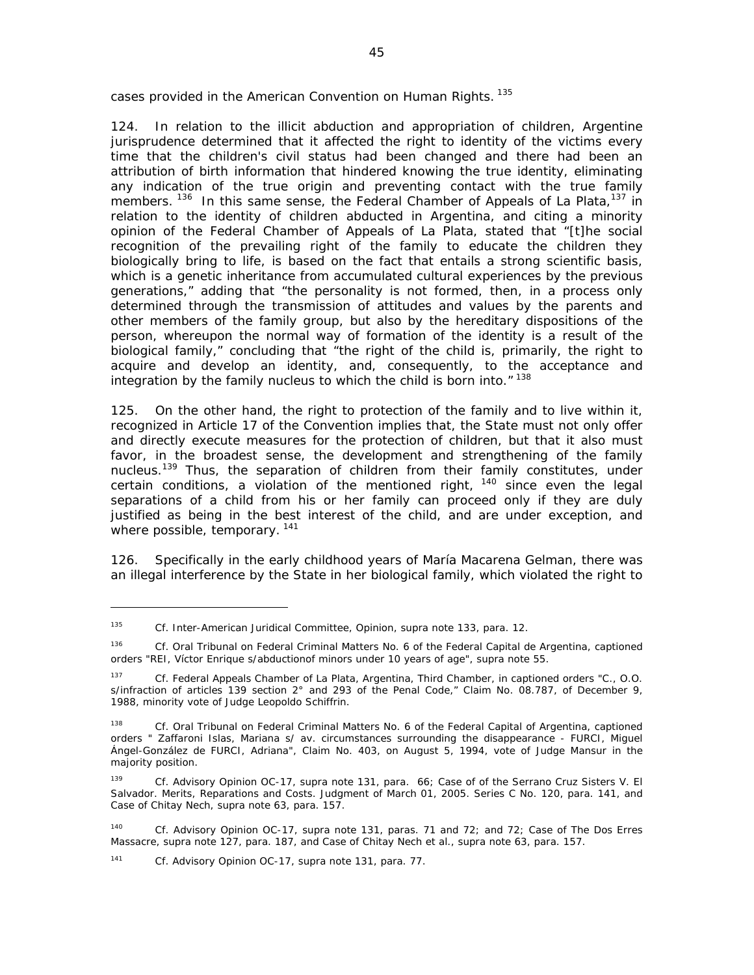cases provided in the American Convention on Human Rights.<sup>135</sup>

124. In relation to the illicit abduction and appropriation of children, Argentine jurisprudence determined that it affected the right to identity of the victims every time that the children's civil status had been changed and there had been an attribution of birth information that hindered knowing the true identity, eliminating any indication of the true origin and preventing contact with the true family members.<sup>136</sup> In this same sense, the Federal Chamber of Appeals of La Plata,<sup>137</sup> in relation to the identity of children abducted in Argentina, and citing a minority opinion of the Federal Chamber of Appeals of La Plata, stated that "[t]he social recognition of the prevailing right of the family to educate the children they biologically bring to life, is based on the fact that entails a strong scientific basis, which is a genetic inheritance from accumulated cultural experiences by the previous generations," adding that "the personality is not formed, then, in a process only determined through the transmission of attitudes and values by the parents and other members of the family group, but also by the hereditary dispositions of the person, whereupon the normal way of formation of the identity is a result of the biological family," concluding that "the right of the child is, primarily, the right to acquire and develop an identity, and, consequently, to the acceptance and integration by the family nucleus to which the child is born into."<sup>138</sup>

125. On the other hand, the right to protection of the family and to live within it, recognized in Article 17 of the Convention implies that, the State must not only offer and directly execute measures for the protection of children, but that it also must favor, in the broadest sense, the development and strengthening of the family nucleus.<sup>139</sup> Thus, the separation of children from their family constitutes, under certain conditions, a violation of the mentioned right,  $140$  since even the legal separations of a child from his or her family can proceed only if they are duly justified as being in the best interest of the child, and are under exception, and where possible, temporary.<sup>141</sup>

126. Specifically in the early childhood years of María Macarena Gelman, there was an illegal interference by the State in her biological family, which violated the right to

141 *Cf*. Advisory Opinion OC-17, *supra* note 131, para. 77.

<sup>135</sup> *Cf*. Inter-American Juridical Committee, Opinion, *supra* note 133, para. 12.

<sup>136</sup> *Cf*. Oral Tribunal on Federal Criminal Matters No. 6 of the Federal Capital de Argentina, captioned orders "REI, Víctor Enrique s/abductionof minors under 10 years of age", *supra* note 55.

<sup>137</sup> *Cf.* Federal Appeals Chamber of La Plata, Argentina, Third Chamber, in captioned orders "C., O.O. s/infraction of articles 139 section 2° and 293 of the Penal Code," Claim No. 08.787, of December 9, 1988, minority vote of Judge Leopoldo Schiffrin.

<sup>138</sup> *Cf*. Oral Tribunal on Federal Criminal Matters No. 6 of the Federal Capital of Argentina, captioned orders " Zaffaroni Islas, Mariana s/ av. circumstances surrounding the disappearance - FURCI, Miguel Ángel-González de FURCI, Adriana", Claim No. 403, on August 5, 1994, vote of Judge Mansur in the majority position.

<sup>139</sup> *Cf*. Advisory Opinion OC-17, *supra* note 131, para. 66; *Case of of the Serrano Cruz Sisters V. El Salvador*. *Merits, Reparations and Costs*. Judgment of March 01, 2005. Series C No. 120, para. 141, and *Case of Chitay Nech, supra* note 63, para. 157.

<sup>140</sup> *Cf*. Advisory Opinion OC-17, *supra* note 131, paras. 71 and 72; and 72; *Case of The Dos Erres Massacre, supra* note 127, para. 187, and *Case of Chitay Nech et al.*, *supra* note 63, para. 157.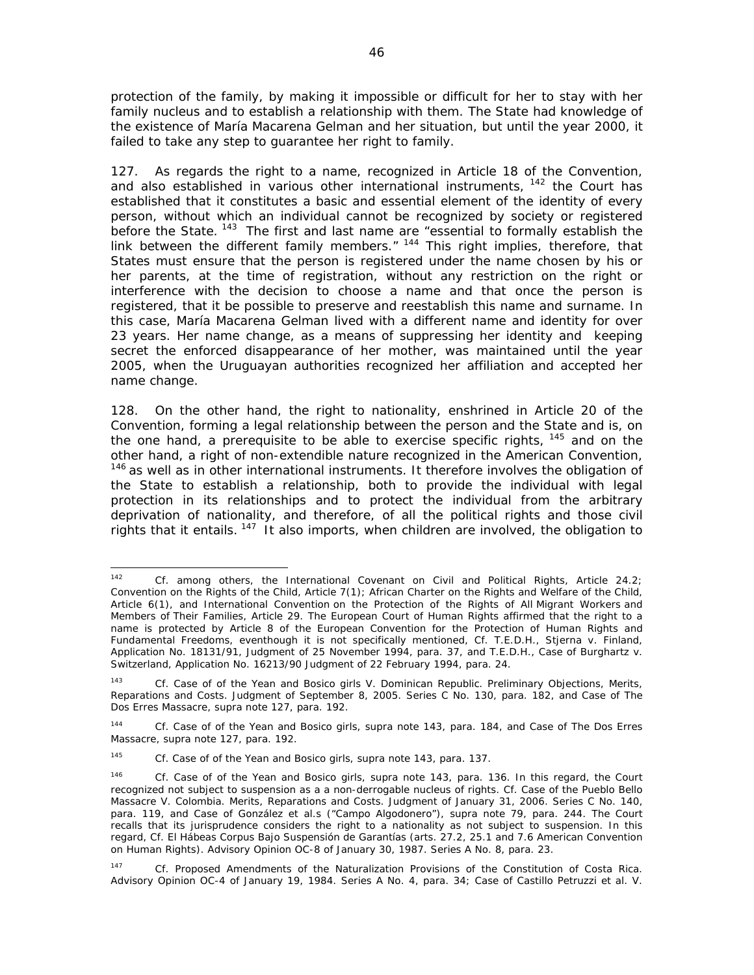protection of the family, by making it impossible or difficult for her to stay with her family nucleus and to establish a relationship with them. The State had knowledge of the existence of María Macarena Gelman and her situation, but until the year 2000, it failed to take any step to guarantee her right to family.

127. As regards the right to a name, recognized in Article 18 of the Convention, and also established in various other international instruments,  $142$  the Court has established that it constitutes a basic and essential element of the identity of every person, without which an individual cannot be recognized by society or registered before the State.<sup>143</sup> The first and last name are "essential to formally establish the link between the different family members."<sup>144</sup> This right implies, therefore, that States must ensure that the person is registered under the name chosen by his or her parents, at the time of registration, without any restriction on the right or interference with the decision to choose a name and that once the person is registered, that it be possible to preserve and reestablish this name and surname. In this case, María Macarena Gelman lived with a different name and identity for over 23 years. Her name change, as a means of suppressing her identity and keeping secret the enforced disappearance of her mother, was maintained until the year 2005, when the Uruguayan authorities recognized her affiliation and accepted her name change.

128. On the other hand, the right to nationality, enshrined in Article 20 of the Convention, forming a legal relationship between the person and the State and is, on the one hand, a prerequisite to be able to exercise specific rights,  $145$  and on the other hand, a right of non-extendible nature recognized in the American Convention, <sup>146</sup> as well as in other international instruments. It therefore involves the obligation of the State to establish a relationship, both to provide the individual with legal protection in its relationships and to protect the individual from the arbitrary deprivation of nationality, and therefore, of all the political rights and those civil rights that it entails. 147 It also imports, when children are involved, the obligation to

 142 *Cf*. among others, the International Covenant on Civil and Political Rights, Article 24.2; Convention on the Rights of the Child, Article 7(1); *African Charter on the Rights and Welfare of the Child*, Article 6(1), and International Convention on the Protection of the Rights of All Migrant Workers and Members of Their Families, Article 29. The European Court of Human Rights affirmed that the right to a name is protected by Article 8 of the European Convention for the Protection of Human Rights and Fundamental Freedoms, eventhough it is not specifically mentioned, *Cf*. T.E.D.H., *Stjerna v. Finland*, Application No. 18131/91, Judgment of 25 November 1994, para. 37, and T.E.D.H., *Case of Burghartz v. Switzerland*, Application No. 16213/90 Judgment of 22 February 1994, para. 24.

<sup>143</sup> *Cf*. *Case of of the Yean and Bosico girls V. Dominican Republic*. *Preliminary Objections, Merits, Reparations and Costs*. Judgment of September 8, 2005. Series C No. 130, para. 182, and *Case of The Dos Erres Massacre*, *supra* note 127, para. 192.

<sup>144</sup> *Cf*. *Case of of the Yean and Bosico girls*, *supra* note 143, para. 184, and *Case of The Dos Erres Massacre*, *supra* note 127, para. 192.

<sup>145</sup> *Cf*. *Case of of the Yean and Bosico girls*, *supra* note 143, para. 137.

<sup>146</sup> *Cf. Case of of the Yean and Bosico girls*, *supra* note 143, para. 136. In this regard, the Court recognized not subject to suspension as a a non-derrogable nucleus of rights. *Cf*. *Case of the Pueblo Bello Massacre V. Colombia*. *Merits, Reparations and Costs*. Judgment of January 31, 2006. Series C No. 140, para. 119, and *Case of González et al.s ("Campo Algodonero")*, *supra* note 79, para. 244. The Court recalls that its jurisprudence considers the right to a nationality as not subject to suspension. In this regard, *Cf*. *El Hábeas Corpus Bajo Suspensión de Garantías (arts. 27.2, 25.1 and 7.6 American Convention on Human Rights)*. Advisory Opinion OC-8 of January 30, 1987. Series A No. 8, para. 23.

<sup>147</sup> *Cf. Proposed Amendments of the Naturalization Provisions of the Constitution of Costa Rica*. Advisory Opinion OC-4 of January 19, 1984. Series A No. 4, para. 34; *Case of Castillo Petruzzi et al. V.*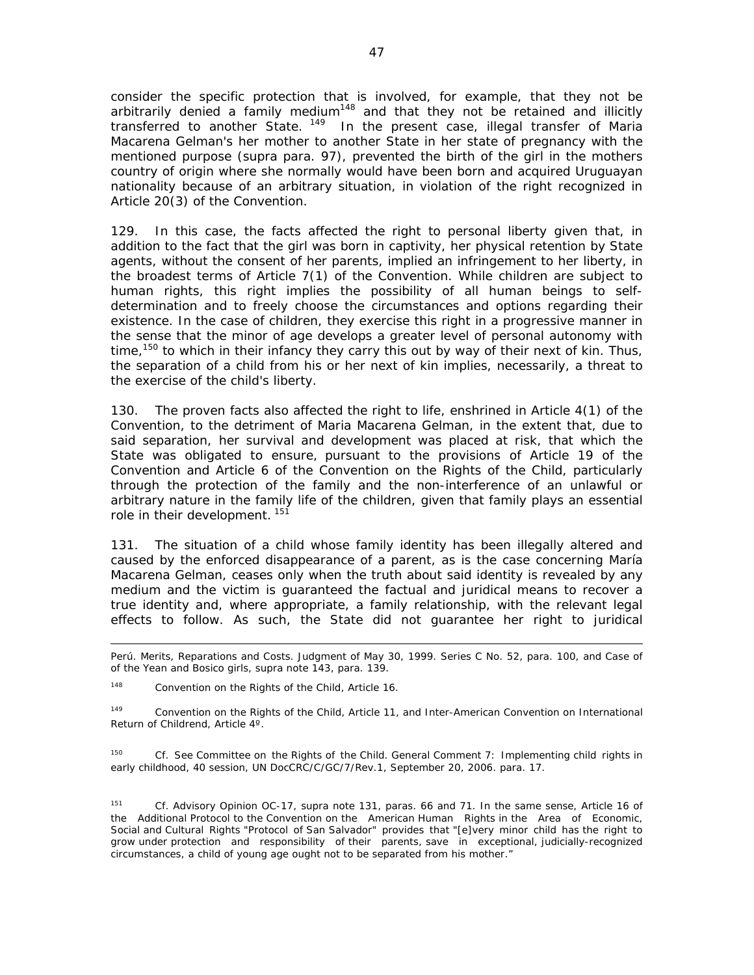consider the specific protection that is involved, for example, that they not be arbitrarily denied a family medium<sup>148</sup> and that they not be retained and illicitly transferred to another State.<sup>149</sup> In the present case, illegal transfer of Maria Macarena Gelman's her mother to another State in her state of pregnancy with the mentioned purpose (*supra* para. 97), prevented the birth of the girl in the mothers country of origin where she normally would have been born and acquired Uruguayan nationality because of an arbitrary situation, in violation of the right recognized in Article 20(3) of the Convention.

129. In this case, the facts affected the right to personal liberty given that, in addition to the fact that the girl was born in captivity, her physical retention by State agents, without the consent of her parents, implied an infringement to her liberty, in the broadest terms of Article 7(1) of the Convention. While children are subject to human rights, this right implies the possibility of all human beings to selfdetermination and to freely choose the circumstances and options regarding their existence. In the case of children, they exercise this right in a progressive manner in the sense that the minor of age develops a greater level of personal autonomy with time,<sup>150</sup> to which in their infancy they carry this out by way of their next of kin. Thus, the separation of a child from his or her next of kin implies, necessarily, a threat to the exercise of the child's liberty.

130. The proven facts also affected the right to life, enshrined in Article 4(1) of the Convention, to the detriment of Maria Macarena Gelman, in the extent that, due to said separation, her survival and development was placed at risk, that which the State was obligated to ensure, pursuant to the provisions of Article 19 of the Convention and Article 6 of the Convention on the Rights of the Child, particularly through the protection of the family and the non-interference of an unlawful or arbitrary nature in the family life of the children, given that family plays an essential role in their development. <sup>151</sup>

131. The situation of a child whose family identity has been illegally altered and caused by the enforced disappearance of a parent, as is the case concerning María Macarena Gelman, ceases only when the truth about said identity is revealed by any medium and the victim is guaranteed the factual and juridical means to recover a true identity and, where appropriate, a family relationship, with the relevant legal effects to follow. As such, the State did not guarantee her right to juridical

148 Convention on the Rights of the Child, Article 16.

<sup>149</sup> Convention on the Rights of the Child, Article 11, and Inter-American Convention on International Return of Childrend, Article 4º.

150 *Cf*. See Committee on the Rights of the Child. General Comment 7: Implementing child rights in early childhood, 40 session, UN DocCRC/C/GC/7/Rev.1, September 20, 2006. para. 17.

151 *Cf*. Advisory Opinion OC-17, *supra* note 131, paras. 66 and 71. In the same sense, Article 16 of the Additional Protocol to the Convention on the American Human Rights in the Area of Economic, Social and Cultural Rights "Protocol of San Salvador" provides that "[e]very minor child has the right to grow under protection and responsibility of their parents, save in exceptional, judicially-recognized circumstances, a child of young age ought not to be separated from his mother."

<sup>&</sup>lt;u> 1989 - Andrea San Andrew Maria (h. 1989).</u><br>1900 - Andrew Maria (h. 1980). *Perú*. *Merits, Reparations and Costs*. Judgment of May 30, 1999. Series C No. 52, para. 100, and *Case of of the Yean and Bosico girls*, *supra* note 143, para. 139.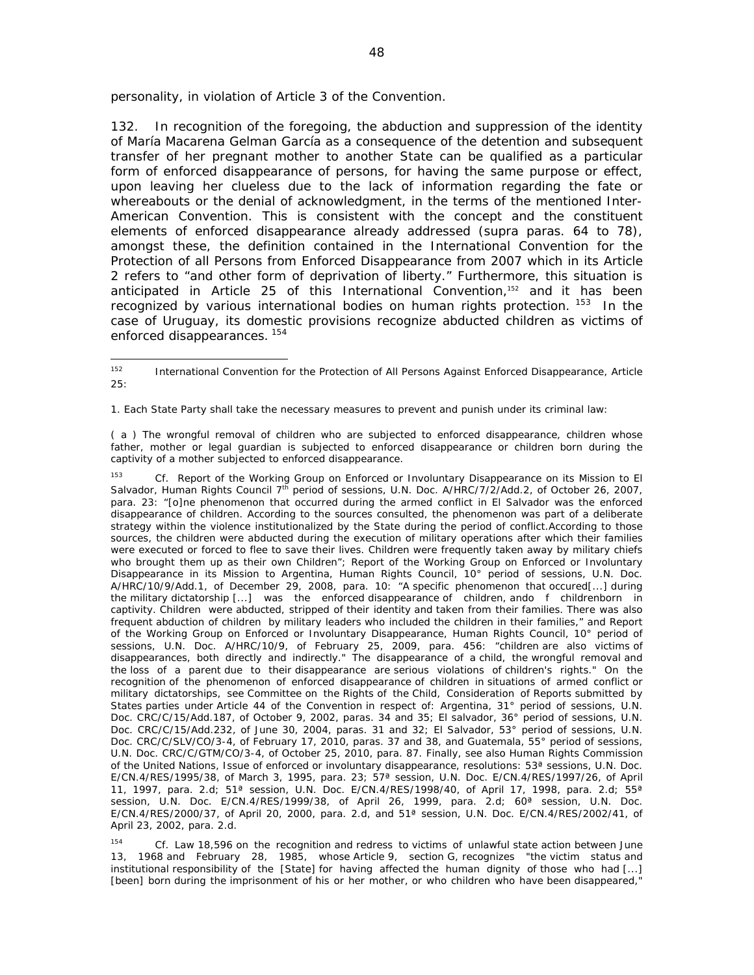personality, in violation of Article 3 of the Convention.

132. In recognition of the foregoing, the abduction and suppression of the identity of María Macarena Gelman García as a consequence of the detention and subsequent transfer of her pregnant mother to another State can be qualified as a particular form of enforced disappearance of persons, for having the same purpose or effect, upon leaving her clueless due to the lack of information regarding the fate or whereabouts or the denial of acknowledgment, in the terms of the mentioned Inter-American Convention. This is consistent with the concept and the constituent elements of enforced disappearance already addressed (*supra* paras. 64 to 78), amongst these, the definition contained in the International Convention for the Protection of all Persons from Enforced Disappearance from 2007 which in its Article 2 refers to "and other form of deprivation of liberty." Furthermore, this situation is anticipated in Article 25 of this International Convention,<sup>152</sup> and it has been recognized by various international bodies on human rights protection. <sup>153</sup> In the case of Uruguay, its domestic provisions recognize abducted children as victims of enforced disappearances. 154

1. Each State Party shall take the necessary measures to prevent and punish under its criminal law:

( *a* ) The wrongful removal of children who are subjected to enforced disappearance, children whose father, mother or legal guardian is subjected to enforced disappearance or children born during the captivity of a mother subjected to enforced disappearance.

153 *Cf*. Report of the Working Group on Enforced or Involuntary Disappearance on its Mission to El Salvador, Human Rights Council 7<sup>th</sup> period of sessions, U.N. Doc. A/HRC/7/2/Add.2, of October 26, 2007, para. 23: "[o]ne phenomenon that occurred during the armed conflict in El Salvador was the enforced disappearance of children. According to the sources consulted, the phenomenon was part of a deliberate strategy within the violence institutionalized by the State during the period of conflict.According to those sources, the children were abducted during the execution of military operations after which their families were executed or forced to flee to save their lives. Children were frequently taken away by military chiefs who brought them up as their own Children"; Report of the Working Group on Enforced or Involuntary Disappearance in its Mission to Argentina, Human Rights Council, 10° period of sessions, U.N. Doc. A/HRC/10/9/Add.1, of December 29, 2008, para. 10: "A specific phenomenon that occured[...] during the military dictatorship [...] was the enforced disappearance of children, ando f childrenborn in captivity. Children were abducted, stripped of their identity and taken from their families. There was also frequent abduction of children by military leaders who included the children in their families," and Report of the Working Group on Enforced or Involuntary Disappearance, Human Rights Council, 10° period of sessions, U.N. Doc. A/HRC/10/9, of February 25, 2009, para. 456: "children are also victims of disappearances, both directly and indirectly." The disappearance of a child, the wrongful removal and the loss of a parent due to their disappearance are serious violations of children's rights." On the recognition of the phenomenon of enforced disappearance of children in situations of armed conflict or military dictatorships, see Committee on the Rights of the Child, Consideration of Reports submitted by States parties under Article 44 of the Convention in respect of: Argentina, 31° period of sessions, U.N. Doc. CRC/C/15/Add.187, of October 9, 2002, paras. 34 and 35; El salvador, 36° period of sessions, U.N. Doc. CRC/C/15/Add.232, of June 30, 2004, paras. 31 and 32; El Salvador, 53° period of sessions, U.N. Doc. CRC/C/SLV/CO/3-4, of February 17, 2010, paras. 37 and 38, and Guatemala, 55° period of sessions, U.N. Doc. CRC/C/GTM/CO/3-4, of October 25, 2010, para. 87. Finally, see also Human Rights Commission of the United Nations, *Issue of enforced or involuntary disappearance*, resolutions: 53ª sessions, U.N. Doc. E/CN.4/RES/1995/38, of March 3, 1995, para. 23; 57ª session, U.N. Doc. E/CN.4/RES/1997/26, of April 11, 1997, para. 2.d; 51ª session, U.N. Doc. E/CN.4/RES/1998/40, of April 17, 1998, para. 2.d; 55ª session, U.N. Doc. E/CN.4/RES/1999/38, of April 26, 1999, para. 2.d; 60<sup>ª</sup> session, U.N. Doc. E/CN.4/RES/2000/37, of April 20, 2000, para. 2.d, and 51ª session, U.N. Doc. E/CN.4/RES/2002/41, of April 23, 2002, para. 2.d.

154 *Cf*. Law 18,596 on the recognition and redress to victims of unlawful state action between June 13, 1968 and February 28, 1985, whose Article 9, section G, recognizes "the victim status and institutional responsibility of the [State] for having affected the human dignity of those who had [...] [been] born during the imprisonment of his or her mother, or who children who have been disappeared,"

<sup>152</sup> International Convention for the Protection of All Persons Against Enforced Disappearance, Article 25: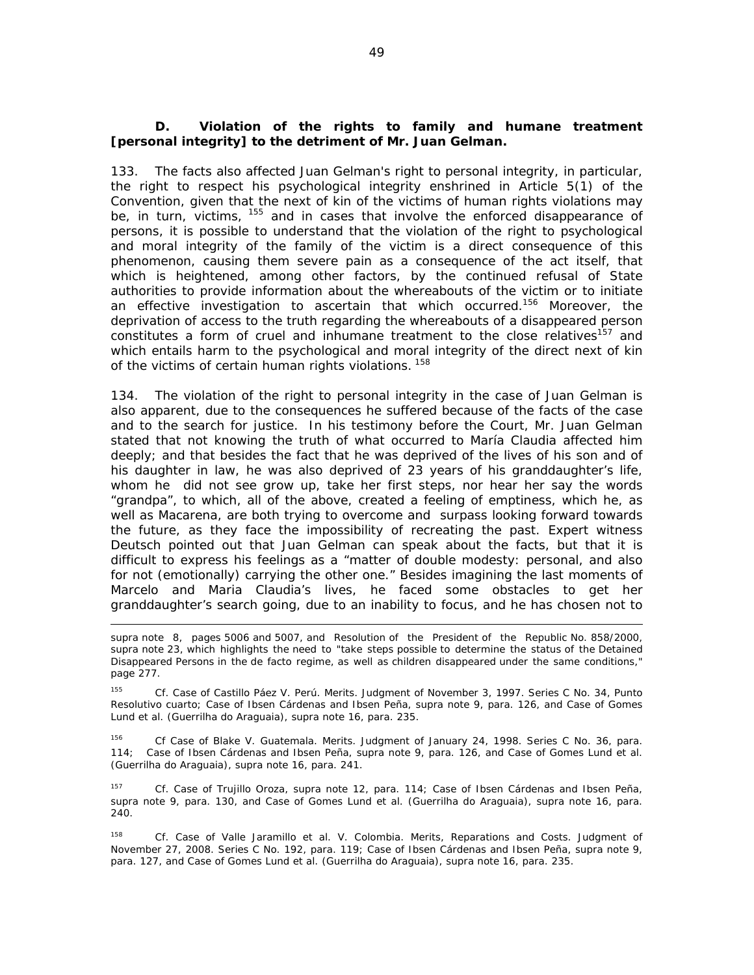#### *D. Violation of the rights to family and humane treatment [personal integrity] to the detriment of Mr. Juan Gelman.*

133. The facts also affected Juan Gelman's right to personal integrity, in particular, the right to respect his psychological integrity enshrined in Article 5(1) of the Convention, given that the next of kin of the victims of human rights violations may be, in turn, victims, <sup>155</sup> and in cases that involve the enforced disappearance of persons, it is possible to understand that the violation of the right to psychological and moral integrity of the family of the victim is a direct consequence of this phenomenon, causing them severe pain as a consequence of the act itself, that which is heightened, among other factors, by the continued refusal of State authorities to provide information about the whereabouts of the victim or to initiate an effective investigation to ascertain that which occurred.<sup>156</sup> Moreover, the deprivation of access to the truth regarding the whereabouts of a disappeared person constitutes a form of cruel and inhumane treatment to the close relatives<sup>157</sup> and which entails harm to the psychological and moral integrity of the direct next of kin of the victims of certain human rights violations.<sup>158</sup>

134. The violation of the right to personal integrity in the case of Juan Gelman is also apparent, due to the consequences he suffered because of the facts of the case and to the search for justice. In his testimony before the Court, Mr. Juan Gelman stated that not knowing the truth of what occurred to María Claudia affected him deeply; and that besides the fact that he was deprived of the lives of his son and of his daughter in law, he was also deprived of 23 years of his granddaughter's life, whom he did not see grow up, take her first steps, nor hear her say the words "grandpa", to which, all of the above, created a feeling of emptiness, which he, as well as Macarena, are both trying to overcome and surpass looking forward towards the future, as they face the impossibility of recreating the past. Expert witness Deutsch pointed out that Juan Gelman can speak about the facts, but that it is difficult to express his feelings as a "matter of double modesty: personal, and also for not (emotionally) carrying the other one." Besides imagining the last moments of Marcelo and Maria Claudia's lives, he faced some obstacles to get her granddaughter's search going, due to an inability to focus, and he has chosen not to

<u> 1989 - Andrea San Andrew Maria (h. 1989).</u><br>1900 - Andrew Maria (h. 1980).

156 *Cf Case of Blake V. Guatemala. Merits.* Judgment of January 24, 1998. Series C No. 36, para. 114; *Case of Ibsen Cárdenas and Ibsen Peña*, *supra* note 9, para. 126, and Case of *Gomes Lund et al. (Guerrilha do Araguaia)*, *supra* note 16, para. 241.

157 *Cf. Case of Trujillo Oroza*, *supra* note 12, para. 114; *Case of Ibsen Cárdenas and Ibsen Peña*, *supra* note 9, para. 130, and Case of *Gomes Lund et al. (Guerrilha do Araguaia)*, *supra* note 16, para. 240.

158 *Cf. Case of Valle Jaramillo et al. V. Colombia. Merits, Reparations and Costs. Judgment of*  November 27, 2008. Series C No. 192, para. 119; *Case of Ibsen Cárdenas and Ibsen Peña*, *supra* note 9, para. 127, and Case of *Gomes Lund et al. (Guerrilha do Araguaia)*, *supra* note 16, para. 235.

supra note 8, pages 5006 and 5007, and Resolution of the President of the Republic No. 858/2000, supra note 23, which highlights the need to "take steps possible to determine the status of the Detained Disappeared Persons in the de facto regime, as well as children disappeared under the same conditions," page 277.

<sup>155</sup> *Cf. Case of Castillo Páez V. Perú. Merits.* Judgment of November 3, 1997. Series C No. 34, Punto Resolutivo cuarto; *Case of Ibsen Cárdenas and Ibsen Peña*, *supra* note 9, para. 126, and Case of *Gomes Lund et al. (Guerrilha do Araguaia)*, *supra* note 16, para. 235.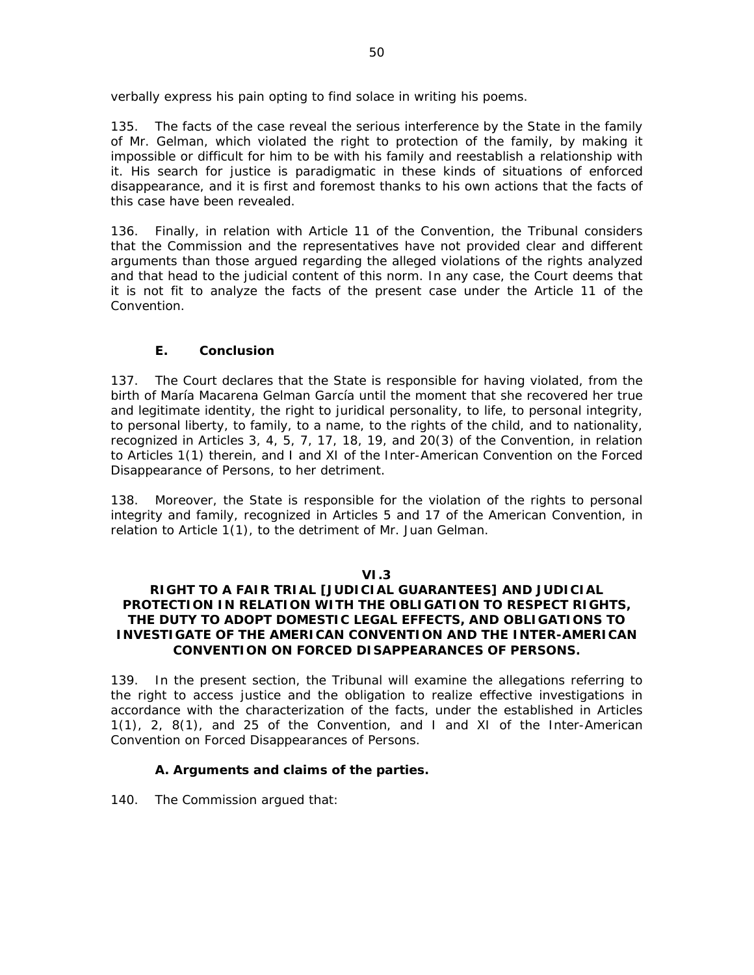verbally express his pain opting to find solace in writing his poems.

135. The facts of the case reveal the serious interference by the State in the family of Mr. Gelman, which violated the right to protection of the family, by making it impossible or difficult for him to be with his family and reestablish a relationship with it. His search for justice is paradigmatic in these kinds of situations of enforced disappearance, and it is first and foremost thanks to his own actions that the facts of this case have been revealed.

136. Finally, in relation with Article 11 of the Convention, the Tribunal considers that the Commission and the representatives have not provided clear and different arguments than those argued regarding the alleged violations of the rights analyzed and that head to the judicial content of this norm. In any case, the Court deems that it is not fit to analyze the facts of the present case under the Article 11 of the Convention.

# *E. Conclusion*

137. The Court declares that the State is responsible for having violated, from the birth of María Macarena Gelman García until the moment that she recovered her true and legitimate identity, the right to juridical personality, to life, to personal integrity, to personal liberty, to family, to a name, to the rights of the child, and to nationality, recognized in Articles 3, 4, 5, 7, 17, 18, 19, and 20(3) of the Convention, in relation to Articles 1(1) therein, and I and XI of the Inter-American Convention on the Forced Disappearance of Persons, to her detriment.

138. Moreover, the State is responsible for the violation of the rights to personal integrity and family, recognized in Articles 5 and 17 of the American Convention, in relation to Article 1(1), to the detriment of Mr. Juan Gelman.

# **VI.3**

#### **RIGHT TO A FAIR TRIAL [JUDICIAL GUARANTEES] AND JUDICIAL PROTECTION IN RELATION WITH THE OBLIGATION TO RESPECT RIGHTS, THE DUTY TO ADOPT DOMESTIC LEGAL EFFECTS, AND OBLIGATIONS TO INVESTIGATE OF THE AMERICAN CONVENTION AND THE INTER-AMERICAN CONVENTION ON FORCED DISAPPEARANCES OF PERSONS.**

139. In the present section, the Tribunal will examine the allegations referring to the right to access justice and the obligation to realize effective investigations in accordance with the characterization of the facts, under the established in Articles 1(1), 2, 8(1), and 25 of the Convention, and I and XI of the Inter-American Convention on Forced Disappearances of Persons.

# *A. Arguments and claims of the parties.*

140. The Commission argued that: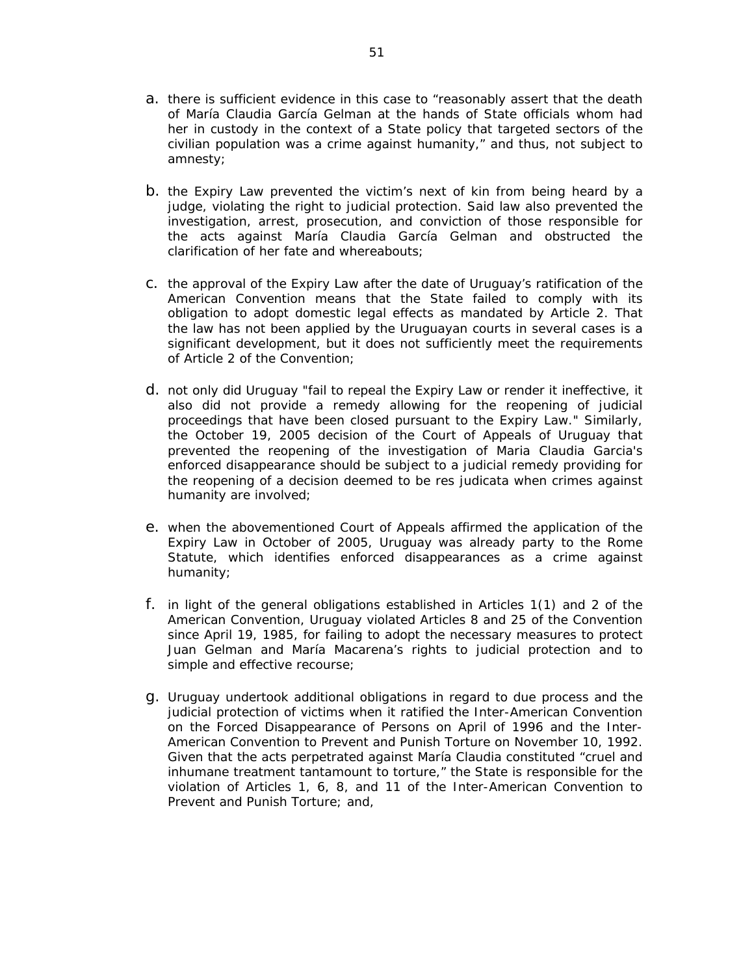- a. there is sufficient evidence in this case to "reasonably assert that the death of María Claudia García Gelman at the hands of State officials whom had her in custody in the context of a State policy that targeted sectors of the civilian population was a crime against humanity," and thus, not subject to amnesty;
- b. the Expiry Law prevented the victim's next of kin from being heard by a judge, violating the right to judicial protection. Said law also prevented the investigation, arrest, prosecution, and conviction of those responsible for the acts against María Claudia García Gelman and obstructed the clarification of her fate and whereabouts;
- c. the approval of the Expiry Law after the date of Uruguay's ratification of the American Convention means that the State failed to comply with its obligation to adopt domestic legal effects as mandated by Article 2. That the law has not been applied by the Uruguayan courts in several cases is a significant development, but it does not sufficiently meet the requirements of Article 2 of the Convention;
- d. not only did Uruguay "fail to repeal the Expiry Law or render it ineffective, it also did not provide a remedy allowing for the reopening of judicial proceedings that have been closed pursuant to the Expiry Law." Similarly, the October 19, 2005 decision of the Court of Appeals of Uruguay that prevented the reopening of the investigation of Maria Claudia Garcia's enforced disappearance should be subject to a judicial remedy providing for the reopening of a decision deemed to be *res judicata* when crimes against humanity are involved;
- e. when the abovementioned Court of Appeals affirmed the application of the Expiry Law in October of 2005, Uruguay was already party to the Rome Statute, which identifies enforced disappearances as a crime against humanity;
- f. in light of the general obligations established in Articles 1(1) and 2 of the American Convention, Uruguay violated Articles 8 and 25 of the Convention since April 19, 1985, for failing to adopt the necessary measures to protect Juan Gelman and María Macarena's rights to judicial protection and to simple and effective recourse;
- g. Uruguay undertook additional obligations in regard to due process and the judicial protection of victims when it ratified the Inter-American Convention on the Forced Disappearance of Persons on April of 1996 and the Inter-American Convention to Prevent and Punish Torture on November 10, 1992. Given that the acts perpetrated against María Claudia constituted "cruel and inhumane treatment tantamount to torture," the State is responsible for the violation of Articles 1, 6, 8, and 11 of the Inter-American Convention to Prevent and Punish Torture; and,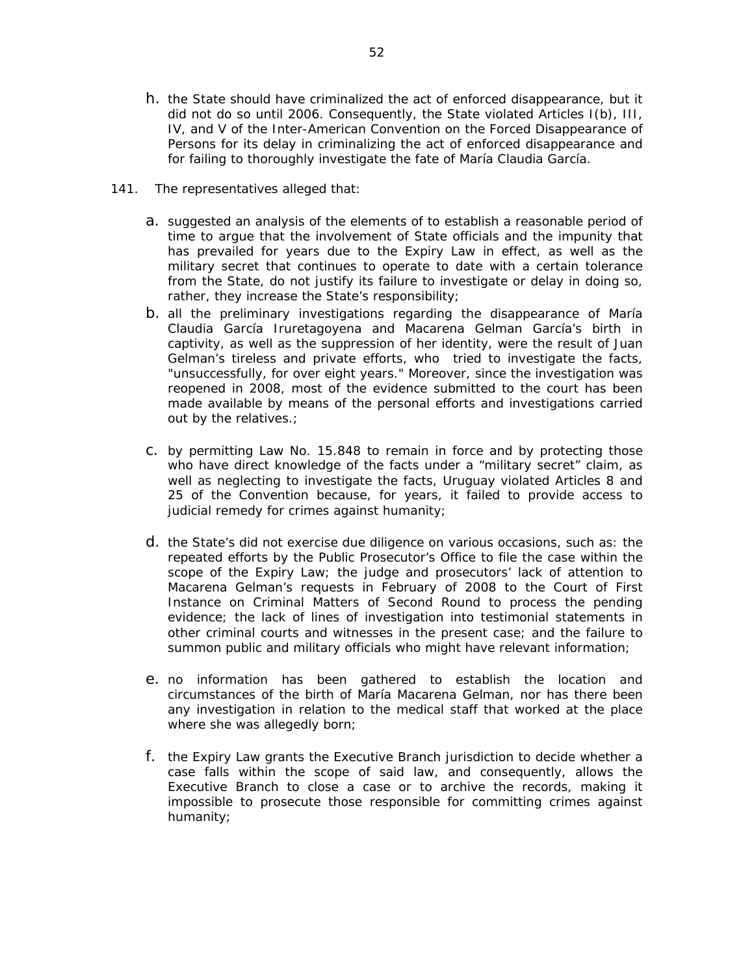- h. the State should have criminalized the act of enforced disappearance, but it did not do so until 2006. Consequently, the State violated Articles I(b), III, IV, and V of the Inter-American Convention on the Forced Disappearance of Persons for its delay in criminalizing the act of enforced disappearance and for failing to thoroughly investigate the fate of María Claudia García.
- 141. The representatives alleged that:
	- a. suggested an analysis of the elements of to establish a reasonable period of time to argue that the involvement of State officials and the impunity that has prevailed for years due to the Expiry Law in effect, as well as the military secret that continues to operate to date with a certain tolerance from the State, do not justify its failure to investigate or delay in doing so, rather, they increase the State's responsibility;
	- b. all the preliminary investigations regarding the disappearance of María Claudia García Iruretagoyena and Macarena Gelman García's birth in captivity, as well as the suppression of her identity, were the result of Juan Gelman's tireless and private efforts, who tried to investigate the facts, "unsuccessfully, for over eight years." Moreover, since the investigation was reopened in 2008, most of the evidence submitted to the court has been made available by means of the personal efforts and investigations carried out by the relatives.;
	- c. by permitting Law No. 15.848 to remain in force and by protecting those who have direct knowledge of the facts under a "military secret" claim, as well as neglecting to investigate the facts, Uruguay violated Articles 8 and 25 of the Convention because, for years, it failed to provide access to judicial remedy for crimes against humanity;
	- d. the State's did not exercise due diligence on various occasions, such as: the repeated efforts by the Public Prosecutor's Office to file the case within the scope of the Expiry Law; the judge and prosecutors' lack of attention to Macarena Gelman's requests in February of 2008 to the Court of First Instance on Criminal Matters of Second Round to process the pending evidence; the lack of lines of investigation into testimonial statements in other criminal courts and witnesses in the present case; and the failure to summon public and military officials who might have relevant information;
	- e. no information has been gathered to establish the location and circumstances of the birth of María Macarena Gelman, nor has there been any investigation in relation to the medical staff that worked at the place where she was allegedly born;
	- f. the Expiry Law grants the Executive Branch jurisdiction to decide whether a case falls within the scope of said law, and consequently, allows the Executive Branch to close a case or to archive the records, making it impossible to prosecute those responsible for committing crimes against humanity;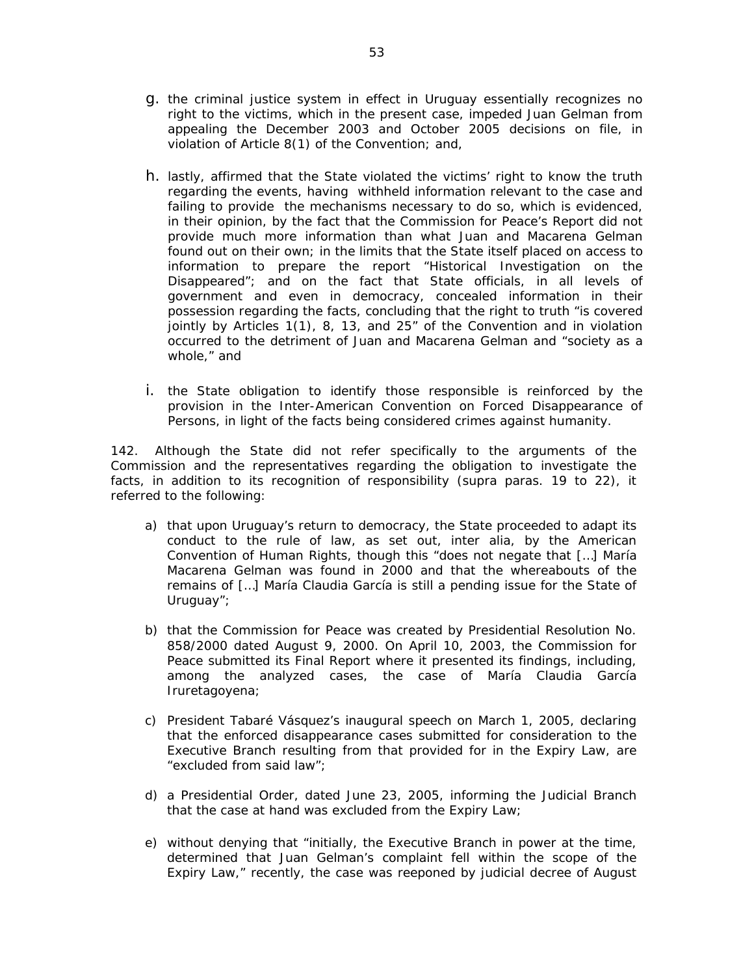- g. the criminal justice system in effect in Uruguay essentially recognizes no right to the victims, which in the present case, impeded Juan Gelman from appealing the December 2003 and October 2005 decisions on file, in violation of Article 8(1) of the Convention; and,
- h. lastly, affirmed that the State violated the victims' right to know the truth regarding the events, having withheld information relevant to the case and failing to provide the mechanisms necessary to do so, which is evidenced, in their opinion, by the fact that the Commission for Peace's Report did not provide much more information than what Juan and Macarena Gelman found out on their own; in the limits that the State itself placed on access to information to prepare the report "Historical Investigation on the Disappeared"; and on the fact that State officials, in all levels of government and even in democracy, concealed information in their possession regarding the facts, concluding that the right to truth "is covered jointly by Articles 1(1), 8, 13, and 25" of the Convention and in violation occurred to the detriment of Juan and Macarena Gelman and "society as a whole," and
- i. the State obligation to identify those responsible is reinforced by the provision in the Inter-American Convention on Forced Disappearance of Persons, in light of the facts being considered crimes against humanity.

142. Although the State did not refer specifically to the arguments of the Commission and the representatives regarding the obligation to investigate the facts, in addition to its recognition of responsibility (*supra* paras. 19 to 22), it referred to the following:

- a) that upon Uruguay's return to democracy, the State proceeded to adapt its conduct to the rule of law, as set out, *inter alia*, by the American Convention of Human Rights, though this "does not negate that […] María Macarena Gelman was found in 2000 and that the whereabouts of the remains of […] María Claudia García is still a pending issue for the State of Uruguay";
- b) that the Commission for Peace was created by Presidential Resolution No. 858/2000 dated August 9, 2000. On April 10, 2003, the Commission for Peace submitted its Final Report where it presented its findings, including, among the analyzed cases, the case of María Claudia García Iruretagoyena;
- c) President Tabaré Vásquez's inaugural speech on March 1, 2005, declaring that the enforced disappearance cases submitted for consideration to the Executive Branch resulting from that provided for in the Expiry Law, are "excluded from said law";
- d) a Presidential Order, dated June 23, 2005, informing the Judicial Branch that the case at hand was excluded from the Expiry Law;
- e) without denying that "initially, the Executive Branch in power at the time, determined that Juan Gelman's complaint fell within the scope of the Expiry Law," recently, the case was reeponed by judicial decree of August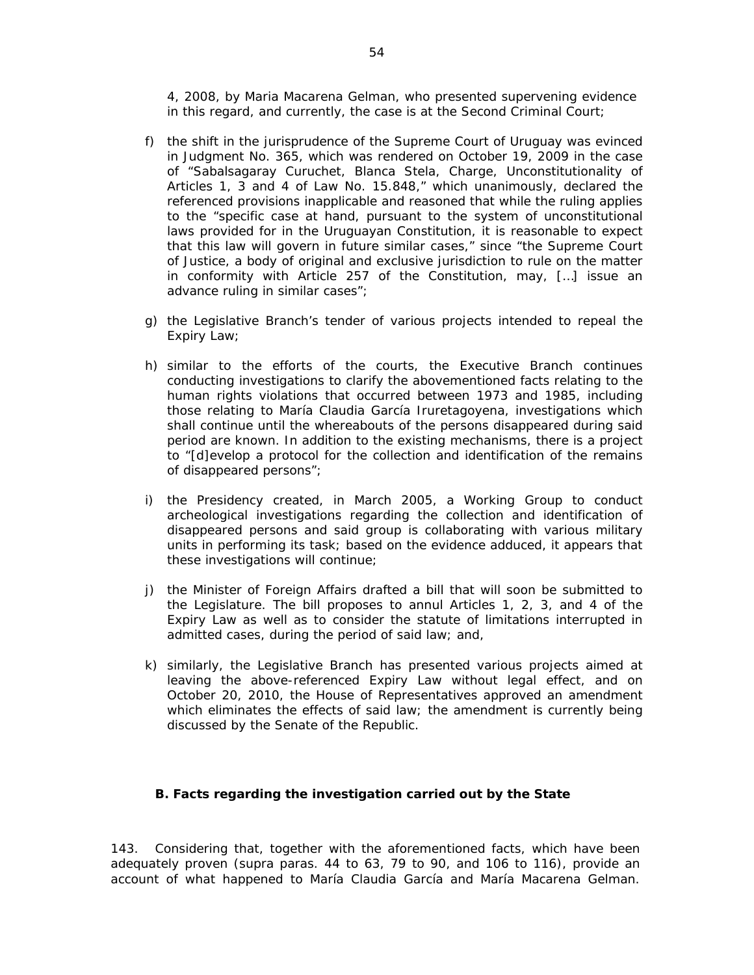4, 2008, by Maria Macarena Gelman, who presented supervening evidence in this regard, and currently, the case is at the Second Criminal Court;

- f) the shift in the jurisprudence of the Supreme Court of Uruguay was evinced in Judgment No. 365, which was rendered on October 19, 2009 in the case of *"Sabalsagaray Curuchet, Blanca Stela, Charge, Unconstitutionality of Articles 1, 3 and 4 of Law No. 15.848,*" which unanimously, declared the referenced provisions inapplicable and reasoned that while the ruling applies to the "specific case at hand, pursuant to the system of unconstitutional laws provided for in the Uruguayan Constitution, it is reasonable to expect that this law will govern in future similar cases," since "the Supreme Court of Justice, a body of original and exclusive jurisdiction to rule on the matter in conformity with Article 257 of the Constitution, may, […] issue an advance ruling in similar cases";
- g) the Legislative Branch's tender of various projects intended to repeal the Expiry Law;
- h) similar to the efforts of the courts, the Executive Branch continues conducting investigations to clarify the abovementioned facts relating to the human rights violations that occurred between 1973 and 1985, including those relating to María Claudia García Iruretagoyena, investigations which shall continue until the whereabouts of the persons disappeared during said period are known. In addition to the existing mechanisms, there is a project to "[d]evelop a protocol for the collection and identification of the remains of disappeared persons";
- i) the Presidency created, in March 2005, a Working Group to conduct archeological investigations regarding the collection and identification of disappeared persons and said group is collaborating with various military units in performing its task; based on the evidence adduced, it appears that these investigations will continue;
- j) the Minister of Foreign Affairs drafted a bill that will soon be submitted to the Legislature. The bill proposes to annul Articles 1, 2, 3, and 4 of the Expiry Law as well as to consider the statute of limitations interrupted in admitted cases, during the period of said law; and,
- k) similarly, the Legislative Branch has presented various projects aimed at leaving the above-referenced Expiry Law without legal effect, and on October 20, 2010, the House of Representatives approved an amendment which eliminates the effects of said law; the amendment is currently being discussed by the Senate of the Republic.

#### *B. Facts regarding the investigation carried out by the State*

143. Considering that, together with the aforementioned facts, which have been adequately proven (*supra* paras. 44 to 63, 79 to 90, and 106 to 116), provide an account of what happened to María Claudia García and María Macarena Gelman.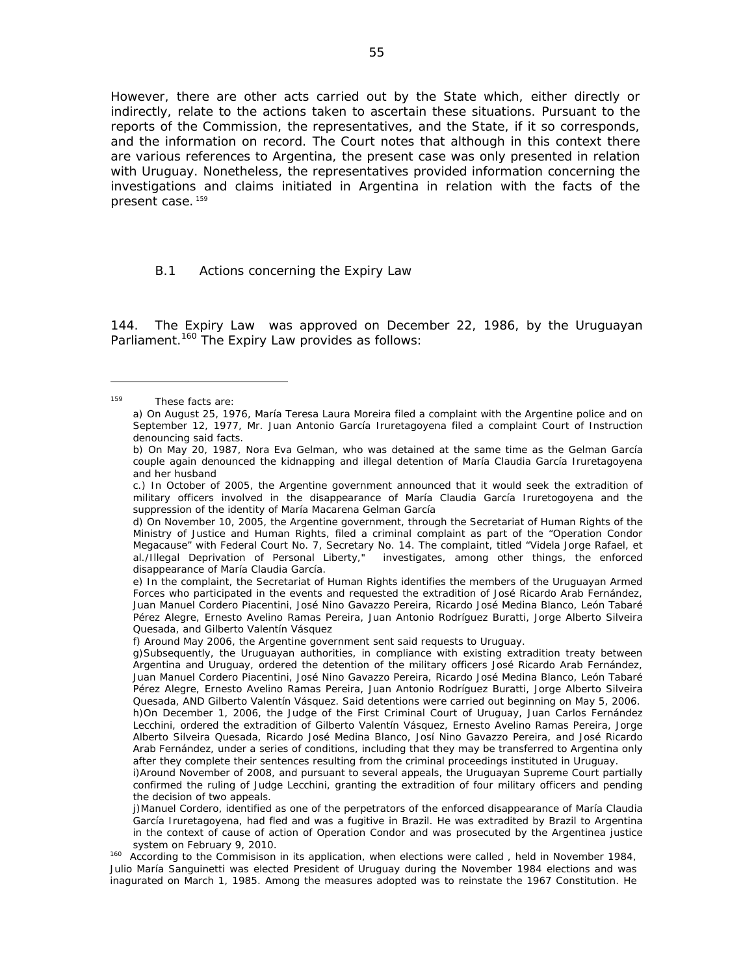However, there are other acts carried out by the State which, either directly or indirectly, relate to the actions taken to ascertain these situations. Pursuant to the reports of the Commission, the representatives, and the State, if it so corresponds, and the information on record. The Court notes that although in this context there are various references to Argentina, the present case was only presented in relation with Uruguay. Nonetheless, the representatives provided information concerning the investigations and claims initiated in Argentina in relation with the facts of the present case. <sup>159</sup>

#### B.1 *Actions concerning the Expiry Law*

144. The Expiry Law was approved on December 22, 1986, by the Uruguayan Parliament.*<sup>160</sup>* The Expiry Law provides as follows:

<sup>159</sup> These facts are:

a) On August 25, 1976, María Teresa Laura Moreira filed a complaint with the Argentine police and on September 12, 1977, Mr. Juan Antonio García Iruretagoyena filed a complaint Court of Instruction denouncing said facts.

b) On May 20, 1987, Nora Eva Gelman, who was detained at the same time as the Gelman García couple again denounced the kidnapping and illegal detention of María Claudia García Iruretagoyena and her husband

c.) In October of 2005, the Argentine government announced that it would seek the extradition of military officers involved in the disappearance of María Claudia García Iruretogoyena and the suppression of the identity of María Macarena Gelman García

d) On November 10, 2005, the Argentine government, through the Secretariat of Human Rights of the Ministry of Justice and Human Rights, filed a criminal complaint as part of the "Operation Condor Megacause" with Federal Court No. 7, Secretary No. 14. The complaint, titled "Videla Jorge Rafael, et al./Illegal Deprivation of Personal Liberty," investigates, among other things, the enforced disappearance of María Claudia García.

e) In the complaint, the Secretariat of Human Rights identifies the members of the Uruguayan Armed Forces who participated in the events and requested the extradition of José Ricardo Arab Fernández, Juan Manuel Cordero Piacentini, José Nino Gavazzo Pereira, Ricardo José Medina Blanco, León Tabaré Pérez Alegre, Ernesto Avelino Ramas Pereira, Juan Antonio Rodríguez Buratti, Jorge Alberto Silveira Quesada, and Gilberto Valentín Vásquez

f) Around May 2006, the Argentine government sent said requests to Uruguay.

g)Subsequently, the Uruguayan authorities, in compliance with existing extradition treaty between Argentina and Uruguay, ordered the detention of the military officers José Ricardo Arab Fernández, Juan Manuel Cordero Piacentini, José Nino Gavazzo Pereira, Ricardo José Medina Blanco, León Tabaré Pérez Alegre, Ernesto Avelino Ramas Pereira, Juan Antonio Rodríguez Buratti, Jorge Alberto Silveira Quesada, AND Gilberto Valentín Vásquez. Said detentions were carried out beginning on May 5, 2006. h)On December 1, 2006, the Judge of the First Criminal Court of Uruguay, Juan Carlos Fernández Lecchini, ordered the extradition of Gilberto Valentín Vásquez, Ernesto Avelino Ramas Pereira, Jorge Alberto Silveira Quesada, Ricardo José Medina Blanco, Josí Nino Gavazzo Pereira, and José Ricardo Arab Fernández, under a series of conditions, including that they may be transferred to Argentina only after they complete their sentences resulting from the criminal proceedings instituted in Uruguay.

i)Around November of 2008, and pursuant to several appeals, the Uruguayan Supreme Court partially confirmed the ruling of Judge Lecchini, granting the extradition of four military officers and pending the decision of two appeals.

j)Manuel Cordero, identified as one of the perpetrators of the enforced disappearance of María Claudia García Iruretagoyena, had fled and was a fugitive in Brazil. He was extradited by Brazil to Argentina in the context of cause of action of Operation Condor and was prosecuted by the Argentinea justice

system on February 9, 2010.<br><sup>160</sup> According to the Commisison in its application, when elections were called , held in November 1984, Julio María Sanguinetti was elected President of Uruguay during the November 1984 elections and was inagurated on March 1, 1985. Among the measures adopted was to reinstate the 1967 Constitution. He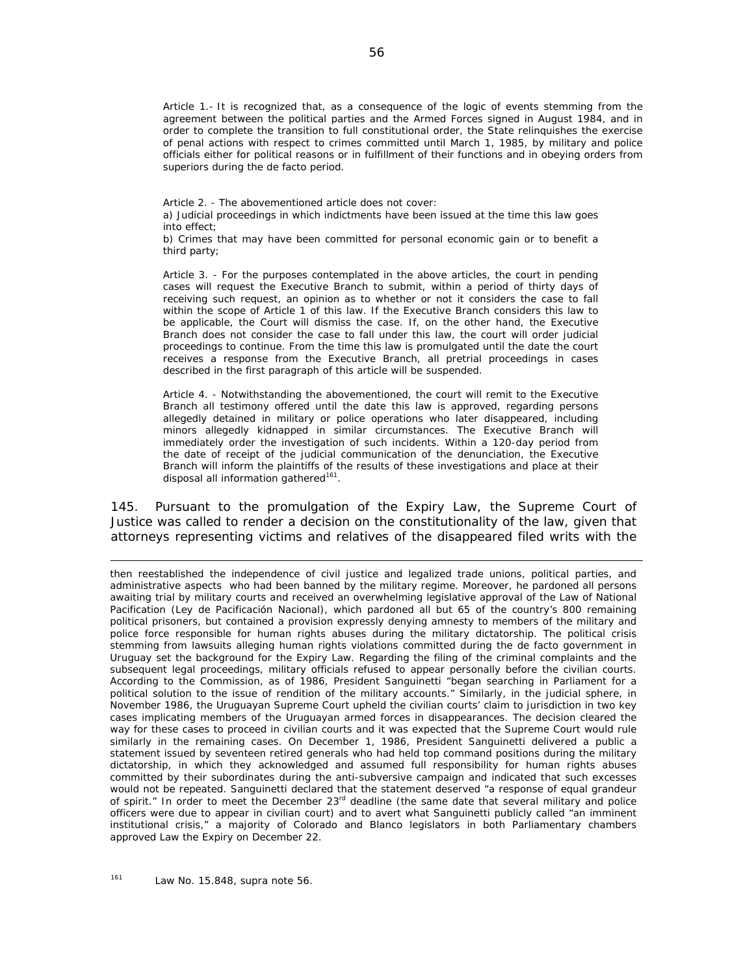Article 1.- It is recognized that, as a consequence of the logic of events stemming from the agreement between the political parties and the Armed Forces signed in August 1984, and in order to complete the transition to full constitutional order, the State relinquishes the exercise of penal actions with respect to crimes committed until March 1, 1985, by military and police officials either for political reasons or in fulfillment of their functions and in obeying orders from superiors during the de facto period.

Article 2. - The abovementioned article does not cover: a) Judicial proceedings in which indictments have been issued at the time this law goes into effect;

b) Crimes that may have been committed for personal economic gain or to benefit a third party;

Article 3. - For the purposes contemplated in the above articles, the court in pending cases will request the Executive Branch to submit, within a period of thirty days of receiving such request, an opinion as to whether or not it considers the case to fall within the scope of Article 1 of this law. If the Executive Branch considers this law to be applicable, the Court will dismiss the case. If, on the other hand, the Executive Branch does not consider the case to fall under this law, the court will order judicial proceedings to continue. From the time this law is promulgated until the date the court receives a response from the Executive Branch, all pretrial proceedings in cases described in the first paragraph of this article will be suspended.

Article 4. - Notwithstanding the abovementioned, the court will remit to the Executive Branch all testimony offered until the date this law is approved, regarding persons allegedly detained in military or police operations who later disappeared, including minors allegedly kidnapped in similar circumstances. The Executive Branch will immediately order the investigation of such incidents. Within a 120-day period from the date of receipt of the judicial communication of the denunciation, the Executive Branch will inform the plaintiffs of the results of these investigations and place at their disposal all information gathered<sup>161</sup>.

145. Pursuant to the promulgation of the Expiry Law, the Supreme Court of Justice was called to render a decision on the constitutionality of the law, given that attorneys representing victims and relatives of the disappeared filed writs with the

<u> 1989 - Andrea San Andrew Maria (h. 1989).</u><br>1900 - Andrew Maria (h. 1980).

then reestablished the independence of civil justice and legalized trade unions, political parties, and administrative aspects who had been banned by the military regime. Moreover, he pardoned all persons awaiting trial by military courts and received an overwhelming legislative approval of the Law of National Pacification (*Ley de Pacificación Nacional*), which pardoned all but 65 of the country's 800 remaining political prisoners, but contained a provision expressly denying amnesty to members of the military and police force responsible for human rights abuses during the military dictatorship. The political crisis stemming from lawsuits alleging human rights violations committed during the de facto government in Uruguay set the background for the Expiry Law. Regarding the filing of the criminal complaints and the subsequent legal proceedings, military officials refused to appear personally before the civilian courts. According to the Commission, as of 1986, President Sanguinetti "began searching in Parliament for a political solution to the issue of rendition of the military accounts." Similarly, in the judicial sphere, in November 1986, the Uruguayan Supreme Court upheld the civilian courts' claim to jurisdiction in two key cases implicating members of the Uruguayan armed forces in disappearances. The decision cleared the way for these cases to proceed in civilian courts and it was expected that the Supreme Court would rule similarly in the remaining cases. On December 1, 1986, President Sanguinetti delivered a public a statement issued by seventeen retired generals who had held top command positions during the military dictatorship, in which they acknowledged and assumed full responsibility for human rights abuses committed by their subordinates during the anti-subversive campaign and indicated that such excesses would not be repeated. Sanguinetti declared that the statement deserved "a response of equal grandeur of spirit." In order to meet the December 23<sup>rd</sup> deadline (the same date that several military and police officers were due to appear in civilian court) and to avert what Sanguinetti publicly called "an imminent institutional crisis," a majority of *Colorado* and *Blanco* legislators in both Parliamentary chambers approved Law the Expiry on December 22.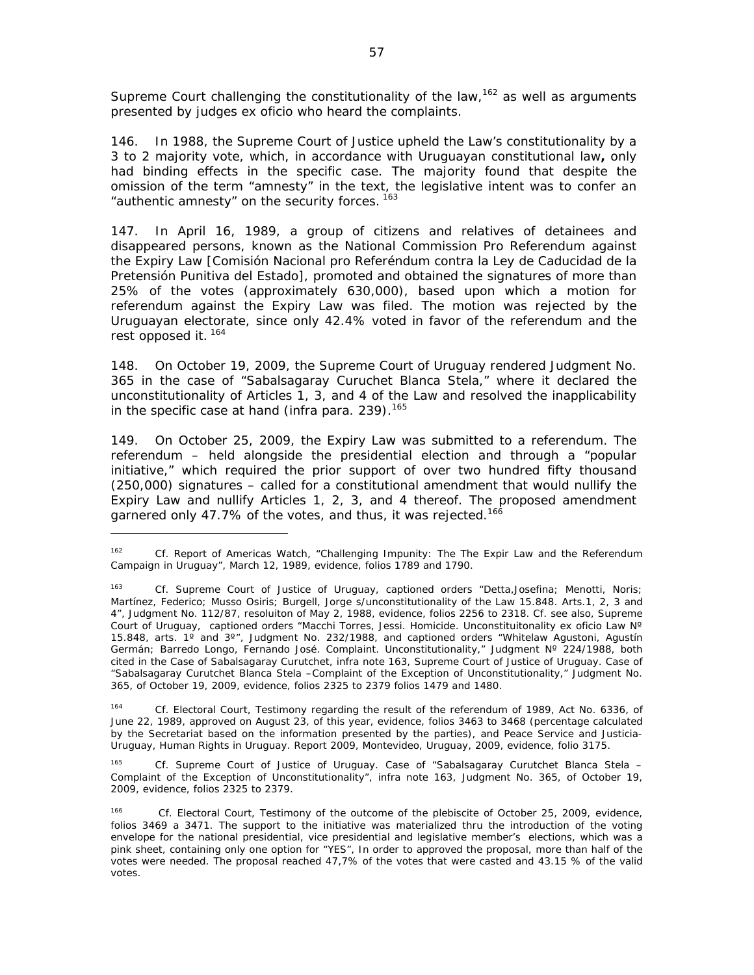Supreme Court challenging the constitutionality of the law,<sup>162</sup> as well as arguments presented by judges *ex oficio* who heard the complaints.

146. In 1988, the Supreme Court of Justice upheld the Law's constitutionality by a 3 to 2 majority vote, which, in accordance with Uruguayan constitutional law**,** only had binding effects in the specific case. The majority found that despite the omission of the term "amnesty" in the text, the legislative intent was to confer an "authentic amnesty" on the security forces.<sup>163</sup>

147. In April 16, 1989, a group of citizens and relatives of detainees and disappeared persons, known as the *National Commission Pro Referendum against the Expiry Law* [Comisión Nacional pro Referéndum contra la Ley de Caducidad de la Pretensión Punitiva del Estado], promoted and obtained the signatures of more than 25% of the votes (approximately 630,000), based upon which a motion for referendum against the Expiry Law was filed. The motion was rejected by the Uruguayan electorate, since only 42.4% voted in favor of the referendum and the rest opposed it. 164

148. On October 19, 2009, the Supreme Court of Uruguay rendered Judgment No. 365 in the case of "*Sabalsagaray Curuchet Blanca Stela,*" where it declared the unconstitutionality of Articles  $1, 3$ , and 4 of the Law and resolved the inapplicability in the specific case at hand (*infra* para. 239).<sup>165</sup>

149. On October 25, 2009, the Expiry Law was submitted to a referendum. The referendum – held alongside the presidential election and through a "popular initiative," which required the prior support of over two hundred fifty thousand (250,000) signatures – called for a constitutional amendment that would nullify the Expiry Law and nullify Articles 1, 2, 3, and 4 thereof. The proposed amendment garnered only 47.7% of the votes, and thus, it was rejected.<sup>166</sup>

165 *Cf*. Supreme Court of Justice of Uruguay. Case of "Sabalsagaray Curutchet Blanca Stela – Complaint of the Exception of Unconstitutionality", *infra* note 163, Judgment No. 365, of October 19, 2009, evidence, folios 2325 to 2379.

<sup>162</sup> *Cf*. Report of Americas Watch, "Challenging Impunity: The The Expir Law and the Referendum Campaign in Uruguay", March 12, 1989, evidence, folios 1789 and 1790.

<sup>163</sup> *Cf*. Supreme Court of Justice of Uruguay, captioned orders "Detta,Josefina; Menotti, Noris; Martínez, Federico; Musso Osiris; Burgell, Jorge s/unconstitutionality of the Law 15.848. Arts.1, 2, 3 and 4", Judgment No. 112/87, resoluiton of May 2, 1988, evidence, folios 2256 to 2318. *Cf.* see also, Supreme Court of Uruguay, captioned orders "Macchi Torres, Jessi. Homicide. Unconstituitonality ex oficio Law N° 15.848, arts. 1<sup>o</sup> and 3<sup>o</sup>", Judgment No. 232/1988, and captioned orders "Whitelaw Agustoni, Agustín Germán; Barredo Longo, Fernando José. Complaint. Unconstitutionality," Judgment Nº 224/1988, both cited in the Case of Sabalsagaray Curutchet, *infra* note 163, Supreme Court of Justice of Uruguay. Case of "Sabalsagaray Curutchet Blanca Stela –Complaint of the Exception of Unconstitutionality," Judgment No. 365, of October 19, 2009, evidence, folios 2325 to 2379 folios 1479 and 1480.

<sup>164</sup> *Cf*. Electoral Court, Testimony regarding the result of the referendum of 1989, Act No. 6336, of June 22, 1989, approved on August 23, of this year, evidence, folios 3463 to 3468 (percentage calculated by the Secretariat based on the information presented by the parties), and Peace Service and Justicia-Uruguay, *Human Rights in Uruguay. Report 2009*, Montevideo, Uruguay, 2009, evidence, folio 3175.

<sup>166</sup> *Cf*. Electoral Court, Testimony of the outcome of the plebiscite of October 25, 2009, evidence, folios 3469 a 3471. The support to the initiative was materialized thru the introduction of the voting envelope for the national presidential, vice presidential and legislative member's elections, which was a pink sheet, containing only one option for "YES", In order to approved the proposal, more than half of the votes were needed. The proposal reached 47,7% of the votes that were casted and 43.15 % of the valid votes.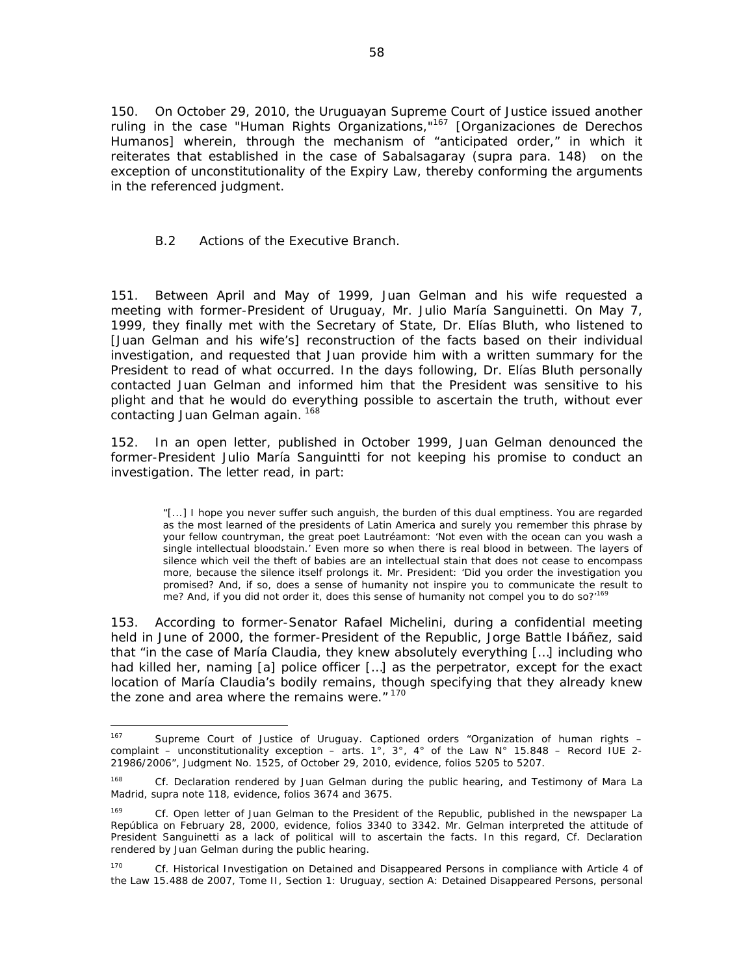150. On October 29, 2010, the Uruguayan Supreme Court of Justice issued another ruling in the case *"Human Rights Organizations,"*167 [Organizaciones de Derechos Humanos] wherein, through the mechanism of "anticipated order," in which it reiterates that established in the case of Sabalsagaray (*supra* para. 148) on the exception of unconstitutionality of the Expiry Law, thereby conforming the arguments in the referenced judgment.

# *B.2 Actions of the Executive Branch.*

151. Between April and May of 1999, Juan Gelman and his wife requested a meeting with former-President of Uruguay, Mr. Julio María Sanguinetti. On May 7, 1999, they finally met with the Secretary of State, Dr. Elías Bluth, who listened to [Juan Gelman and his wife's] reconstruction of the facts based on their individual investigation, and requested that Juan provide him with a written summary for the President to read of what occurred. In the days following, Dr. Elías Bluth personally contacted Juan Gelman and informed him that the President was sensitive to his plight and that he would do everything possible to ascertain the truth, without ever contacting Juan Gelman again. <sup>168</sup>

152. In an open letter, published in October 1999, Juan Gelman denounced the former-President Julio María Sanguintti for not keeping his promise to conduct an investigation. The letter read, in part:

"[...] I hope you never suffer such anguish, the burden of this dual emptiness. You are regarded as the most learned of the presidents of Latin America and surely you remember this phrase by your fellow countryman, the great poet Lautréamont: 'Not even with the ocean can you wash a single intellectual bloodstain.' Even more so when there is real blood in between. The layers of silence which veil the theft of babies are an intellectual stain that does not cease to encompass more, because the silence itself prolongs it. Mr. President: 'Did you order the investigation you promised? And, if so, does a sense of humanity not inspire you to communicate the result to me? And, if you did not order it, does this sense of humanity not compel you to do so?<sup>169</sup>

153. According to former-Senator Rafael Michelini, during a confidential meeting held in June of 2000, the former-President of the Republic, Jorge Battle Ibáñez, said that "in the case of María Claudia, they knew absolutely everything […] including who had killed her, naming [a] police officer [...] as the perpetrator, except for the exact location of María Claudia's bodily remains, though specifying that they already knew the zone and area where the remains were." 170

<sup>167</sup> Supreme Court of Justice of Uruguay. Captioned orders "Organization of human rights complaint – unconstitutionality exception – arts. 1°, 3°, 4° of the Law  $N^{\circ}$  15.848 – Record IUE 2-21986/2006", Judgment No. 1525, of October 29, 2010, evidence, folios 5205 to 5207.

<sup>168</sup> *Cf*. Declaration rendered by Juan Gelman during the public hearing, and Testimony of Mara La Madrid, *supra* note 118, evidence, folios 3674 and 3675.

<sup>169</sup> *Cf*. Open letter of Juan Gelman to the President of the Republic, published in the newspaper *La República* on February 28, 2000, evidence, folios 3340 to 3342. Mr. Gelman interpreted the attitude of President Sanguinetti as a lack of political will to ascertain the facts. In this regard, *Cf*. Declaration rendered by Juan Gelman during the public hearing.

<sup>&</sup>lt;sup>170</sup> *Cf.* Historical Investigation on Detained and Disappeared Persons in compliance with Article 4 of the Law 15.488 de 2007, Tome II, Section 1: Uruguay, section A: Detained Disappeared Persons, personal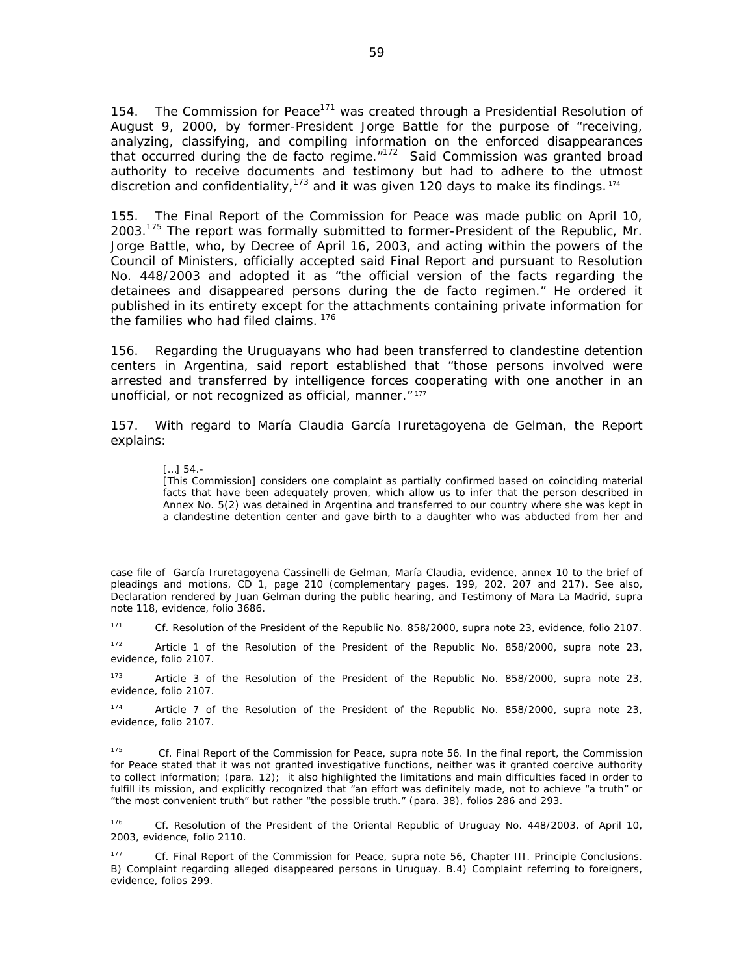154. The Commission for Peace<sup>171</sup> was created through a Presidential Resolution of August 9, 2000, by former-President Jorge Battle for the purpose of "receiving, analyzing, classifying, and compiling information on the enforced disappearances that occurred during the de facto regime."172 Said Commission was granted broad authority to receive documents and testimony but had to adhere to the utmost discretion and confidentiality,  $173$  and it was given 120 days to make its findings.  $174$ 

155. The Final Report of the Commission for Peace was made public on April 10, 2003.175 The report was formally submitted to former-President of the Republic, Mr. Jorge Battle, who, by Decree of April 16, 2003, and acting within the powers of the Council of Ministers, officially accepted said Final Report and pursuant to Resolution No. 448/2003 and adopted it as "the official version of the facts regarding the detainees and disappeared persons during the de facto regimen." He ordered it published in its entirety except for the attachments containing private information for the families who had filed claims. 176

156. Regarding the Uruguayans who had been transferred to clandestine detention centers in Argentina, said report established that "*those persons involved were arrested and transferred by intelligence forces cooperating with one another in an unofficial, or not recognized as official, manner.*" 177

157. With regard to María Claudia García Iruretagoyena de Gelman, the Report explains:

#### […] 54.-

[This Commission] considers one complaint as partially confirmed based on coinciding material facts that have been adequately proven, which allow us to infer that the person described in Annex No. 5(2) was detained in Argentina and transferred to our country where she was kept in a clandestine detention center and gave birth to a daughter who was abducted from her and

case file of García Iruretagoyena Cassinelli de Gelman, María Claudia, evidence, annex 10 to the brief of pleadings and motions, CD 1, page 210 (complementary pages. 199, 202, 207 and 217). See also, Declaration rendered by Juan Gelman during the public hearing, and Testimony of Mara La Madrid, *supra* note 118, evidence, folio 3686.

<u> 1989 - Andrea Santa Andrea Andrea Andrea Andrea Andrea Andrea Andrea Andrea Andrea Andrea Andrea Andrea Andr</u>

171 *Cf*. Resolution of the President of the Republic No. 858/2000, *supra* note 23, evidence, folio 2107.

172 Article 1 of the Resolution of the President of the Republic No. 858/2000, *supra* note 23, evidence, folio 2107.

173 Article 3 of the Resolution of the President of the Republic No. 858/2000, *supra* note 23, evidence, folio 2107.

174 Article 7 of the Resolution of the President of the Republic No. 858/2000, *supra* note 23, evidence, folio 2107.

175 *Cf*. Final Report of the Commission for Peace, *supra* note 56. In the final report, the Commission for Peace stated that it was not granted investigative functions, neither was it granted coercive authority to collect information; (para. 12); it also highlighted the limitations and main difficulties faced in order to fulfill its mission, and explicitly recognized that "an effort was definitely made, not to achieve "a truth" or "the most convenient truth" but rather "the possible truth." (para. 38), folios 286 and 293.

176 *Cf*. Resolution of the President of the Oriental Republic of Uruguay No. 448/2003, of April 10, 2003, evidence, folio 2110.

177 *Cf*. Final Report of the Commission for Peace, *supra* note 56, Chapter III. Principle Conclusions. B) Complaint regarding alleged disappeared persons in Uruguay. B.4) Complaint referring to foreigners, evidence, folios 299.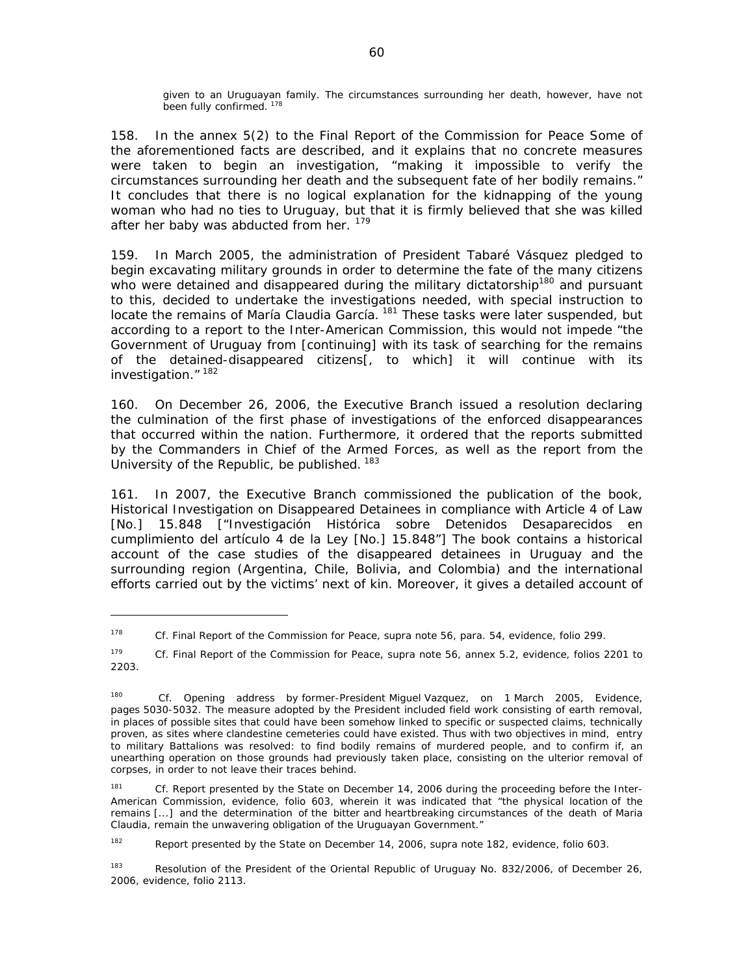given to an Uruguayan family. The circumstances surrounding her death, however, have not been fully confirmed. 178

158. In the annex 5(2) to the Final Report of the Commission for Peace Some of the aforementioned facts are described, and it explains that no concrete measures were taken to begin an investigation, "making it impossible to verify the circumstances surrounding her death and the subsequent fate of her bodily remains." It concludes that there is no logical explanation for the kidnapping of the young woman who had no ties to Uruguay, but that it is firmly believed that she was killed after her baby was abducted from her. <sup>179</sup>

159. In March 2005, the administration of President Tabaré Vásquez pledged to begin excavating military grounds in order to determine the fate of the many citizens who were detained and disappeared during the military dictatorship<sup>180</sup> and pursuant to this, decided to undertake the investigations needed, with special instruction to locate the remains of María Claudia García.<sup>181</sup> These tasks were later suspended, but according to a report to the Inter-American Commission, this would not impede "the Government of Uruguay from [continuing] with its task of searching for the remains of the detained-disappeared citizens[, to which] it will continue with its investigation." <sup>182</sup>

160. On December 26, 2006, the Executive Branch issued a resolution declaring the culmination of the first phase of investigations of the enforced disappearances that occurred within the nation. Furthermore, it ordered that the reports submitted by the Commanders in Chief of the Armed Forces, as well as the report from the University of the Republic, be published. <sup>183</sup>

161. In 2007, the Executive Branch commissioned the publication of the book, *Historical Investigation on Disappeared Detainees in compliance with Article 4 of Law [No.] 15.848* ["Investigación Histórica sobre Detenidos Desaparecidos en cumplimiento del artículo 4 de la Ley [No.] 15.848"] The book contains a historical account of the case studies of the disappeared detainees in Uruguay and the surrounding region (Argentina, Chile, Bolivia, and Colombia) and the international efforts carried out by the victims' next of kin. Moreover, it gives a detailed account of

182 Report presented by the State on December 14, 2006, *supra* note 182, evidence, folio 603.

<sup>183</sup> Resolution of the President of the Oriental Republic of Uruguay No. 832/2006, of December 26, 2006, evidence, folio 2113.

<sup>178</sup> *Cf*. Final Report of the Commission for Peace, *supra* note 56, para. 54, evidence, folio 299.

<sup>179</sup> *Cf*. Final Report of the Commission for Peace, *supra* note 56, annex 5.2, evidence, folios 2201 to 2203.

<sup>180</sup> *Cf*. Opening address by former-President Miguel Vazquez, on 1 March 2005, Evidence, pages 5030-5032. The measure adopted by the President included field work consisting of earth removal, in places of possible sites that could have been somehow linked to specific or suspected claims, technically proven, as sites where clandestine cemeteries could have existed. Thus with two objectives in mind, entry to military Battalions was resolved: to find bodily remains of murdered people, and to confirm if, an unearthing operation on those grounds had previously taken place, consisting on the ulterior removal of corpses, in order to not leave their traces behind.

<sup>&</sup>lt;sup>181</sup> *Cf.* Report presented by the State on December 14, 2006 during the proceeding before the Inter-American Commission, evidence, folio 603, wherein it was indicated that "the physical location of the remains [...] and the determination of the bitter and heartbreaking circumstances of the death of Maria Claudia, remain the unwavering obligation of the Uruguayan Government."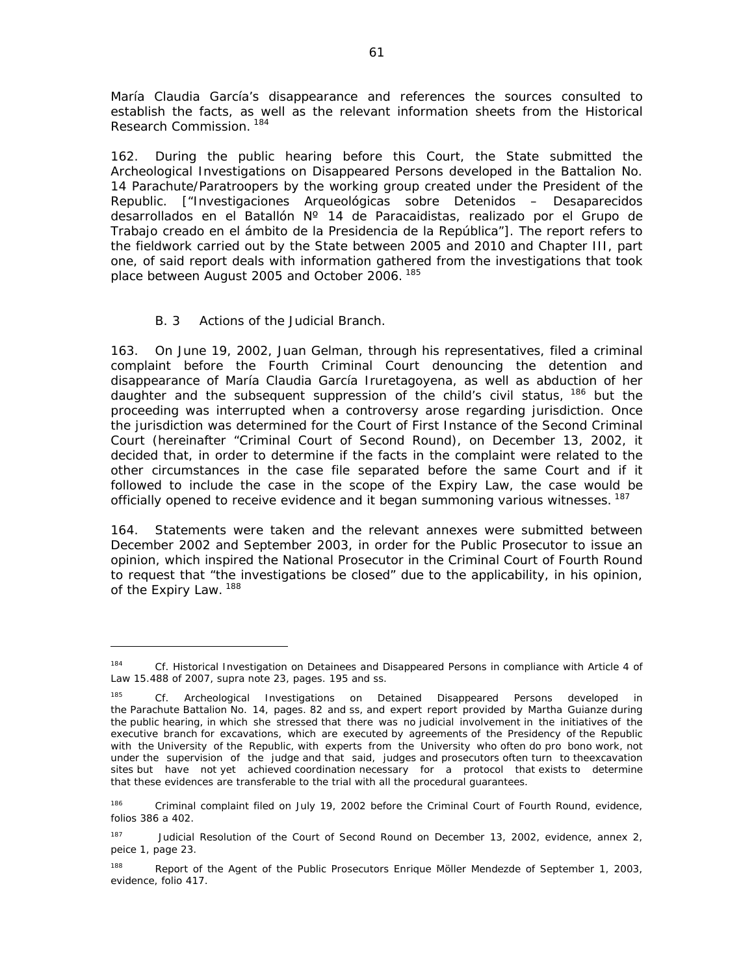María Claudia García's disappearance and references the sources consulted to establish the facts, as well as the relevant information sheets from the Historical Research Commission. 184

162. During the public hearing before this Court, the State submitted the *Archeological Investigations on Disappeared Persons developed in the Battalion No. 14 Parachute/Paratroopers by the working group created under the President of the Republic.* ["Investigaciones Arqueológicas sobre Detenidos – Desaparecidos desarrollados en el Batallón Nº 14 de Paracaidistas, realizado por el Grupo de Trabajo creado en el ámbito de la Presidencia de la República"]. The report refers to the fieldwork carried out by the State between 2005 and 2010 and Chapter III, part one, of said report deals with information gathered from the investigations that took place between August 2005 and October 2006. 185

# *B. 3 Actions of the Judicial Branch.*

163. On June 19, 2002, Juan Gelman, through his representatives, filed a criminal complaint before the Fourth Criminal Court denouncing the detention and disappearance of María Claudia García Iruretagoyena, as well as abduction of her daughter and the subsequent suppression of the child's civil status, <sup>186</sup> but the proceeding was interrupted when a controversy arose regarding jurisdiction. Once the jurisdiction was determined for the Court of First Instance of the Second Criminal Court (hereinafter "Criminal Court of Second Round), on December 13, 2002, it decided that, in order to determine if the facts in the complaint were related to the other circumstances in the case file separated before the same Court and if it followed to include the case in the scope of the Expiry Law, the case would be officially opened to receive evidence and it began summoning various witnesses. <sup>187</sup>

164. Statements were taken and the relevant annexes were submitted between December 2002 and September 2003, in order for the Public Prosecutor to issue an opinion, which inspired the National Prosecutor in the Criminal Court of Fourth Round to request that "the investigations be closed" due to the applicability, in his opinion, of the Expiry Law. 188

<sup>184</sup> *Cf.* Historical Investigation on Detainees and Disappeared Persons in compliance with Article 4 of Law 15.488 of 2007, *supra* note 23, pages. 195 and ss.

<sup>185</sup> *Cf*. Archeological Investigations on Detained Disappeared Persons developed in the Parachute Battalion No. 14, pages. 82 and ss, and expert report provided by Martha Guianze during the public hearing, in which she stressed that there was no judicial involvement in the initiatives of the executive branch for excavations, which are executed by agreements of the Presidency of the Republic with the University of the Republic, with experts from the University who often do pro bono work, not under the supervision of the judge and that said, judges and prosecutors often turn to theexcavation sites but have not yet achieved coordination necessary for a protocol that exists to determine that these evidences are transferable to the trial with all the procedural guarantees.

<sup>186</sup> Criminal complaint filed on July 19, 2002 before the Criminal Court of Fourth Round, evidence, folios 386 a 402.

<sup>&</sup>lt;sup>187</sup> Judicial Resolution of the Court of Second Round on December 13, 2002, evidence, annex 2, peice 1, page 23.

<sup>&</sup>lt;sup>188</sup> Report of the Agent of the Public Prosecutors Enrique Möller Mendezde of September 1, 2003, evidence, folio 417.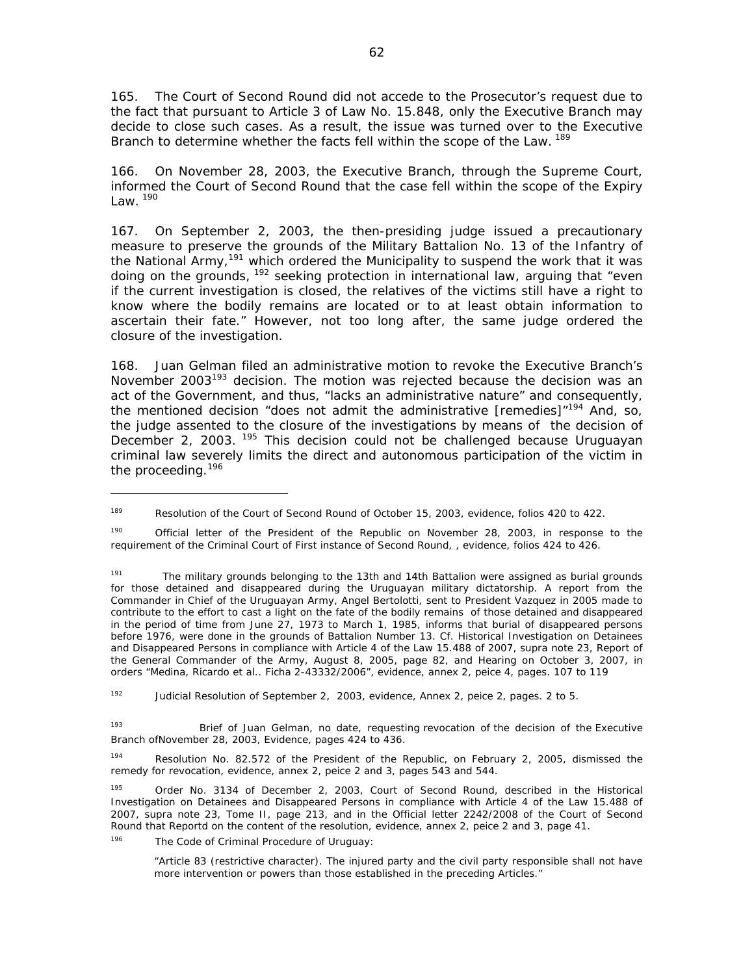165. The Court of Second Round did not accede to the Prosecutor's request due to the fact that pursuant to Article 3 of Law No. 15.848, only the Executive Branch may decide to close such cases. As a result, the issue was turned over to the Executive Branch to determine whether the facts fell within the scope of the Law. <sup>189</sup>

166. On November 28, 2003, the Executive Branch, through the Supreme Court, informed the Court of Second Round that the case fell within the scope of the Expiry  $l$  aw.  $^{190}$ 

167. On September 2, 2003, the then-presiding judge issued a precautionary measure to preserve the grounds of the Military Battalion No. 13 of the Infantry of the National Army,<sup>191</sup> which ordered the Municipality to suspend the work that it was doing on the grounds,  $192$  seeking protection in international law, arguing that "even if the current investigation is closed, the relatives of the victims still have a right to know where the bodily remains are located or to at least obtain information to ascertain their fate." However, not too long after, the same judge ordered the closure of the investigation.

168. Juan Gelman filed an administrative motion to revoke the Executive Branch's November 2003<sup>193</sup> decision. The motion was rejected because the decision was an act of the Government, and thus, "lacks an administrative nature" and consequently, the mentioned decision "does not admit the administrative [remedies]"<sup>194</sup> And, so, the judge assented to the closure of the investigations by means of the decision of December 2, 2003. <sup>195</sup> This decision could not be challenged because Uruguayan criminal law severely limits the direct and autonomous participation of the victim in the proceeding.<sup>196</sup>

192 Judicial Resolution of September 2, 2003, evidence, Annex 2, peice 2, pages. 2 to 5.

193 Brief of Juan Gelman, no date, requesting revocation of the decision of the Executive Branch ofNovember 28, 2003, Evidence, pages 424 to 436.

194 Resolution No. 82.572 of the President of the Republic, on February 2, 2005, dismissed the remedy for revocation, evidence, annex 2, peice 2 and 3, pages 543 and 544.

195 Order No. 3134 of December 2, 2003, Court of Second Round, described in the Historical Investigation on Detainees and Disappeared Persons in compliance with Article 4 of the Law 15.488 of 2007, *supra* note 23, Tome II, page 213, and in the Official letter 2242/2008 of the Court of Second Round that Reportd on the content of the resolution, evidence, annex 2, peice 2 and 3, page 41.

<sup>196</sup> The Code of Criminal Procedure of Uruguay:

"Article 83 (restrictive character). The injured party and the civil party responsible shall not have more intervention or powers than those established in the preceding Articles."

<sup>&</sup>lt;sup>189</sup> Resolution of the Court of Second Round of October 15, 2003, evidence, folios 420 to 422.

<sup>&</sup>lt;sup>190</sup> Official letter of the President of the Republic on November 28, 2003, in response to the requirement of the Criminal Court of First instance of Second Round, , evidence, folios 424 to 426.

<sup>&</sup>lt;sup>191</sup> The military grounds belonging to the 13th and 14th Battalion were assigned as burial grounds for those detained and disappeared during the Uruguayan military dictatorship. A report from the Commander in Chief of the Uruguayan Army, Angel Bertolotti, sent to President Vazquez in 2005 made to contribute to the effort to cast a light on the fate of the bodily remains of those detained and disappeared in the period of time from June 27, 1973 to March 1, 1985, informs that burial of disappeared persons before 1976, were done in the grounds of Battalion Number 13. *Cf*. Historical Investigation on Detainees and Disappeared Persons in compliance with Article 4 of the Law 15.488 of 2007, *supra* note 23, Report of the General Commander of the Army, August 8, 2005, page 82, and Hearing on October 3, 2007, in orders "Medina, Ricardo et al.. Ficha 2-43332/2006", evidence, annex 2, peice 4, pages. 107 to 119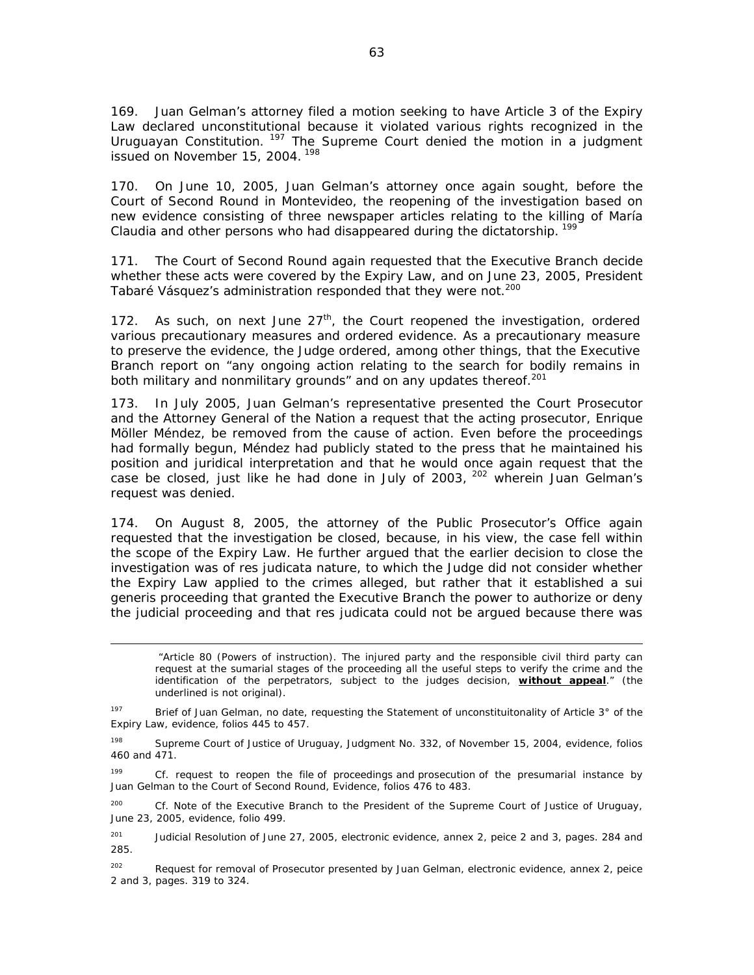169. Juan Gelman's attorney filed a motion seeking to have Article 3 of the Expiry Law declared unconstitutional because it violated various rights recognized in the Uruguayan Constitution. <sup>197</sup> The Supreme Court denied the motion in a judgment issued on November 15, 2004.<sup>198</sup>

170. On June 10, 2005, Juan Gelman's attorney once again sought, before the Court of Second Round in Montevideo, the reopening of the investigation based on new evidence consisting of three newspaper articles relating to the killing of María Claudia and other persons who had disappeared during the dictatorship.<sup>199</sup>

171. The Court of Second Round again requested that the Executive Branch decide whether these acts were covered by the Expiry Law, and on June 23, 2005, President Tabaré Vásquez's administration responded that they were not.<sup>200</sup>

172. As such, on next June  $27<sup>th</sup>$ , the Court reopened the investigation, ordered various precautionary measures and ordered evidence. As a precautionary measure to preserve the evidence, the Judge ordered, among other things, that the Executive Branch report on "any ongoing action relating to the search for bodily remains in both military and nonmilitary grounds" and on any updates thereof.<sup>201</sup>

173. In July 2005, Juan Gelman's representative presented the Court Prosecutor and the Attorney General of the Nation a request that the acting prosecutor, Enrique Möller Méndez, be removed from the cause of action. Even before the proceedings had formally begun, Méndez had publicly stated to the press that he maintained his position and juridical interpretation and that he would once again request that the case be closed, just like he had done in July of 2003, <sup>202</sup> wherein Juan Gelman's request was denied.

174. On August 8, 2005, the attorney of the Public Prosecutor's Office again requested that the investigation be closed, because, in his view, the case fell within the scope of the Expiry Law. He further argued that the earlier decision to close the investigation was of *res judicata* nature, to which the Judge did not consider whether the Expiry Law applied to the crimes alleged, but rather that it established a *sui generis* proceeding that granted the Executive Branch the power to authorize or deny the judicial proceeding and that *res judicata* could not be argued because there was

 "Article 80 (Powers of instruction). The injured party and the responsible civil third party can request at the sumarial stages of the proceeding all the useful steps to verify the crime and the identification of the perpetrators, subject to the judges decision, **without appeal**." (the underlined is not original).

197 Brief of Juan Gelman, no date, requesting the Statement of unconstituitonality of Article 3° of the Expiry Law, evidence, folios 445 to 457.

<u> 1989 - Andrea San Andrew Maria (h. 1989).</u><br>1900 - Andrew Maria (h. 1980).

<sup>198</sup> Supreme Court of Justice of Uruguay, Judgment No. 332, of November 15, 2004, evidence, folios 460 and 471.

199 *Cf.* request to reopen the file of proceedings and prosecution of the presumarial instance by Juan Gelman to the Court of Second Round, Evidence, folios 476 to 483.

200 *Cf.* Note of the Executive Branch to the President of the Supreme Court of Justice of Uruguay, June 23, 2005, evidence, folio 499.

<sup>201</sup> Judicial Resolution of June 27, 2005, electronic evidence, annex 2, peice 2 and 3, pages. 284 and 285.

<sup>202</sup> Request for removal of Prosecutor presented by Juan Gelman, electronic evidence, annex 2, peice 2 and 3, pages. 319 to 324.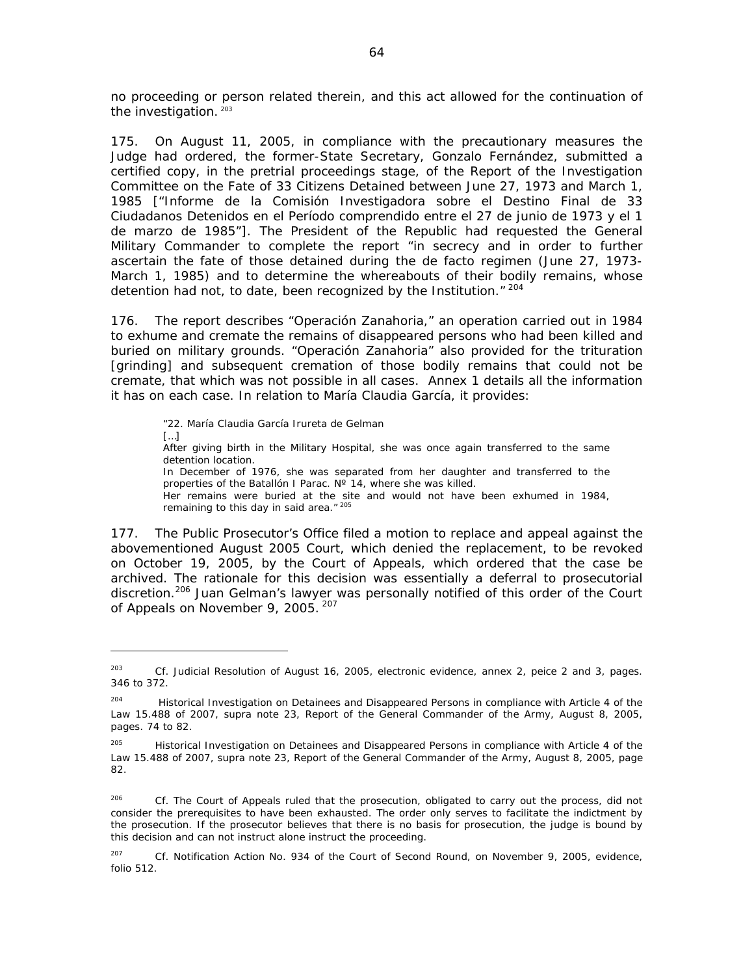no proceeding or person related therein, and this act allowed for the continuation of the investigation. 203

175. On August 11, 2005, in compliance with the precautionary measures the Judge had ordered, the former-State Secretary, Gonzalo Fernández, submitted a certified copy, in the pretrial proceedings stage, of the *Report of the Investigation Committee on the Fate of 33 Citizens Detained between June 27, 1973 and March 1, 1985* ["Informe de la Comisión Investigadora sobre el Destino Final de 33 Ciudadanos Detenidos en el Período comprendido entre el 27 de junio de 1973 y el 1 de marzo de 1985"]. The President of the Republic had requested the General Military Commander to complete the report "in secrecy and in order to further ascertain the fate of those detained during the de facto regimen (June 27, 1973- March 1, 1985) and to determine the whereabouts of their bodily remains, whose detention had not, to date, been recognized by the Institution." 204

176. The report describes "Operación Zanahoria," an operation carried out in 1984 to exhume and cremate the remains of disappeared persons who had been killed and buried on military grounds. "Operación Zanahoria" also provided for the trituration [grinding] and subsequent cremation of those bodily remains that could not be cremate, that which was not possible in all cases. Annex 1 details all the information it has on each case. In relation to María Claudia García, it provides:

"22. María Claudia García Irureta de Gelman  $[...]$ After giving birth in the Military Hospital, she was once again transferred to the same detention location. In December of 1976, she was separated from her daughter and transferred to the properties of the Batallón I Parac. N° 14, where she was killed. Her remains were buried at the site and would not have been exhumed in 1984, remaining to this day in said area." 205

177. The Public Prosecutor's Office filed a motion to replace and appeal against the abovementioned August 2005 Court, which denied the replacement, to be revoked on October 19, 2005, by the Court of Appeals, which ordered that the case be archived. The rationale for this decision was essentially a deferral to prosecutorial discretion.<sup>206</sup> Juan Gelman's lawyer was personally notified of this order of the Court of Appeals on November 9, 2005. 207

<sup>203</sup> *Cf*. Judicial Resolution of August 16, 2005, electronic evidence, annex 2, peice 2 and 3, pages. 346 to 372.

<sup>&</sup>lt;sup>204</sup> Historical Investigation on Detainees and Disappeared Persons in compliance with Article 4 of the Law 15.488 of 2007, *supra* note 23, Report of the General Commander of the Army, August 8, 2005, pages. 74 to 82.

<sup>&</sup>lt;sup>205</sup> Historical Investigation on Detainees and Disappeared Persons in compliance with Article 4 of the Law 15.488 of 2007, *supra* note 23, Report of the General Commander of the Army, August 8, 2005, page 82.

<sup>&</sup>lt;sup>206</sup> Cf. The Court of Appeals ruled that the prosecution, obligated to carry out the process, did not consider the prerequisites to have been exhausted. The order only serves to facilitate the indictment by the prosecution. If the prosecutor believes that there is no basis for prosecution, the judge is bound by this decision and can not instruct alone instruct the proceeding.

<sup>207</sup> *Cf*. Notification Action No. 934 of the Court of Second Round, on November 9, 2005, evidence, folio 512.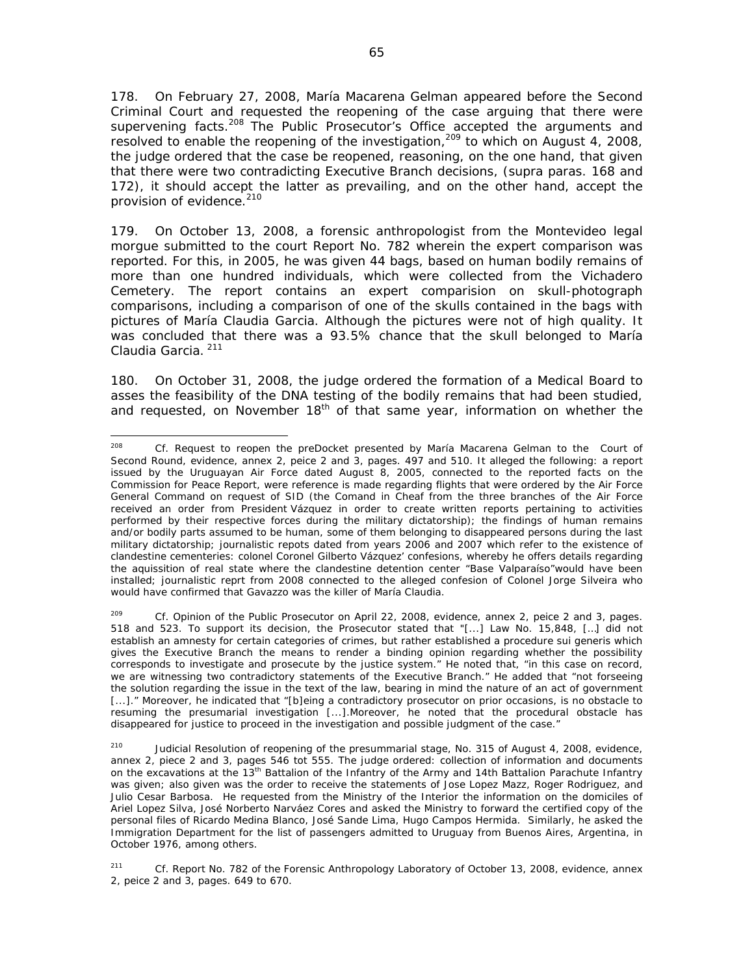178. On February 27, 2008, María Macarena Gelman appeared before the Second Criminal Court and requested the reopening of the case arguing that there were supervening facts.<sup>208</sup> The Public Prosecutor's Office accepted the arguments and resolved to enable the reopening of the investigation,<sup>209</sup> to which on August 4, 2008, the judge ordered that the case be reopened, reasoning, on the one hand, that given that there were two contradicting Executive Branch decisions, (supra paras. 168 and 172), it should accept the latter as prevailing, and on the other hand, accept the provision of evidence.<sup>210</sup>

179. On October 13, 2008, a forensic anthropologist from the Montevideo legal morgue submitted to the court Report No. 782 wherein the expert comparison was reported. For this, in 2005, he was given 44 bags, based on human bodily remains of more than one hundred individuals, which were collected from the Vichadero Cemetery. The report contains an expert comparision on skull-photograph comparisons, including a comparison of one of the skulls contained in the bags with pictures of María Claudia Garcia. Although the pictures were not of high quality. It was concluded that there was a 93.5% chance that the skull belonged to María Claudia Garcia.<sup>211</sup>

180. On October 31, 2008, the judge ordered the formation of a Medical Board to asses the feasibility of the DNA testing of the bodily remains that had been studied, and requested, on November  $18<sup>th</sup>$  of that same year, information on whether the

 208 *Cf.* Request to reopen the preDocket presented by María Macarena Gelman to the Court of Second Round, evidence, annex 2, peice 2 and 3, pages. 497 and 510. It alleged the following: a report issued by the Uruguayan Air Force dated August 8, 2005, connected to the reported facts on the Commission for Peace Report, were reference is made regarding flights that were ordered by the Air Force General Command on request of SID (the Comand in Cheaf from the three branches of the Air Force received an order from President Vázquez in order to create written reports pertaining to activities performed by their respective forces during the military dictatorship); the findings of human remains and/or bodily parts assumed to be human, some of them belonging to disappeared persons during the last military dictatorship; journalistic repots dated from years 2006 and 2007 which refer to the existence of clandestine cementeries: colonel Coronel Gilberto Vázquez' confesions, whereby he offers details regarding the aquissition of real state where the clandestine detention center "Base Valparaíso"would have been installed; journalistic reprt from 2008 connected to the alleged confesion of Colonel Jorge Silveira who would have confirmed that Gavazzo was the killer of María Claudia.

<sup>209</sup> *Cf*. Opinion of the Public Prosecutor on April 22, 2008, evidence, annex 2, peice 2 and 3, pages. 518 and 523. To support its decision, the Prosecutor stated that "[...] Law No. 15,848, […] did not establish an amnesty for certain categories of crimes, but rather established a procedure sui generis which gives the Executive Branch the means to render a binding opinion regarding whether the possibility corresponds to investigate and prosecute by the justice system." He noted that, "in this case on record, we are witnessing two contradictory statements of the Executive Branch." He added that "not forseeing the solution regarding the issue in the text of the law, bearing in mind the nature of an act of government [...]." Moreover, he indicated that "[b]eing a contradictory prosecutor on prior occasions, is no obstacle to resuming the presumarial investigation [...].Moreover, he noted that the procedural obstacle has disappeared for justice to proceed in the investigation and possible judgment of the case."

<sup>&</sup>lt;sup>210</sup> Judicial Resolution of reopening of the presummarial stage, No. 315 of August 4, 2008, evidence, annex 2, piece 2 and 3, pages 546 tot 555. The judge ordered: collection of information and documents on the excavations at the 13<sup>th</sup> Battalion of the Infantry of the Army and 14th Battalion Parachute Infantry was given; also given was the order to receive the statements of Jose Lopez Mazz, Roger Rodriguez, and Julio Cesar Barbosa. He requested from the Ministry of the Interior the information on the domiciles of Ariel Lopez Silva, José Norberto Narváez Cores and asked the Ministry to forward the certified copy of the personal files of Ricardo Medina Blanco, José Sande Lima, Hugo Campos Hermida. Similarly, he asked the Immigration Department for the list of passengers admitted to Uruguay from Buenos Aires, Argentina, in October 1976, among others.

<sup>211</sup> *Cf*. Report No. 782 of the Forensic Anthropology Laboratory of October 13, 2008, evidence, annex 2, peice 2 and 3, pages. 649 to 670.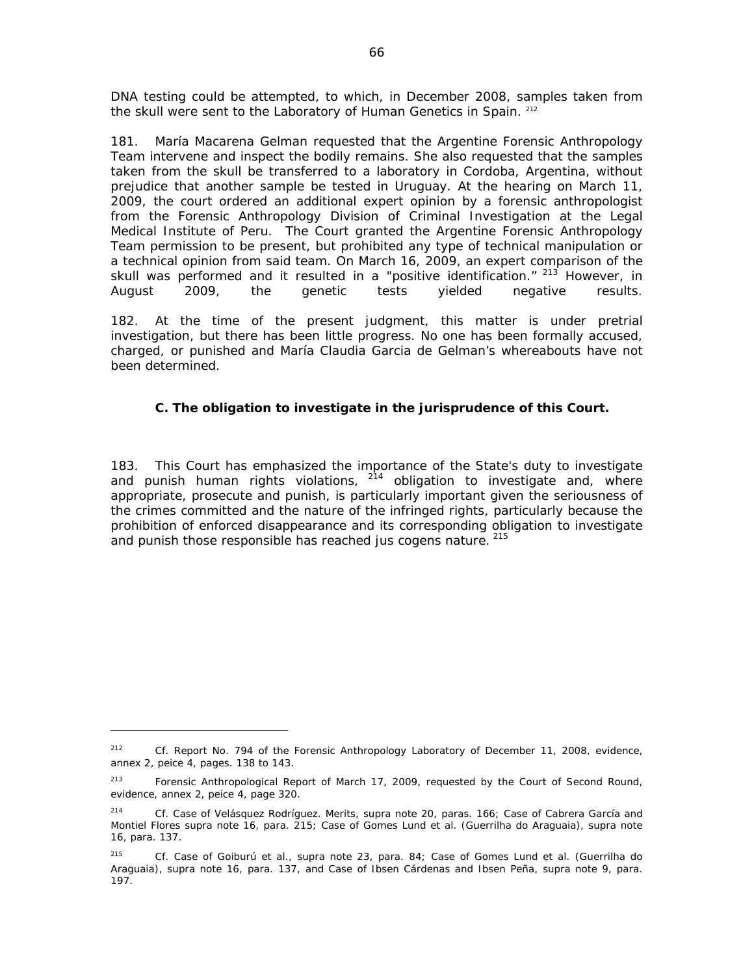DNA testing could be attempted, to which, in December 2008, samples taken from the skull were sent to the Laboratory of Human Genetics in Spain. 212

181. María Macarena Gelman requested that the Argentine Forensic Anthropology Team intervene and inspect the bodily remains. She also requested that the samples taken from the skull be transferred to a laboratory in Cordoba, Argentina, without prejudice that another sample be tested in Uruguay. At the hearing on March 11, 2009, the court ordered an additional expert opinion by a forensic anthropologist from the Forensic Anthropology Division of Criminal Investigation at the Legal Medical Institute of Peru. The Court granted the Argentine Forensic Anthropology Team permission to be present, but prohibited any type of technical manipulation or a technical opinion from said team. On March 16, 2009, an expert comparison of the skull was performed and it resulted in a "positive identification." <sup>213</sup> However, in August 2009, the genetic tests yielded negative results.

182. At the time of the present judgment, this matter is under pretrial investigation, but there has been little progress. No one has been formally accused, charged, or punished and María Claudia Garcia de Gelman's whereabouts have not been determined.

# *C. The obligation to investigate in the jurisprudence of this Court.*

183. This Court has emphasized the importance of the State's duty to investigate and punish human rights violations,  $2^{14}$  obligation to investigate and, where appropriate, prosecute and punish, is particularly important given the seriousness of the crimes committed and the nature of the infringed rights, particularly because the prohibition of enforced disappearance and its corresponding obligation to investigate and punish those responsible has reached *jus cogens* nature. 215

<sup>212</sup> *Cf*. Report No. 794 of the Forensic Anthropology Laboratory of December 11, 2008, evidence, annex 2, peice 4, pages. 138 to 143.

<sup>&</sup>lt;sup>213</sup> Forensic Anthropological Report of March 17, 2009, requested by the Court of Second Round, evidence, annex 2, peice 4, page 320.

<sup>214</sup> *Cf*. *Case of Velásquez Rodríguez. Merits, supra* note 20, paras. 166; *Case of Cabrera García and Montiel Flores supra* note 16, para. 215; *Case of Gomes Lund et al. (Guerrilha do Araguaia)*, *supra* note 16, para. 137.

<sup>215</sup> *Cf. Case of Goiburú et al.*, *supra* note 23, para. 84; *Case of Gomes Lund et al. (Guerrilha do Araguaia)*, *supra* note 16, para. 137, and *Case of Ibsen Cárdenas and Ibsen Peña, supra* note 9, para. 197.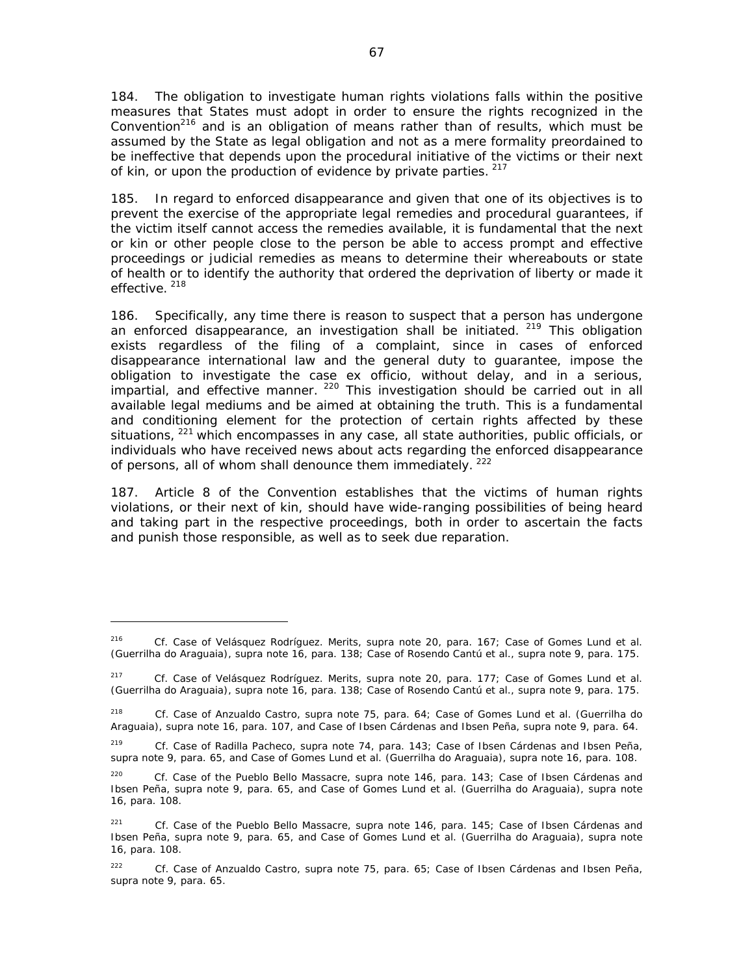184. The obligation to investigate human rights violations falls within the positive measures that States must adopt in order to ensure the rights recognized in the Convention<sup>216</sup> and is an obligation of means rather than of results, which must be assumed by the State as legal obligation and not as a mere formality preordained to be ineffective that depends upon the procedural initiative of the victims or their next of kin, or upon the production of evidence by private parties.  $217$ 

185. In regard to enforced disappearance and given that one of its objectives is to prevent the exercise of the appropriate legal remedies and procedural guarantees, if the victim itself cannot access the remedies available, it is fundamental that the next or kin or other people close to the person be able to access prompt and effective proceedings or judicial remedies as means to determine their whereabouts or state of health or to identify the authority that ordered the deprivation of liberty or made it effective.<sup>218</sup>

186. Specifically, any time there is reason to suspect that a person has undergone an enforced disappearance, an investigation shall be initiated.  $219$  This obligation exists regardless of the filing of a complaint, since in cases of enforced disappearance international law and the general duty to guarantee, impose the obligation to investigate the case *ex officio*, without delay, and in a serious, impartial, and effective manner. <sup>220</sup> This investigation should be carried out in all available legal mediums and be aimed at obtaining the truth. This is a fundamental and conditioning element for the protection of certain rights affected by these situations, <sup>221</sup> which encompasses in any case, all state authorities, public officials, or individuals who have received news about acts regarding the enforced disappearance of persons, all of whom shall denounce them immediately.<sup>222</sup>

187. Article 8 of the Convention establishes that the victims of human rights violations, or their next of kin, should have wide-ranging possibilities of being heard and taking part in the respective proceedings, both in order to ascertain the facts and punish those responsible, as well as to seek due reparation.

<sup>216</sup>*Cf. Case of Velásquez Rodríguez*. *Merits*, *supra* note 20, para. 167; *Case of Gomes Lund et al. (Guerrilha do Araguaia)*, *supra* note 16, para. 138; *Case of Rosendo Cantú et al.*, *supra* note 9, para. 175.

<sup>217</sup>*Cf. Case of Velásquez Rodríguez*. *Merits*, *supra* note 20, para. 177; *Case of Gomes Lund et al. (Guerrilha do Araguaia)*, *supra* note 16, para. 138; *Case of Rosendo Cantú et al.*, *supra* note 9, para. 175.

<sup>218</sup> *Cf. Case of Anzualdo Castro, supra* note 75, para. 64; *Case of Gomes Lund et al. (Guerrilha do Araguaia)*, *supra* note 16, para. 107, and *Case of Ibsen Cárdenas and Ibsen Peña, supra* note 9, para. 64.

<sup>219</sup> *Cf. Case of Radilla Pacheco, supra* note 74, para. 143; *Case of Ibsen Cárdenas and Ibsen Peña, supra* note 9, para. 65, and *Case of Gomes Lund et al. (Guerrilha do Araguaia)*, *supra* note 16, para. 108.

<sup>220</sup>*Cf. Case of the Pueblo Bello Massacre*, *supra* note 146, para. 143*; Case of Ibsen Cárdenas and Ibsen Peña*, *supra* note *9, para. 65, and Case of Gomes Lund et al. (Guerrilha do Araguaia)*, *supra* note 16, para. 108.

<sup>221</sup> *Cf. Case of the Pueblo Bello Massacre*, *supra* note 146, para. 145; *Case of Ibsen Cárdenas and Ibsen Peña, supra* note 9, para. 65, and *Case of Gomes Lund et al. (Guerrilha do Araguaia)*, *supra* note 16, para. 108.

<sup>222</sup> *Cf. Case of Anzualdo Castro, supra* note 75, para. 65; *Case of Ibsen Cárdenas and Ibsen Peña, supra* note 9, para. 65.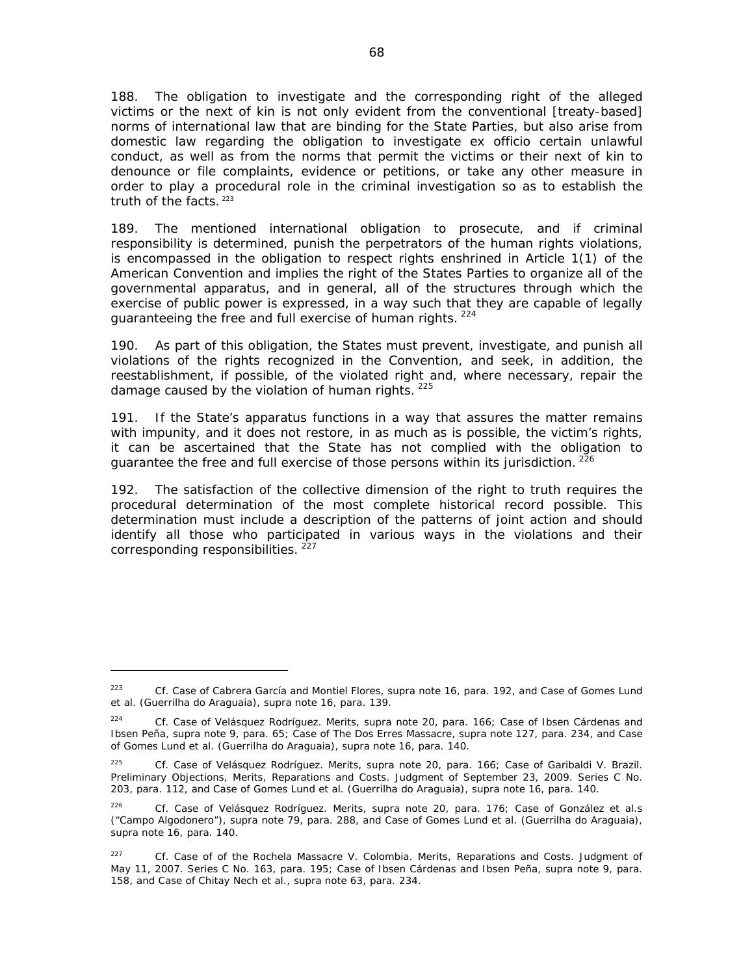188. The obligation to investigate and the corresponding right of the alleged victims or the next of kin is not only evident from the conventional [treaty-based] norms of international law that are binding for the State Parties, but also arise from domestic law regarding the obligation to investigate *ex officio* certain unlawful conduct, as well as from the norms that permit the victims or their next of kin to denounce or file complaints, evidence or petitions, or take any other measure in order to play a procedural role in the criminal investigation so as to establish the truth of the facts.  $223$ 

189. The mentioned international obligation to prosecute, and if criminal responsibility is determined, punish the perpetrators of the human rights violations, is encompassed in the obligation to respect rights enshrined in Article 1(1) of the American Convention and implies the right of the States Parties to organize all of the governmental apparatus, and in general, all of the structures through which the exercise of public power is expressed, in a way such that they are capable of legally guaranteeing the free and full exercise of human rights. <sup>224</sup>

190. As part of this obligation, the States must prevent, investigate, and punish all violations of the rights recognized in the Convention, and seek, in addition, the reestablishment, if possible, of the violated right and, where necessary, repair the damage caused by the violation of human rights.  $225$ 

191. If the State's apparatus functions in a way that assures the matter remains with impunity, and it does not restore, in as much as is possible, the victim's rights, it can be ascertained that the State has not complied with the obligation to guarantee the free and full exercise of those persons within its jurisdiction. <sup>226</sup>

192. The satisfaction of the collective dimension of the right to truth requires the procedural determination of the most complete historical record possible. This determination must include a description of the patterns of joint action and should identify all those who participated in various ways in the violations and their corresponding responsibilities.<sup>227</sup>

<sup>223</sup> *Cf. Case of Cabrera García and Montiel Flores*, *supra* note 16, para. 192, and *Case of Gomes Lund et al. (Guerrilha do Araguaia)*, *supra* note 16, para. 139.

<sup>224</sup> *Cf. Case of Velásquez Rodríguez*. *Merits*, *supra* note 20, para. 166; *Case of Ibsen Cárdenas and Ibsen Peña, supra* note 9, para. 65; *Case of The Dos Erres Massacre, supra* note 127, para. 234, and *Case of Gomes Lund et al. (Guerrilha do Araguaia)*, *supra* note 16, para. 140.

<sup>225</sup> *Cf. Case of Velásquez Rodríguez*. *Merits*, *supra* note 20, para. 166; Case of Garibaldi V. Brazil. Preliminary Objections, Merits, Reparations and Costs. Judgment of September 23, 2009. Series C No. 203, para. 112, and *Case of Gomes Lund et al. (Guerrilha do Araguaia)*, *supra* note 16, para. 140.

<sup>226</sup> *Cf. Case of Velásquez Rodríguez*. *Merits*, *supra* note 20, para. 176; *Case of González et al.s ("Campo Algodonero")*, *supra* note 79, para. 288, and *Case of Gomes Lund et al. (Guerrilha do Araguaia)*, *supra* note 16, para. 140.

<sup>227</sup> *Cf. Case of of the Rochela Massacre V. Colombia. Merits, Reparations and Costs*. Judgment of May 11, 2007. Series C No. 163, para. 195; *Case of Ibsen Cárdenas and Ibsen Peña, supra* note 9, para. 158, and *Case of Chitay Nech et al., supra* note 63, para. 234.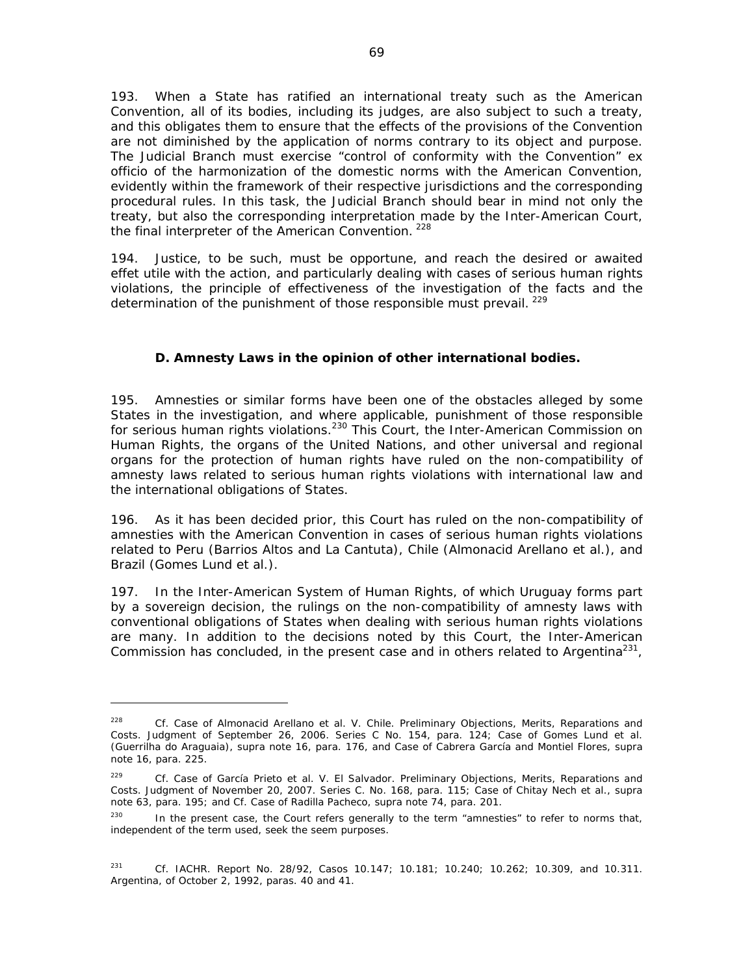193. When a State has ratified an international treaty such as the American Convention, all of its bodies, including its judges, are also subject to such a treaty, and this obligates them to ensure that the effects of the provisions of the Convention are not diminished by the application of norms contrary to its object and purpose. The Judicial Branch must exercise "control of conformity with the Convention" *ex officio* of the harmonization of the domestic norms with the American Convention, evidently within the framework of their respective jurisdictions and the corresponding procedural rules. In this task, the Judicial Branch should bear in mind not only the treaty, but also the corresponding interpretation made by the Inter-American Court, the final interpreter of the American Convention.<sup>228</sup>

194. Justice, to be such, must be opportune, and reach the desired or awaited *effet utile* with the action, and particularly dealing with cases of serious human rights violations, the principle of effectiveness of the investigation of the facts and the determination of the punishment of those responsible must prevail. <sup>229</sup>

# *D. Amnesty Laws in the opinion of other international bodies.*

195. Amnesties or similar forms have been one of the obstacles alleged by some States in the investigation, and where applicable, punishment of those responsible for serious human rights violations.<sup>230</sup> This Court, the Inter-American Commission on Human Rights, the organs of the United Nations, and other universal and regional organs for the protection of human rights have ruled on the non-compatibility of amnesty laws related to serious human rights violations with international law and the international obligations of States.

196. As it has been decided prior, this Court has ruled on the non-compatibility of amnesties with the American Convention in cases of serious human rights violations related to Peru (*Barrios Altos* and *La Cantuta),* Chile *(Almonacid Arellano et al.)*, and Brazil *(Gomes Lund et al.).* 

197. In the Inter-American System of Human Rights, of which Uruguay forms part by a sovereign decision, the rulings on the non-compatibility of amnesty laws with conventional obligations of States when dealing with serious human rights violations are many. In addition to the decisions noted by this Court, the Inter-American Commission has concluded, in the present case and in others related to Argentina<sup>231</sup>,

<sup>228</sup> *Cf. Case of Almonacid Arellano et al. V. Chile*. *Preliminary Objections, Merits, Reparations and Costs*. Judgment of September 26, 2006. Series C No. 154, para. 124; *Case of Gomes Lund et al. (Guerrilha do Araguaia)*, *supra* note 16, para. 176, and *Case of Cabrera García and Montiel Flores*, *supra* note 16, para. 225.

<sup>229</sup> *Cf*. *Case of García Prieto et al. V. El Salvador. Preliminary Objections, Merits, Reparations and Costs.* Judgment of November 20, 2007. Series C. No. 168, para. 115; *Case of Chitay Nech et al., supra* note 63, para. 195; and *Cf. Case of Radilla Pacheco, supra* note 74, para. 201.

<sup>&</sup>lt;sup>230</sup> In the present case, the Court refers generally to the term "amnesties" to refer to norms that, independent of the term used, seek the seem purposes.

<sup>231</sup> *Cf*. IACHR. Report No. 28/92, Casos 10.147; 10.181; 10.240; 10.262; 10.309, and 10.311. Argentina, of October 2, 1992, paras. 40 and 41.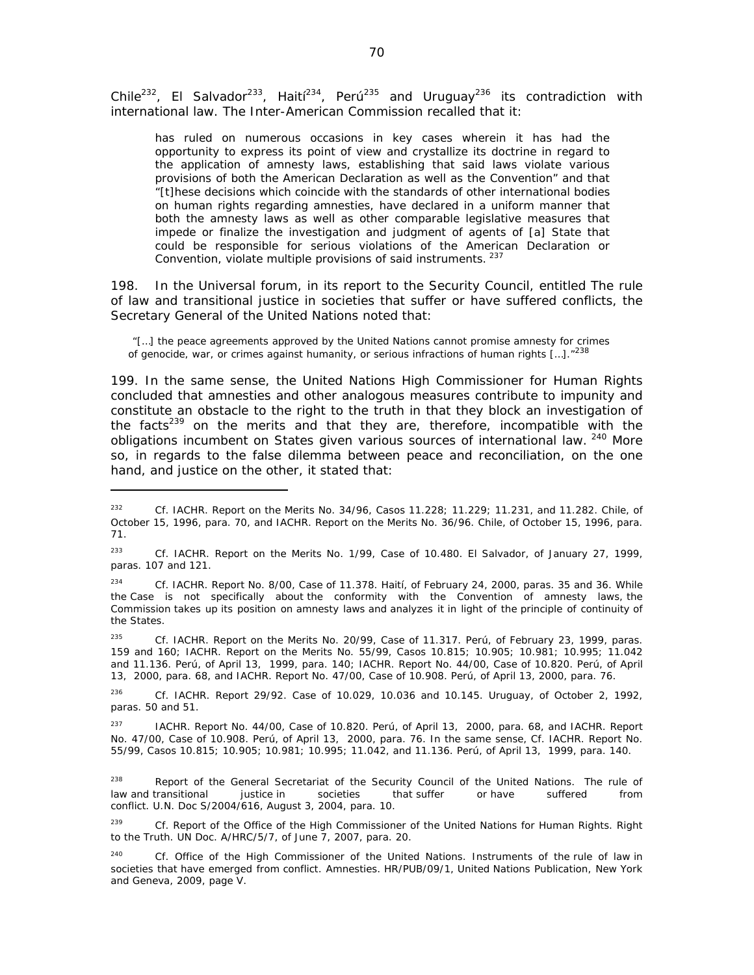Chile<sup>232</sup>, El Salvador<sup>233</sup>, Haití<sup>234</sup>, Perú<sup>235</sup> and Uruguay<sup>236</sup> its contradiction with international law. The Inter-American Commission recalled that it:

has ruled on numerous occasions in key cases wherein it has had the opportunity to express its point of view and crystallize its doctrine in regard to the application of amnesty laws, establishing that said laws violate various provisions of both the American Declaration as well as the Convention" and that "[t]hese decisions which coincide with the standards of other international bodies on human rights regarding amnesties, have declared in a uniform manner that both the amnesty laws as well as other comparable legislative measures that impede or finalize the investigation and judgment of agents of [a] State that could be responsible for serious violations of the American Declaration or Convention, violate multiple provisions of said instruments.<sup>237</sup>

198. In the Universal forum, in its report to the Security Council, entitled *The rule of law and transitional justice in societies that suffer or have suffered conflicts,* the Secretary General of the United Nations noted that:

"[…] the peace agreements approved by the United Nations cannot promise amnesty for crimes of genocide, war, or crimes against humanity, or serious infractions of human rights  $[...]$ ."<sup>238</sup>

199. In the same sense, the United Nations High Commissioner for Human Rights concluded that amnesties and other analogous measures contribute to impunity and constitute an obstacle to the right to the truth in that they block an investigation of the facts<sup>239</sup> on the merits and that they are, therefore, incompatible with the obligations incumbent on States given various sources of international law. <sup>240</sup> More so, in regards to the false dilemma between peace and reconciliation, on the one hand, and justice on the other, it stated that:

236 *Cf*. IACHR. Report 29/92. Case of 10.029, 10.036 and 10.145. Uruguay, of October 2, 1992, paras. 50 and 51.

 $237$  IACHR. Report No. 44/00, Case of 10.820. Perú, of April 13, 2000, para. 68, and IACHR. Report No. 47/00, Case of 10.908. Perú, of April 13, 2000, para. 76. In the same sense, *Cf*. IACHR. Report No. 55/99, Casos 10.815; 10.905; 10.981; 10.995; 11.042, and 11.136. Perú, of April 13, 1999, para. 140.

238 Report of the General Secretariat of the Security Council of the United Nations*. The rule of law and transitional justice in societies that suffer or have suffered from conflict.* U.N. Doc S/2004/616, August 3, 2004, para. 10.

<sup>239</sup> *Cf*. Report of the Office of the High Commissioner of the United Nations for Human Rights. *Right to the Truth.* UN Doc. A/HRC/5/7, of June 7, 2007, para. 20.

<sup>232</sup> *Cf*. IACHR. Report on the Merits No. 34/96, Casos 11.228; 11.229; 11.231, and 11.282. Chile, of October 15, 1996, para. 70, and IACHR. Report on the Merits No. 36/96. Chile, of October 15, 1996, para. 71.

<sup>233</sup> *Cf*. IACHR. Report on the Merits No. 1/99, Case of 10.480. El Salvador, of January 27, 1999, paras. 107 and 121.

<sup>234</sup> *Cf*. IACHR. Report No. 8/00, Case of 11.378. Haití, of February 24, 2000, paras. 35 and 36. While the Case is not specifically about the conformity with the Convention of amnesty laws, the Commission takes up its position on amnesty laws and analyzes it in light of the principle of continuity of the States.

<sup>235</sup> *Cf*. IACHR. Report on the Merits No. 20/99, Case of 11.317. Perú, of February 23, 1999, paras. 159 and 160; IACHR. Report on the Merits No. 55/99, Casos 10.815; 10.905; 10.981; 10.995; 11.042 and 11.136. Perú, of April 13, 1999, para. 140; IACHR. Report No. 44/00, Case of 10.820. Perú, of April 13, 2000, para. 68, and IACHR. Report No. 47/00, Case of 10.908. Perú, of April 13, 2000, para. 76.

<sup>240</sup> *Cf*. Office of the High Commissioner of the United Nations. *Instruments of the rule of law in societies that have emerged from conflict*. Amnesties. HR/PUB/09/1, United Nations Publication, New York and Geneva, 2009, page V.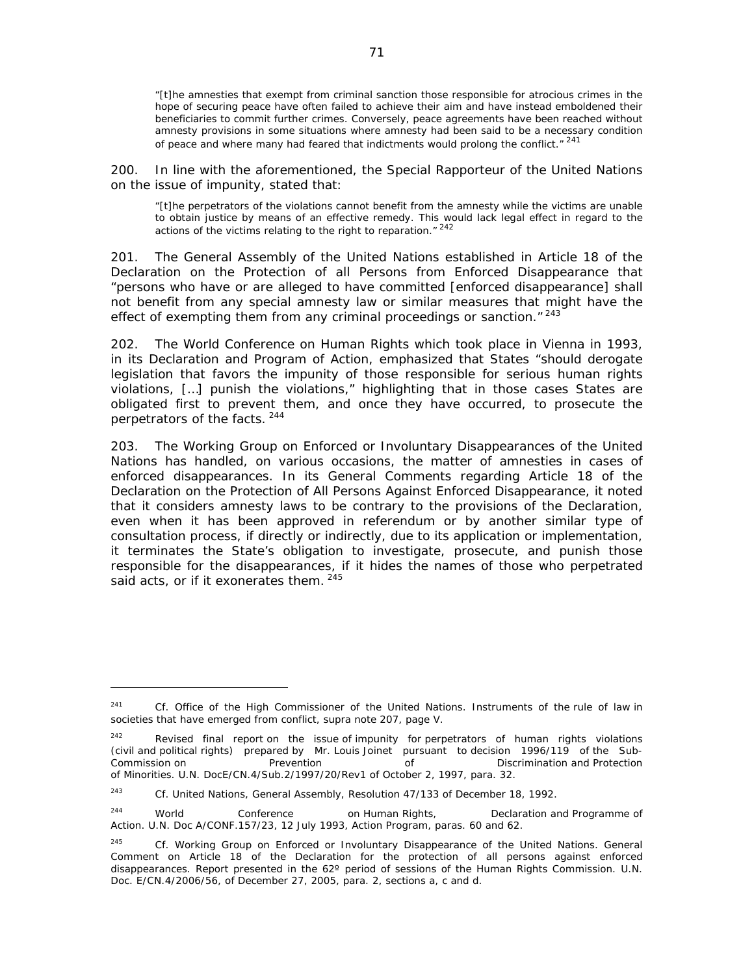"[t]he amnesties that exempt from criminal sanction those responsible for atrocious crimes in the hope of securing peace have often failed to achieve their aim and have instead emboldened their beneficiaries to commit further crimes. Conversely, peace agreements have been reached without amnesty provisions in some situations where amnesty had been said to be a necessary condition of peace and where many had feared that indictments would prolong the conflict."  $24$ 

200. In line with the aforementioned, the Special Rapporteur of the United Nations on the issue of impunity, stated that:

"[t]he perpetrators of the violations cannot benefit from the amnesty while the victims are unable to obtain justice by means of an effective remedy. This would lack legal effect in regard to the actions of the victims relating to the right to reparation." 242

201. The General Assembly of the United Nations established in Article 18 of the Declaration on the Protection of all Persons from Enforced Disappearance that "persons who have or are alleged to have committed [enforced disappearance] shall not benefit from any special amnesty law or similar measures that might have the effect of exempting them from any criminal proceedings or sanction. $"$ <sup>243</sup>

202. The World Conference on Human Rights which took place in Vienna in 1993, in its Declaration and Program of Action, emphasized that States "should derogate legislation that favors the impunity of those responsible for serious human rights violations, […] punish the violations," highlighting that in those cases States are obligated first to prevent them, and once they have occurred, to prosecute the perpetrators of the facts. 244

203. The Working Group on Enforced or Involuntary Disappearances of the United Nations has handled, on various occasions, the matter of amnesties in cases of enforced disappearances. In its General Comments regarding Article 18 of the Declaration on the Protection of All Persons Against Enforced Disappearance, it noted that it considers amnesty laws to be contrary to the provisions of the Declaration, even when it has been approved in referendum or by another similar type of consultation process, if directly or indirectly, due to its application or implementation, it terminates the State's obligation to investigate, prosecute, and punish those responsible for the disappearances, if it hides the names of those who perpetrated said acts, or if it exonerates them.  $245$ 

<sup>241</sup> *Cf*. Office of the High Commissioner of the United Nations. *Instruments of the rule of law in societies that have emerged from conflict, supra* note 207, page V.

 $242$  Revised final report on the issue of impunity for perpetrators of human rights violations (civil and political rights) prepared by Mr. Louis Joinet pursuant to decision 1996/119 of the Sub-Commission on Prevention of Discrimination and Protection of Minorities. U.N. DocE/CN.4/Sub.2/1997/20/Rev1 of October 2, 1997, para. 32.

<sup>243</sup> *Cf*. United Nations, General Assembly, Resolution 47/133 of December 18, 1992.

<sup>&</sup>lt;sup>244</sup> World Conference on Human Rights, Declaration and Programme of Action. U.N. Doc A/CONF.157/23, 12 July 1993, Action Program, paras. 60 and 62.

<sup>245</sup> *Cf*. Working Group on Enforced or Involuntary Disappearance of the United Nations. *General Comment on Article 18 of the Declaration for the protection of all persons against enforced disappearances.* Report presented in the 62º period of sessions of the Human Rights Commission. U.N. Doc. E/CN.4/2006/56, of December 27, 2005, para. 2, sections a, c and d.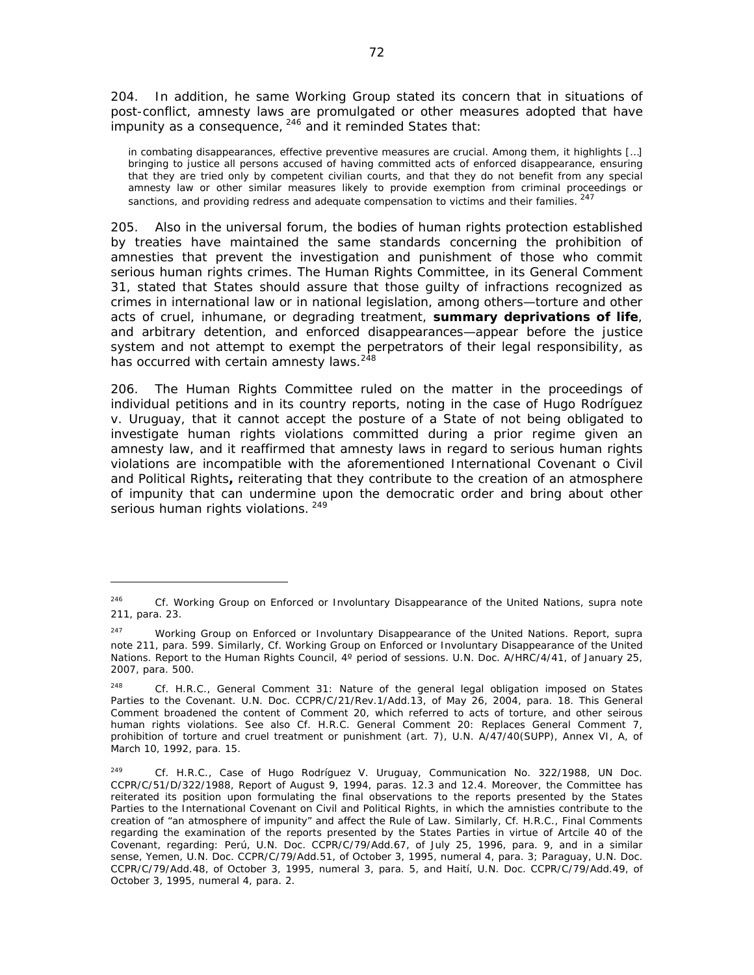204. In addition, he same Working Group stated its concern that in situations of post-conflict, amnesty laws are promulgated or other measures adopted that have  $\frac{1}{2}$  impunity as a consequence,  $246$  and it reminded States that:

in combating disappearances, effective preventive measures are crucial. Among them, it highlights […] bringing to justice all persons accused of having committed acts of enforced disappearance, ensuring that they are tried only by competent civilian courts, and that they do not benefit from any special amnesty law or other similar measures likely to provide exemption from criminal proceedings or sanctions, and providing redress and adequate compensation to victims and their families. <sup>247</sup>

205. Also in the universal forum, the bodies of human rights protection established by treaties have maintained the same standards concerning the prohibition of amnesties that prevent the investigation and punishment of those who commit serious human rights crimes. The Human Rights Committee, in its General Comment 31, stated that States should assure that those guilty of infractions recognized as crimes in international law or in national legislation, among others—torture and other acts of cruel, inhumane, or degrading treatment, **summary deprivations of life**, and arbitrary detention, and enforced disappearances—appear before the justice system and not attempt to exempt the perpetrators of their legal responsibility, as has occurred with certain amnesty laws.<sup>248</sup>

206. The Human Rights Committee ruled on the matter in the proceedings of individual petitions and in its country reports, noting in the case of *Hugo Rodríguez v. Uruguay*, that it cannot accept the posture of a State of not being obligated to investigate human rights violations committed during a prior regime given an amnesty law, and it reaffirmed that amnesty laws in regard to serious human rights violations are incompatible with the aforementioned International Covenant o Civil and Political Rights**,** reiterating that they contribute to the creation of an atmosphere of impunity that can undermine upon the democratic order and bring about other serious human rights violations. 249

<sup>246</sup> *Cf.* Working Group on Enforced or Involuntary Disappearance of the United Nations, *supra* note 211, para. 23.

<sup>247</sup> Working Group on Enforced or Involuntary Disappearance of the United Nations. Report, *supra* note 211, para. 599. Similarly, *Cf*. Working Group on Enforced or Involuntary Disappearance of the United Nations. Report to the Human Rights Council, 4º period of sessions. U.N. Doc. A/HRC/4/41, of January 25, 2007, para. 500.

<sup>248</sup> *Cf*. H.R.C., *General Comment 31: Nature of the general legal obligation imposed on States Parties to the Covenant.* U.N. Doc. CCPR/C/21/Rev.1/Add.13, of May 26, 2004, para. 18. This General Comment broadened the content of Comment 20, which referred to acts of torture, and other seirous human rights violations. See also *Cf*. H.R.C. *General Comment 20: Replaces General Comment 7, prohibition of torture and cruel treatment or punishment (art. 7)*, U.N. A/47/40(SUPP), Annex VI, A, of March 10, 1992, para. 15.

<sup>249</sup> *Cf*. H.R.C., *Case of Hugo Rodríguez V. Uruguay*, Communication No. 322/1988, UN Doc. CCPR/C/51/D/322/1988, Report of August 9, 1994, paras. 12.3 and 12.4. Moreover, the Committee has reiterated its position upon formulating the final observations to the reports presented by the States Parties to the International Covenant on Civil and Political Rights, in which the amnisties contribute to the creation of "an atmosphere of impunity" and affect the Rule of Law. Similarly, *Cf*. H.R.C., *Final Comments regarding the examination of the reports presented by the States Parties in virtue of Artcile 40 of the Covenant,* regarding: Perú, U.N. Doc. CCPR/C/79/Add.67, of July 25, 1996, para. 9, and in a similar sense, Yemen, U.N. Doc. CCPR/C/79/Add.51, of October 3, 1995, numeral 4, para. 3; Paraguay, U.N. Doc. CCPR/C/79/Add.48, of October 3, 1995, numeral 3, para. 5, and Haití, U.N. Doc. CCPR/C/79/Add.49, of October 3, 1995, numeral 4, para. 2.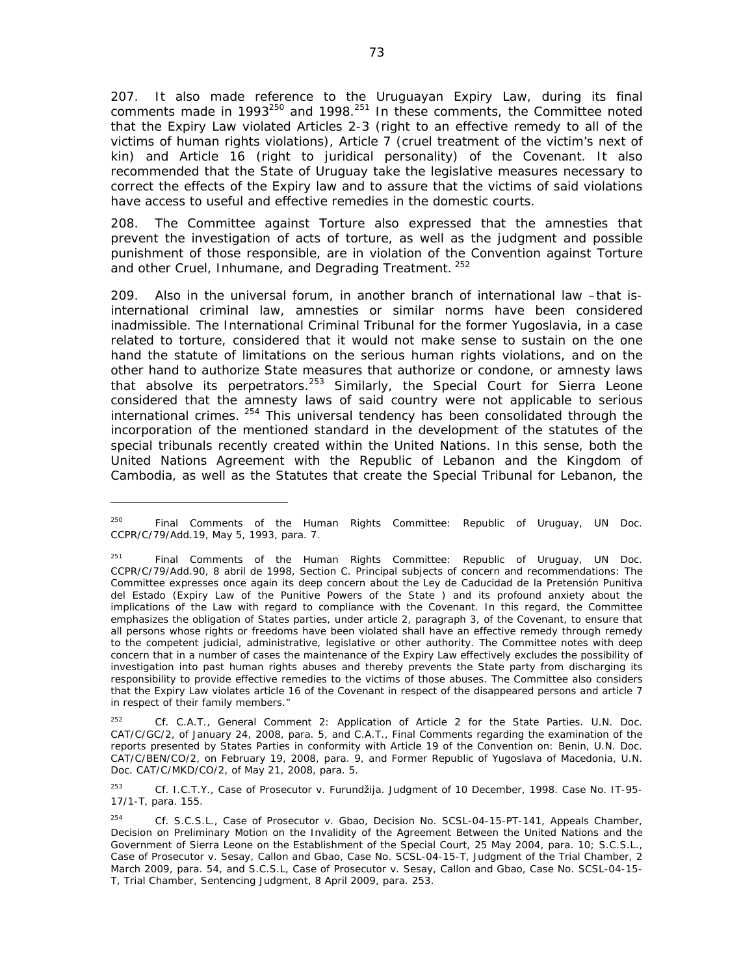207. It also made reference to the Uruguayan Expiry Law, during its final comments made in 1993 $^{250}$  and 1998. $^{251}$  In these comments, the Committee noted that the Expiry Law violated Articles 2-3 (right to an effective remedy to all of the victims of human rights violations), Article 7 (cruel treatment of the victim's next of kin) and Article 16 (right to juridical personality) of the Covenant. It also recommended that the State of Uruguay take the legislative measures necessary to correct the effects of the Expiry law and to assure that the victims of said violations have access to useful and effective remedies in the domestic courts.

208. The Committee against Torture also expressed that the amnesties that prevent the investigation of acts of torture, as well as the judgment and possible punishment of those responsible, are in violation of the Convention against Torture and other Cruel, Inhumane, and Degrading Treatment. <sup>252</sup>

209. Also in the universal forum, in another branch of international law –that isinternational criminal law, amnesties or similar norms have been considered inadmissible. The International Criminal Tribunal for the former Yugoslavia, in a case related to torture, considered that it would not make sense to sustain on the one hand the statute of limitations on the serious human rights violations, and on the other hand to authorize State measures that authorize or condone, or amnesty laws that absolve its perpetrators.<sup>253</sup> Similarly, the Special Court for Sierra Leone considered that the amnesty laws of said country were not applicable to serious international crimes.  $254$  This universal tendency has been consolidated through the incorporation of the mentioned standard in the development of the statutes of the special tribunals recently created within the United Nations. In this sense, both the United Nations Agreement with the Republic of Lebanon and the Kingdom of Cambodia, as well as the Statutes that create the Special Tribunal for Lebanon, the

252 *Cf*. C.A.T., *General Comment 2: Application of Article 2 for the State Parties.* U.N. Doc. CAT/C/GC/2, of January 24, 2008, para. 5, and C.A.T., *Final Comments regarding the examination of the reports presented by States Parties in conformity with Article 19 of the Convention* on: Benin, U.N. Doc. CAT/C/BEN/CO/2, on February 19, 2008, para. 9, and Former Republic of Yugoslava of Macedonia, U.N. Doc. CAT/C/MKD/CO/2, of May 21, 2008, para. 5.

253 *Cf*. I.C.T.Y.*, Case of Prosecutor v. Furundžija*. Judgment of 10 December, 1998. Case No. IT-95- 17/1-T, para. 155.

<sup>250</sup> *Final Comments of the Human Rights Committee: Republic of Uruguay*, UN Doc. CCPR/C/79/Add.19, May 5, 1993, para. 7.

<sup>251</sup> *Final Comments of the Human Rights Committee: Republic of Uruguay*, UN Doc. CCPR/C/79/Add.90, 8 abril de 1998, Section C. Principal subjects of concern and recommendations: The Committee expresses once again its deep concern about the Ley de Caducidad de la Pretensión Punitiva del Estado (Expiry Law of the Punitive Powers of the State ) and its profound anxiety about the implications of the Law with regard to compliance with the Covenant. In this regard, the Committee emphasizes the obligation of States parties, under article 2, paragraph 3, of the Covenant, to ensure that all persons whose rights or freedoms have been violated shall have an effective remedy through remedy to the competent judicial, administrative, legislative or other authority. The Committee notes with deep concern that in a number of cases the maintenance of the Expiry Law effectively excludes the possibility of investigation into past human rights abuses and thereby prevents the State party from discharging its responsibility to provide effective remedies to the victims of those abuses. The Committee also considers that the Expiry Law violates article 16 of the Covenant in respect of the disappeared persons and article 7 in respect of their family members."

<sup>254</sup> *Cf*. S.C.S.L., *Case of Prosecutor v. Gbao*, Decision No. SCSL-04-15-PT-141, Appeals Chamber, Decision on Preliminary Motion on the Invalidity of the Agreement Between the United Nations and the Government of Sierra Leone on the Establishment of the Special Court, 25 May 2004, para. 10; S.C.S.L., *Case of Prosecutor v. Sesay, Callon and Gbao*, Case No. SCSL-04-15-T, Judgment of the Trial Chamber, 2 March 2009, para. 54, and S.C.S.L, *Case of Prosecutor v. Sesay, Callon and Gbao*, Case No. SCSL-04-15- T, Trial Chamber, Sentencing Judgment, 8 April 2009, para. 253.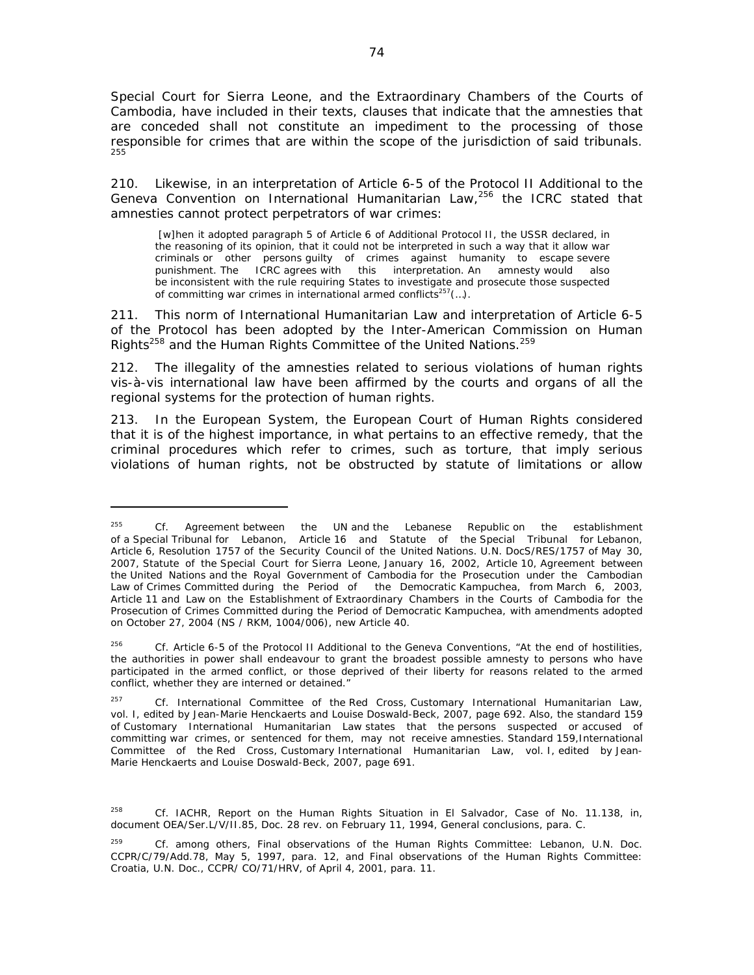Special Court for Sierra Leone, and the Extraordinary Chambers of the Courts of Cambodia, have included in their texts, clauses that indicate that the amnesties that are conceded shall not constitute an impediment to the processing of those responsible for crimes that are within the scope of the jurisdiction of said tribunals. 255

210. Likewise, in an interpretation of Article 6-5 of the Protocol II Additional to the Geneva Convention on International Humanitarian Law,<sup>256</sup> the ICRC stated that amnesties cannot protect perpetrators of war crimes:

 [w]hen it adopted paragraph 5 of Article 6 of Additional Protocol II, the USSR declared, in the reasoning of its opinion, that it could not be interpreted in such a way that it allow war criminals or other persons guilty of crimes against humanity to escape severe punishment. The ICRC agrees with this interpretation. An amnesty would also be inconsistent with the rule requiring States to investigate and prosecute those suspected of committing war crimes in international armed conflicts<sup>257</sup> $(...)$ .

211. This norm of International Humanitarian Law and interpretation of Article 6-5 of the Protocol has been adopted by the Inter-American Commission on Human Rights<sup>258</sup> and the Human Rights Committee of the United Nations.<sup>259</sup>

212. The illegality of the amnesties related to serious violations of human rights vis-à-vis international law have been affirmed by the courts and organs of all the regional systems for the protection of human rights.

213. In the European System, the European Court of Human Rights considered that it is of the highest importance, in what pertains to an effective remedy, that the criminal procedures which refer to crimes, such as torture, that imply serious violations of human rights, not be obstructed by statute of limitations or allow

<sup>255</sup> *Cf.* Agreement between the UN and the Lebanese Republic on the establishment of a Special Tribunal for Lebanon, Article 16 and Statute of the Special Tribunal for Lebanon, Article 6, Resolution 1757 of the Security Council of the United Nations. U.N. DocS/RES/1757 of May 30, 2007, Statute of the Special Court for Sierra Leone, January 16, 2002, Article 10, Agreement between the United Nations and the Royal Government of Cambodia for the Prosecution under the Cambodian Law of Crimes Committed during the Period of the Democratic Kampuchea, from March 6, 2003, Article 11 and Law on the Establishment of Extraordinary Chambers in the Courts of Cambodia for the Prosecution of Crimes Committed during the Period of Democratic Kampuchea, with amendments adopted on October 27, 2004 (NS / RKM, 1004/006), new Article 40.

<sup>256</sup> *Cf.* Article 6-5 of the Protocol II Additional to the Geneva Conventions, "At the end of hostilities, the authorities in power shall endeavour to grant the broadest possible amnesty to persons who have participated in the armed conflict, or those deprived of their liberty for reasons related to the armed conflict, whether they are interned or detained."

<sup>257</sup> *Cf*. International Committee of the Red Cross, Customary International Humanitarian Law, vol. I, edited by Jean-Marie Henckaerts and Louise Doswald-Beck, 2007, page 692. Also, the standard 159 of Customary International Humanitarian Law states that the persons suspected or accused of committing war crimes, or sentenced for them, may not receive amnesties. Standard 159,International Committee of the Red Cross, Customary International Humanitarian Law, vol. I, edited by Jean-Marie Henckaerts and Louise Doswald-Beck, 2007, page 691.

<sup>258</sup> *Cf*. IACHR, Report on the Human Rights Situation in El Salvador, Case of No. 11.138, in, document OEA/Ser.L/V/II.85, Doc. 28 rev. on February 11, 1994, General conclusions, para. C.

<sup>259</sup> *Cf.* among others, *Final observations of the Human Rights Committee: Lebanon*, U.N. Doc. CCPR/C/79/Add.78, May 5, 1997, para. 12, and *Final observations of the Human Rights Committee: Croatia*, U.N. Doc., CCPR/ CO/71/HRV, of April 4, 2001, para. 11.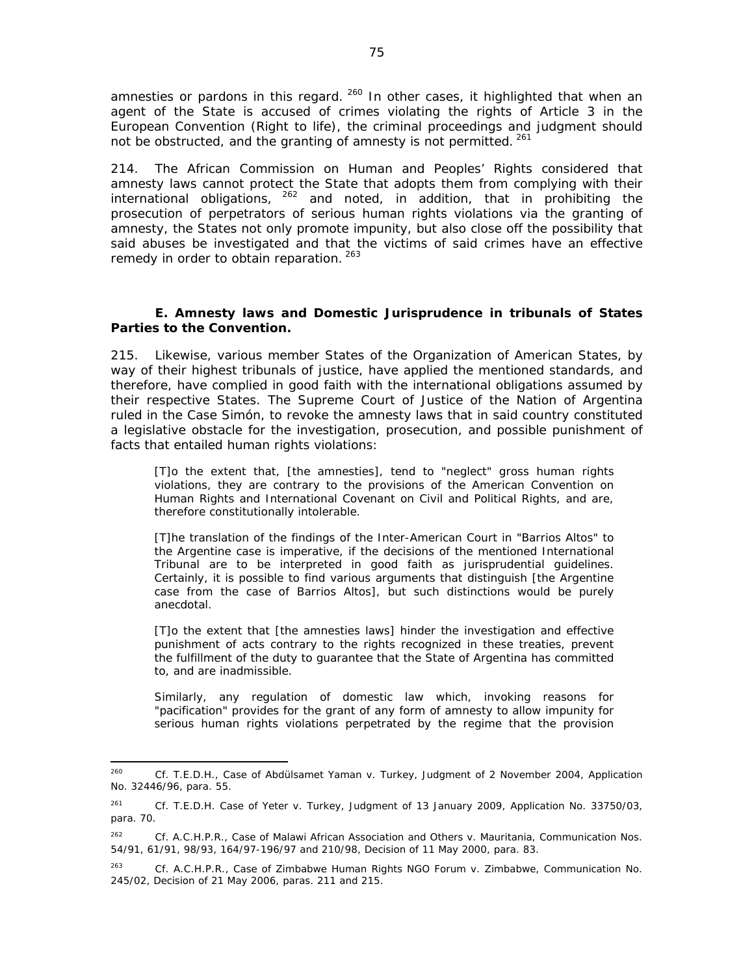amnesties or pardons in this regard. <sup>260</sup> In other cases, it highlighted that when an agent of the State is accused of crimes violating the rights of Article 3 in the European Convention (Right to life), the criminal proceedings and judgment should not be obstructed, and the granting of amnesty is not permitted. 261

214. The African Commission on Human and Peoples' Rights considered that amnesty laws cannot protect the State that adopts them from complying with their international obligations,  $262$  and noted, in addition, that in prohibiting the prosecution of perpetrators of serious human rights violations via the granting of amnesty, the States not only promote impunity, but also close off the possibility that said abuses be investigated and that the victims of said crimes have an effective remedy in order to obtain reparation. 263

### *E. Amnesty laws and Domestic Jurisprudence in tribunals of States Parties to the Convention.*

215. Likewise, various member States of the Organization of American States, by way of their highest tribunals of justice, have applied the mentioned standards, and therefore, have complied in good faith with the international obligations assumed by their respective States. The Supreme Court of Justice of the Nation of Argentina ruled in the *Case Simón*, to revoke the amnesty laws that in said country constituted a legislative obstacle for the investigation, prosecution, and possible punishment of facts that entailed human rights violations:

[T]o the extent that, [the amnesties], tend to "neglect" gross human rights violations, they are contrary to the provisions of the American Convention on Human Rights and International Covenant on Civil and Political Rights, and are, therefore constitutionally intolerable.

[T]he translation of the findings of the Inter-American Court in "Barrios Altos" to the Argentine case is imperative, if the decisions of the mentioned International Tribunal are to be interpreted in good faith as jurisprudential guidelines. Certainly, it is possible to find various arguments that distinguish [the Argentine case from the case of *Barrios Altos*], but such distinctions would be purely anecdotal.

[T]o the extent that [the amnesties laws] hinder the investigation and effective punishment of acts contrary to the rights recognized in these treaties, prevent the fulfillment of the duty to guarantee that the State of Argentina has committed to, and are inadmissible.

Similarly, any regulation of domestic law which, invoking reasons for "pacification" provides for the grant of any form of amnesty to allow impunity for serious human rights violations perpetrated by the regime that the provision

<sup>260</sup> *Cf*. T.E.D.H., *Case of Abdülsamet Yaman v. Turkey*, Judgment of 2 November 2004, Application No. 32446/96, para. 55.

<sup>261</sup> *Cf*. T.E.D.H. *Case of Yeter v. Turkey*, Judgment of 13 January 2009, Application No. 33750/03, para. 70.

<sup>262</sup> *Cf*. A.C.H.P.R., *Case of Malawi African Association and Others v. Mauritania*, Communication Nos. 54/91, 61/91, 98/93, 164/97-196/97 and 210/98, Decision of 11 May 2000, para. 83.

<sup>263</sup> *Cf*. A.C.H.P.R., *Case of Zimbabwe Human Rights NGO Forum v. Zimbabwe*, Communication No. 245/02, Decision of 21 May 2006, paras. 211 and 215.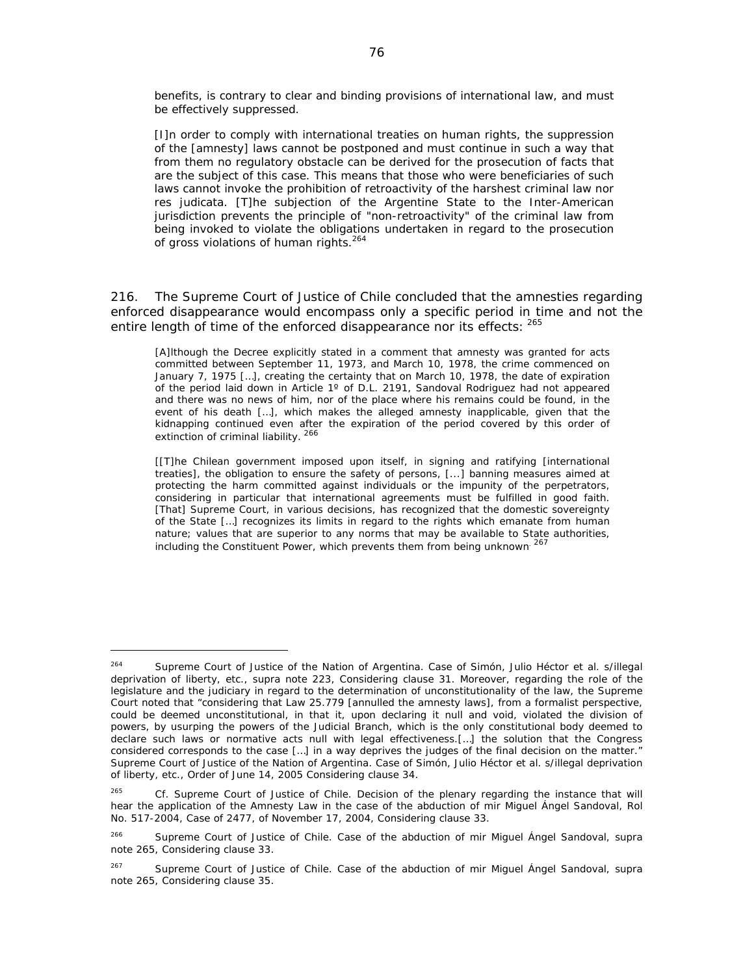benefits, is contrary to clear and binding provisions of international law, and must be effectively suppressed.

[I]n order to comply with international treaties on human rights, the suppression of the [amnesty] laws cannot be postponed and must continue in such a way that from them no regulatory obstacle can be derived for the prosecution of facts that are the subject of this case. This means that those who were beneficiaries of such laws cannot invoke the prohibition of retroactivity of the harshest criminal law nor *res judicata.* [T]he subjection of the Argentine State to the Inter-American jurisdiction prevents the principle of "non-retroactivity" of the criminal law from being invoked to violate the obligations undertaken in regard to the prosecution of gross violations of human rights.<sup>264</sup>

216. The Supreme Court of Justice of Chile concluded that the amnesties regarding enforced disappearance would encompass only a specific period in time and not the entire length of time of the enforced disappearance nor its effects: 265

[A]lthough the Decree explicitly stated in a comment that amnesty was granted for acts committed between September 11, 1973, and March 10, 1978, the crime commenced on January 7, 1975 […], creating the certainty that on March 10, 1978, the date of expiration of the period laid down in Article 1º of D.L. 2191, Sandoval Rodriguez had not appeared and there was no news of him, nor of the place where his remains could be found, in the event of his death […], which makes the alleged amnesty inapplicable, given that the kidnapping continued even after the expiration of the period covered by this order of extinction of criminal liability.<sup>266</sup>

[[T]he Chilean government imposed upon itself, in signing and ratifying [international treaties], the obligation to ensure the safety of persons, [...] banning measures aimed at protecting the harm committed against individuals or the impunity of the perpetrators, considering in particular that international agreements must be fulfilled in good faith. [That] Supreme Court, in various decisions, has recognized that the domestic sovereignty of the State […] recognizes its limits in regard to the rights which emanate from human nature; values that are superior to any norms that may be available to State authorities, including the Constituent Power, which prevents them from being unknown<sup>267</sup>

<sup>264</sup> Supreme Court of Justice of the Nation of Argentina. *Case of Simón, Julio Héctor et al. s/illegal deprivation of liberty, etc*., *supra* note 223, Considering clause 31. Moreover, regarding the role of the legislature and the judiciary in regard to the determination of unconstitutionality of the law, the Supreme Court noted that "considering that Law 25.779 [annulled the amnesty laws], from a formalist perspective, could be deemed unconstitutional, in that it, upon declaring it null and void, violated the division of powers, by usurping the powers of the Judicial Branch, which is the only constitutional body deemed to declare such laws or normative acts null with legal effectiveness.[…] the solution that the Congress considered corresponds to the case [...] in a way deprives the judges of the final decision on the matter." Supreme Court of Justice of the Nation of Argentina. *Case of Simón, Julio Héctor et al. s/illegal deprivation of liberty, etc*., Order of June 14, 2005 Considering clause 34.

<sup>265</sup> *Cf*. Supreme Court of Justice of Chile. *Decision of the plenary regarding the instance that will hear the application of the Amnesty Law in the case of the abduction of mir Miguel Ángel Sandoval*, Rol No. 517-2004, Case of 2477, of November 17, 2004, Considering clause 33.

<sup>266</sup> Supreme Court of Justice of Chile. *Case of the abduction of mir Miguel Ángel Sandoval*, *supra* note 265, Considering clause 33.

<sup>267</sup> Supreme Court of Justice of Chile. *Case of the abduction of mir Miguel Ángel Sandoval*, *supra* note 265, Considering clause 35.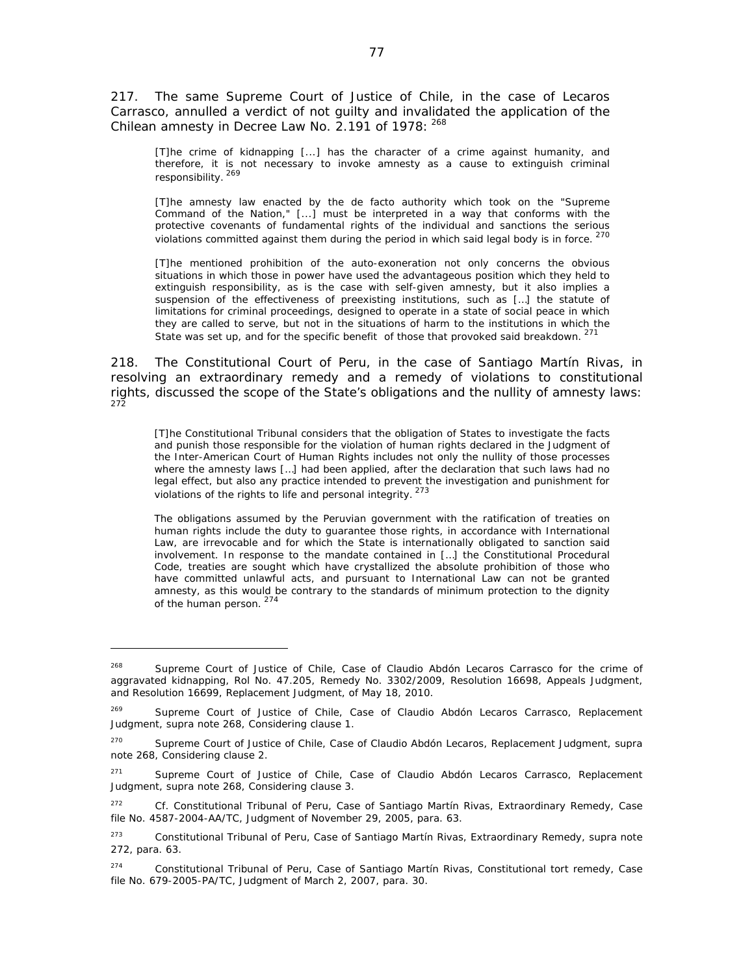217. The same Supreme Court of Justice of Chile, in the case of *Lecaros Carrasco*, annulled a verdict of not guilty and invalidated the application of the Chilean amnesty in Decree Law No. 2.191 of 1978: 268

[T]he crime of kidnapping [...] has the character of a crime against humanity, and therefore, it is not necessary to invoke amnesty as a cause to extinguish criminal responsibility. <sup>269</sup>

[T]he amnesty law enacted by the *de facto* authority which took on the "Supreme Command of the Nation," [...] must be interpreted in a way that conforms with the protective covenants of fundamental rights of the individual and sanctions the serious violations committed against them during the period in which said legal body is in force.  $270$ 

[T]he mentioned prohibition of the auto-exoneration not only concerns the obvious situations in which those in power have used the advantageous position which they held to extinguish responsibility, as is the case with self-given amnesty, but it also implies a suspension of the effectiveness of preexisting institutions, such as […] the statute of limitations for criminal proceedings, designed to operate in a state of social peace in which they are called to serve, but not in the situations of harm to the institutions in which the State was set up, and for the specific benefit of those that provoked said breakdown. <sup>271</sup>

218. The Constitutional Court of Peru, in the case of *Santiago Martín Rivas*, in resolving an extraordinary remedy and a remedy of violations to constitutional rights, discussed the scope of the State's obligations and the nullity of amnesty laws: 272

[T]he Constitutional Tribunal considers that the obligation of States to investigate the facts and punish those responsible for the violation of human rights declared in the Judgment of the Inter-American Court of Human Rights includes not only the nullity of those processes where the amnesty laws […] had been applied, after the declaration that such laws had no legal effect, but also any practice intended to prevent the investigation and punishment for violations of the rights to life and personal integrity. <sup>273</sup>

The obligations assumed by the Peruvian government with the ratification of treaties on human rights include the duty to guarantee those rights, in accordance with International Law, are irrevocable and for which the State is internationally obligated to sanction said involvement. In response to the mandate contained in […] the Constitutional Procedural Code, treaties are sought which have crystallized the absolute prohibition of those who have committed unlawful acts, and pursuant to International Law can not be granted amnesty, as this would be contrary to the standards of minimum protection to the dignity of the human person. 274

<sup>268</sup> Supreme Court of Justice of Chile, *Case of Claudio Abdón Lecaros Carrasco for the crime of aggravated kidnapping,* Rol No. 47.205, Remedy No. 3302/2009, Resolution 16698, Appeals Judgment, and Resolution 16699, Replacement Judgment, of May 18, 2010.

<sup>269</sup> Supreme Court of Justice of Chile, *Case of Claudio Abdón Lecaros Carrasco*, Replacement Judgment, *supra* note 268, Considering clause 1.

<sup>270</sup> Supreme Court of Justice of Chile, *Case of Claudio Abdón Lecaros*, Replacement Judgment, *supra* note 268, Considering clause 2.

<sup>271</sup> Supreme Court of Justice of Chile, *Case of Claudio Abdón Lecaros Carrasco*, Replacement Judgment, *supra* note 268, Considering clause 3.

<sup>272</sup> *Cf*. Constitutional Tribunal of Peru, *Case of Santiago Martín Rivas*, Extraordinary Remedy, Case file No. 4587-2004-AA/TC, Judgment of November 29, 2005, para. 63.

<sup>273</sup> Constitutional Tribunal of Peru, *Case of Santiago Martín Rivas*, Extraordinary Remedy, *supra* note 272, para. 63.

<sup>274</sup> Constitutional Tribunal of Peru, *Case of Santiago Martín Rivas,* Constitutional tort remedy*,* Case file No. 679-2005-PA/TC, Judgment of March 2, 2007, para. 30.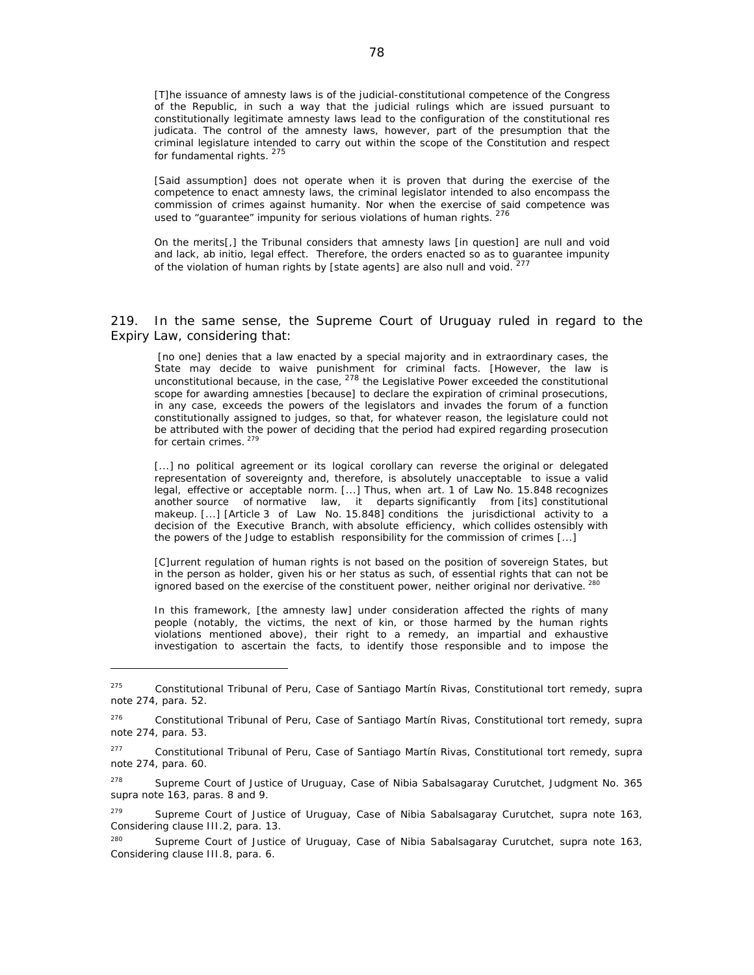[T]he issuance of amnesty laws is of the judicial-constitutional competence of the Congress of the Republic, in such a way that the judicial rulings which are issued pursuant to constitutionally legitimate amnesty laws lead to the configuration of the *constitutional res judicata.* The control of the amnesty laws, however, part of the presumption that the criminal legislature intended to carry out within the scope of the Constitution and respect for fundamental rights.<sup>275</sup>

[Said assumption] does not operate when it is proven that during the exercise of the competence to enact amnesty laws, the criminal legislator intended to also encompass the commission of crimes against humanity. Nor when the exercise of said competence was used to "guarantee" impunity for serious violations of human rights. 276

On the merits[,] the Tribunal considers that amnesty laws [in question] are null and void and lack, *ab initio*, legal effect. Therefore, the orders enacted so as to guarantee impunity of the violation of human rights by [state agents] are also null and void.

219. In the same sense, the Supreme Court of Uruguay ruled in regard to the Expiry Law, considering that:

 [no one] denies that a law enacted by a special majority and in extraordinary cases, the State may decide to waive punishment for criminal facts. [However, the law is unconstitutional because, in the case,  $278$  the Legislative Power exceeded the constitutional scope for awarding amnesties [because] to declare the expiration of criminal prosecutions, in any case, exceeds the powers of the legislators and invades the forum of a function constitutionally assigned to judges, so that, for whatever reason, the legislature could not be attributed with the power of deciding that the period had expired regarding prosecution for certain crimes.<sup>279</sup>

[...] no political agreement or its logical corollary can reverse the original or delegated representation of sovereignty and, therefore, is absolutely unacceptable to issue a valid legal, effective or acceptable norm. [...] Thus, when art. 1 of Law No. 15.848 recognizes another source of normative law, it departs significantly from [its] constitutional makeup. [...] [Article 3 of Law No. 15.848] conditions the jurisdictional activity to a decision of the Executive Branch, with absolute efficiency, which collides ostensibly with the powers of the Judge to establish responsibility for the commission of crimes [...]

[C]urrent regulation of human rights is not based on the position of sovereign States, but in the person as holder, given his or her status as such, of essential rights that can not be ignored based on the exercise of the constituent power, neither original nor derivative. <sup>280</sup>

In this framework, [the amnesty law] under consideration affected the rights of many people (notably, the victims, the next of kin, or those harmed by the human rights violations mentioned above), their right to a remedy, an impartial and exhaustive investigation to ascertain the facts, to identify those responsible and to impose the

<sup>275</sup> Constitutional Tribunal of Peru, *Case of Santiago Martín Rivas,* Constitutional tort remedy*, supra* note 274, para. 52.

<sup>276</sup> Constitutional Tribunal of Peru, *Case of Santiago Martín Rivas,* Constitutional tort remedy*, supra* note 274, para. 53.

<sup>277</sup> Constitutional Tribunal of Peru, *Case of Santiago Martín Rivas,* Constitutional tort remedy, *supra* note 274, para. 60.

<sup>278</sup> Supreme Court of Justice of Uruguay, *Case of Nibia Sabalsagaray Curutchet*, Judgment No. 365 *supra* note 163, paras. 8 and 9.

<sup>279</sup> Supreme Court of Justice of Uruguay, *Case of Nibia Sabalsagaray Curutchet*, *supra* note 163, Considering clause III.2, para. 13.

<sup>280</sup> Supreme Court of Justice of Uruguay, *Case of Nibia Sabalsagaray Curutchet*, *supra* note 163, Considering clause III.8, para. 6.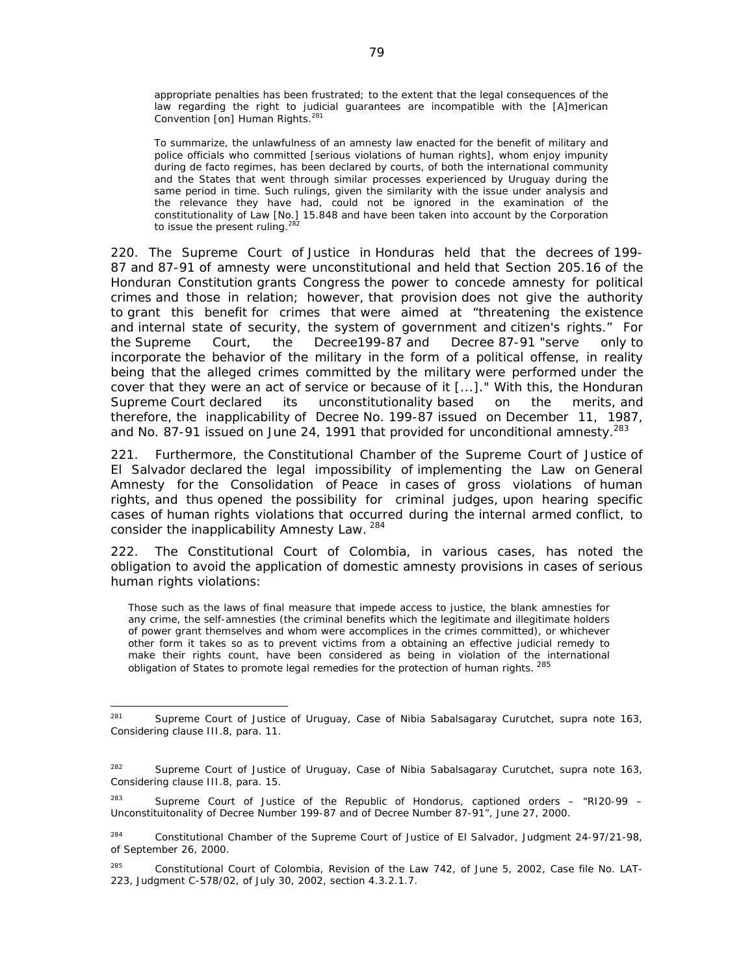appropriate penalties has been frustrated; to the extent that the legal consequences of the law regarding the right to judicial guarantees are incompatible with the [A]merican Convention [on] Human Rights.<sup>281</sup>

To summarize, the unlawfulness of an amnesty law enacted for the benefit of military and police officials who committed [serious violations of human rights], whom enjoy impunity during *de facto* regimes, has been declared by courts, of both the international community and the States that went through similar processes experienced by Uruguay during the same period in time. Such rulings, given the similarity with the issue under analysis and the relevance they have had, could not be ignored in the examination of the constitutionality of Law [No.] 15.848 and have been taken into account by the Corporation to issue the present ruling. $^{28}$ 

220. The Supreme Court of Justice in Honduras held that the decrees of 199- 87 and 87-91 of amnesty were unconstitutional and held that Section 205.16 of the Honduran Constitution grants Congress the power to concede amnesty for political crimes and those in relation; however, that provision does not give the authority to grant this benefit for crimes that were aimed at "threatening the existence and internal state of security, the system of government and citizen's rights." For the Supreme Court, the Decree199-87 and Decree 87-91 "serve only to incorporate the behavior of the military in the form of a political offense, in reality being that the alleged crimes committed by the military were performed under the cover that they were an act of service or because of it [...]." With this, the Honduran Supreme Court declared its unconstitutionality based on the merits, and therefore, the inapplicability of Decree No. 199-87 issued on December 11, 1987, and No. 87-91 issued on June 24, 1991 that provided for unconditional amnesty.<sup>283</sup>

221. Furthermore, the Constitutional Chamber of the Supreme Court of Justice of El Salvador declared the legal impossibility of implementing the Law on General Amnesty for the Consolidation of Peace in cases of gross violations of human rights, and thus opened the possibility for criminal judges, upon hearing specific cases of human rights violations that occurred during the internal armed conflict, to consider the inapplicability Amnesty Law.<sup>284</sup>

222. The Constitutional Court of Colombia, in various cases, has noted the obligation to avoid the application of domestic amnesty provisions in cases of serious human rights violations:

Those such as the laws of final measure that impede access to justice, the blank amnesties for any crime, the self-amnesties (the criminal benefits which the legitimate and illegitimate holders of power grant themselves and whom were accomplices in the crimes committed), or whichever other form it takes so as to prevent victims from a obtaining an effective judicial remedy to make their rights count, have been considered as being in violation of the international obligation of States to promote legal remedies for the protection of human rights. 285

<sup>281</sup> Supreme Court of Justice of Uruguay, *Case of Nibia Sabalsagaray Curutchet*, *supra* note 163, Considering clause III.8, para. 11.

<sup>282</sup> Supreme Court of Justice of Uruguay, *Case of Nibia Sabalsagaray Curutchet*, *supra* note 163, Considering clause III.8, para. 15.

<sup>&</sup>lt;sup>283</sup> Supreme Court of Justice of the Republic of Hondorus, captioned orders – "RI20-99 – Unconstituitonality of Decree Number 199-87 and of Decree Number 87-91", June 27, 2000.

<sup>&</sup>lt;sup>284</sup> Constitutional Chamber of the Supreme Court of Justice of El Salvador, Judgment 24-97/21-98, of September 26, 2000.

<sup>&</sup>lt;sup>285</sup> Constitutional Court of Colombia, Revision of the Law 742, of June 5, 2002, Case file No. LAT-223, Judgment C-578/02, of July 30, 2002, section 4.3.2.1.7.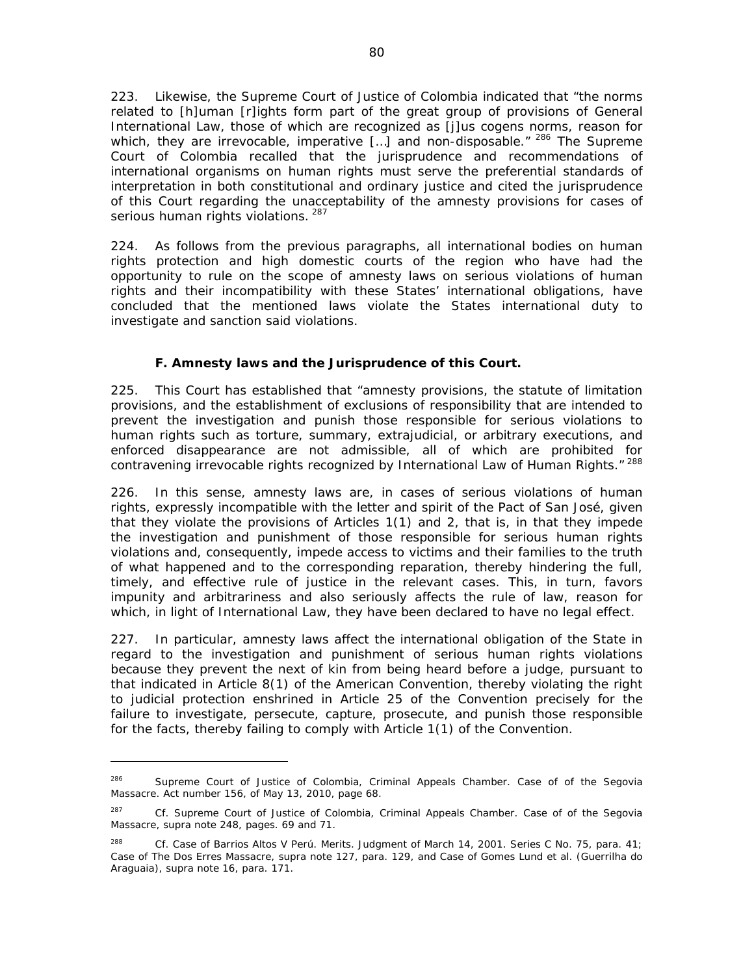223. Likewise, the Supreme Court of Justice of Colombia indicated that "the norms related to [h]uman [r]ights form part of the great group of provisions of General International Law, those of which are recognized as *[j]us cogens* norms, reason for which, they are irrevocable, imperative [...] and non-disposable."<sup>286</sup> The Supreme Court of Colombia recalled that the jurisprudence and recommendations of international organisms on human rights must serve the preferential standards of interpretation in both constitutional and ordinary justice and cited the jurisprudence of this Court regarding the unacceptability of the amnesty provisions for cases of serious human rights violations. 287

224. As follows from the previous paragraphs, all international bodies on human rights protection and high domestic courts of the region who have had the opportunity to rule on the scope of amnesty laws on serious violations of human rights and their incompatibility with these States' international obligations, have concluded that the mentioned laws violate the States international duty to investigate and sanction said violations.

# *F. Amnesty laws and the Jurisprudence of this Court.*

225. This Court has established that "amnesty provisions, the statute of limitation provisions, and the establishment of exclusions of responsibility that are intended to prevent the investigation and punish those responsible for serious violations to human rights such as torture, summary, extrajudicial, or arbitrary executions, and enforced disappearance are not admissible, all of which are prohibited for contravening irrevocable rights recognized by International Law of Human Rights."<sup>288</sup>

226. In this sense, amnesty laws are, in cases of serious violations of human rights, expressly incompatible with the letter and spirit of the Pact of San José, given that they violate the provisions of Articles 1(1) and 2, that is, in that they impede the investigation and punishment of those responsible for serious human rights violations and, consequently, impede access to victims and their families to the truth of what happened and to the corresponding reparation, thereby hindering the full, timely, and effective rule of justice in the relevant cases. This, in turn, favors impunity and arbitrariness and also seriously affects the rule of law, reason for which, in light of International Law, they have been declared to have no legal effect.

227. In particular, amnesty laws affect the international obligation of the State in regard to the investigation and punishment of serious human rights violations because they prevent the next of kin from being heard before a judge, pursuant to that indicated in Article 8(1) of the American Convention, thereby violating the right to judicial protection enshrined in Article 25 of the Convention precisely for the failure to investigate, persecute, capture, prosecute, and punish those responsible for the facts, thereby failing to comply with Article 1(1) of the Convention.

<sup>286</sup> Supreme Court of Justice of Colombia, Criminal Appeals Chamber. *Case of of the Segovia Massacre*. Act number 156, of May 13, 2010, page 68.

<sup>287</sup> Cf. Supreme Court of Justice of Colombia, Criminal Appeals Chamber. *Case of of the Segovia Massacre*, *supra* note 248, pages. 69 and 71.

<sup>288</sup> *Cf*. *Case of Barrios Altos V Perú*. *Merits*. Judgment of March 14, 2001. Series C No. 75, para. 41; *Case of The Dos Erres Massacre*, *supra* note 127, para. 129, and *Case of Gomes Lund et al. (Guerrilha do Araguaia)*, *supra* note 16, para. 171.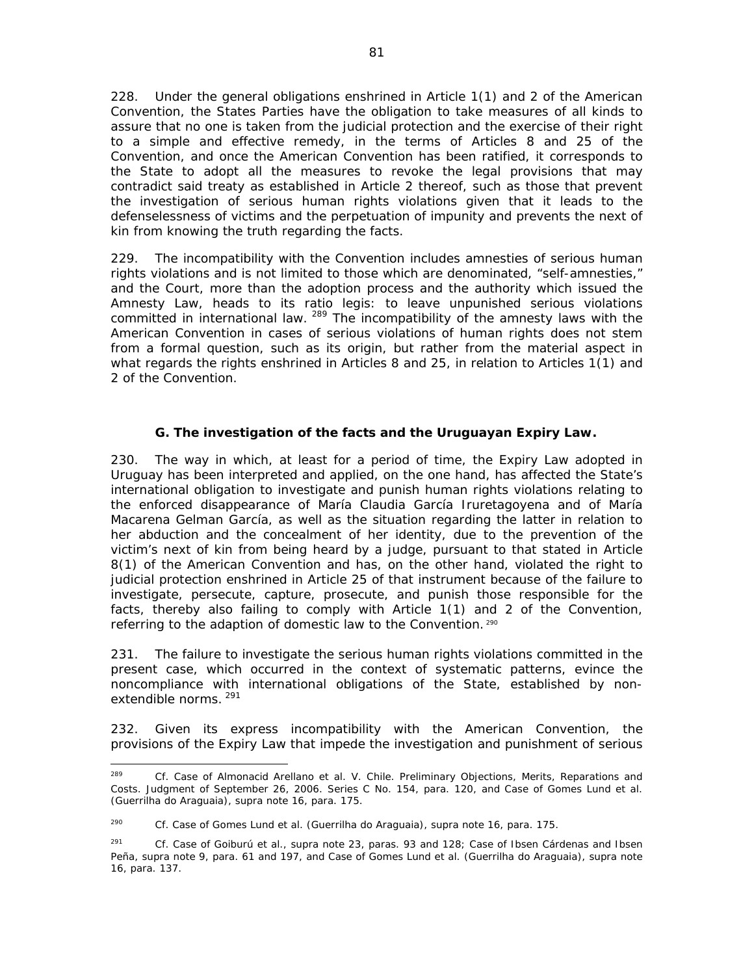228. Under the general obligations enshrined in Article 1(1) and 2 of the American Convention, the States Parties have the obligation to take measures of all kinds to assure that no one is taken from the judicial protection and the exercise of their right to a simple and effective remedy, in the terms of Articles 8 and 25 of the Convention, and once the American Convention has been ratified, it corresponds to the State to adopt all the measures to revoke the legal provisions that may contradict said treaty as established in Article 2 thereof, such as those that prevent the investigation of serious human rights violations given that it leads to the defenselessness of victims and the perpetuation of impunity and prevents the next of kin from knowing the truth regarding the facts.

229. The incompatibility with the Convention includes amnesties of serious human rights violations and is not limited to those which are denominated, "self-amnesties," and the Court, more than the adoption process and the authority which issued the Amnesty Law, heads to its *ratio legis*: to leave unpunished serious violations committed in international law. <sup>289</sup> The incompatibility of the amnesty laws with the American Convention in cases of serious violations of human rights does not stem from a formal question, such as its origin, but rather from the material aspect in what regards the rights enshrined in Articles 8 and 25, in relation to Articles 1(1) and 2 of the Convention.

# *G. The investigation of the facts and the Uruguayan Expiry Law.*

230. The way in which, at least for a period of time, the Expiry Law adopted in Uruguay has been interpreted and applied, on the one hand, has affected the State's international obligation to investigate and punish human rights violations relating to the enforced disappearance of María Claudia García Iruretagoyena and of María Macarena Gelman García, as well as the situation regarding the latter in relation to her abduction and the concealment of her identity, due to the prevention of the victim's next of kin from being heard by a judge, pursuant to that stated in Article 8(1) of the American Convention and has, on the other hand, violated the right to judicial protection enshrined in Article 25 of that instrument because of the failure to investigate, persecute, capture, prosecute, and punish those responsible for the facts, thereby also failing to comply with Article 1(1) and 2 of the Convention, referring to the adaption of domestic law to the Convention. <sup>290</sup>

231. The failure to investigate the serious human rights violations committed in the present case, which occurred in the context of systematic patterns, evince the noncompliance with international obligations of the State, established by nonextendible norms. <sup>291</sup>

232. Given its express incompatibility with the American Convention, the provisions of the Expiry Law that impede the investigation and punishment of serious

 289 *Cf*. *Case of Almonacid Arellano et al. V. Chile*. *Preliminary Objections, Merits, Reparations and Costs*. Judgment of September 26, 2006. Series C No. 154, para. 120, and *Case of Gomes Lund et al. (Guerrilha do Araguaia)*, *supra* note 16, para. 175.

<sup>290</sup> *Cf*. *Case of Gomes Lund et al. (Guerrilha do Araguaia)*, *supra* note 16, para. 175.

<sup>291</sup> *Cf. Case of Goiburú et al.*, *supra* note 23, paras. 93 and 128; *Case of Ibsen Cárdenas and Ibsen Peña, supra* note 9, para. 61 and 197, and *Case of Gomes Lund et al. (Guerrilha do Araguaia)*, *supra* note 16, para. 137.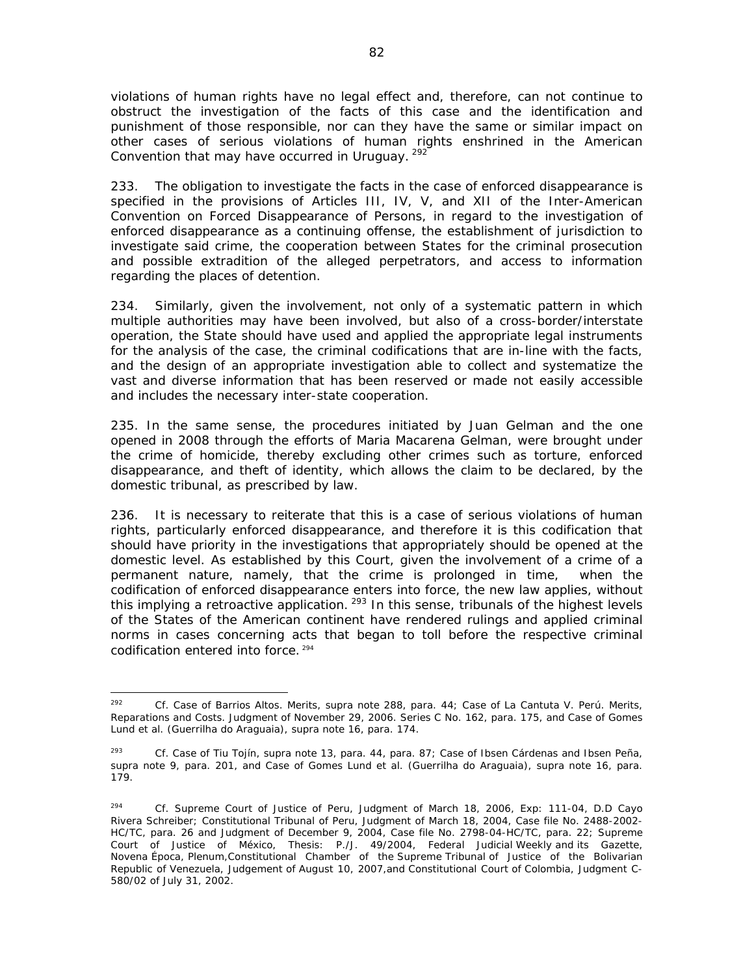violations of human rights have no legal effect and, therefore, can not continue to obstruct the investigation of the facts of this case and the identification and punishment of those responsible, nor can they have the same or similar impact on other cases of serious violations of human rights enshrined in the American Convention that may have occurred in Uruguay. <sup>292</sup>

233. The obligation to investigate the facts in the case of enforced disappearance is specified in the provisions of Articles III, IV, V, and XII of the Inter-American Convention on Forced Disappearance of Persons, in regard to the investigation of enforced disappearance as a continuing offense, the establishment of jurisdiction to investigate said crime, the cooperation between States for the criminal prosecution and possible extradition of the alleged perpetrators, and access to information regarding the places of detention.

234. Similarly, given the involvement, not only of a systematic pattern in which multiple authorities may have been involved, but also of a cross-border/interstate operation, the State should have used and applied the appropriate legal instruments for the analysis of the case, the criminal codifications that are in-line with the facts, and the design of an appropriate investigation able to collect and systematize the vast and diverse information that has been reserved or made not easily accessible and includes the necessary inter-state cooperation.

235. In the same sense, the procedures initiated by Juan Gelman and the one opened in 2008 through the efforts of Maria Macarena Gelman, were brought under the crime of homicide, thereby excluding other crimes such as torture, enforced disappearance, and theft of identity, which allows the claim to be declared, by the domestic tribunal, as prescribed by law.

236. It is necessary to reiterate that this is a case of serious violations of human rights, particularly enforced disappearance, and therefore it is this codification that should have priority in the investigations that appropriately should be opened at the domestic level. As established by this Court, given the involvement of a crime of a permanent nature, namely, that the crime is prolonged in time, when the codification of enforced disappearance enters into force, the new law applies, without this implying a retroactive application. <sup>293</sup> In this sense, tribunals of the highest levels of the States of the American continent have rendered rulings and applied criminal norms in cases concerning acts that began to toll before the respective criminal codification entered into force. 294

 292 *Cf*. *Case of Barrios Altos*. *Merits*, *supra* note 288, para. 44; *Case of La Cantuta V. Perú. Merits, Reparations and Costs.* Judgment of November 29, 2006. Series C No. 162, para. 175, and *Case of Gomes Lund et al. (Guerrilha do Araguaia)*, *supra* note 16, para. 174.

<sup>293</sup> *Cf. Case of Tiu Tojín, supra* note 13, para. 44, para. 87; *Case of Ibsen Cárdenas and Ibsen Peña, supra* note 9, para. 201, and *Case of Gomes Lund et al. (Guerrilha do Araguaia)*, *supra* note 16, para. 179.

<sup>294</sup> *Cf.* Supreme Court of Justice of Peru, Judgment of March 18, 2006, Exp: 111-04, D.D Cayo Rivera Schreiber; Constitutional Tribunal of Peru, Judgment of March 18, 2004, Case file No. 2488-2002- HC/TC, para. 26 and Judgment of December 9, 2004, Case file No. 2798-04-HC/TC, para. 22; Supreme Court of Justice of México, Thesis: P./J. 49/2004, Federal Judicial Weekly and its Gazette, Novena Época, Plenum, Constitutional Chamber of the Supreme Tribunal of Justice of the Bolivarian Republic of Venezuela, Judgement of August 10, 2007,and Constitutional Court of Colombia, Judgment C-580/02 of July 31, 2002.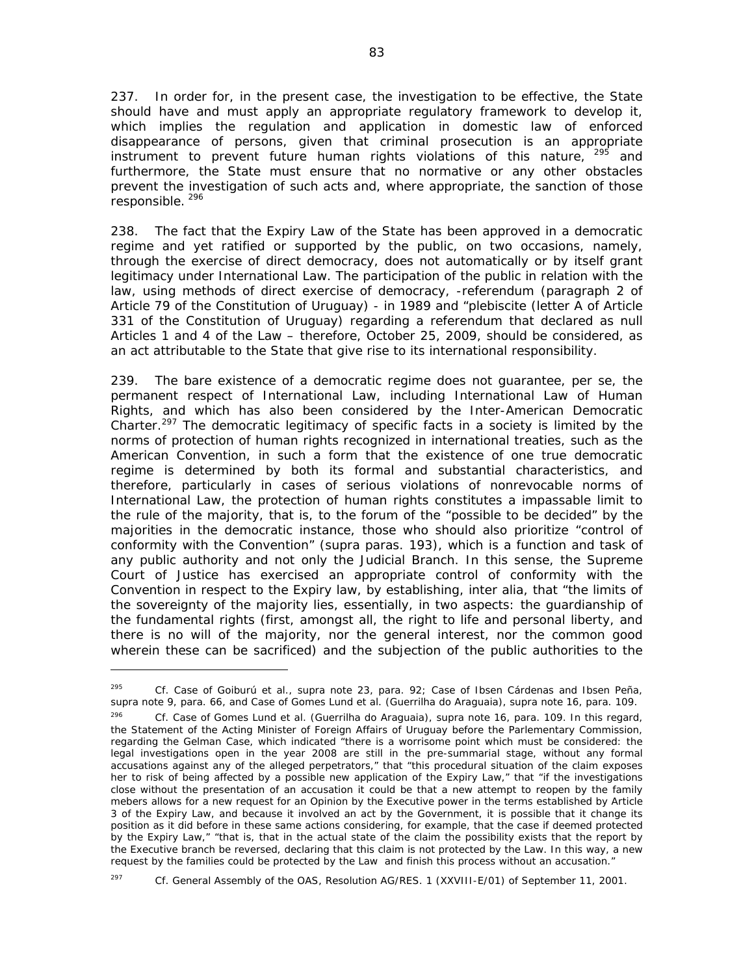237. In order for, in the present case, the investigation to be effective, the State should have and must apply an appropriate regulatory framework to develop it, which implies the regulation and application in domestic law of enforced disappearance of persons, given that criminal prosecution is an appropriate instrument to prevent future human rights violations of this nature,  $295$  and furthermore, the State must ensure that no normative or any other obstacles prevent the investigation of such acts and, where appropriate, the sanction of those responsible.<sup>296</sup>

238. The fact that the Expiry Law of the State has been approved in a democratic regime and yet ratified or supported by the public, on two occasions, namely, through the exercise of direct democracy, does not automatically or by itself grant legitimacy under International Law. The participation of the public in relation with the law, using methods of direct exercise of democracy, -referendum (paragraph 2 of Article 79 of the Constitution of Uruguay) - in 1989 and "plebiscite (letter A of Article 331 of the Constitution of Uruguay) regarding a referendum that declared as null Articles 1 and 4 of the Law – therefore, October 25, 2009, should be considered, as an act attributable to the State that give rise to its international responsibility.

239. The bare existence of a democratic regime does not guarantee, *per se*, the permanent respect of International Law, including International Law of Human Rights, and which has also been considered by the Inter-American Democratic Charter.<sup>297</sup> The democratic legitimacy of specific facts in a society is limited by the norms of protection of human rights recognized in international treaties, such as the American Convention, in such a form that the existence of one true democratic regime is determined by both its formal and substantial characteristics, and therefore, particularly in cases of serious violations of nonrevocable norms of International Law, the protection of human rights constitutes a impassable limit to the rule of the majority, that is, to the forum of the "possible to be decided" by the majorities in the democratic instance, those who should also prioritize "control of conformity with the Convention" (*supra* paras. 193), which is a function and task of any public authority and not only the Judicial Branch. In this sense, the Supreme Court of Justice has exercised an appropriate control of conformity with the Convention in respect to the Expiry law, by establishing, *inter alia*, that "the limits of the sovereignty of the majority lies, essentially, in two aspects: the guardianship of the fundamental rights (first, amongst all, the right to life and personal liberty, and there is no will of the majority, nor the general interest, nor the common good wherein these can be sacrificed) and the subjection of the public authorities to the

<sup>295</sup> *Cf. Case of Goiburú et al.*, *supra* note 23, para. 92; *Case of Ibsen Cárdenas and Ibsen Peña, supra* note 9, para. 66, and *Case of Gomes Lund et al. (Guerrilha do Araguaia)*, *supra* note 16, para. 109.

<sup>296</sup> *Cf. Case of Gomes Lund et al. (Guerrilha do Araguaia)*, *supra* note 16, para. 109. In this regard, the Statement of the Acting Minister of Foreign Affairs of Uruguay before the Parlementary Commission, regarding the Gelman Case, which indicated "there is a worrisome point which must be considered: the legal investigations open in the year 2008 are still in the pre-summarial stage, without any formal accusations against any of the alleged perpetrators," that "this procedural situation of the claim exposes her to risk of being affected by a possible new application of the Expiry Law," that "if the investigations close without the presentation of an accusation it could be that a new attempt to reopen by the family mebers allows for a new request for an Opinion by the Executive power in the terms established by Article 3 of the Expiry Law, and because it involved an act by the Government, it is possible that it change its position as it did before in these same actions considering, for example, that the case if deemed protected by the Expiry Law," "that is, that in the actual state of the claim the possibility exists that the report by the Executive branch be reversed, declaring that this claim is not protected by the Law. In this way, a new request by the families could be protected by the Law and finish this process without an accusation."

<sup>297</sup> *Cf*. General Assembly of the OAS, Resolution AG/RES. 1 (XXVIII-E/01) of September 11, 2001.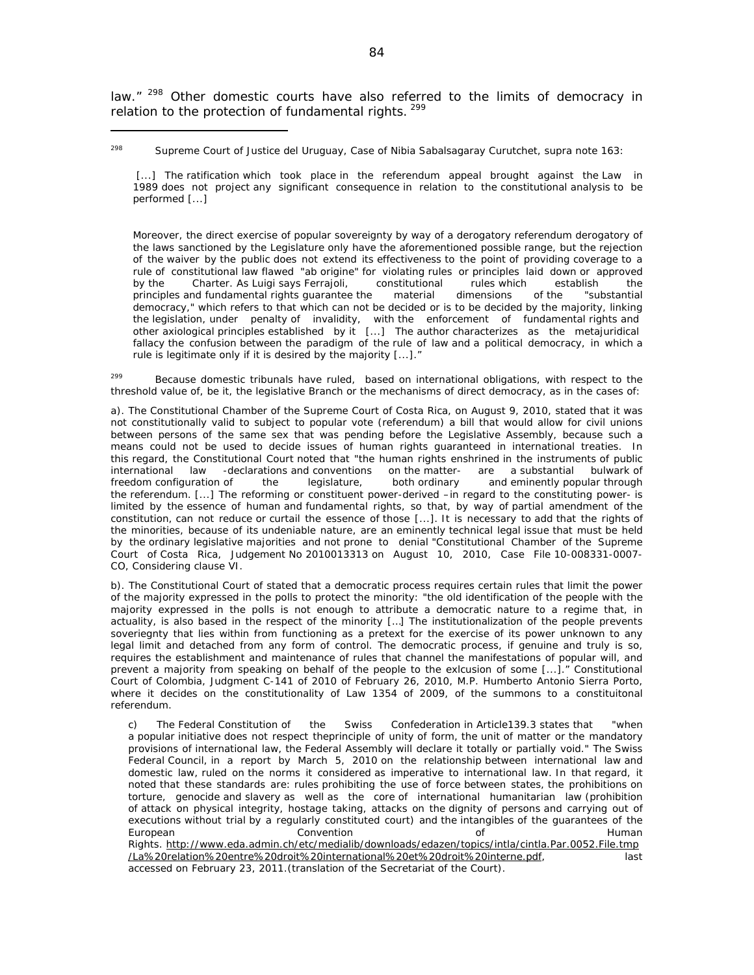law."<sup>298</sup> Other domestic courts have also referred to the limits of democracy in relation to the protection of fundamental rights. <sup>299</sup>

[...] The ratification which took place in the referendum appeal brought against the Law in 1989 does not project any significant consequence in relation to the constitutional analysis to be performed [...]

Moreover, the direct exercise of popular sovereignty by way of a derogatory referendum derogatory of the laws sanctioned by the Legislature only have the aforementioned possible range, but the rejection of the waiver by the public does not extend its effectiveness to the point of providing coverage to a rule of constitutional law flawed "ab origine" for violating rules or principles laid down or approved by the Charter. As Luigi says Ferrajoli, constitutional rules which establish the principles and fundamental rights guarantee the material dimensions of the "substantial democracy," which refers to that which can not be decided or is to be decided by the majority, linking the legislation, under penalty of invalidity, with the enforcement of fundamental rights and other axiological principles established by it [...] The author characterizes as the metajuridical fallacy the confusion between the paradigm of the rule of law and a political democracy, in which a rule is legitimate only if it is desired by the majority [...]."

<sup>299</sup> Because domestic tribunals have ruled, based on international obligations, with respect to the threshold value of, be it, the legislative Branch or the mechanisms of direct democracy, as in the cases of:

a). The Constitutional Chamber of the Supreme Court of Costa Rica, on August 9, 2010, stated that it was not constitutionally valid to subject to popular vote (referendum) a bill that would allow for civil unions between persons of the same sex that was pending before the Legislative Assembly, because such a means could not be used to decide issues of human rights guaranteed in international treaties. In this regard, the Constitutional Court noted that "the human rights enshrined in the instruments of public international law -declarations and conventions on the matter- are a substantial bulwark of<br>freedom configuration of the legislature, both ordinary and eminently popular through freedom configuration of the legislature, both ordinary and eminently popular through the referendum. [...] The reforming or constituent power-derived –in regard to the constituting power- is limited by the essence of human and fundamental rights, so that, by way of partial amendment of the constitution, can not reduce or curtail the essence of those [...]. It is necessary to add that the rights of the minorities, because of its undeniable nature, are an eminently technical legal issue that must be held by the ordinary legislative majorities and not prone to denial "Constitutional Chamber of the Supreme Court of Costa Rica, Judgement No 2010013313 on August 10, 2010, Case File 10-008331-0007- CO, Considering clause VI.

b). The Constitutional Court of stated that a democratic process requires certain rules that limit the power of the majority expressed in the polls to protect the minority: "the old identification of the people with the majority expressed in the polls is not enough to attribute a democratic nature to a regime that, in actuality, is also based in the respect of the minority […] The institutionalization of the people prevents soveriegnty that lies within from functioning as a pretext for the exercise of its power unknown to any legal limit and detached from any form of control. The democratic process, if genuine and truly is so, requires the establishment and maintenance of rules that channel the manifestations of popular will, and prevent a majority from speaking on behalf of the people to the exlcusion of some [...]." Constitutional Court of Colombia, Judgment C-141 of 2010 of February 26, 2010, M.P. Humberto Antonio Sierra Porto, where it decides on the constitutionality of Law 1354 of 2009, of the summons to a constituitonal referendum.

c) The Federal Constitution of the Swiss Confederation in Article139.3 states that "when a popular initiative does not respect theprinciple of unity of form, the unit of matter or the mandatory provisions of international law, the Federal Assembly will declare it totally or partially void." The Swiss Federal Council, in a report by March 5, 2010 on the relationship between international law and domestic law, ruled on the norms it considered as imperative to international law. In that regard, it noted that these standards are: rules prohibiting the use of force between states, the prohibitions on torture, genocide and slavery as well as the core of international humanitarian law (prohibition of attack on physical integrity, hostage taking, attacks on the dignity of persons and carrying out of executions without trial by a regularly constituted court) and the intangibles of the guarantees of the European **Convention** Convention of Survey and Human Rights. http://www.eda.admin.ch/etc/medialib/downloads/edazen/topics/intla/cintla.Par.0052.File.tmp /La%20relation%20entre%20droit%20international%20et%20droit%20interne.pdf, last accessed on February 23, 2011.(translation of the Secretariat of the Court).

<sup>298</sup> Supreme Court of Justice del Uruguay, *Case of Nibia Sabalsagaray Curutchet*, *supra* note 163: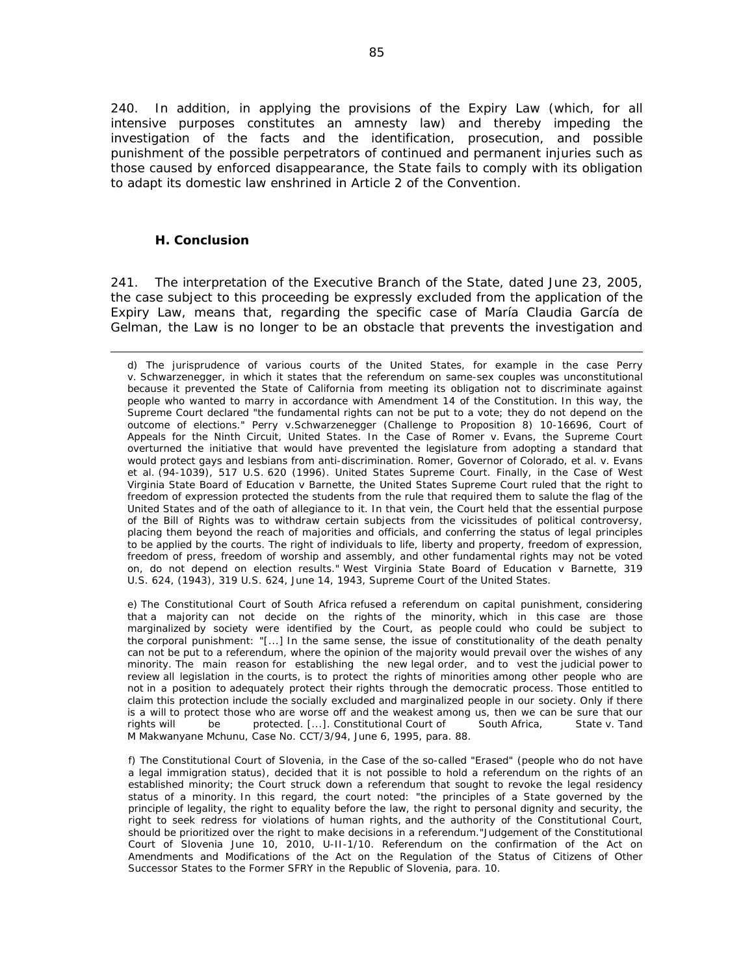240. In addition, in applying the provisions of the Expiry Law (which, for all intensive purposes constitutes an amnesty law) and thereby impeding the investigation of the facts and the identification, prosecution, and possible punishment of the possible perpetrators of continued and permanent injuries such as those caused by enforced disappearance, the State fails to comply with its obligation to adapt its domestic law enshrined in Article 2 of the Convention.

### *H. Conclusion*

241. The interpretation of the Executive Branch of the State, dated June 23, 2005, the case subject to this proceeding be expressly excluded from the application of the Expiry Law, means that, regarding the specific case of María Claudia García de Gelman, the Law is no longer to be an obstacle that prevents the investigation and

e) The Constitutional Court of South Africa refused a referendum on capital punishment, considering that a majority can not decide on the rights of the minority, which in this case are those marginalized by society were identified by the Court, as people could who could be subject to the corporal punishment: "[...] In the same sense, the issue of constitutionality of the death penalty can not be put to a referendum, where the opinion of the majority would prevail over the wishes of any minority. The main reason for establishing the new legal order, and to vest the judicial power to review all legislation in the courts, is to protect the rights of minorities among other people who are not in a position to adequately protect their rights through the democratic process. Those entitled to claim this protection include the socially excluded and marginalized people in our society. Only if there is a will to protect those who are worse off and the weakest among us, then we can be sure that our rights will be protected. [...]. *Constitutional Court of South Africa, State v. Tand M Makwanyane Mchunu,* Case No. CCT/3/94, June 6, 1995, para. 88.

f) The Constitutional Court of Slovenia, in the Case of the so-called "Erased" (people who do not have a legal immigration status), decided that it is not possible to hold a referendum on the rights of an established minority; the Court struck down a referendum that sought to revoke the legal residency status of a minority. In this regard, the court noted: "the principles of a State governed by the principle of legality, the right to equality before the law, the right to personal dignity and security, the right to seek redress for violations of human rights, and the authority of the Constitutional Court, should be prioritized over the right to make decisions in a referendum."Judgement of the Constitutional Court of Slovenia June 10, 2010, U-II-1/10. *Referendum on the confirmation of the Act on Amendments and Modifications of the Act on the Regulation of the Status of Citizens of Other Successor States to the Former SFRY in the Republic of Slovenia*, para. 10.

<sup>&</sup>lt;u> 1989 - Andrea Santa Andrea Andrea Andrea Andrea Andrea Andrea Andrea Andrea Andrea Andrea Andrea Andrea Andr</u> d) The jurisprudence of various courts of the United States, for example in the case Perry v. Schwarzenegger, in which it states that the referendum on same-sex couples was unconstitutional because it prevented the State of California from meeting its obligation not to discriminate against people who wanted to marry in accordance with Amendment 14 of the Constitution. In this way, the Supreme Court declared "the fundamental rights can not be put to a vote; they do not depend on the outcome of elections." Perry v.Schwarzenegger (Challenge to Proposition 8) 10-16696, Court of Appeals for the Ninth Circuit, United States. In the Case of Romer v. Evans, the Supreme Court overturned the initiative that would have prevented the legislature from adopting a standard that would protect gays and lesbians from anti-discrimination*. Romer, Governor of Colorado, et al. v. Evans et al. (94-1039), 517 U.S. 620 (1996).* United States Supreme Court. Finally, in the Case of West Virginia State Board of Education v Barnette, the United States Supreme Court ruled that the right to freedom of expression protected the students from the rule that required them to salute the flag of the United States and of the oath of allegiance to it. In that vein, the Court held that the essential purpose of the Bill of Rights was to withdraw certain subjects from the vicissitudes of political controversy, placing them beyond the reach of majorities and officials, and conferring the status of legal principles to be applied by the courts. The right of individuals to life, liberty and property, freedom of expression, freedom of press, freedom of worship and assembly, and other fundamental rights may not be voted on, do not depend on election results." *West Virginia State Board of Education v Barnette*, 319 U.S. 624, (1943), 319 U.S. 624, June 14, 1943, Supreme Court of the United States.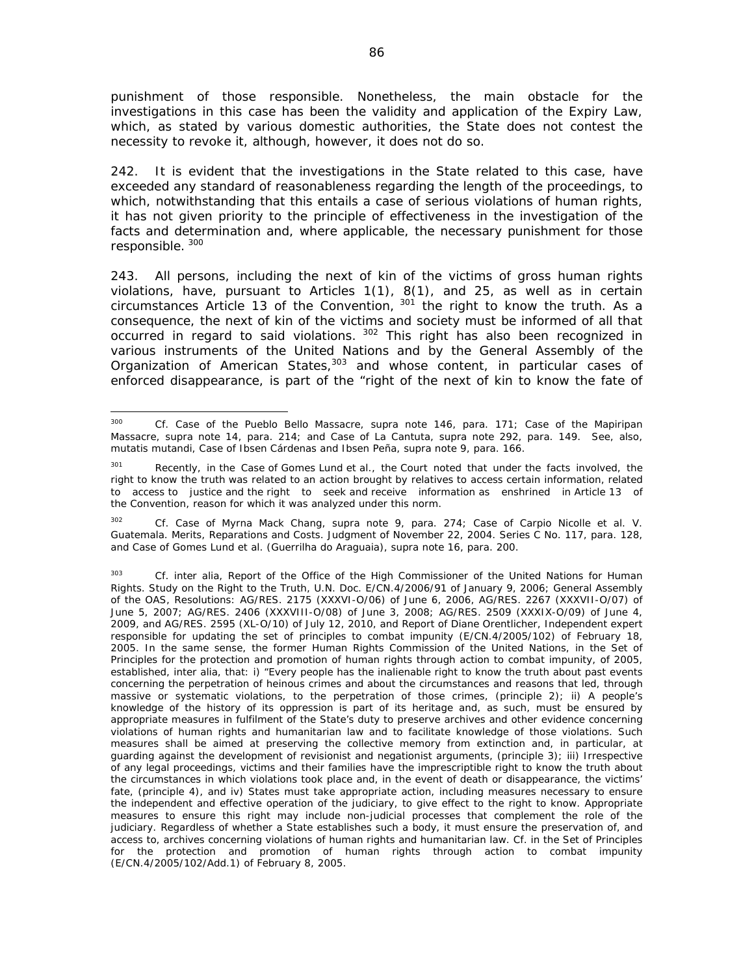punishment of those responsible. Nonetheless, the main obstacle for the investigations in this case has been the validity and application of the Expiry Law, which, as stated by various domestic authorities, the State does not contest the necessity to revoke it, although, however, it does not do so.

242. It is evident that the investigations in the State related to this case, have exceeded any standard of reasonableness regarding the length of the proceedings, to which, notwithstanding that this entails a case of serious violations of human rights, it has not given priority to the principle of effectiveness in the investigation of the facts and determination and, where applicable, the necessary punishment for those responsible.<sup>300</sup>

243. All persons, including the next of kin of the victims of gross human rights violations, have, pursuant to Articles 1(1), 8(1), and 25, as well as in certain circumstances Article 13 of the Convention,  $301$  the right to know the truth. As a consequence, the next of kin of the victims and society must be informed of all that occurred in regard to said violations.  $302$  This right has also been recognized in various instruments of the United Nations and by the General Assembly of the Organization of American States,<sup>303</sup> and whose content, in particular cases of enforced disappearance, is part of the "right of the next of kin to know the fate of

302 *Cf*. Case of *Myrna Mack Chang, supra* note 9, para. 274; *Case of Carpio Nicolle et al. V. Guatemala. Merits, Reparations and Costs*. Judgment of November 22, 2004. Series C No. 117, para. 128, and *Case of Gomes Lund et al. (Guerrilha do Araguaia)*, *supra* note 16, para. 200.

<sup>300</sup> *Cf. Case of the Pueblo Bello Massacre, supra* note 146, para. 171; *Case of the Mapiripan Massacre, supra* note 14, para. 214; and *Case of La Cantuta*, *supra* note 292, para. 149. See, also, *mutatis mutandi*, *Case of Ibsen Cárdenas and Ibsen Peña*, *supra* note 9, para. 166.

<sup>301</sup> Recently, in the Case of Gomes Lund et al., the Court noted that under the facts involved, the right to know the truth was related to an action brought by relatives to access certain information, related to access to justice and the right to seek and receive information as enshrined in Article 13 of the Convention, reason for which it was analyzed under this norm.

<sup>303</sup> *Cf. inter alia,* Report of the Office of the High Commissioner of the United Nations for Human Rights. *Study on the Right to the Truth*, U.N. Doc. E/CN.4/2006/91 of January 9, 2006; General Assembly of the OAS, Resolutions: AG/RES. 2175 (XXXVI-O/06) of June 6, 2006, AG/RES. 2267 (XXXVII-O/07) of June 5, 2007; AG/RES. 2406 (XXXVIII-O/08) of June 3, 2008; AG/RES. 2509 (XXXIX-O/09) of June 4, 2009, and AG/RES. 2595 (XL-O/10) of July 12, 2010, and Report of Diane Orentlicher, Independent expert responsible for updating the set of principles to combat impunity (E/CN.4/2005/102) of February 18, 2005. In the same sense, the former Human Rights Commission of the United Nations, in the Set of Principles for the protection and promotion of human rights through action to combat impunity, of 2005, established, *inter alia*, that: i) *"*Every people has the inalienable right to know the truth about past events concerning the perpetration of heinous crimes and about the circumstances and reasons that led, through massive or systematic violations, to the perpetration of those crimes, (principle 2); ii) A people's knowledge of the history of its oppression is part of its heritage and, as such, must be ensured by appropriate measures in fulfilment of the State's duty to preserve archives and other evidence concerning violations of human rights and humanitarian law and to facilitate knowledge of those violations. Such measures shall be aimed at preserving the collective memory from extinction and, in particular, at guarding against the development of revisionist and negationist arguments, (principle 3); iii) Irrespective of any legal proceedings, victims and their families have the imprescriptible right to know the truth about the circumstances in which violations took place and, in the event of death or disappearance, the victims' fate, (principle 4), and iv) States must take appropriate action, including measures necessary to ensure the independent and effective operation of the judiciary, to give effect to the right to know. Appropriate measures to ensure this right may include non-judicial processes that complement the role of the judiciary. Regardless of whether a State establishes such a body, it must ensure the preservation of, and access to, archives concerning violations of human rights and humanitarian law. *Cf.* in the Set of Principles for the protection and promotion of human rights through action to combat impunity (E/CN.4/2005/102/Add.1) of February 8, 2005.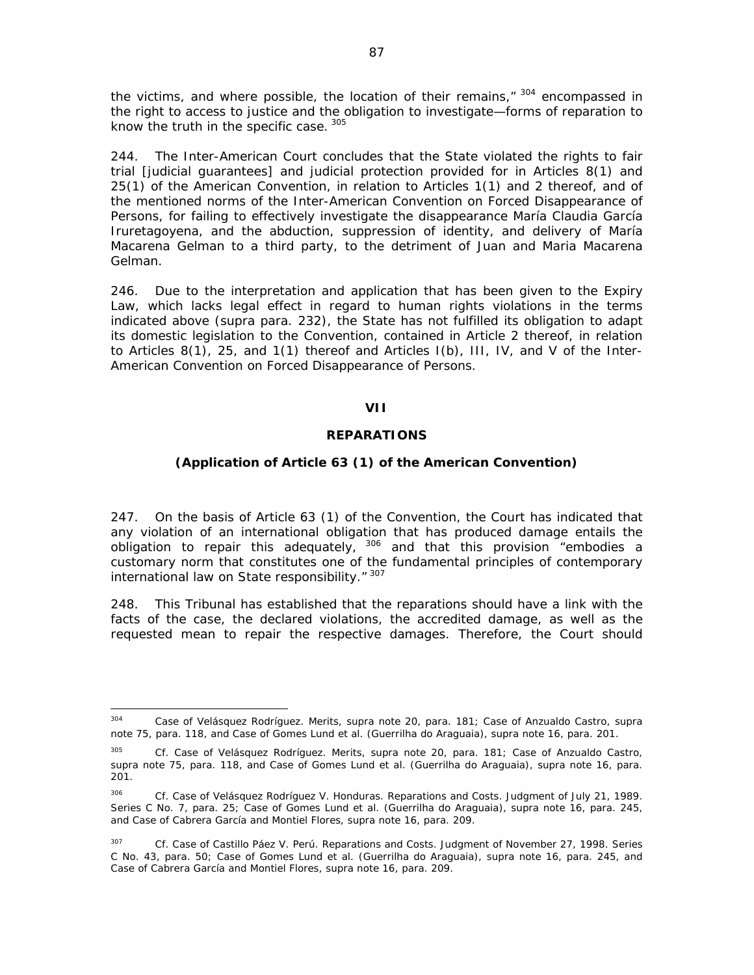the victims, and where possible, the location of their remains,"  $304$  encompassed in the right to access to justice and the obligation to investigate—forms of reparation to know the truth in the specific case. 305

244. The Inter-American Court concludes that the State violated the rights to fair trial [judicial guarantees] and judicial protection provided for in Articles 8(1) and 25(1) of the American Convention, in relation to Articles 1(1) and 2 thereof, and of the mentioned norms of the Inter-American Convention on Forced Disappearance of Persons, for failing to effectively investigate the disappearance María Claudia García Iruretagoyena, and the abduction, suppression of identity, and delivery of María Macarena Gelman to a third party, to the detriment of Juan and Maria Macarena Gelman.

246. Due to the interpretation and application that has been given to the Expiry Law, which lacks legal effect in regard to human rights violations in the terms indicated above (*supra* para. 232), the State has not fulfilled its obligation to adapt its domestic legislation to the Convention, contained in Article 2 thereof, in relation to Articles 8(1), 25, and 1(1) thereof and Articles I(b), III, IV, and V of the Inter-American Convention on Forced Disappearance of Persons.

### **VII**

### **REPARATIONS**

### **(Application of Article 63 (1) of the American Convention)**

247. On the basis of Article 63 (1) of the Convention, the Court has indicated that any violation of an international obligation that has produced damage entails the obligation to repair this adequately, 306 and that this provision "embodies a customary norm that constitutes one of the fundamental principles of contemporary international law on State responsibility." 307

248. This Tribunal has established that the reparations should have a link with the facts of the case, the declared violations, the accredited damage, as well as the requested mean to repair the respective damages. Therefore, the Court should

 304 *Case of Velásquez Rodríguez*. *Merits, supra* note 20, para. 181; *Case of Anzualdo Castro, supra*  note 75, para. 118, and *Case of Gomes Lund et al. (Guerrilha do Araguaia)*, *supra* note 16, para. 201.

<sup>305</sup> *Cf. Case of Velásquez Rodríguez*. *Merits, supra* note 20, para. 181; *Case of Anzualdo Castro, supra* note 75, para. 118, and *Case of Gomes Lund et al. (Guerrilha do Araguaia)*, *supra* note 16, para. 201.

<sup>&</sup>lt;sup>306</sup> *Cf. Case of Velásquez Rodríguez V. Honduras. Reparations and Costs. Judgment of July 21, 1989.* Series C No. 7, para. 25; *Case of Gomes Lund et al. (Guerrilha do Araguaia)*, *supra* note 16, para. 245, and *Case of Cabrera García and Montiel Flores*, *supra* note 16, para. 209.

<sup>307</sup> *Cf. Case of Castillo Páez V. Perú*. *Reparations and Costs*. Judgment of November 27, 1998. Series C No. 43, para. 50; *Case of Gomes Lund et al. (Guerrilha do Araguaia)*, *supra* note 16, para. 245, and *Case of Cabrera García and Montiel Flores*, *supra* note 16, para. 209.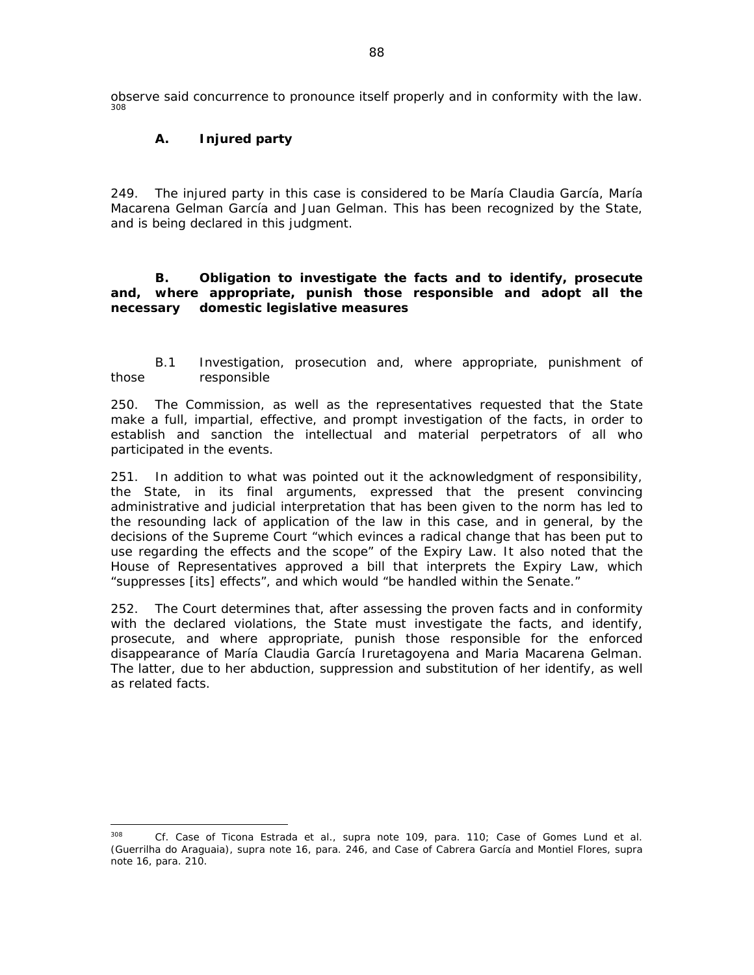observe said concurrence to pronounce itself properly and in conformity with the law. 308

# *A. Injured party*

249. The injured party in this case is considered to be María Claudia García, María Macarena Gelman García and Juan Gelman. This has been recognized by the State, and is being declared in this judgment.

### *B. Obligation to investigate the facts and to identify, prosecute and, where appropriate, punish those responsible and adopt all the necessary domestic legislative measures*

### *B.1 Investigation, prosecution and, where appropriate, punishment of those responsible*

250. The Commission, as well as the representatives requested that the State make a full, impartial, effective, and prompt investigation of the facts, in order to establish and sanction the intellectual and material perpetrators of all who participated in the events.

251. In addition to what was pointed out it the acknowledgment of responsibility, the State, in its final arguments, expressed that the present convincing administrative and judicial interpretation that has been given to the norm has led to the resounding lack of application of the law in this case, and in general, by the decisions of the Supreme Court "which evinces a radical change that has been put to use regarding the effects and the scope" of the Expiry Law. It also noted that the House of Representatives approved a bill that interprets the Expiry Law, which "suppresses [its] effects", and which would "be handled within the Senate."

252. The Court determines that, after assessing the proven facts and in conformity with the declared violations, the State must investigate the facts, and identify, prosecute, and where appropriate, punish those responsible for the enforced disappearance of María Claudia García Iruretagoyena and Maria Macarena Gelman. The latter, due to her abduction, suppression and substitution of her identify, as well as related facts.

<sup>308</sup> *Cf. Case of Ticona Estrada et al.*, *supra* note 109, para. 110; *Case of Gomes Lund et al. (Guerrilha do Araguaia)*, *supra* note 16, para. 246, and *Case of Cabrera García and Montiel Flores*, *supra* note 16, para. 210.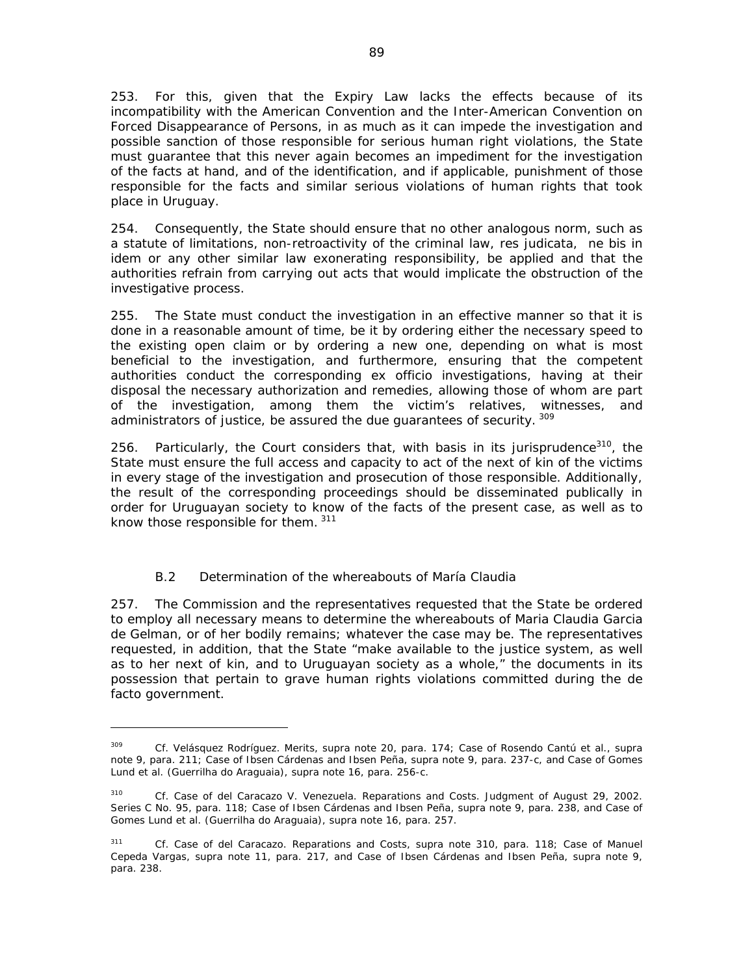253. For this, given that the Expiry Law lacks the effects because of its incompatibility with the American Convention and the Inter-American Convention on Forced Disappearance of Persons, in as much as it can impede the investigation and possible sanction of those responsible for serious human right violations, the State must guarantee that this never again becomes an impediment for the investigation of the facts at hand, and of the identification, and if applicable, punishment of those responsible for the facts and similar serious violations of human rights that took place in Uruguay.

254. Consequently, the State should ensure that no other analogous norm, such as a statute of limitations, non-retroactivity of the criminal law, res judicata, *ne bis in idem* or any other similar law exonerating responsibility, be applied and that the authorities refrain from carrying out acts that would implicate the obstruction of the investigative process.

255. The State must conduct the investigation in an effective manner so that it is done in a reasonable amount of time, be it by ordering either the necessary speed to the existing open claim or by ordering a new one, depending on what is most beneficial to the investigation, and furthermore, ensuring that the competent authorities conduct the corresponding *ex officio* investigations, having at their disposal the necessary authorization and remedies, allowing those of whom are part of the investigation, among them the victim's relatives, witnesses, and administrators of justice, be assured the due guarantees of security. 309

256. Particularly, the Court considers that, with basis in its jurisprudence<sup>310</sup>, the State must ensure the full access and capacity to act of the next of kin of the victims in every stage of the investigation and prosecution of those responsible. Additionally, the result of the corresponding proceedings should be disseminated publically in order for Uruguayan society to know of the facts of the present case, as well as to know those responsible for them. 311

# *B.2 Determination of the whereabouts of María Claudia*

257. The Commission and the representatives requested that the State be ordered to employ all necessary means to determine the whereabouts of Maria Claudia Garcia de Gelman, or of her bodily remains; whatever the case may be. The representatives requested, in addition, that the State "make available to the justice system, as well as to her next of kin, and to Uruguayan society as a whole," the documents in its possession that pertain to grave human rights violations committed during the de facto government.

<sup>309</sup> *Cf. Velásquez Rodríguez*. *Merits, supra* note 20, para. 174; *Case of Rosendo Cantú et al.*, *supra* note 9, para. 211; *Case of Ibsen Cárdenas and Ibsen Peña*, *supra* note 9, para. 237-c, and *Case of Gomes Lund et al. (Guerrilha do Araguaia)*, *supra* note 16, para. 256-c.

<sup>310</sup> *Cf*. *Case of del Caracazo V. Venezuela*. *Reparations and Costs*. Judgment of August 29, 2002. Series C No. 95, para. 118; *Case of Ibsen Cárdenas and Ibsen Peña*, *supra* note 9, para. 238, and *Case of Gomes Lund et al. (Guerrilha do Araguaia)*, *supra* note 16, para. 257.

<sup>311</sup> *Cf*. *Case of del Caracazo*. *Reparations and Costs*, *supra* note 310, para. 118; *Case of Manuel Cepeda Vargas*, *supra* note 11, para. 217, and *Case of Ibsen Cárdenas and Ibsen Peña*, *supra* note 9, para. 238.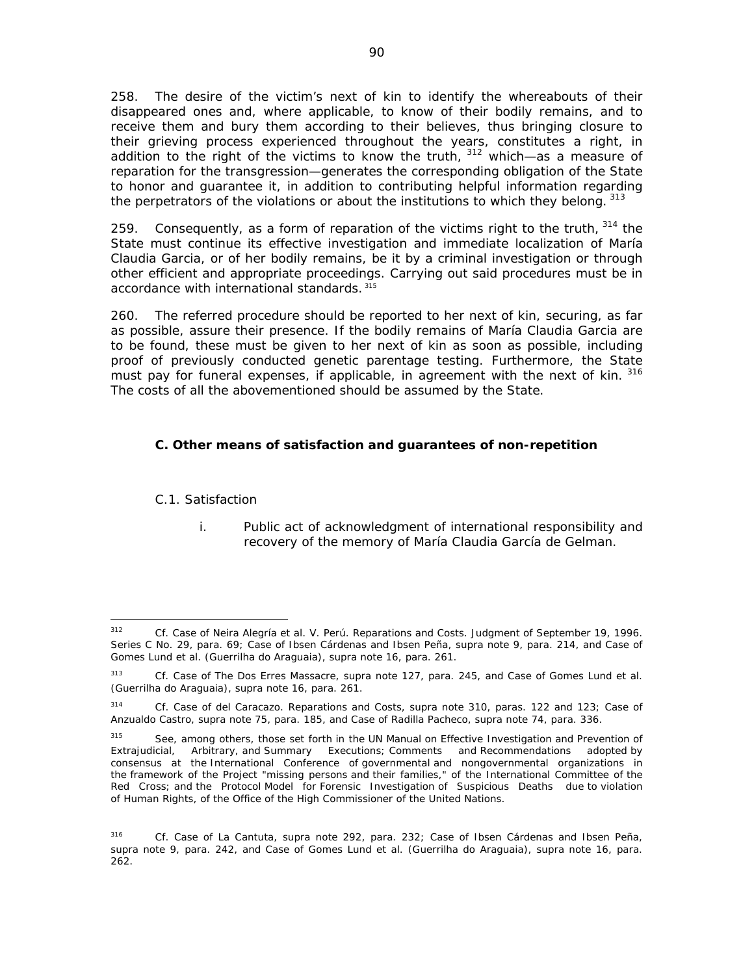258. The desire of the victim's next of kin to identify the whereabouts of their disappeared ones and, where applicable, to know of their bodily remains, and to receive them and bury them according to their believes, thus bringing closure to their grieving process experienced throughout the years, constitutes a right, in addition to the right of the victims to know the truth,  $312$  which—as a measure of reparation for the transgression—generates the corresponding obligation of the State to honor and guarantee it, in addition to contributing helpful information regarding the perpetrators of the violations or about the institutions to which they belong. 313

259. Consequently, as a form of reparation of the victims right to the truth,  $314$  the State must continue its effective investigation and immediate localization of María Claudia Garcia, or of her bodily remains, be it by a criminal investigation or through other efficient and appropriate proceedings. Carrying out said procedures must be in accordance with international standards. 315

260. The referred procedure should be reported to her next of kin, securing, as far as possible, assure their presence. If the bodily remains of María Claudia Garcia are to be found, these must be given to her next of kin as soon as possible, including proof of previously conducted genetic parentage testing. Furthermore, the State must pay for funeral expenses, if applicable, in agreement with the next of kin. 316 The costs of all the abovementioned should be assumed by the State.

# *C. Other means of satisfaction and guarantees of non-repetition*

### *C.1. Satisfaction*

 *i. Public act of acknowledgment of international responsibility and recovery of the memory of María Claudia García de Gelman.* 

 312 *Cf. Case of Neira Alegría et al. V. Perú.* Reparations and Costs. Judgment of September 19, 1996. Series C No. 29, para. 69; *Case of Ibsen Cárdenas and Ibsen Peña*, *supra* note 9, para. 214, and *Case of Gomes Lund et al. (Guerrilha do Araguaia)*, *supra* note 16, para. 261.

<sup>313</sup> *Cf. Case of The Dos Erres Massacre, supra* note 127, para. 245, and *Case of Gomes Lund et al. (Guerrilha do Araguaia)*, *supra* note 16, para. 261.

<sup>314</sup> *Cf. Case of del Caracazo. Reparations and Costs, supra* note 310, paras. 122 and 123; *Case of Anzualdo Castro, supra* note 75, para. 185, and *Case of Radilla Pacheco*, *supra* note 74, para. 336.

<sup>&</sup>lt;sup>315</sup> See, among others, those set forth in the UN Manual on Effective Investigation and Prevention of Extrajudicial, Arbitrary, and Summary Executions; Comments and Recommendations adopted by consensus at the International Conference of governmental and nongovernmental organizations in the framework of the Project "missing persons and their families," of the International Committee of the Red Cross; and the *Protocol Model for Forensic Investigation of Suspicious Deaths due to violation of Human Rights,* of the Office of the High Commissioner of the United Nations.

<sup>316</sup> *Cf. Case of La Cantuta*, *supra* note 292, para. 232; *Case of Ibsen Cárdenas and Ibsen Peña*, *supra* note 9, para. 242, and *Case of Gomes Lund et al. (Guerrilha do Araguaia)*, *supra* note 16, para. 262.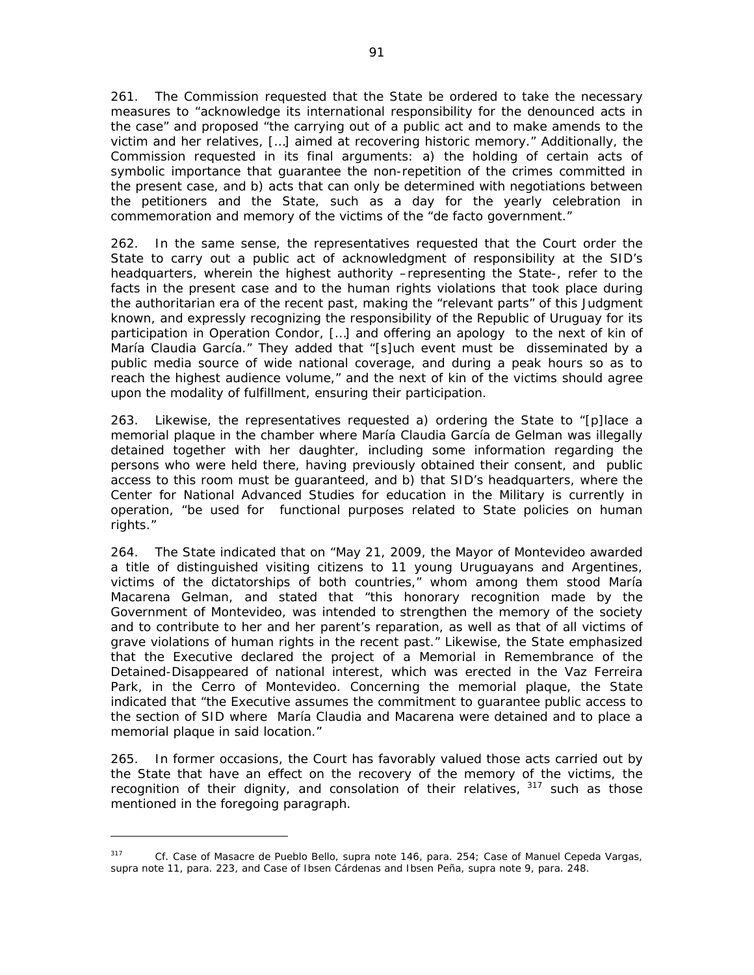261. The Commission requested that the State be ordered to take the necessary measures to "acknowledge its international responsibility for the denounced acts in the case" and proposed "the carrying out of a public act and to make amends to the victim and her relatives, […] aimed at recovering historic memory." Additionally, the Commission requested in its final arguments: a) the holding of certain acts of symbolic importance that guarantee the non-repetition of the crimes committed in the present case, and b) acts that can only be determined with negotiations between the petitioners and the State, such as a day for the yearly celebration in commemoration and memory of the victims of the "de facto government."

262. In the same sense, the representatives requested that the Court order the State to carry out a public act of acknowledgment of responsibility at the SID's headquarters, wherein the highest authority –representing the State-, refer to the facts in the present case and to the human rights violations that took place during the authoritarian era of the recent past, making the "relevant parts" of this Judgment known, and expressly recognizing the responsibility of the Republic of Uruguay for its participation in Operation Condor, […] and offering an apology to the next of kin of María Claudia García." They added that "[s]uch event must be disseminated by a public media source of wide national coverage, and during a peak hours so as to reach the highest audience volume," and the next of kin of the victims should agree upon the modality of fulfillment, ensuring their participation.

263. Likewise, the representatives requested a) ordering the State to "[p]lace a memorial plaque in the chamber where María Claudia García de Gelman was illegally detained together with her daughter, including some information regarding the persons who were held there, having previously obtained their consent, and public access to this room must be guaranteed, and b) that SID's headquarters, where the Center for National Advanced Studies for education in the Military is currently in operation, "be used for functional purposes related to State policies on human rights."

264. The State indicated that on "May 21, 2009, the Mayor of Montevideo awarded a title of distinguished visiting citizens to 11 young Uruguayans and Argentines, victims of the dictatorships of both countries," whom among them stood María Macarena Gelman, and stated that "this honorary recognition made by the Government of Montevideo, was intended to strengthen the memory of the society and to contribute to her and her parent's reparation, as well as that of all victims of grave violations of human rights in the recent past." Likewise, the State emphasized that the Executive declared the project of a Memorial in Remembrance of the Detained-Disappeared of national interest, which was erected in the Vaz Ferreira Park, in the Cerro of Montevideo. Concerning the memorial plaque, the State indicated that "the Executive assumes the commitment to guarantee public access to the section of SID where María Claudia and Macarena were detained and to place a memorial plaque in said location."

265. In former occasions, the Court has favorably valued those acts carried out by the State that have an effect on the recovery of the memory of the victims, the recognition of their dignity, and consolation of their relatives, 317 such as those mentioned in the foregoing paragraph.

<sup>317</sup> *Cf. Case of Masacre de Pueblo Bello, supra* note 146, para. 254; *Case of Manuel Cepeda Vargas, supra* note 11, para. 223, and *Case of Ibsen Cárdenas and Ibsen Peña*, *supra* note 9, para. 248.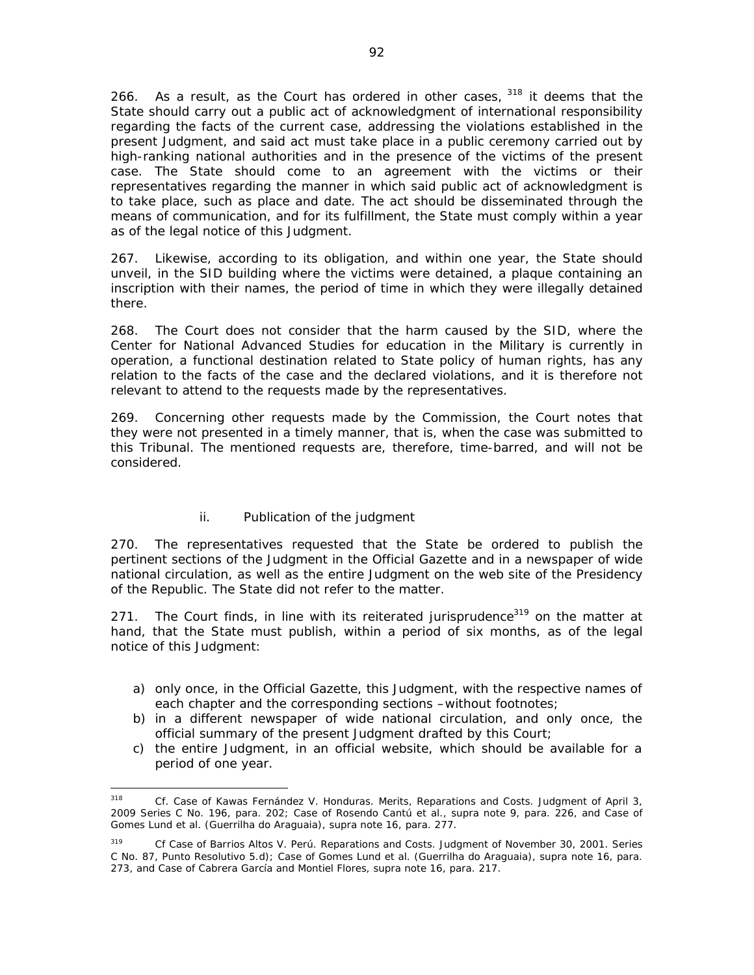266. As a result, as the Court has ordered in other cases,  $318$  it deems that the State should carry out a public act of acknowledgment of international responsibility regarding the facts of the current case, addressing the violations established in the present Judgment, and said act must take place in a public ceremony carried out by high-ranking national authorities and in the presence of the victims of the present case. The State should come to an agreement with the victims or their representatives regarding the manner in which said public act of acknowledgment is to take place, such as place and date. The act should be disseminated through the means of communication, and for its fulfillment, the State must comply within a year as of the legal notice of this Judgment.

267. Likewise, according to its obligation, and within one year, the State should unveil, in the SID building where the victims were detained, a plaque containing an inscription with their names, the period of time in which they were illegally detained there.

268. The Court does not consider that the harm caused by the SID, where the Center for National Advanced Studies for education in the Military is currently in operation, a functional destination related to State policy of human rights, has any relation to the facts of the case and the declared violations, and it is therefore not relevant to attend to the requests made by the representatives.

269. Concerning other requests made by the Commission, the Court notes that they were not presented in a timely manner, that is, when the case was submitted to this Tribunal. The mentioned requests are, therefore, time-barred, and will not be considered.

# *ii. Publication of the judgment*

270. The representatives requested that the State be ordered to publish the pertinent sections of the Judgment in the Official Gazette and in a newspaper of wide national circulation, as well as the entire Judgment on the web site of the Presidency of the Republic. The State did not refer to the matter.

271. The Court finds, in line with its reiterated jurisprudence<sup>319</sup> on the matter at hand, that the State must publish, within a period of six months, as of the legal notice of this Judgment:

- a) only once, in the Official Gazette, this Judgment, with the respective names of each chapter and the corresponding sections –without footnotes;
- b) in a different newspaper of wide national circulation, and only once, the official summary of the present Judgment drafted by this Court;
- c) the entire Judgment, in an official website, which should be available for a period of one year.

<sup>318</sup> *Cf. Case of Kawas Fernández V. Honduras*. *Merits, Reparations and Costs*. Judgment of April 3, 2009 Series C No. 196, para. 202; *Case of Rosendo Cantú et al.*, *supra* note 9, para. 226, and *Case of Gomes Lund et al. (Guerrilha do Araguaia)*, *supra* note 16, para. 277.

<sup>319</sup> *Cf Case of Barrios Altos V. Perú. Reparations and Costs*. Judgment of November 30, 2001. Series C No. 87, Punto Resolutivo 5.d); *Case of Gomes Lund et al. (Guerrilha do Araguaia)*, *supra* note 16, para. 273, and *Case of Cabrera García and Montiel Flores*, *supra* note 16, para. 217.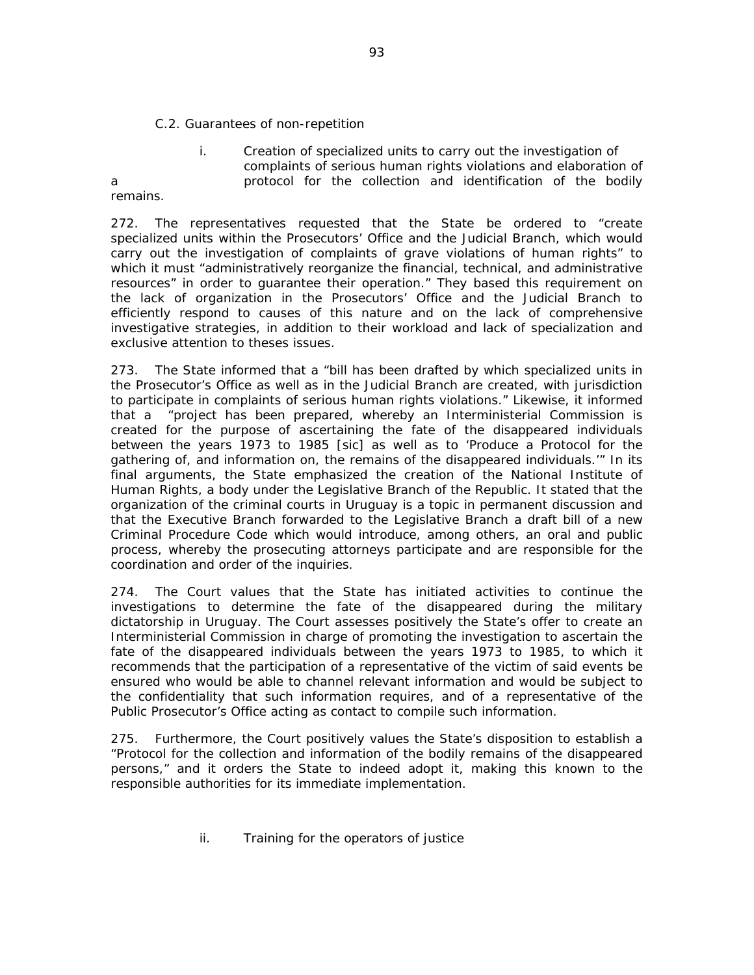#### *C.2. Guarantees of non-repetition*

# *i. Creation of specialized units to carry out the investigation of complaints of serious human rights violations and elaboration of a protocol for the collection and identification of the bodily*

# *remains.*

272. The representatives requested that the State be ordered to "create specialized units within the Prosecutors' Office and the Judicial Branch, which would carry out the investigation of complaints of grave violations of human rights" to which it must "administratively reorganize the financial, technical, and administrative resources" in order to guarantee their operation." They based this requirement on the lack of organization in the Prosecutors' Office and the Judicial Branch to efficiently respond to causes of this nature and on the lack of comprehensive investigative strategies, in addition to their workload and lack of specialization and exclusive attention to theses issues.

273. The State informed that a "bill has been drafted by which specialized units in the Prosecutor's Office as well as in the Judicial Branch are created, with jurisdiction to participate in complaints of serious human rights violations." Likewise, it informed that a "project has been prepared, whereby an Interministerial Commission is created for the purpose of ascertaining the fate of the disappeared individuals between the years 1973 to 1985 [sic] as well as to 'Produce a Protocol for the gathering of, and information on, the remains of the disappeared individuals.'" In its final arguments, the State emphasized the creation of the National Institute of Human Rights, a body under the Legislative Branch of the Republic. It stated that the organization of the criminal courts in Uruguay is a topic in permanent discussion and that the Executive Branch forwarded to the Legislative Branch a draft bill of a new Criminal Procedure Code which would introduce, among others, an oral and public process, whereby the prosecuting attorneys participate and are responsible for the coordination and order of the inquiries.

274. The Court values that the State has initiated activities to continue the investigations to determine the fate of the disappeared during the military dictatorship in Uruguay. The Court assesses positively the State's offer to create an Interministerial Commission in charge of promoting the investigation to ascertain the fate of the disappeared individuals between the years 1973 to 1985, to which it recommends that the participation of a representative of the victim of said events be ensured who would be able to channel relevant information and would be subject to the confidentiality that such information requires, and of a representative of the Public Prosecutor's Office acting as contact to compile such information.

275. Furthermore, the Court positively values the State's disposition to establish a "Protocol for the collection and information of the bodily remains of the disappeared persons," and it orders the State to indeed adopt it, making this known to the responsible authorities for its immediate implementation.

*ii. Training for the operators of justice*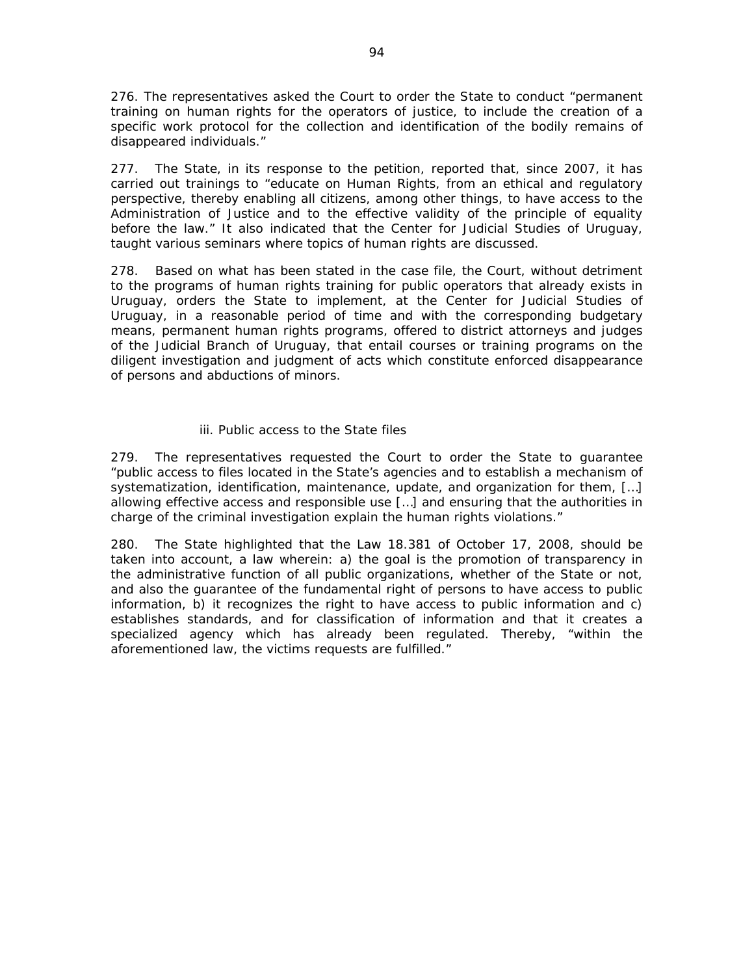276. The representatives asked the Court to order the State to conduct "permanent training on human rights for the operators of justice, to include the creation of a specific work protocol for the collection and identification of the bodily remains of disappeared individuals."

277. The State, in its response to the petition, reported that, since 2007, it has carried out trainings to "educate on Human Rights, from an ethical and regulatory perspective, thereby enabling all citizens, among other things, to have access to the Administration of Justice and to the effective validity of the principle of equality before the law." It also indicated that the Center for Judicial Studies of Uruguay, taught various seminars where topics of human rights are discussed.

278. Based on what has been stated in the case file, the Court, without detriment to the programs of human rights training for public operators that already exists in Uruguay, orders the State to implement, at the Center for Judicial Studies of Uruguay, in a reasonable period of time and with the corresponding budgetary means, permanent human rights programs, offered to district attorneys and judges of the Judicial Branch of Uruguay, that entail courses or training programs on the diligent investigation and judgment of acts which constitute enforced disappearance of persons and abductions of minors.

# *iii. Public access to the State files*

279. The representatives requested the Court to order the State to guarantee "public access to files located in the State's agencies and to establish a mechanism of systematization, identification, maintenance, update, and organization for them, […] allowing effective access and responsible use […] and ensuring that the authorities in charge of the criminal investigation explain the human rights violations."

280. The State highlighted that the Law 18.381 of October 17, 2008, should be taken into account, a law wherein: a) the goal is the promotion of transparency in the administrative function of all public organizations, whether of the State or not, and also the guarantee of the fundamental right of persons to have access to public information, b) it recognizes the right to have access to public information and c) establishes standards, and for classification of information and that it creates a specialized agency which has already been regulated. Thereby, "within the aforementioned law, the victims requests are fulfilled."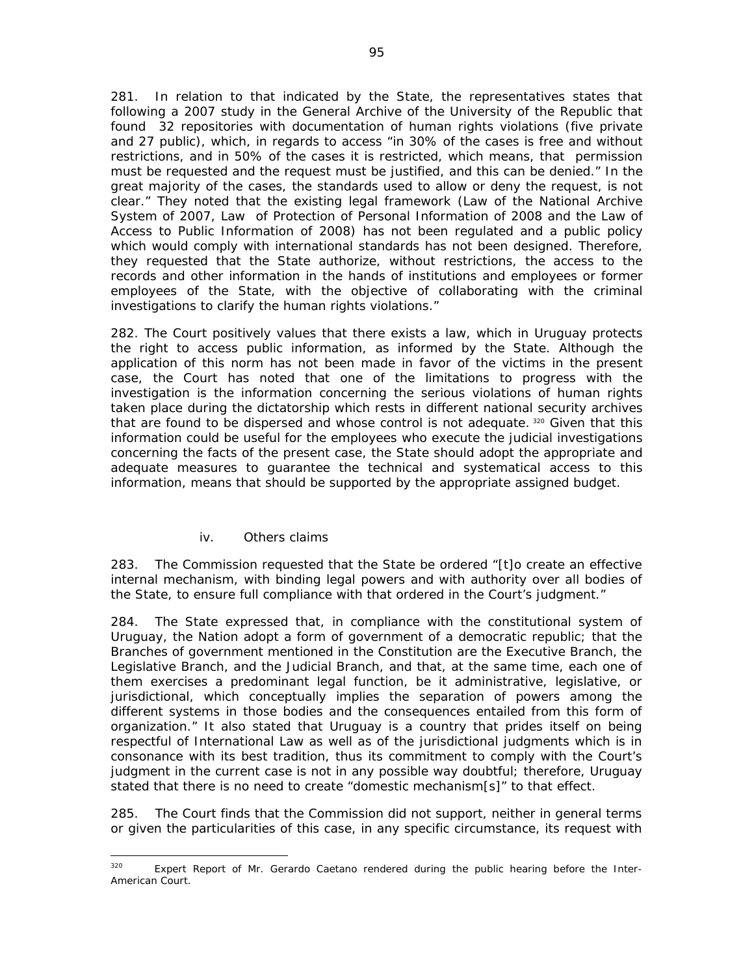281. In relation to that indicated by the State, the representatives states that following a 2007 study in the General Archive of the University of the Republic that found 32 repositories with documentation of human rights violations (five private and 27 public), which, in regards to access "in 30% of the cases is free and without restrictions, and in 50% of the cases it is restricted, which means, that permission must be requested and the request must be justified, and this can be denied." In the great majority of the cases, the standards used to allow or deny the request, is not clear." They noted that the existing legal framework (Law of the National Archive System of 2007, Law of Protection of Personal Information of 2008 and the Law of Access to Public Information of 2008) has not been regulated and a public policy which would comply with international standards has not been designed. Therefore, they requested that the State authorize, without restrictions, the access to the records and other information in the hands of institutions and employees or former employees of the State, with the objective of collaborating with the criminal investigations to clarify the human rights violations."

282. The Court positively values that there exists a law, which in Uruguay protects the right to access public information, as informed by the State. Although the application of this norm has not been made in favor of the victims in the present case, the Court has noted that one of the limitations to progress with the investigation is the information concerning the serious violations of human rights taken place during the dictatorship which rests in different national security archives that are found to be dispersed and whose control is not adequate. 320 Given that this information could be useful for the employees who execute the judicial investigations concerning the facts of the present case, the State should adopt the appropriate and adequate measures to guarantee the technical and systematical access to this information, means that should be supported by the appropriate assigned budget.

### *iv. Others claims*

283. The Commission requested that the State be ordered "[t]o create an effective internal mechanism, with binding legal powers and with authority over all bodies of the State, to ensure full compliance with that ordered in the Court's judgment."

284. The State expressed that, in compliance with the constitutional system of Uruguay, the Nation adopt a form of government of a democratic republic; that the Branches of government mentioned in the Constitution are the Executive Branch, the Legislative Branch, and the Judicial Branch, and that, at the same time, each one of them exercises a predominant legal function, be it administrative, legislative, or jurisdictional, which conceptually implies the separation of powers among the different systems in those bodies and the consequences entailed from this form of organization." It also stated that Uruguay is a country that prides itself on being respectful of International Law as well as of the jurisdictional judgments which is in consonance with its best tradition, thus its commitment to comply with the Court's judgment in the current case is not in any possible way doubtful; therefore, Uruguay stated that there is no need to create "domestic mechanism[s]" to that effect.

285. The Court finds that the Commission did not support, neither in general terms or given the particularities of this case, in any specific circumstance, its request with

 <sup>320</sup> Expert Report of Mr. Gerardo Caetano rendered during the public hearing before the Inter-American Court.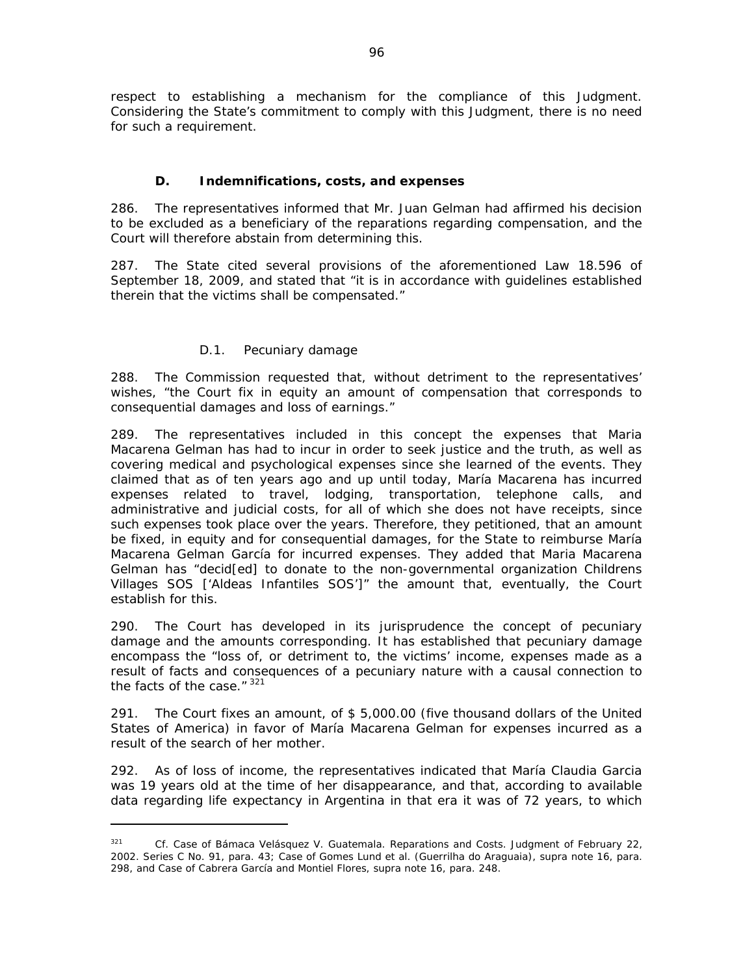respect to establishing a mechanism for the compliance of this Judgment. Considering the State's commitment to comply with this Judgment, there is no need for such a requirement.

## *D. Indemnifications, costs, and expenses*

286. The representatives informed that Mr. Juan Gelman had affirmed his decision to be excluded as a beneficiary of the reparations regarding compensation, and the Court will therefore abstain from determining this.

287. The State cited several provisions of the aforementioned Law 18.596 of September 18, 2009, and stated that "it is in accordance with guidelines established therein that the victims shall be compensated."

# *D.1. Pecuniary damage*

288. The Commission requested that, without detriment to the representatives' wishes, "the Court fix in equity an amount of compensation that corresponds to consequential damages and loss of earnings."

289. The representatives included in this concept the expenses that Maria Macarena Gelman has had to incur in order to seek justice and the truth, as well as covering medical and psychological expenses since she learned of the events. They claimed that as of ten years ago and up until today, María Macarena has incurred expenses related to travel, lodging, transportation, telephone calls, and administrative and judicial costs, for all of which she does not have receipts, since such expenses took place over the years. Therefore, they petitioned, that an amount be fixed, in equity and for consequential damages, for the State to reimburse María Macarena Gelman García for incurred expenses. They added that Maria Macarena Gelman has "decid[ed] to donate to the non-governmental organization *Childrens Villages SOS* ['Aldeas Infantiles SOS']" the amount that, eventually, the Court establish for this.

290. The Court has developed in its jurisprudence the concept of pecuniary damage and the amounts corresponding. It has established that pecuniary damage encompass the "loss of, or detriment to, the victims' income, expenses made as a result of facts and consequences of a pecuniary nature with a causal connection to the facts of the case."  $321$ 

291. The Court fixes an amount, of \$ 5,000.00 (five thousand dollars of the United States of America) in favor of María Macarena Gelman for expenses incurred as a result of the search of her mother.

292. As of loss of income, the representatives indicated that María Claudia Garcia was 19 years old at the time of her disappearance, and that, according to available data regarding life expectancy in Argentina in that era it was of 72 years, to which

<sup>&</sup>lt;sup>321</sup> *Cf. Case of Bámaca Velásquez V. Guatemala. Reparations and Costs. Judgment of February 22,* 2002. Series C No. 91, para. 43; *Case of Gomes Lund et al. (Guerrilha do Araguaia)*, *supra* note 16, para. 298, and *Case of Cabrera García and Montiel Flores*, *supra* note 16, para. 248.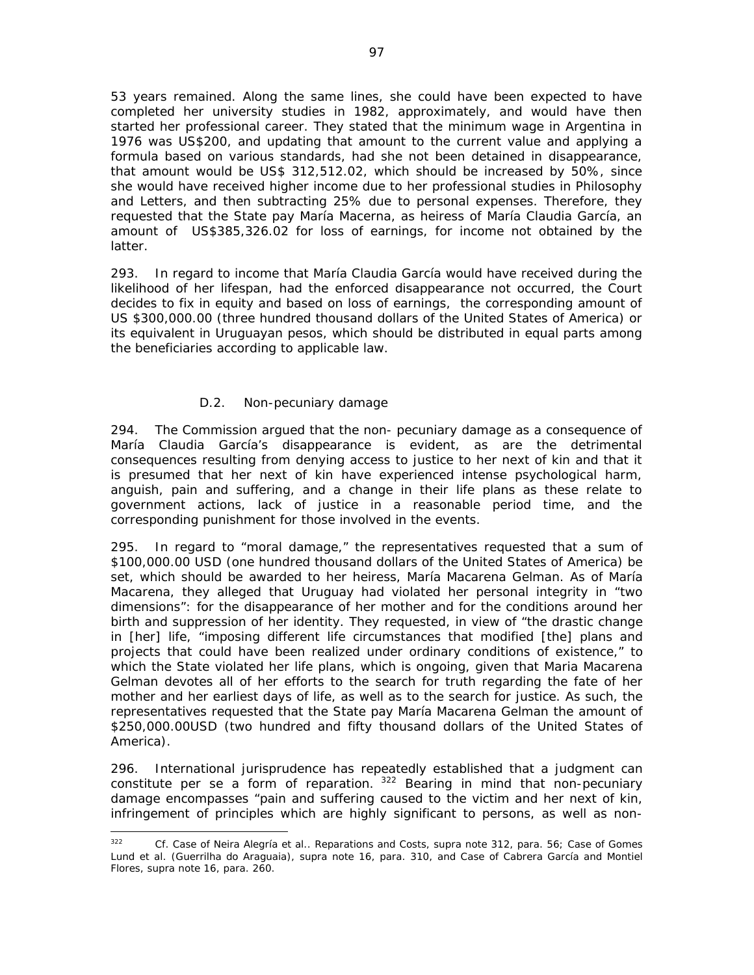53 years remained. Along the same lines, she could have been expected to have completed her university studies in 1982, approximately, and would have then started her professional career. They stated that the minimum wage in Argentina in 1976 was US\$200, and updating that amount to the current value and applying a formula based on various standards, had she not been detained in disappearance, that amount would be US\$ 312,512.02, which should be increased by 50%, since she would have received higher income due to her professional studies in Philosophy and Letters, and then subtracting 25% due to personal expenses. Therefore, they requested that the State pay María Macerna, as heiress of María Claudia García, an amount of US\$385,326.02 for loss of earnings, for income not obtained by the latter.

293. In regard to income that María Claudia García would have received during the likelihood of her lifespan, had the enforced disappearance not occurred, the Court decides to fix in equity and based on loss of earnings, the corresponding amount of US \$300,000.00 (three hundred thousand dollars of the United States of America) or its equivalent in Uruguayan pesos, which should be distributed in equal parts among the beneficiaries according to applicable law.

# *D.2. Non-pecuniary damage*

294. The Commission argued that the non- pecuniary damage as a consequence of María Claudia García's disappearance is evident, as are the detrimental consequences resulting from denying access to justice to her next of kin and that it is presumed that her next of kin have experienced intense psychological harm, anguish, pain and suffering, and a change in their life plans as these relate to government actions, lack of justice in a reasonable period time, and the corresponding punishment for those involved in the events.

295. In regard to "moral damage," the representatives requested that a sum of \$100,000.00 USD (one hundred thousand dollars of the United States of America) be set, which should be awarded to her heiress, María Macarena Gelman. As of María Macarena, they alleged that Uruguay had violated her personal integrity in "two dimensions": for the disappearance of her mother and for the conditions around her birth and suppression of her identity. They requested, in view of "the drastic change in [her] life, "imposing different life circumstances that modified [the] plans and projects that could have been realized under ordinary conditions of existence," to which the State violated her life plans, which is ongoing, given that Maria Macarena Gelman devotes all of her efforts to the search for truth regarding the fate of her mother and her earliest days of life, as well as to the search for justice. As such, the representatives requested that the State pay María Macarena Gelman the amount of \$250,000.00USD (two hundred and fifty thousand dollars of the United States of America).

296. International jurisprudence has repeatedly established that a judgment can constitute *per se* a form of reparation. 322 Bearing in mind that non-pecuniary damage encompasses "pain and suffering caused to the victim and her next of kin, infringement of principles which are highly significant to persons, as well as non-

 <sup>322</sup> *Cf. Case of Neira Alegría et al.. Reparations and Costs, supra* note 312, para. 56; *Case of Gomes Lund et al. (Guerrilha do Araguaia)*, *supra* note 16, para. 310, and *Case of Cabrera García and Montiel Flores*, *supra* note 16, para. 260.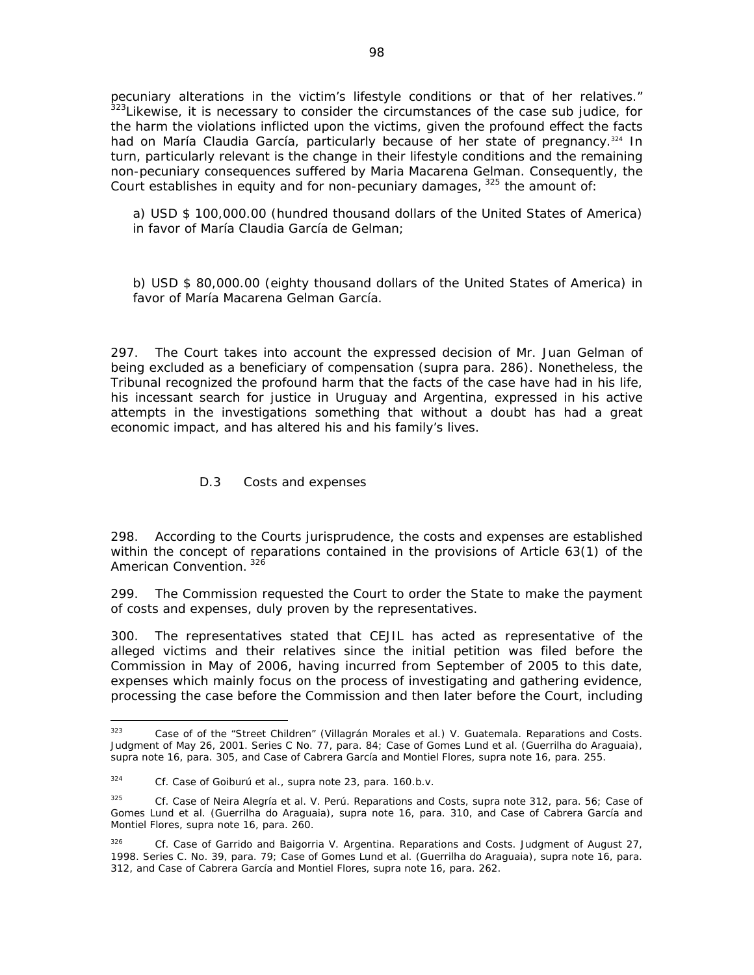pecuniary alterations in the victim's lifestyle conditions or that of her relatives." 323Likewise, it is necessary to consider the circumstances of the case *sub judice*, for the harm the violations inflicted upon the victims, given the profound effect the facts had on María Claudia García, particularly because of her state of pregnancy.<sup>324</sup> In turn, particularly relevant is the change in their lifestyle conditions and the remaining non-pecuniary consequences suffered by Maria Macarena Gelman. Consequently, the Court establishes in equity and for non-pecuniary damages,  $325$  the amount of:

a) USD \$ 100,000.00 (hundred thousand dollars of the United States of America) in favor of María Claudia García de Gelman;

b) USD \$ 80,000.00 (eighty thousand dollars of the United States of America) in favor of María Macarena Gelman García.

297. The Court takes into account the expressed decision of Mr. Juan Gelman of being excluded as a beneficiary of compensation (*supra* para. 286). Nonetheless, the Tribunal recognized the profound harm that the facts of the case have had in his life, his incessant search for justice in Uruguay and Argentina, expressed in his active attempts in the investigations something that without a doubt has had a great economic impact, and has altered his and his family's lives.

### *D.3 Costs and expenses*

298. According to the Courts jurisprudence, the costs and expenses are established within the concept of reparations contained in the provisions of Article 63(1) of the American Convention. 326

299. The Commission requested the Court to order the State to make the payment of costs and expenses, duly proven by the representatives.

300. The representatives stated that CEJIL has acted as representative of the alleged victims and their relatives since the initial petition was filed before the Commission in May of 2006, having incurred from September of 2005 to this date, expenses which mainly focus on the process of investigating and gathering evidence, processing the case before the Commission and then later before the Court, including

 323 *Case of of the "Street Children" (Villagrán Morales et al.) V. Guatemala. Reparations and Costs.*  Judgment of May 26, 2001. Series C No. 77, para. 84; *Case of Gomes Lund et al. (Guerrilha do Araguaia)*, *supra* note 16, para. 305, and *Case of Cabrera García and Montiel Flores*, *supra* note 16, para. 255.

<sup>324</sup> *Cf. Case of Goiburú et al., supra* note 23, para. 160.b.v.

<sup>325</sup> *Cf. Case of Neira Alegría et al. V. Perú. Reparations and Costs, supra* note 312*,* para. 56; *Case of Gomes Lund et al. (Guerrilha do Araguaia)*, *supra* note 16, para. 310, and *Case of Cabrera García and Montiel Flores*, *supra* note 16, para. 260.

<sup>326</sup> *Cf. Case of Garrido and Baigorria V. Argentina. Reparations and Costs*. Judgment of August 27, 1998. Series C. No. 39, para. 79; *Case of Gomes Lund et al. (Guerrilha do Araguaia)*, *supra* note 16, para. 312, and *Case of Cabrera García and Montiel Flores*, *supra* note 16, para. 262.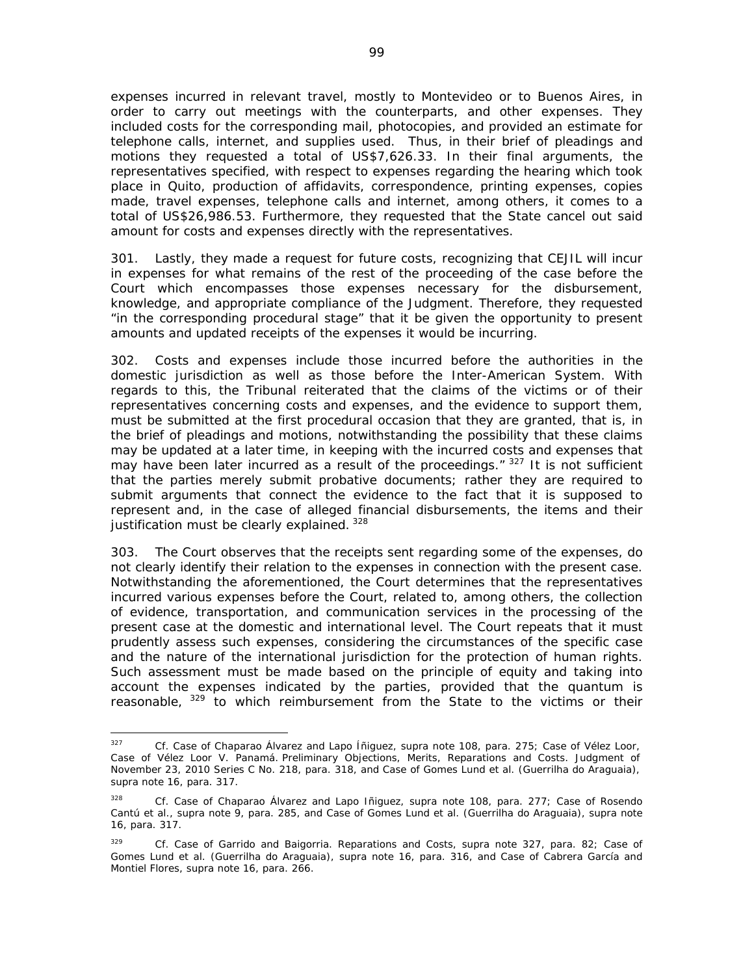expenses incurred in relevant travel, mostly to Montevideo or to Buenos Aires, in order to carry out meetings with the counterparts, and other expenses. They included costs for the corresponding mail, photocopies, and provided an estimate for telephone calls, internet, and supplies used. Thus, in their brief of pleadings and motions they requested a total of US\$7,626.33. In their final arguments, the representatives specified, with respect to expenses regarding the hearing which took place in Quito, production of affidavits, correspondence, printing expenses, copies made, travel expenses, telephone calls and internet, among others, it comes to a total of US\$26,986.53. Furthermore, they requested that the State cancel out said amount for costs and expenses directly with the representatives.

301. Lastly, they made a request for future costs, recognizing that CEJIL will incur in expenses for what remains of the rest of the proceeding of the case before the Court which encompasses those expenses necessary for the disbursement, knowledge, and appropriate compliance of the Judgment. Therefore, they requested "in the corresponding procedural stage" that it be given the opportunity to present amounts and updated receipts of the expenses it would be incurring.

302. Costs and expenses include those incurred before the authorities in the domestic jurisdiction as well as those before the Inter-American System. With regards to this, the Tribunal reiterated that the claims of the victims or of their representatives concerning costs and expenses, and the evidence to support them, must be submitted at the first procedural occasion that they are granted, that is, in the brief of pleadings and motions, notwithstanding the possibility that these claims may be updated at a later time, in keeping with the incurred costs and expenses that may have been later incurred as a result of the proceedings.  $7^{327}$  It is not sufficient that the parties merely submit probative documents; rather they are required to submit arguments that connect the evidence to the fact that it is supposed to represent and, in the case of alleged financial disbursements, the items and their justification must be clearly explained.<sup>328</sup>

303. The Court observes that the receipts sent regarding some of the expenses, do not clearly identify their relation to the expenses in connection with the present case. Notwithstanding the aforementioned, the Court determines that the representatives incurred various expenses before the Court, related to, among others, the collection of evidence, transportation, and communication services in the processing of the present case at the domestic and international level. The Court repeats that it must prudently assess such expenses, considering the circumstances of the specific case and the nature of the international jurisdiction for the protection of human rights. Such assessment must be made based on the principle of equity and taking into account the expenses indicated by the parties, provided that the *quantum* is reasonable,  $329$  to which reimbursement from the State to the victims or their

<sup>327</sup> *Cf. Case of Chaparao Álvarez and Lapo Íñiguez*, *supra* note 108, para. 275; *Case of Vélez Loor*, *Case of Vélez Loor V. Panamá*. Preliminary Objections, Merits, Reparations and Costs. Judgment of November 23, 2010 Series C No. 218, para. 318, and *Case of Gomes Lund et al. (Guerrilha do Araguaia)*, *supra* note 16, para. 317.

<sup>328</sup> *Cf*. *Case of Chaparao Álvarez and Lapo Iñiguez*, *supra* note 108, para. 277; *Case of Rosendo Cantú et al., supra* note 9, para. 285, and *Case of Gomes Lund et al. (Guerrilha do Araguaia)*, *supra* note 16, para. 317.

<sup>329</sup> *Cf. Case of Garrido and Baigorria*. *Reparations and Costs*, *supra* note 327, para. 82; *Case of Gomes Lund et al. (Guerrilha do Araguaia)*, *supra* note 16, para. 316, and *Case of Cabrera García and Montiel Flores*, *supra* note 16, para. 266.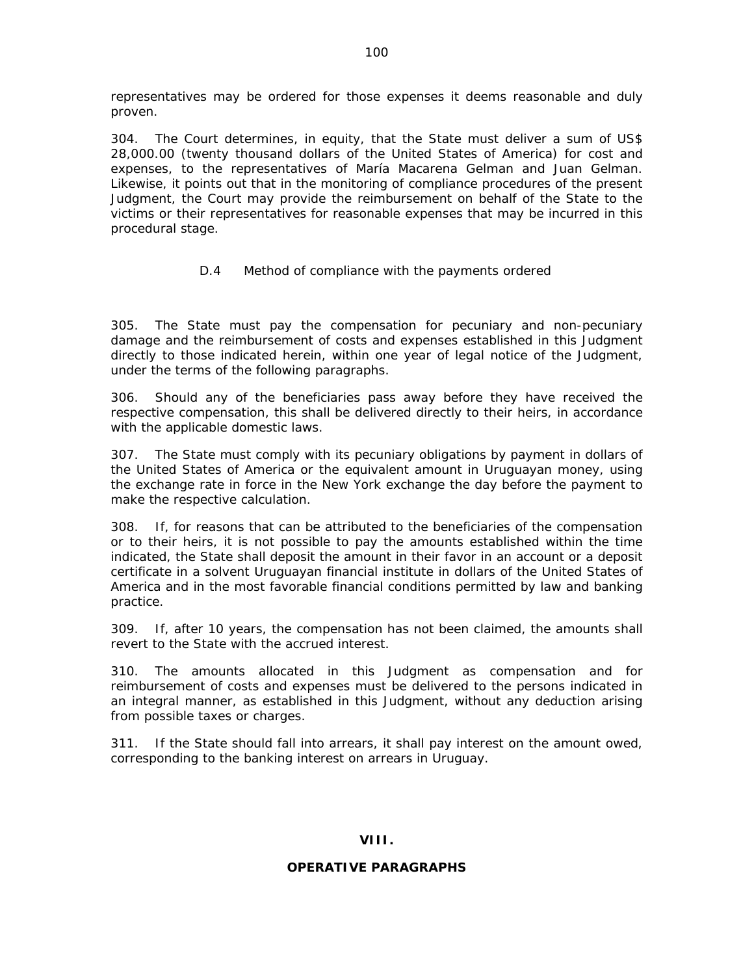representatives may be ordered for those expenses it deems reasonable and duly proven.

304. The Court determines, in equity, that the State must deliver a sum of US\$ 28,000.00 (twenty thousand dollars of the United States of America) for cost and expenses, to the representatives of María Macarena Gelman and Juan Gelman. Likewise, it points out that in the monitoring of compliance procedures of the present Judgment, the Court may provide the reimbursement on behalf of the State to the victims or their representatives for reasonable expenses that may be incurred in this procedural stage.

# *D.4 Method of compliance with the payments ordered*

305. The State must pay the compensation for pecuniary and non-pecuniary damage and the reimbursement of costs and expenses established in this Judgment directly to those indicated herein, within one year of legal notice of the Judgment, under the terms of the following paragraphs.

306. Should any of the beneficiaries pass away before they have received the respective compensation, this shall be delivered directly to their heirs, in accordance with the applicable domestic laws.

307. The State must comply with its pecuniary obligations by payment in dollars of the United States of America or the equivalent amount in Uruguayan money, using the exchange rate in force in the New York exchange the day before the payment to make the respective calculation.

308. If, for reasons that can be attributed to the beneficiaries of the compensation or to their heirs, it is not possible to pay the amounts established within the time indicated, the State shall deposit the amount in their favor in an account or a deposit certificate in a solvent Uruguayan financial institute in dollars of the United States of America and in the most favorable financial conditions permitted by law and banking practice.

309. If, after 10 years, the compensation has not been claimed, the amounts shall revert to the State with the accrued interest.

310. The amounts allocated in this Judgment as compensation and for reimbursement of costs and expenses must be delivered to the persons indicated in an integral manner, as established in this Judgment, without any deduction arising from possible taxes or charges.

311. If the State should fall into arrears, it shall pay interest on the amount owed, corresponding to the banking interest on arrears in Uruguay.

## **VIII.**

### **OPERATIVE PARAGRAPHS**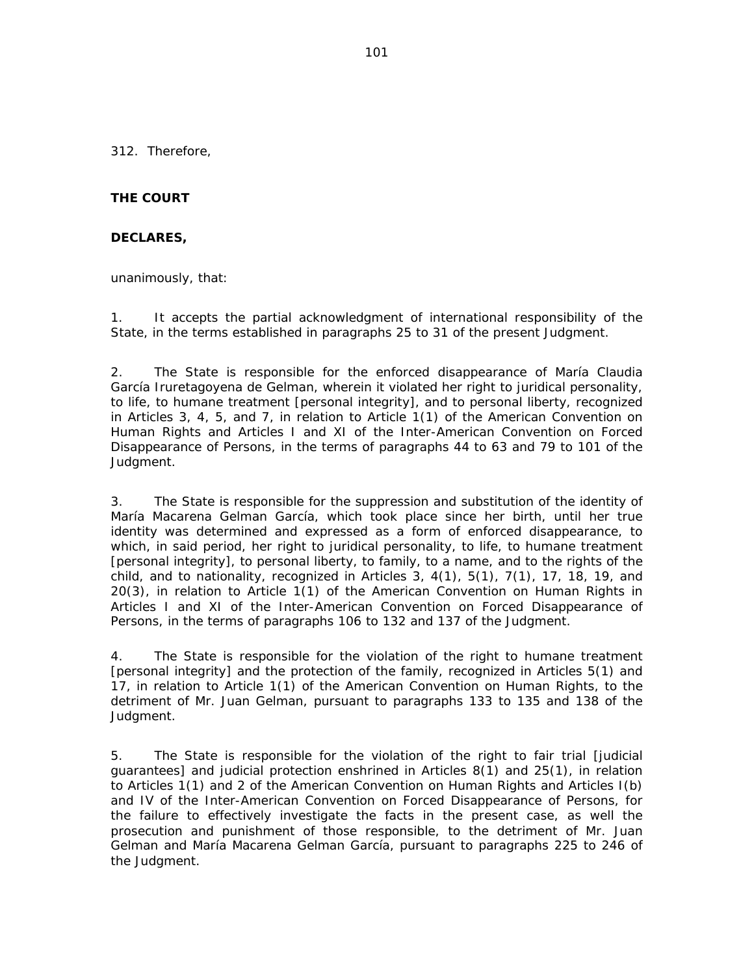312. Therefore,

## **THE COURT**

### **DECLARES,**

unanimously, that:

1. It accepts the partial acknowledgment of international responsibility of the State, in the terms established in paragraphs 25 to 31 of the present Judgment.

2. The State is responsible for the enforced disappearance of María Claudia García Iruretagoyena de Gelman, wherein it violated her right to juridical personality, to life, to humane treatment [personal integrity], and to personal liberty, recognized in Articles 3, 4, 5, and 7, in relation to Article 1(1) of the American Convention on Human Rights and Articles I and XI of the Inter-American Convention on Forced Disappearance of Persons, in the terms of paragraphs 44 to 63 and 79 to 101 of the Judgment.

3. The State is responsible for the suppression and substitution of the identity of María Macarena Gelman García, which took place since her birth, until her true identity was determined and expressed as a form of enforced disappearance, to which, in said period, her right to juridical personality, to life, to humane treatment [personal integrity], to personal liberty, to family, to a name, and to the rights of the child, and to nationality, recognized in Articles 3, 4(1), 5(1), 7(1), 17, 18, 19, and 20(3), in relation to Article 1(1) of the American Convention on Human Rights in Articles I and XI of the Inter-American Convention on Forced Disappearance of Persons, in the terms of paragraphs 106 to 132 and 137 of the Judgment.

4. The State is responsible for the violation of the right to humane treatment [personal integrity] and the protection of the family, recognized in Articles 5(1) and 17, in relation to Article 1(1) of the American Convention on Human Rights, to the detriment of Mr. Juan Gelman, pursuant to paragraphs 133 to 135 and 138 of the Judgment.

5. The State is responsible for the violation of the right to fair trial [judicial guarantees] and judicial protection enshrined in Articles 8(1) and 25(1), in relation to Articles 1(1) and 2 of the American Convention on Human Rights and Articles I(b) and IV of the Inter-American Convention on Forced Disappearance of Persons, for the failure to effectively investigate the facts in the present case, as well the prosecution and punishment of those responsible, to the detriment of Mr. Juan Gelman and María Macarena Gelman García, pursuant to paragraphs 225 to 246 of the Judgment.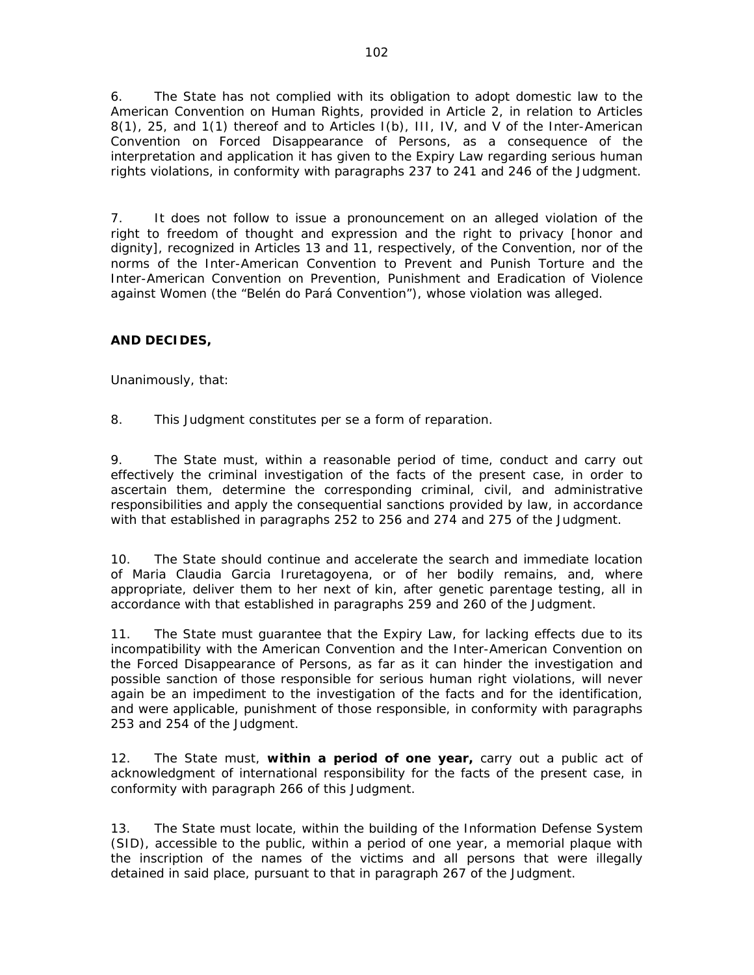6. The State has not complied with its obligation to adopt domestic law to the American Convention on Human Rights, provided in Article 2, in relation to Articles 8(1), 25, and 1(1) thereof and to Articles I(b), III, IV, and V of the Inter-American Convention on Forced Disappearance of Persons, as a consequence of the interpretation and application it has given to the Expiry Law regarding serious human rights violations, in conformity with paragraphs 237 to 241 and 246 of the Judgment.

7. It does not follow to issue a pronouncement on an alleged violation of the right to freedom of thought and expression and the right to privacy [honor and dignity], recognized in Articles 13 and 11, respectively, of the Convention, nor of the norms of the Inter-American Convention to Prevent and Punish Torture and the Inter-American Convention on Prevention, Punishment and Eradication of Violence against Women (the "Belén do Pará Convention"), whose violation was alleged.

# **AND DECIDES,**

Unanimously, that:

8. This Judgment constitutes *per se* a form of reparation.

9. The State must, within a reasonable period of time, conduct and carry out effectively the criminal investigation of the facts of the present case, in order to ascertain them, determine the corresponding criminal, civil, and administrative responsibilities and apply the consequential sanctions provided by law, in accordance with that established in paragraphs 252 to 256 and 274 and 275 of the Judgment.

10. The State should continue and accelerate the search and immediate location of Maria Claudia Garcia Iruretagoyena, or of her bodily remains, and, where appropriate, deliver them to her next of kin, after genetic parentage testing, all in accordance with that established in paragraphs 259 and 260 of the Judgment.

11. The State must guarantee that the Expiry Law, for lacking effects due to its incompatibility with the American Convention and the Inter-American Convention on the Forced Disappearance of Persons, as far as it can hinder the investigation and possible sanction of those responsible for serious human right violations, will never again be an impediment to the investigation of the facts and for the identification, and were applicable, punishment of those responsible, in conformity with paragraphs 253 and 254 of the Judgment.

12. The State must, **within a period of one year,** carry out a public act of acknowledgment of international responsibility for the facts of the present case, in conformity with paragraph 266 of this Judgment.

13. The State must locate, within the building of the Information Defense System (SID), accessible to the public, within a period of one year, a memorial plaque with the inscription of the names of the victims and all persons that were illegally detained in said place, pursuant to that in paragraph 267 of the Judgment.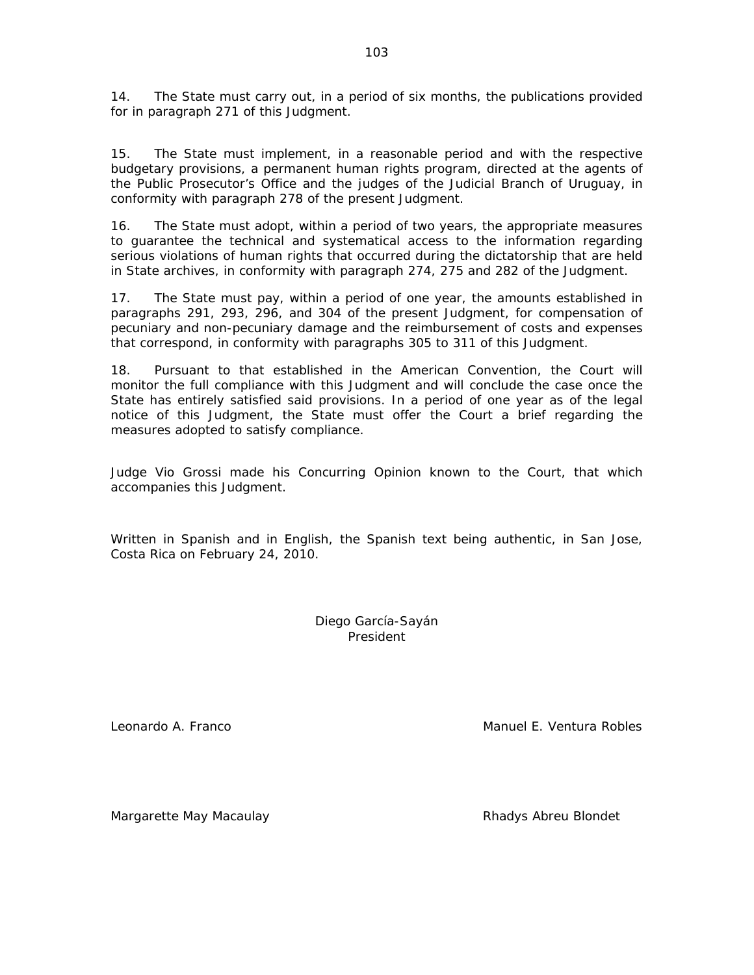14. The State must carry out, in a period of six months, the publications provided for in paragraph 271 of this Judgment.

15. The State must implement, in a reasonable period and with the respective budgetary provisions, a permanent human rights program, directed at the agents of the Public Prosecutor's Office and the judges of the Judicial Branch of Uruguay, in conformity with paragraph 278 of the present Judgment.

16. The State must adopt, within a period of two years, the appropriate measures to guarantee the technical and systematical access to the information regarding serious violations of human rights that occurred during the dictatorship that are held in State archives, in conformity with paragraph 274, 275 and 282 of the Judgment.

17. The State must pay, within a period of one year, the amounts established in paragraphs 291, 293, 296, and 304 of the present Judgment, for compensation of pecuniary and non-pecuniary damage and the reimbursement of costs and expenses that correspond, in conformity with paragraphs 305 to 311 of this Judgment.

18. Pursuant to that established in the American Convention, the Court will monitor the full compliance with this Judgment and will conclude the case once the State has entirely satisfied said provisions. In a period of one year as of the legal notice of this Judgment, the State must offer the Court a brief regarding the measures adopted to satisfy compliance.

Judge Vio Grossi made his Concurring Opinion known to the Court, that which accompanies this Judgment.

Written in Spanish and in English, the Spanish text being authentic, in San Jose, Costa Rica on February 24, 2010.

> Diego García-Sayán President

Leonardo A. Franco Manuel E. Ventura Robles

Margarette May Macaulay **Rhadys Abreu Blondet**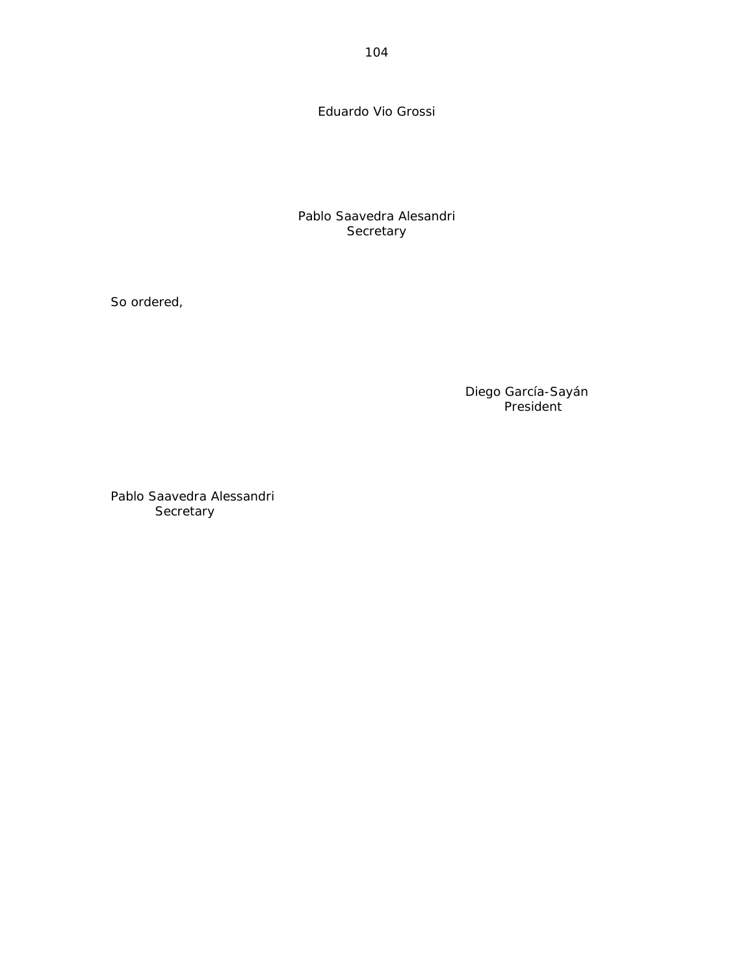Eduardo Vio Grossi

Pablo Saavedra Alesandri **Secretary** 

So ordered,

Diego García-Sayán President

Pablo Saavedra Alessandri **Secretary**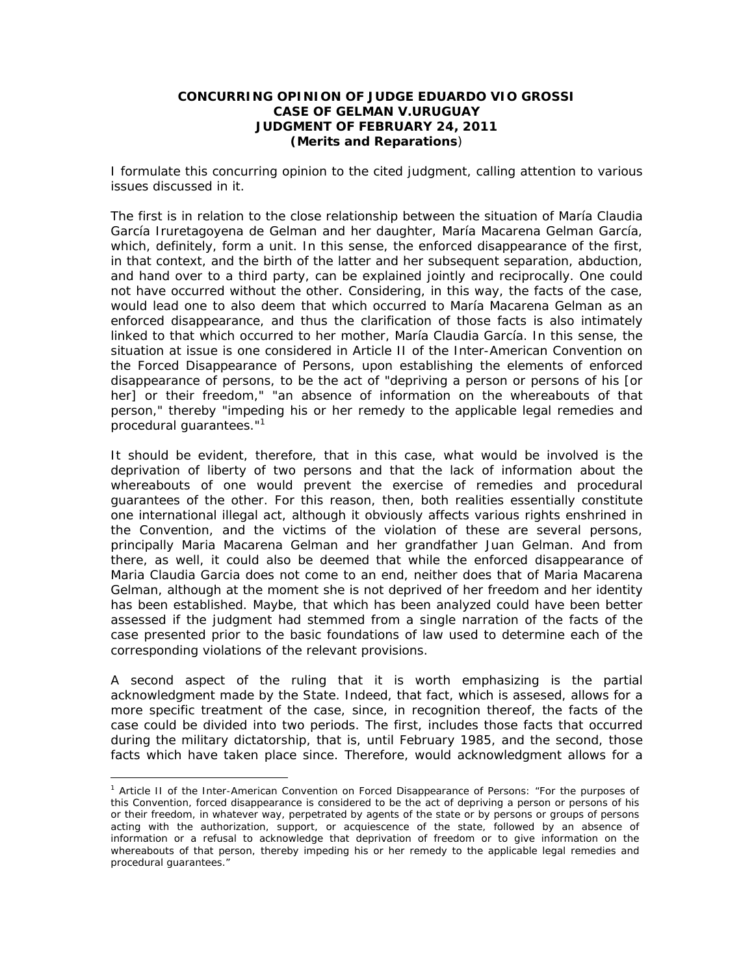### **CONCURRING OPINION OF JUDGE EDUARDO VIO GROSSI CASE OF GELMAN V.URUGUAY JUDGMENT OF FEBRUARY 24, 2011**  *(Merits and Reparations)*

I formulate this concurring opinion to the cited judgment, calling attention to various issues discussed in it.

The first is in relation to the close relationship between the situation of María Claudia García Iruretagoyena de Gelman and her daughter, María Macarena Gelman García, which, definitely, form a unit. In this sense, the enforced disappearance of the first, in that context, and the birth of the latter and her subsequent separation, abduction, and hand over to a third party, can be explained jointly and reciprocally. One could not have occurred without the other. Considering, in this way, the facts of the case, would lead one to also deem that which occurred to María Macarena Gelman as an enforced disappearance, and thus the clarification of those facts is also intimately linked to that which occurred to her mother, María Claudia García. In this sense, the situation at issue is one considered in Article II of the Inter-American Convention on the Forced Disappearance of Persons, upon establishing the elements of enforced disappearance of persons, to be the act of "*depriving a person or persons of his [or her] or their freedom," "an absence of information on the whereabouts of that person,*" thereby "*impeding his or her remedy to the applicable legal remedies and procedural guarantees*."1

It should be evident, therefore, that in this case, what would be involved is the deprivation of liberty of two persons and that the lack of information about the whereabouts of one would prevent the exercise of remedies and procedural guarantees of the other. For this reason, then, both realities essentially constitute one international illegal act, although it obviously affects various rights enshrined in the Convention, and the victims of the violation of these are several persons, principally Maria Macarena Gelman and her grandfather Juan Gelman. And from there, as well, it could also be deemed that while the enforced disappearance of Maria Claudia Garcia does not come to an end, neither does that of Maria Macarena Gelman, although at the moment she is not deprived of her freedom and her identity has been established. Maybe, that which has been analyzed could have been better assessed if the judgment had stemmed from a single narration of the facts of the case presented prior to the basic foundations of law used to determine each of the corresponding violations of the relevant provisions.

A second aspect of the ruling that it is worth emphasizing is the partial acknowledgment made by the State. Indeed, that fact, which is assesed, allows for a more specific treatment of the case, since, in recognition thereof, the facts of the case could be divided into two periods. The first, includes those facts that occurred during the military dictatorship, that is, until February 1985, and the second, those facts which have taken place since. Therefore, would acknowledgment allows for a

<sup>1</sup> Article II of the Inter-American Convention on Forced Disappearance of Persons: *"For the purposes of this Convention, forced disappearance is considered to be the act of depriving a person or persons of his or their freedom, in whatever way, perpetrated by agents of the state or by persons or groups of persons*  acting with the authorization, support, or acquiescence of the state, followed by an absence of information or a refusal to acknowledge that deprivation of freedom or to give information on the *whereabouts of that person, thereby impeding his or her remedy to the applicable legal remedies and procedural guarantees."*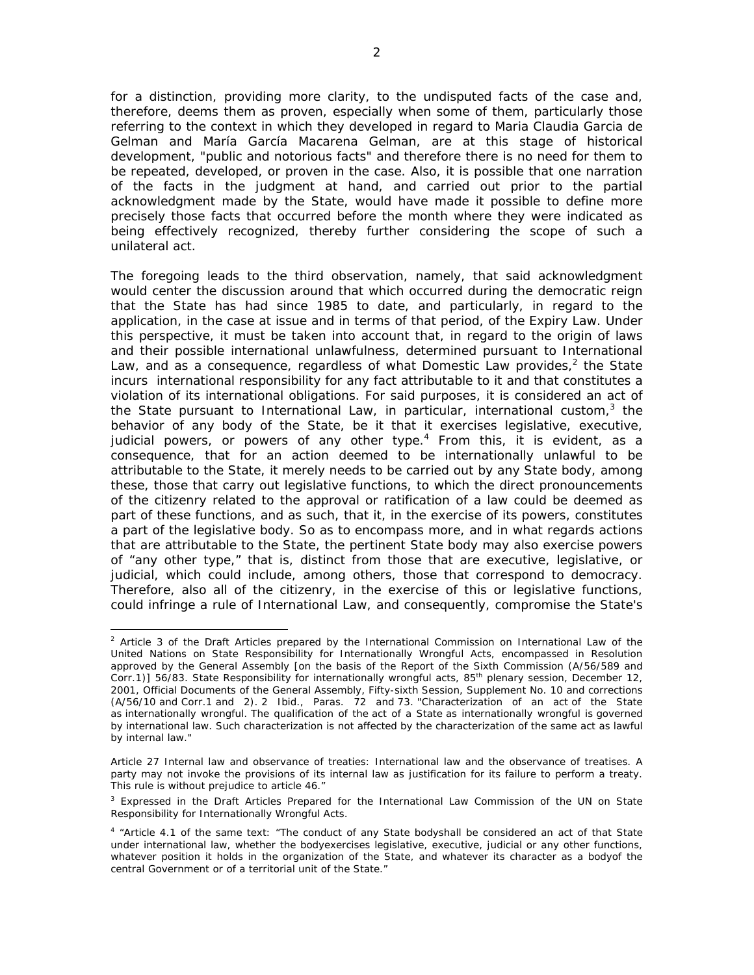for a distinction, providing more clarity, to the undisputed facts of the case and, therefore, deems them as proven, especially when some of them, particularly those referring to the context in which they developed in regard to Maria Claudia Garcia de Gelman and María García Macarena Gelman, are at this stage of historical development, "public and notorious facts" and therefore there is no need for them to be repeated, developed, or proven in the case. Also, it is possible that one narration of the facts in the judgment at hand, and carried out prior to the partial acknowledgment made by the State, would have made it possible to define more precisely those facts that occurred before the month where they were indicated as being effectively recognized, thereby further considering the scope of such a unilateral act.

The foregoing leads to the third observation, namely, that said acknowledgment would center the discussion around that which occurred during the democratic reign that the State has had since 1985 to date, and particularly, in regard to the application, in the case at issue and in terms of that period, of the Expiry Law. Under this perspective, it must be taken into account that, in regard to the origin of laws and their possible international unlawfulness, determined pursuant to International Law, and as a consequence, regardless of what Domestic Law provides, $^2$  the State incurs international responsibility for any fact attributable to it and that constitutes a violation of its international obligations. For said purposes, it is considered an act of the State pursuant to International Law, in particular, international custom, $3$  the behavior of any body of the State, be it that it exercises legislative, executive, judicial powers, or powers of any other type.*<sup>4</sup>* From this, it is evident, as a consequence, that for an action deemed to be internationally unlawful to be attributable to the State, it merely needs to be carried out by any State body, among these, those that carry out legislative functions, to which the direct pronouncements of the citizenry related to the approval or ratification of a law could be deemed as part of these functions, and as such, that it, in the exercise of its powers, constitutes a part of the legislative body. So as to encompass more, and in what regards actions that are attributable to the State, the pertinent State body may also exercise powers of "any other type," that is, distinct from those that are executive, legislative, or judicial, which could include, among others, those that correspond to democracy. Therefore, also all of the citizenry, in the exercise of this or legislative functions, could infringe a rule of International Law, and consequently, compromise the State's

 <sup>2</sup> Article 3 of the Draft Articles prepared by the International Commission on International Law of the United Nations on State Responsibility for Internationally Wrongful Acts, encompassed in Resolution approved by the General Assembly [*on the basis of the Report of the Sixth Commission (A/56/589 and Corr.1)*] 56/83. State Responsibility for internationally wrongful acts, *85th plenary session, December 12, 2001, Official Documents of the General Assembly,* Fifty-sixth Session, Supplement No. 10 and corrections (A/56/10 and Corr.1 and 2). 2 Ibid., Paras. 72 and 73. "Characterization of an act of the State as internationally wrongful. The qualification of the act of a State as internationally wrongful is governed by international law. Such characterization is not affected by the characterization of the same act as lawful by internal law."

Article 27 Internal law and observance of treaties: *International law and the observance of treatises. A*  party may not invoke the provisions of its internal law as justification for its failure to perform a treaty. *This rule is without prejudice to article 46."*

<sup>&</sup>lt;sup>3</sup> Expressed in the Draft Articles Prepared for the International Law Commission of the UN on State Responsibility for Internationally Wrongful Acts.

*<sup>4</sup>* "Article 4.1 of the same text: "The conduct of any State bodyshall be considered an act of that State under international law, whether the bodyexercises legislative, executive, judicial or any other functions, whatever position it holds in the organization of the State, and whatever its character as a bodyof the central Government or of a territorial unit of the State."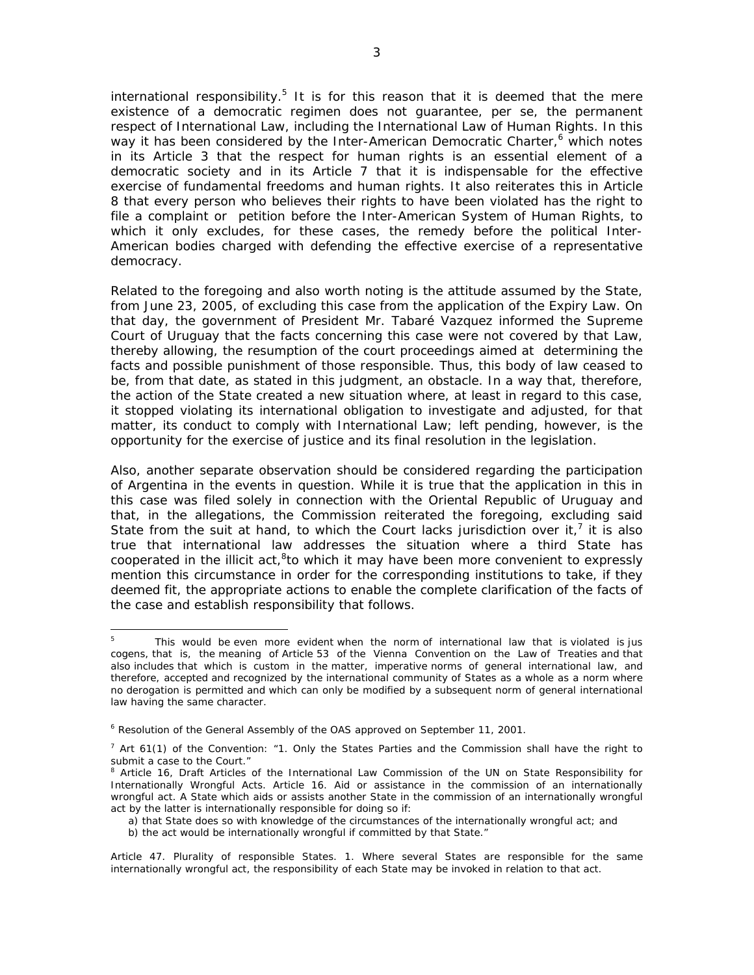international responsibility.<sup>5</sup> It is for this reason that it is deemed that the mere existence of a democratic regimen does not guarantee, *per se*, the permanent respect of International Law, including the International Law of Human Rights. In this way it has been considered by the Inter-American Democratic Charter,<sup>6</sup> which notes in its Article 3 that the respect for human rights is an essential element of a democratic society and in its Article 7 that it is indispensable for the effective exercise of fundamental freedoms and human rights. It also reiterates this in Article 8 that every person who believes their rights to have been violated has the right to file a complaint or petition before the Inter-American System of Human Rights, to which it only excludes, for these cases, the remedy before the political Inter-American bodies charged with defending the effective exercise of a representative democracy.

Related to the foregoing and also worth noting is the attitude assumed by the State, from June 23, 2005, of excluding this case from the application of the Expiry Law. On that day, the government of President Mr. Tabaré Vazquez informed the Supreme Court of Uruguay that the facts concerning this case were not covered by that Law, thereby allowing, the resumption of the court proceedings aimed at determining the facts and possible punishment of those responsible. Thus, this body of law ceased to be, from that date, as stated in this judgment, an obstacle. In a way that, therefore, the action of the State created a new situation where, at least in regard to this case, it stopped violating its international obligation to investigate and adjusted, for that matter, its conduct to comply with International Law; left pending, however, is the opportunity for the exercise of justice and its final resolution in the legislation.

Also, another separate observation should be considered regarding the participation of Argentina in the events in question. While it is true that the application in this in this case was filed solely in connection with the Oriental Republic of Uruguay and that, in the allegations, the Commission reiterated the foregoing, excluding said State from the suit at hand, to which the Court lacks jurisdiction over it,<sup>7</sup> it is also true that international law addresses the situation where a third State has cooperated in the illicit act,<sup>8</sup>to which it may have been more convenient to expressly mention this circumstance in order for the corresponding institutions to take, if they deemed fit, the appropriate actions to enable the complete clarification of the facts of the case and establish responsibility that follows.

 5 This would be even more evident when the norm of international law that is violated is *jus cogens*, that is, the meaning of Article 53 of the Vienna Convention on the Law of Treaties and that also includes that which is custom in the matter, imperative norms of general international law, and therefore, accepted and recognized by the international community of States as a whole as a norm where no derogation is permitted and which can only be modified by a subsequent norm of general international law having the same character.

<sup>&</sup>lt;sup>6</sup> Resolution of the General Assembly of the OAS approved on September 11, 2001.

 $<sup>7</sup>$  Art 61(1) of the Convention: "1. Only the States Parties and the Commission shall have the right to</sup> submit a case to the Court."

<sup>&</sup>lt;sup>8</sup> Article 16, Draft Articles of the International Law Commission of the UN on State Responsibility for Internationally Wrongful Acts. Article 16. Aid or assistance in the commission of an internationally wrongful act. A State which aids or assists another State in the commission of an internationally wrongful act by the latter is internationally responsible for doing so if:

a) that State does so with knowledge of the circumstances of the internationally wrongful act; and

b) the act would be internationally wrongful if committed by that State."

Article 47. Plurality of responsible States. 1. Where several States are responsible for the same internationally wrongful act, the responsibility of each State may be invoked in relation to that act.